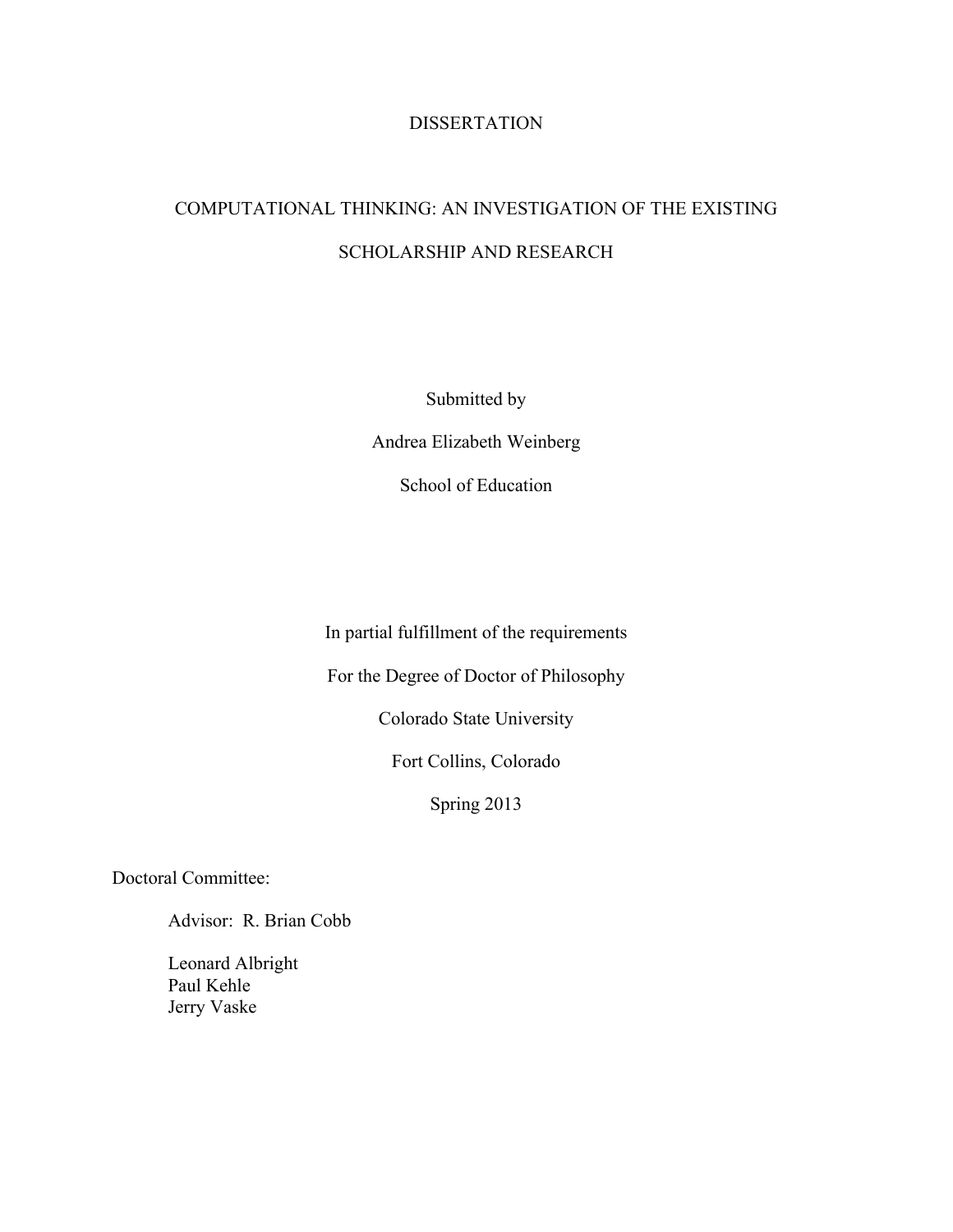### DISSERTATION

# COMPUTATIONAL THINKING: AN INVESTIGATION OF THE EXISTING SCHOLARSHIP AND RESEARCH

Submitted by

Andrea Elizabeth Weinberg

School of Education

In partial fulfillment of the requirements

For the Degree of Doctor of Philosophy

Colorado State University

Fort Collins, Colorado

Spring 2013

Doctoral Committee:

Advisor: R. Brian Cobb

Leonard Albright Paul Kehle Jerry Vaske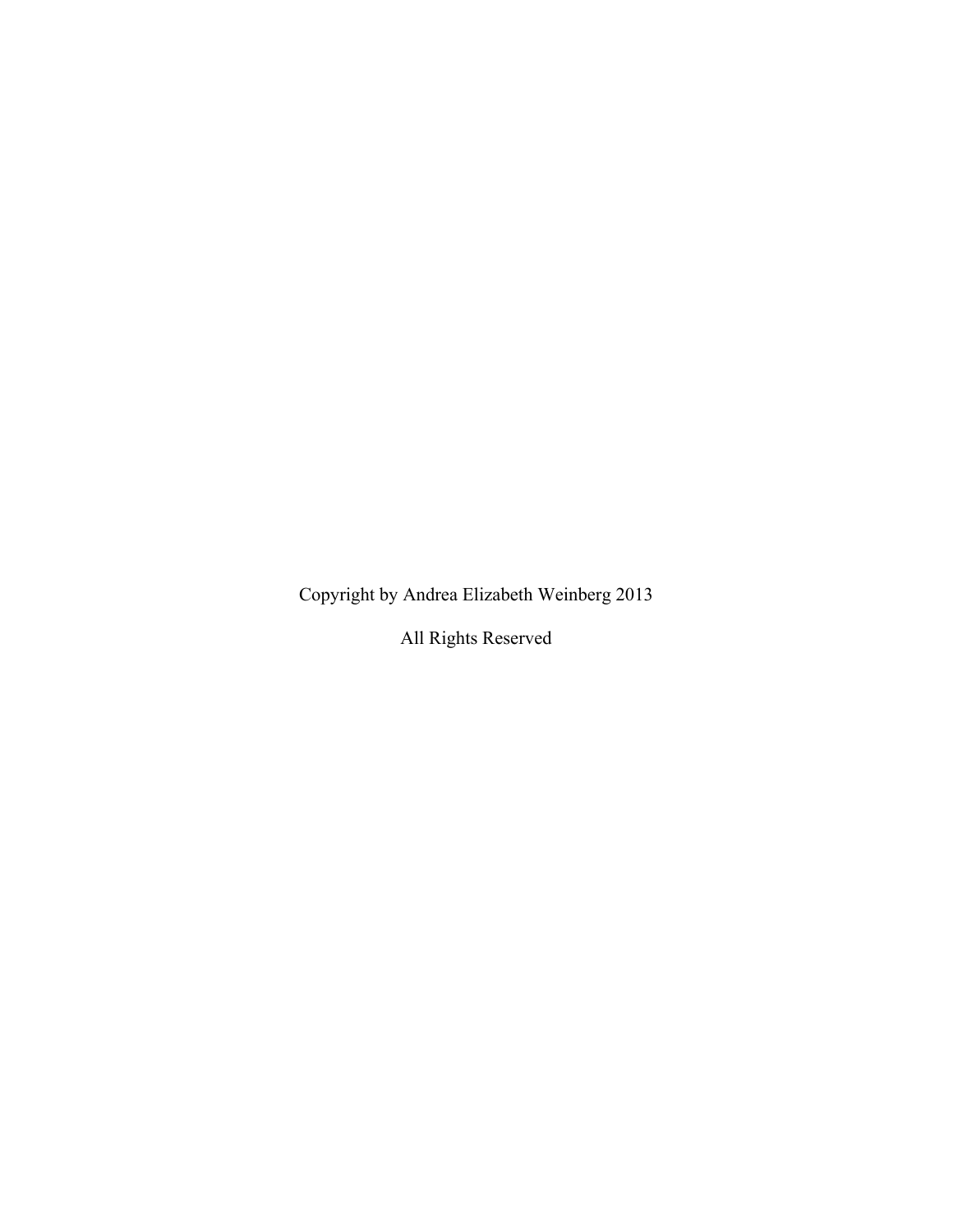Copyright by Andrea Elizabeth Weinberg 2013

All Rights Reserved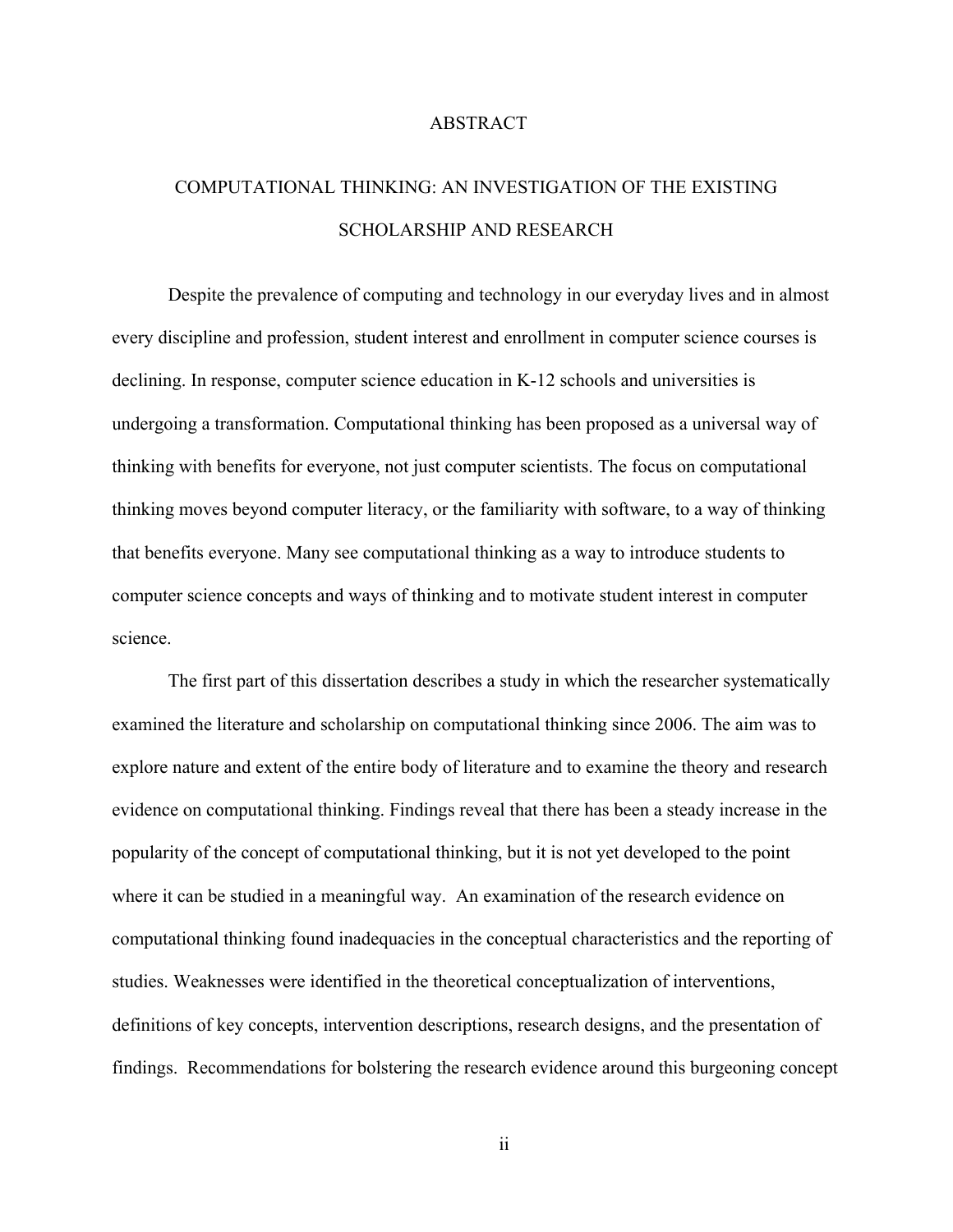#### ABSTRACT

# COMPUTATIONAL THINKING: AN INVESTIGATION OF THE EXISTING SCHOLARSHIP AND RESEARCH

Despite the prevalence of computing and technology in our everyday lives and in almost every discipline and profession, student interest and enrollment in computer science courses is declining. In response, computer science education in K-12 schools and universities is undergoing a transformation. Computational thinking has been proposed as a universal way of thinking with benefits for everyone, not just computer scientists. The focus on computational thinking moves beyond computer literacy, or the familiarity with software, to a way of thinking that benefits everyone. Many see computational thinking as a way to introduce students to computer science concepts and ways of thinking and to motivate student interest in computer science.

The first part of this dissertation describes a study in which the researcher systematically examined the literature and scholarship on computational thinking since 2006. The aim was to explore nature and extent of the entire body of literature and to examine the theory and research evidence on computational thinking. Findings reveal that there has been a steady increase in the popularity of the concept of computational thinking, but it is not yet developed to the point where it can be studied in a meaningful way. An examination of the research evidence on computational thinking found inadequacies in the conceptual characteristics and the reporting of studies. Weaknesses were identified in the theoretical conceptualization of interventions, definitions of key concepts, intervention descriptions, research designs, and the presentation of findings. Recommendations for bolstering the research evidence around this burgeoning concept

ii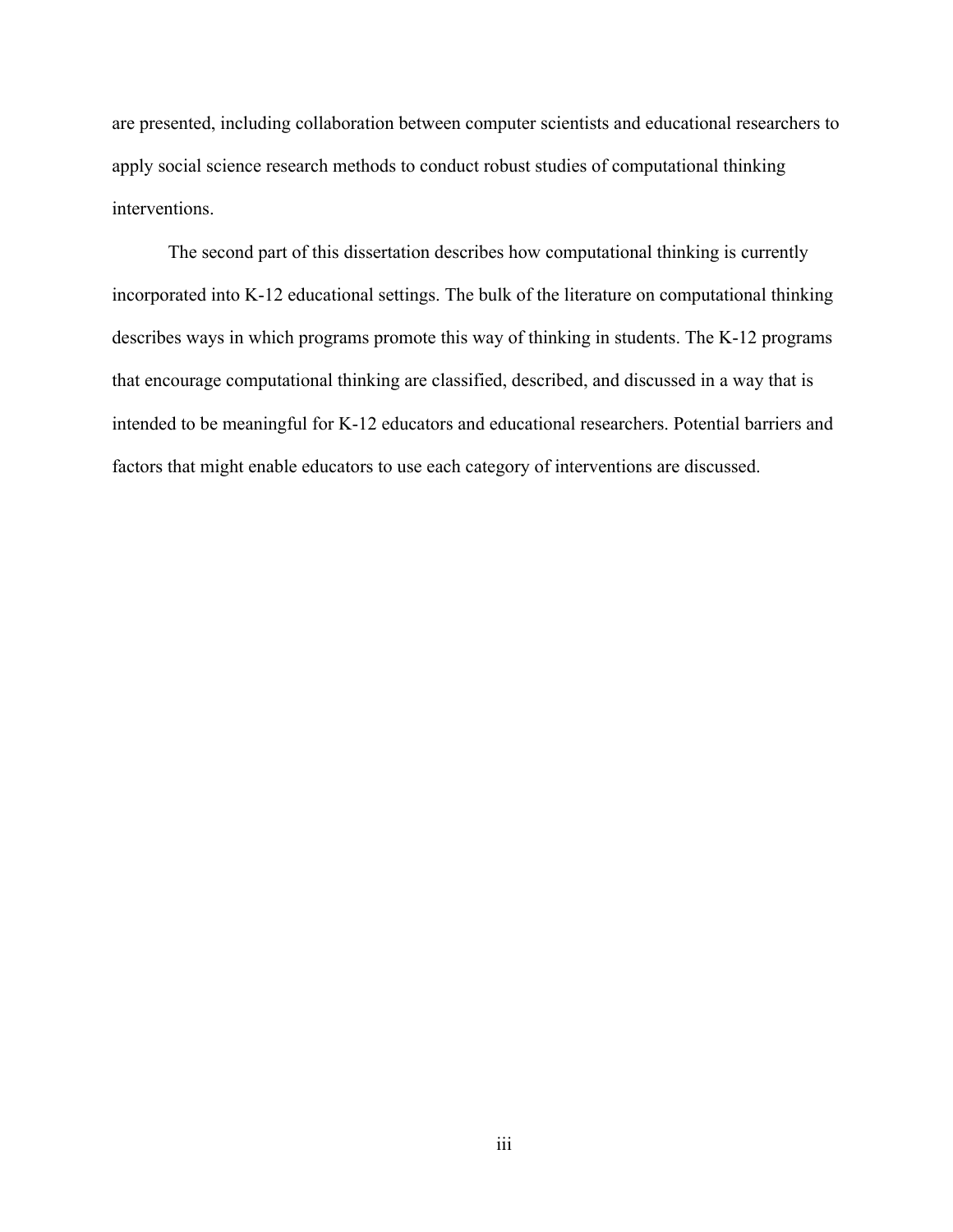are presented, including collaboration between computer scientists and educational researchers to apply social science research methods to conduct robust studies of computational thinking interventions.

The second part of this dissertation describes how computational thinking is currently incorporated into K-12 educational settings. The bulk of the literature on computational thinking describes ways in which programs promote this way of thinking in students. The K-12 programs that encourage computational thinking are classified, described, and discussed in a way that is intended to be meaningful for K-12 educators and educational researchers. Potential barriers and factors that might enable educators to use each category of interventions are discussed.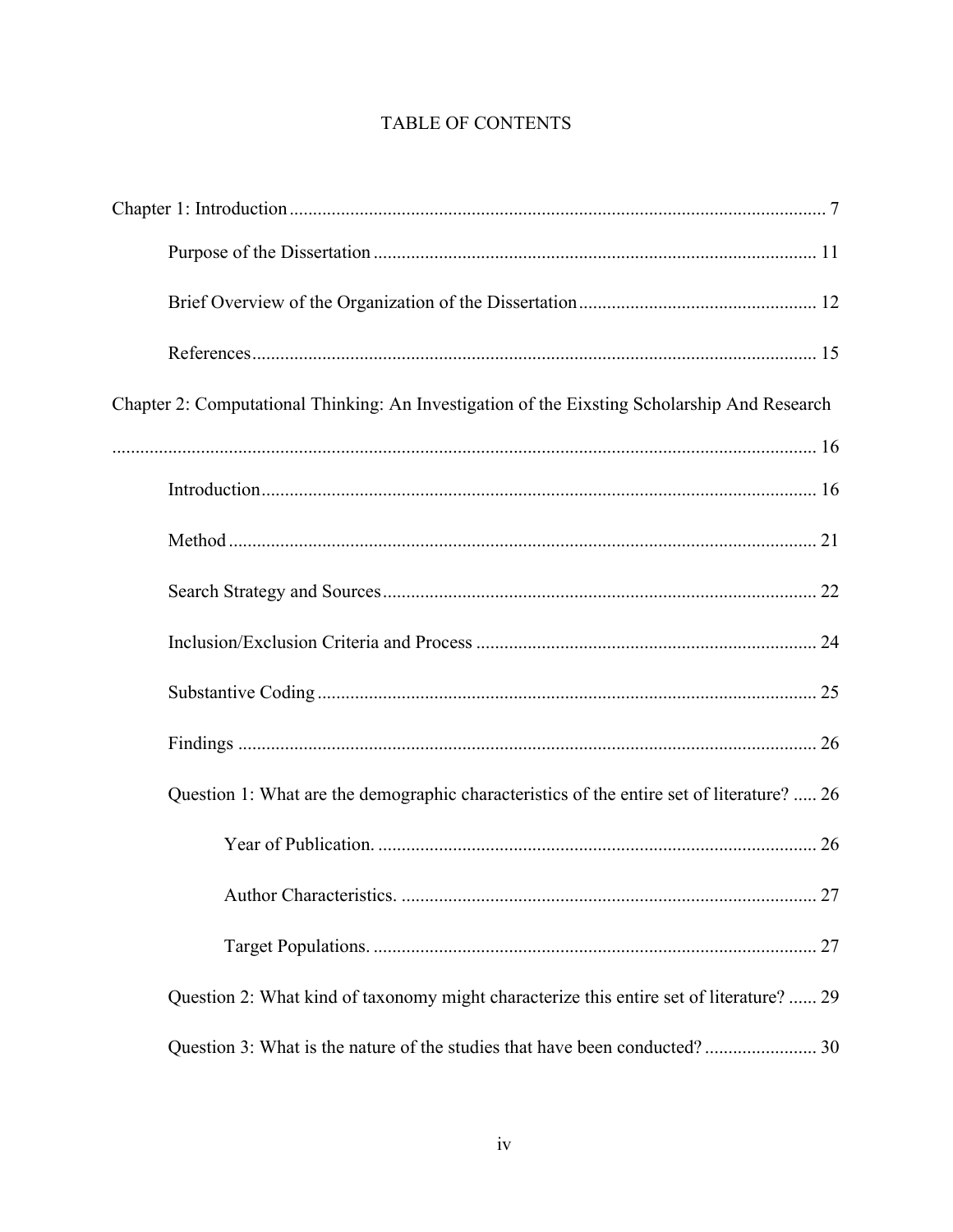### TABLE OF CONTENTS

| Chapter 2: Computational Thinking: An Investigation of the Eixsting Scholarship And Research |
|----------------------------------------------------------------------------------------------|
|                                                                                              |
|                                                                                              |
|                                                                                              |
|                                                                                              |
|                                                                                              |
|                                                                                              |
|                                                                                              |
| Question 1: What are the demographic characteristics of the entire set of literature?  26    |
|                                                                                              |
|                                                                                              |
|                                                                                              |
| Question 2: What kind of taxonomy might characterize this entire set of literature?  29      |
| Question 3: What is the nature of the studies that have been conducted? 30                   |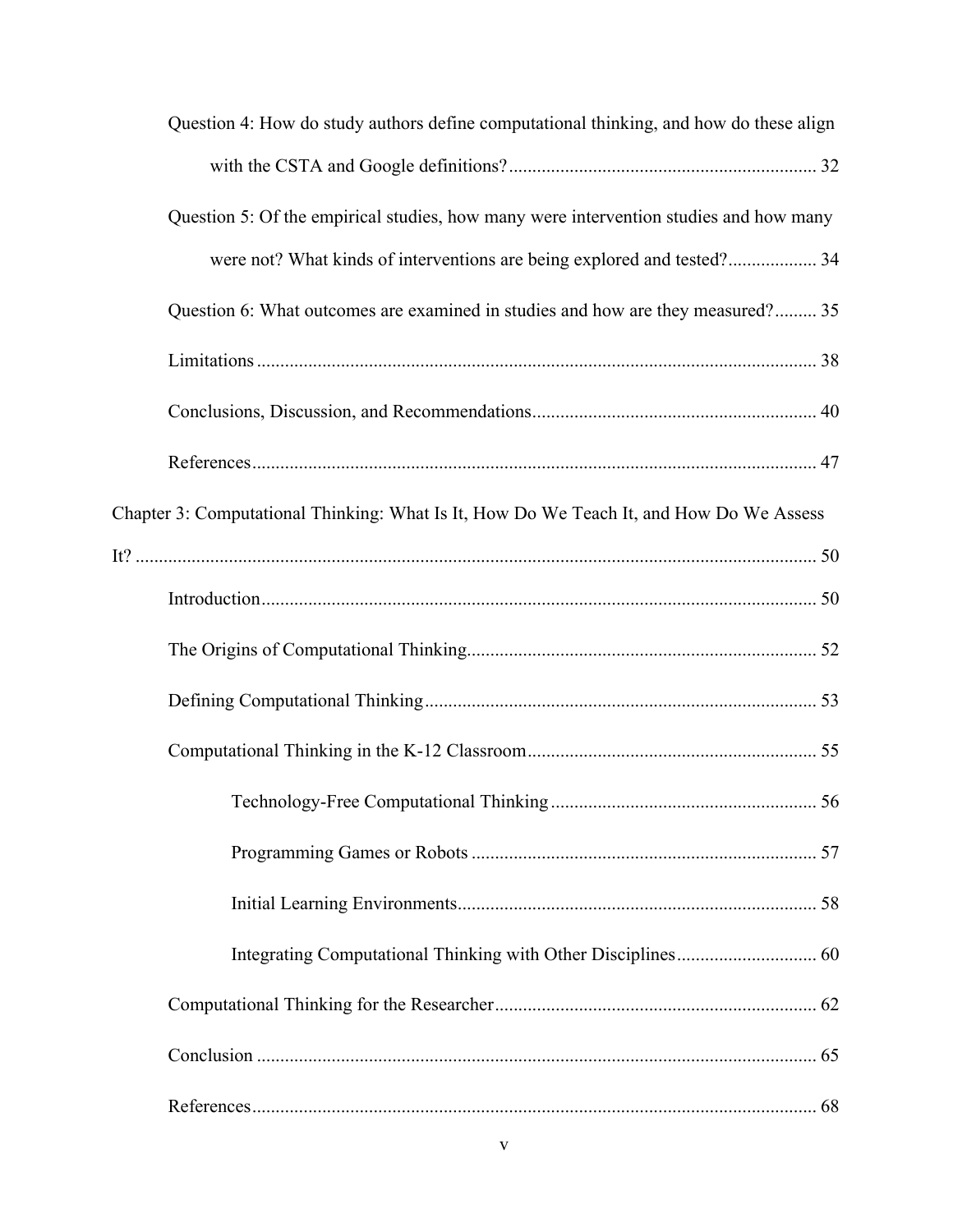| Question 4: How do study authors define computational thinking, and how do these align  |  |
|-----------------------------------------------------------------------------------------|--|
|                                                                                         |  |
| Question 5: Of the empirical studies, how many were intervention studies and how many   |  |
| were not? What kinds of interventions are being explored and tested? 34                 |  |
| Question 6: What outcomes are examined in studies and how are they measured? 35         |  |
|                                                                                         |  |
|                                                                                         |  |
|                                                                                         |  |
| Chapter 3: Computational Thinking: What Is It, How Do We Teach It, and How Do We Assess |  |
|                                                                                         |  |
|                                                                                         |  |
|                                                                                         |  |
|                                                                                         |  |
|                                                                                         |  |
|                                                                                         |  |
|                                                                                         |  |
|                                                                                         |  |
|                                                                                         |  |
|                                                                                         |  |
|                                                                                         |  |
|                                                                                         |  |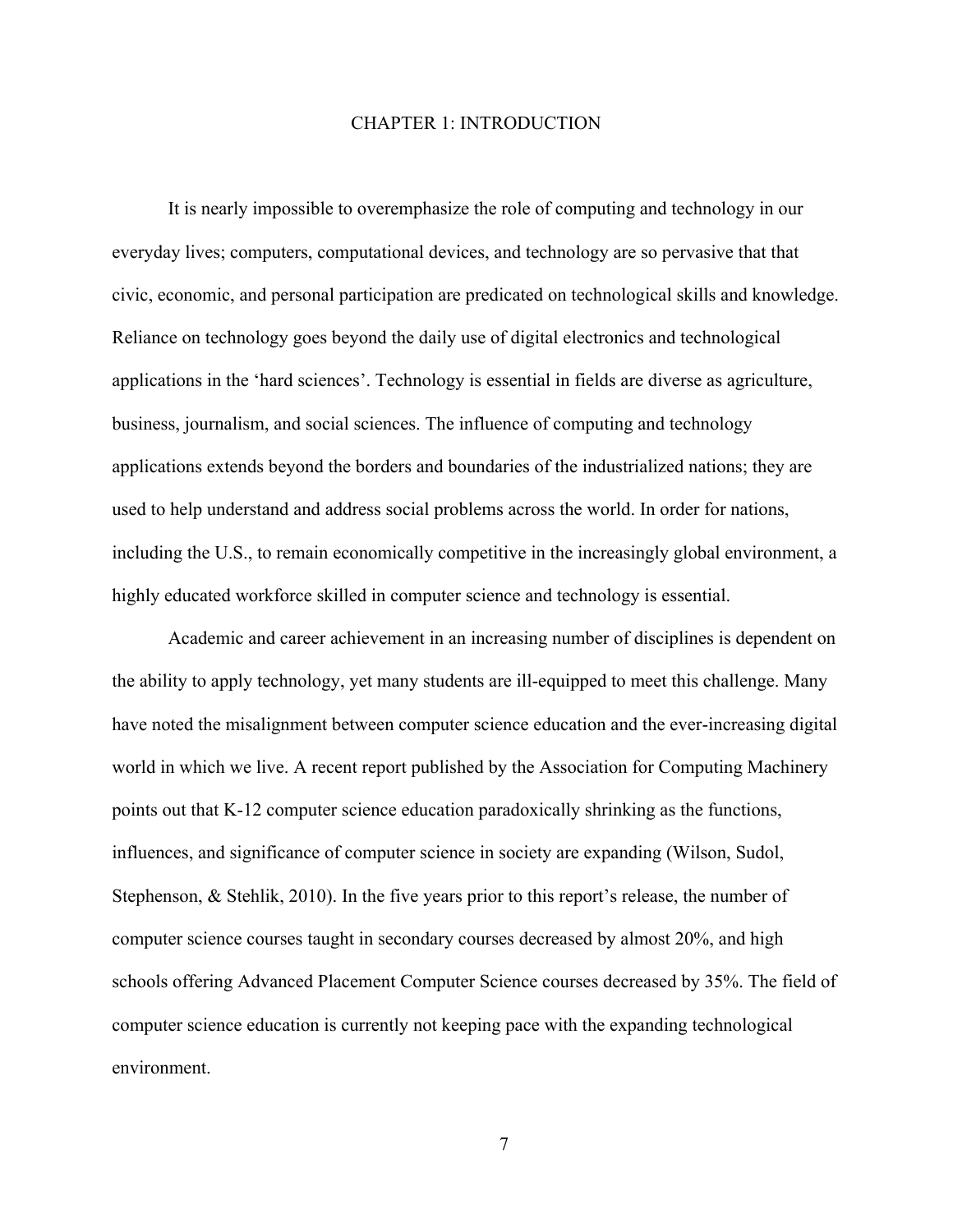#### CHAPTER 1: INTRODUCTION

It is nearly impossible to overemphasize the role of computing and technology in our everyday lives; computers, computational devices, and technology are so pervasive that that civic, economic, and personal participation are predicated on technological skills and knowledge. Reliance on technology goes beyond the daily use of digital electronics and technological applications in the 'hard sciences'. Technology is essential in fields are diverse as agriculture, business, journalism, and social sciences. The influence of computing and technology applications extends beyond the borders and boundaries of the industrialized nations; they are used to help understand and address social problems across the world. In order for nations, including the U.S., to remain economically competitive in the increasingly global environment, a highly educated workforce skilled in computer science and technology is essential.

Academic and career achievement in an increasing number of disciplines is dependent on the ability to apply technology, yet many students are ill-equipped to meet this challenge. Many have noted the misalignment between computer science education and the ever-increasing digital world in which we live. A recent report published by the Association for Computing Machinery points out that K-12 computer science education paradoxically shrinking as the functions, influences, and significance of computer science in society are expanding (Wilson, Sudol, Stephenson, & Stehlik, 2010). In the five years prior to this report's release, the number of computer science courses taught in secondary courses decreased by almost 20%, and high schools offering Advanced Placement Computer Science courses decreased by 35%. The field of computer science education is currently not keeping pace with the expanding technological environment.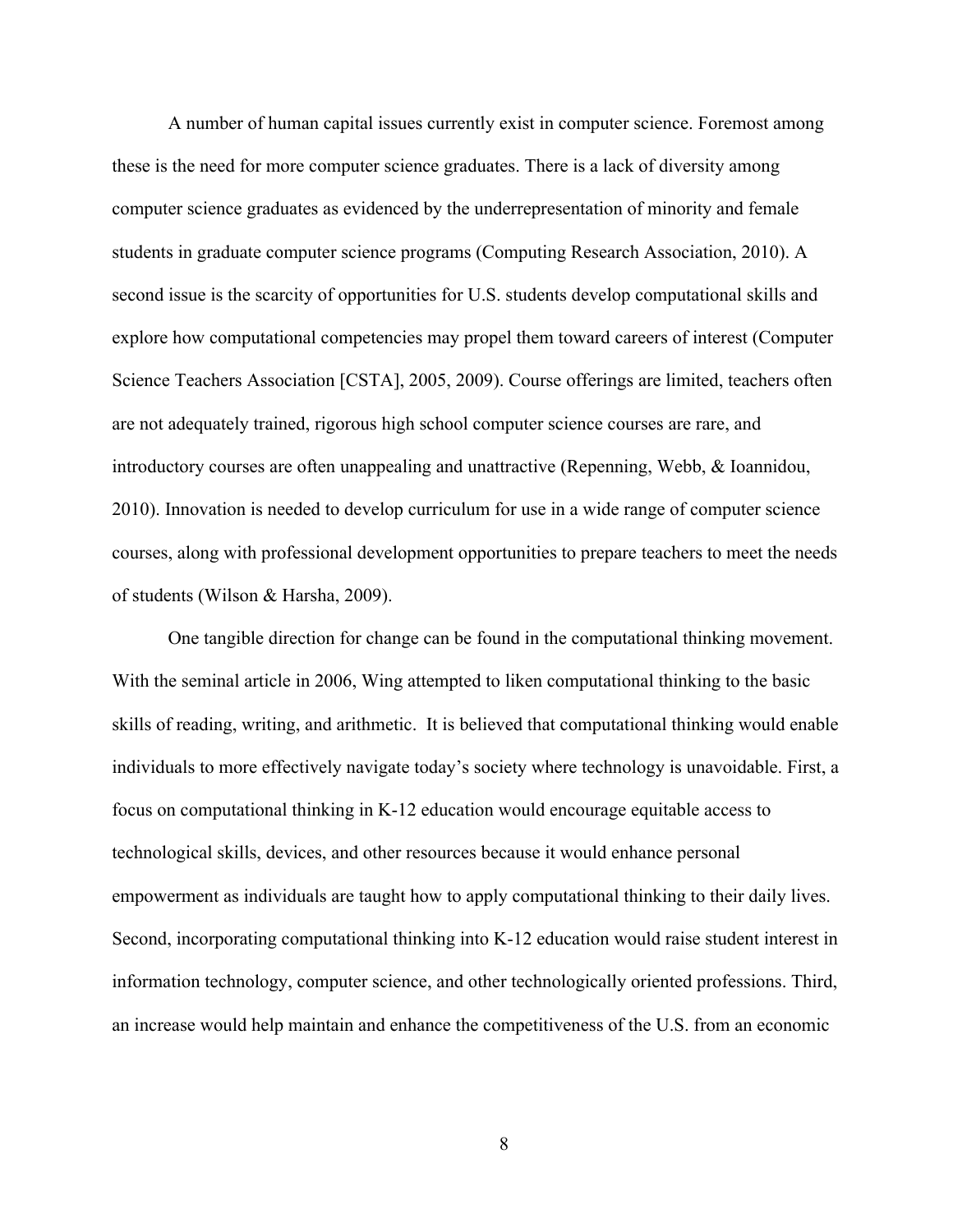A number of human capital issues currently exist in computer science. Foremost among these is the need for more computer science graduates. There is a lack of diversity among computer science graduates as evidenced by the underrepresentation of minority and female students in graduate computer science programs (Computing Research Association, 2010). A second issue is the scarcity of opportunities for U.S. students develop computational skills and explore how computational competencies may propel them toward careers of interest (Computer Science Teachers Association [CSTA], 2005, 2009). Course offerings are limited, teachers often are not adequately trained, rigorous high school computer science courses are rare, and introductory courses are often unappealing and unattractive (Repenning, Webb, & Ioannidou, 2010). Innovation is needed to develop curriculum for use in a wide range of computer science courses, along with professional development opportunities to prepare teachers to meet the needs of students (Wilson & Harsha, 2009).

One tangible direction for change can be found in the computational thinking movement. With the seminal article in 2006, Wing attempted to liken computational thinking to the basic skills of reading, writing, and arithmetic. It is believed that computational thinking would enable individuals to more effectively navigate today's society where technology is unavoidable. First, a focus on computational thinking in K-12 education would encourage equitable access to technological skills, devices, and other resources because it would enhance personal empowerment as individuals are taught how to apply computational thinking to their daily lives. Second, incorporating computational thinking into K-12 education would raise student interest in information technology, computer science, and other technologically oriented professions. Third, an increase would help maintain and enhance the competitiveness of the U.S. from an economic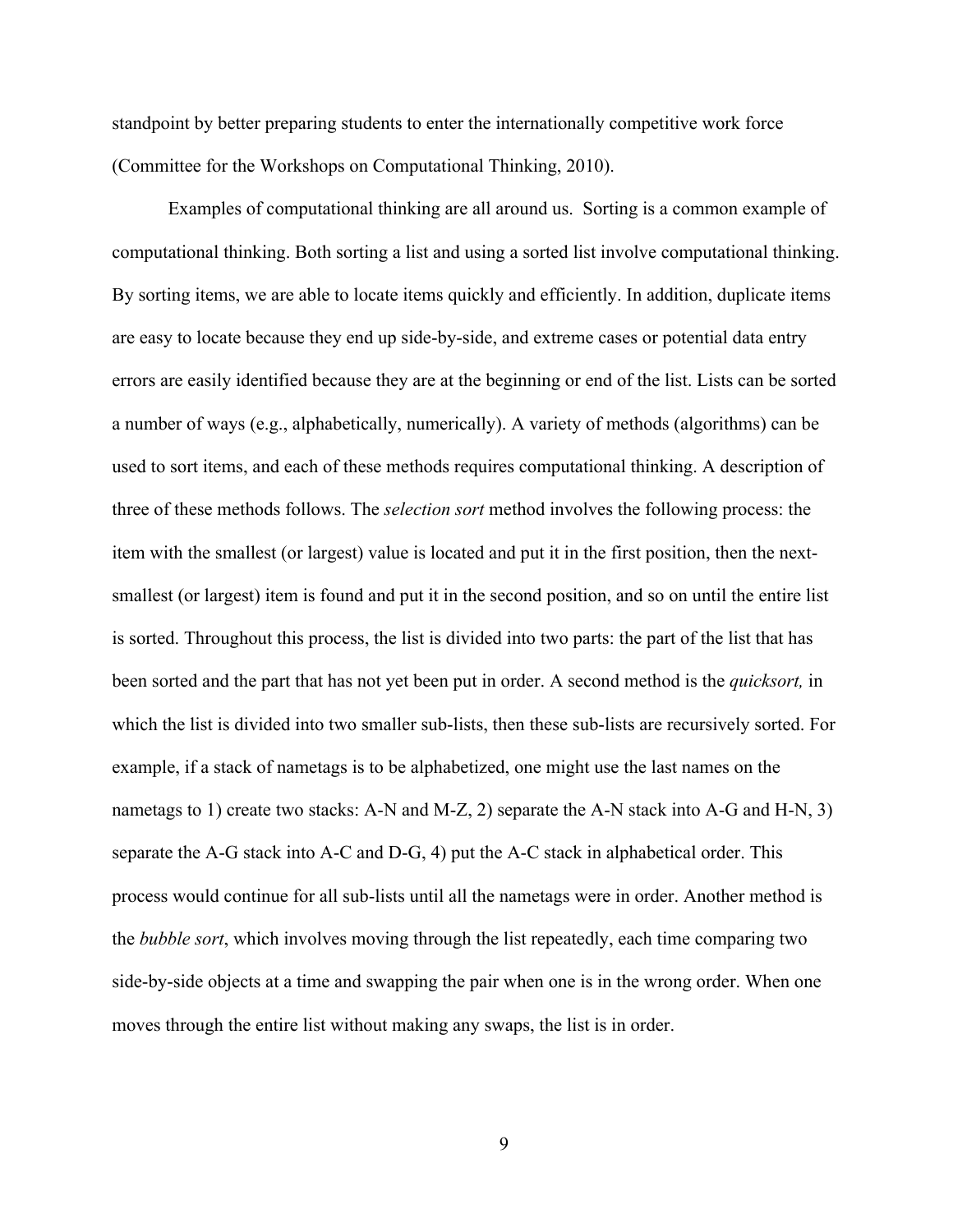standpoint by better preparing students to enter the internationally competitive work force (Committee for the Workshops on Computational Thinking, 2010).

Examples of computational thinking are all around us. Sorting is a common example of computational thinking. Both sorting a list and using a sorted list involve computational thinking. By sorting items, we are able to locate items quickly and efficiently. In addition, duplicate items are easy to locate because they end up side-by-side, and extreme cases or potential data entry errors are easily identified because they are at the beginning or end of the list. Lists can be sorted a number of ways (e.g., alphabetically, numerically). A variety of methods (algorithms) can be used to sort items, and each of these methods requires computational thinking. A description of three of these methods follows. The *selection sort* method involves the following process: the item with the smallest (or largest) value is located and put it in the first position, then the nextsmallest (or largest) item is found and put it in the second position, and so on until the entire list is sorted. Throughout this process, the list is divided into two parts: the part of the list that has been sorted and the part that has not yet been put in order. A second method is the *quicksort,* in which the list is divided into two smaller sub-lists, then these sub-lists are recursively sorted. For example, if a stack of nametags is to be alphabetized, one might use the last names on the nametags to 1) create two stacks: A-N and M-Z, 2) separate the A-N stack into A-G and H-N, 3) separate the A-G stack into A-C and D-G, 4) put the A-C stack in alphabetical order. This process would continue for all sub-lists until all the nametags were in order. Another method is the *bubble sort*, which involves moving through the list repeatedly, each time comparing two side-by-side objects at a time and swapping the pair when one is in the wrong order. When one moves through the entire list without making any swaps, the list is in order.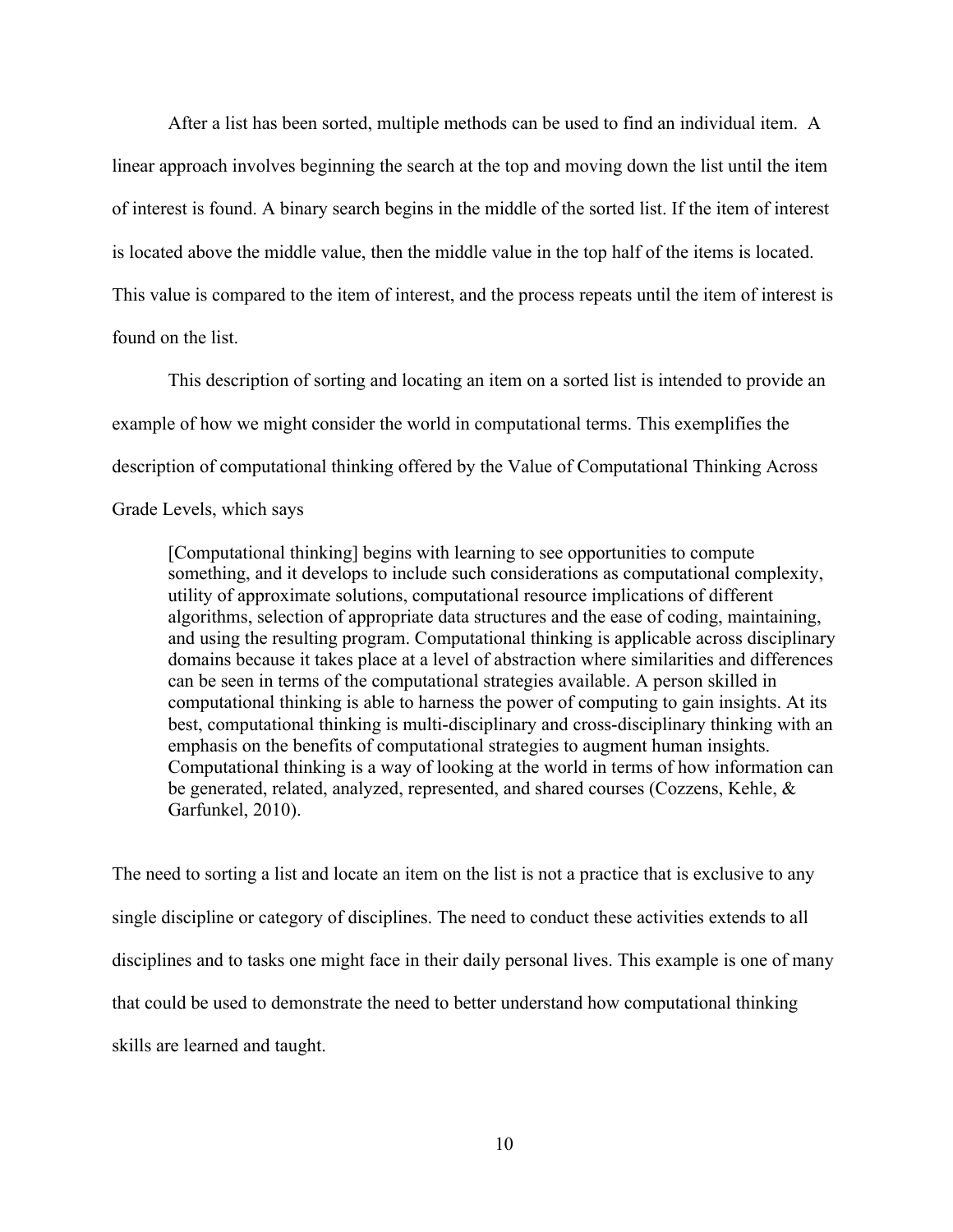After a list has been sorted, multiple methods can be used to find an individual item. A linear approach involves beginning the search at the top and moving down the list until the item of interest is found. A binary search begins in the middle of the sorted list. If the item of interest is located above the middle value, then the middle value in the top half of the items is located. This value is compared to the item of interest, and the process repeats until the item of interest is found on the list.

This description of sorting and locating an item on a sorted list is intended to provide an example of how we might consider the world in computational terms. This exemplifies the description of computational thinking offered by the Value of Computational Thinking Across Grade Levels, which says

[Computational thinking] begins with learning to see opportunities to compute something, and it develops to include such considerations as computational complexity, utility of approximate solutions, computational resource implications of different algorithms, selection of appropriate data structures and the ease of coding, maintaining, and using the resulting program. Computational thinking is applicable across disciplinary domains because it takes place at a level of abstraction where similarities and differences can be seen in terms of the computational strategies available. A person skilled in computational thinking is able to harness the power of computing to gain insights. At its best, computational thinking is multi-disciplinary and cross-disciplinary thinking with an emphasis on the benefits of computational strategies to augment human insights. Computational thinking is a way of looking at the world in terms of how information can be generated, related, analyzed, represented, and shared courses (Cozzens, Kehle, & Garfunkel, 2010).

The need to sorting a list and locate an item on the list is not a practice that is exclusive to any single discipline or category of disciplines. The need to conduct these activities extends to all disciplines and to tasks one might face in their daily personal lives. This example is one of many that could be used to demonstrate the need to better understand how computational thinking skills are learned and taught.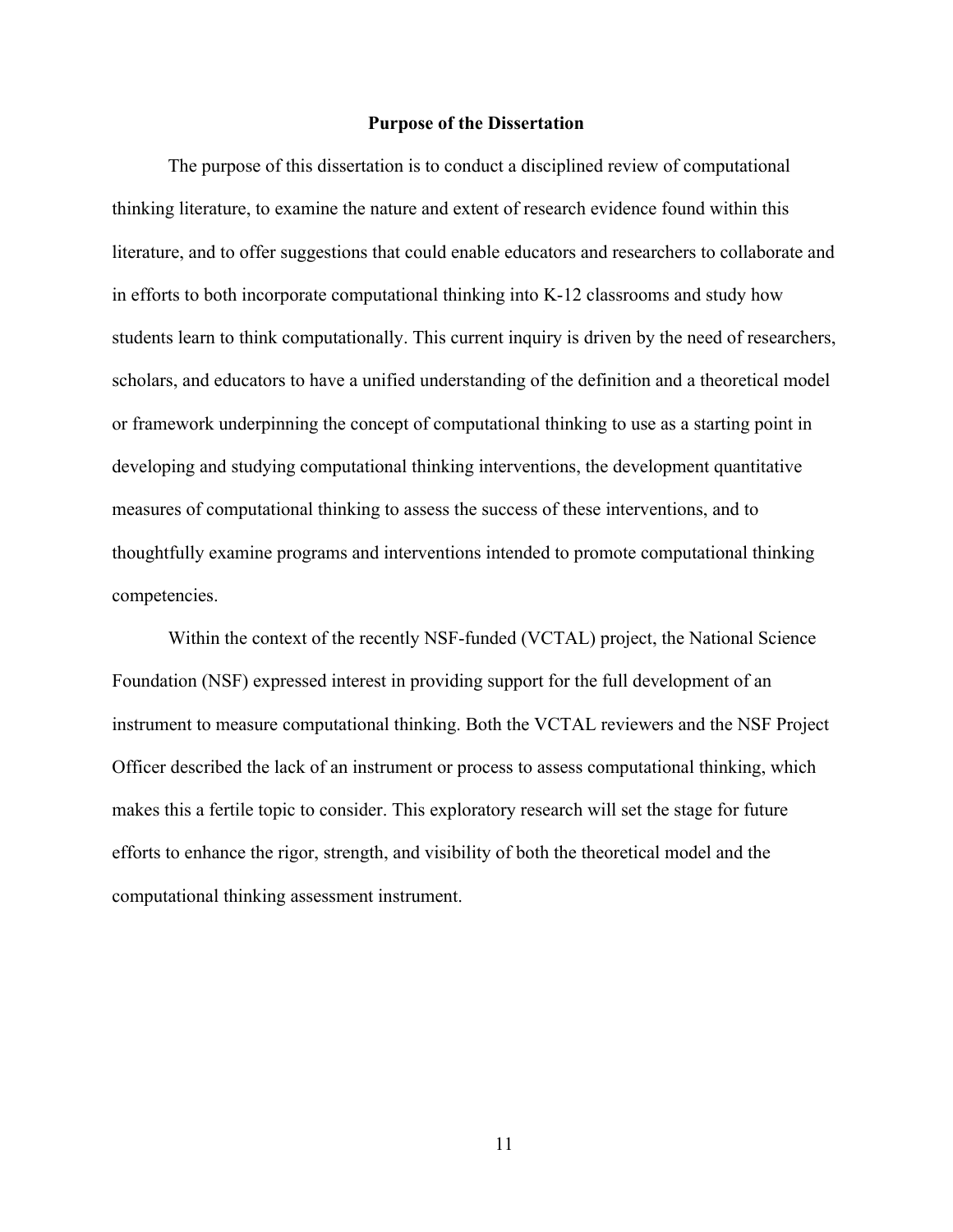#### **Purpose of the Dissertation**

The purpose of this dissertation is to conduct a disciplined review of computational thinking literature, to examine the nature and extent of research evidence found within this literature, and to offer suggestions that could enable educators and researchers to collaborate and in efforts to both incorporate computational thinking into K-12 classrooms and study how students learn to think computationally. This current inquiry is driven by the need of researchers, scholars, and educators to have a unified understanding of the definition and a theoretical model or framework underpinning the concept of computational thinking to use as a starting point in developing and studying computational thinking interventions, the development quantitative measures of computational thinking to assess the success of these interventions, and to thoughtfully examine programs and interventions intended to promote computational thinking competencies.

Within the context of the recently NSF-funded (VCTAL) project, the National Science Foundation (NSF) expressed interest in providing support for the full development of an instrument to measure computational thinking. Both the VCTAL reviewers and the NSF Project Officer described the lack of an instrument or process to assess computational thinking, which makes this a fertile topic to consider. This exploratory research will set the stage for future efforts to enhance the rigor, strength, and visibility of both the theoretical model and the computational thinking assessment instrument.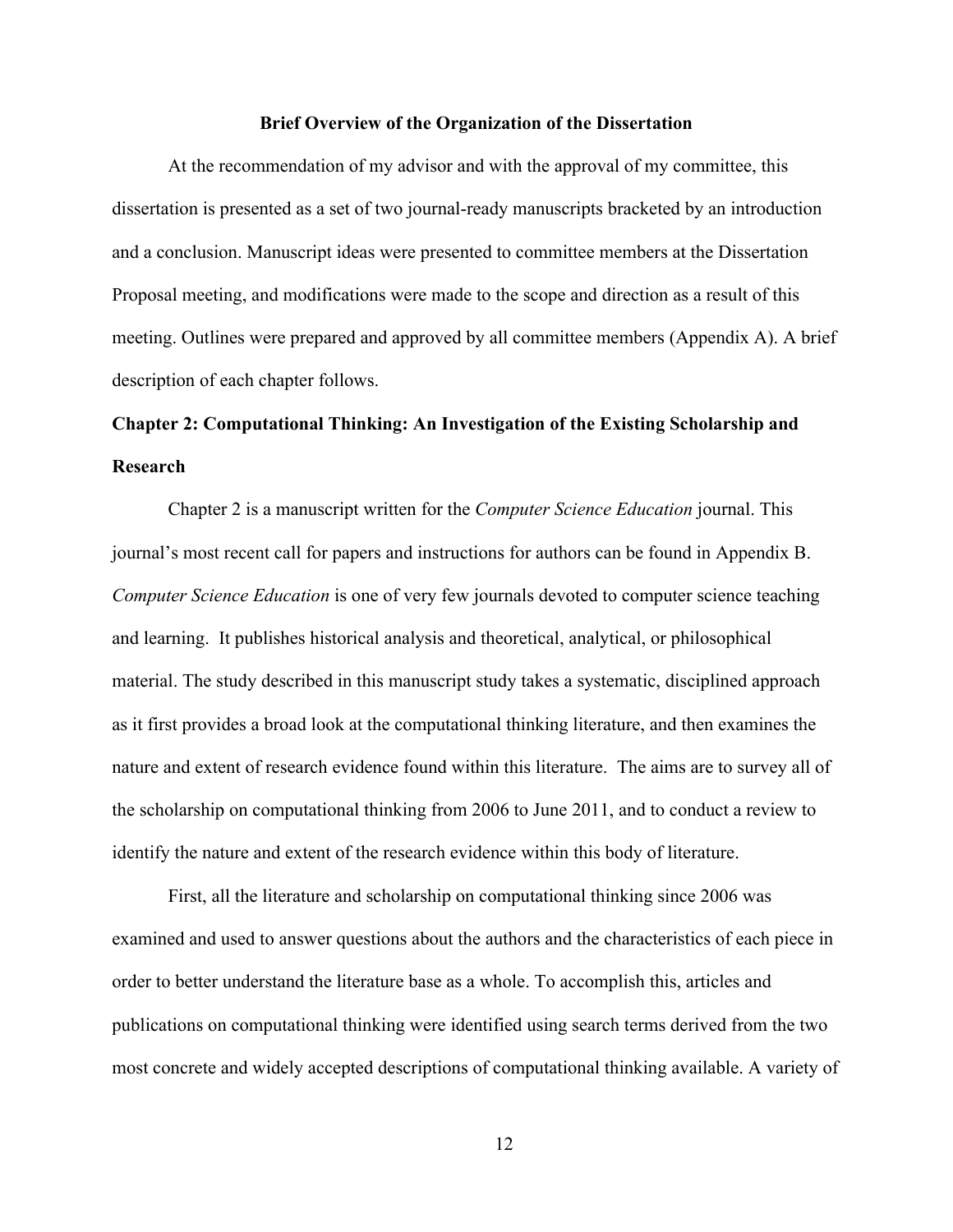#### **Brief Overview of the Organization of the Dissertation**

At the recommendation of my advisor and with the approval of my committee, this dissertation is presented as a set of two journal-ready manuscripts bracketed by an introduction and a conclusion. Manuscript ideas were presented to committee members at the Dissertation Proposal meeting, and modifications were made to the scope and direction as a result of this meeting. Outlines were prepared and approved by all committee members (Appendix A). A brief description of each chapter follows.

### **Chapter 2: Computational Thinking: An Investigation of the Existing Scholarship and Research**

Chapter 2 is a manuscript written for the *Computer Science Education* journal. This journal's most recent call for papers and instructions for authors can be found in Appendix B. *Computer Science Education* is one of very few journals devoted to computer science teaching and learning. It publishes historical analysis and theoretical, analytical, or philosophical material. The study described in this manuscript study takes a systematic, disciplined approach as it first provides a broad look at the computational thinking literature, and then examines the nature and extent of research evidence found within this literature. The aims are to survey all of the scholarship on computational thinking from 2006 to June 2011, and to conduct a review to identify the nature and extent of the research evidence within this body of literature.

First, all the literature and scholarship on computational thinking since 2006 was examined and used to answer questions about the authors and the characteristics of each piece in order to better understand the literature base as a whole. To accomplish this, articles and publications on computational thinking were identified using search terms derived from the two most concrete and widely accepted descriptions of computational thinking available. A variety of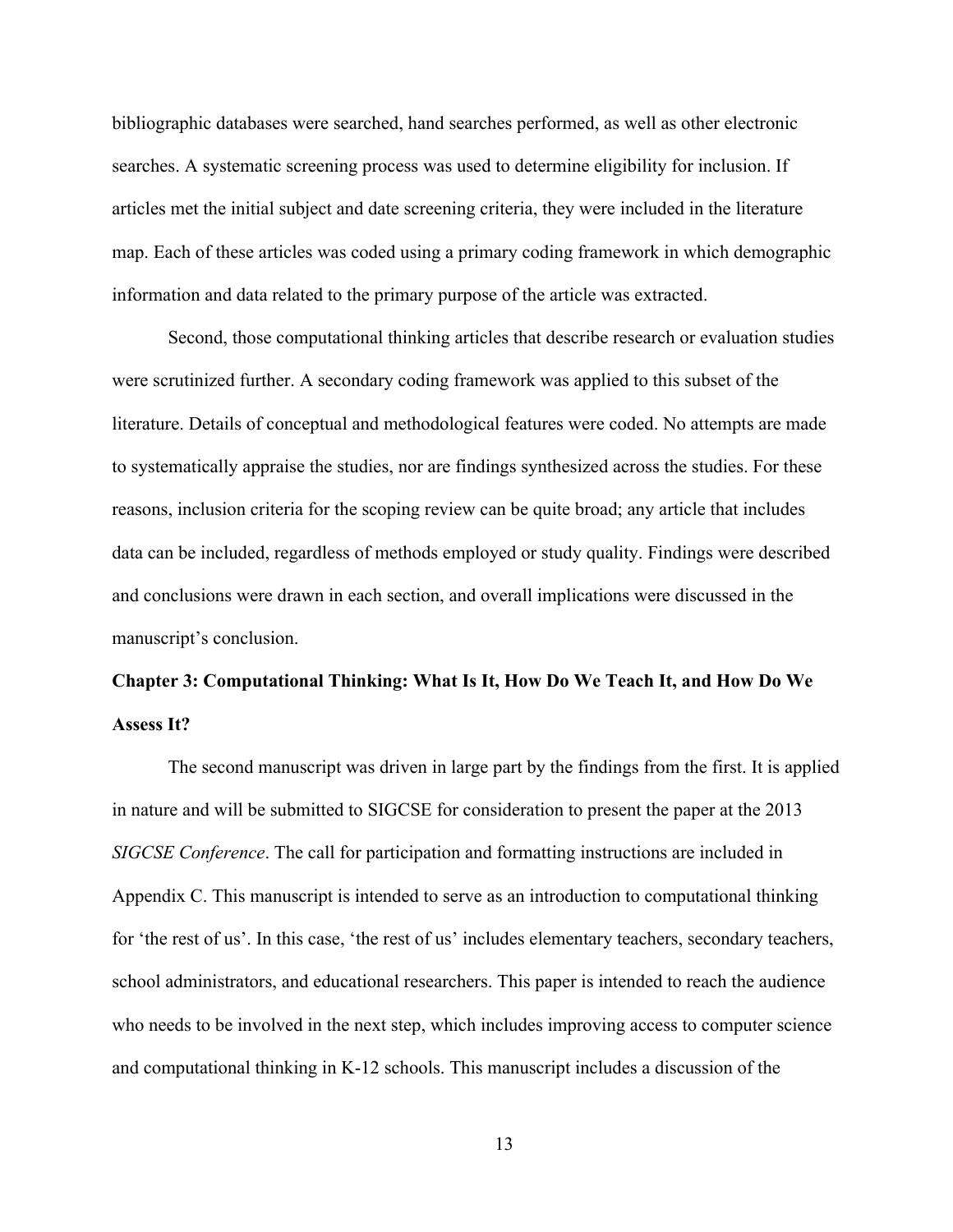bibliographic databases were searched, hand searches performed, as well as other electronic searches. A systematic screening process was used to determine eligibility for inclusion. If articles met the initial subject and date screening criteria, they were included in the literature map. Each of these articles was coded using a primary coding framework in which demographic information and data related to the primary purpose of the article was extracted.

Second, those computational thinking articles that describe research or evaluation studies were scrutinized further. A secondary coding framework was applied to this subset of the literature. Details of conceptual and methodological features were coded. No attempts are made to systematically appraise the studies, nor are findings synthesized across the studies. For these reasons, inclusion criteria for the scoping review can be quite broad; any article that includes data can be included, regardless of methods employed or study quality. Findings were described and conclusions were drawn in each section, and overall implications were discussed in the manuscript's conclusion.

### **Chapter 3: Computational Thinking: What Is It, How Do We Teach It, and How Do We Assess It?**

The second manuscript was driven in large part by the findings from the first. It is applied in nature and will be submitted to SIGCSE for consideration to present the paper at the 2013 *SIGCSE Conference*. The call for participation and formatting instructions are included in Appendix C. This manuscript is intended to serve as an introduction to computational thinking for 'the rest of us'. In this case, 'the rest of us' includes elementary teachers, secondary teachers, school administrators, and educational researchers. This paper is intended to reach the audience who needs to be involved in the next step, which includes improving access to computer science and computational thinking in K-12 schools. This manuscript includes a discussion of the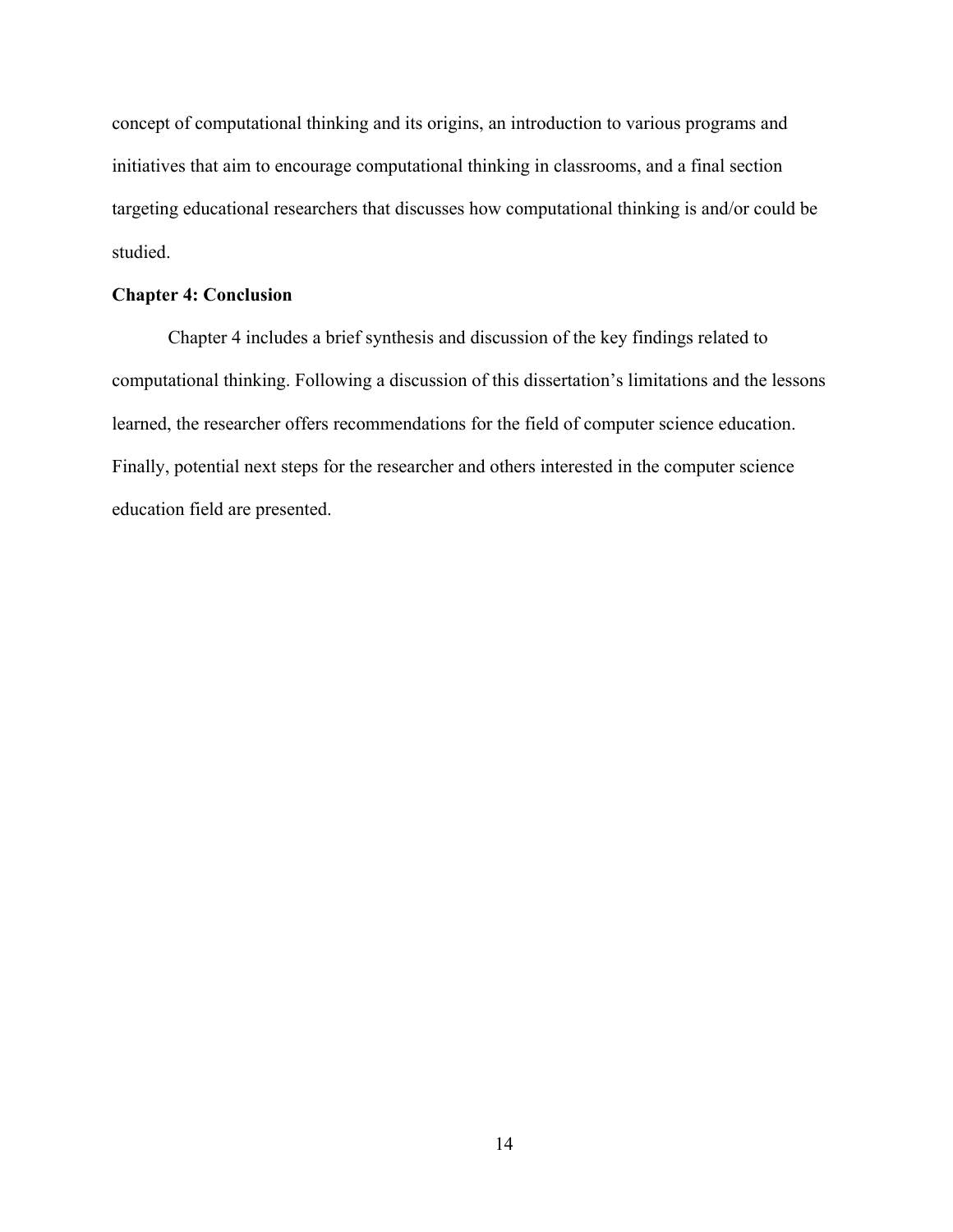concept of computational thinking and its origins, an introduction to various programs and initiatives that aim to encourage computational thinking in classrooms, and a final section targeting educational researchers that discusses how computational thinking is and/or could be studied.

#### **Chapter 4: Conclusion**

Chapter 4 includes a brief synthesis and discussion of the key findings related to computational thinking. Following a discussion of this dissertation's limitations and the lessons learned, the researcher offers recommendations for the field of computer science education. Finally, potential next steps for the researcher and others interested in the computer science education field are presented.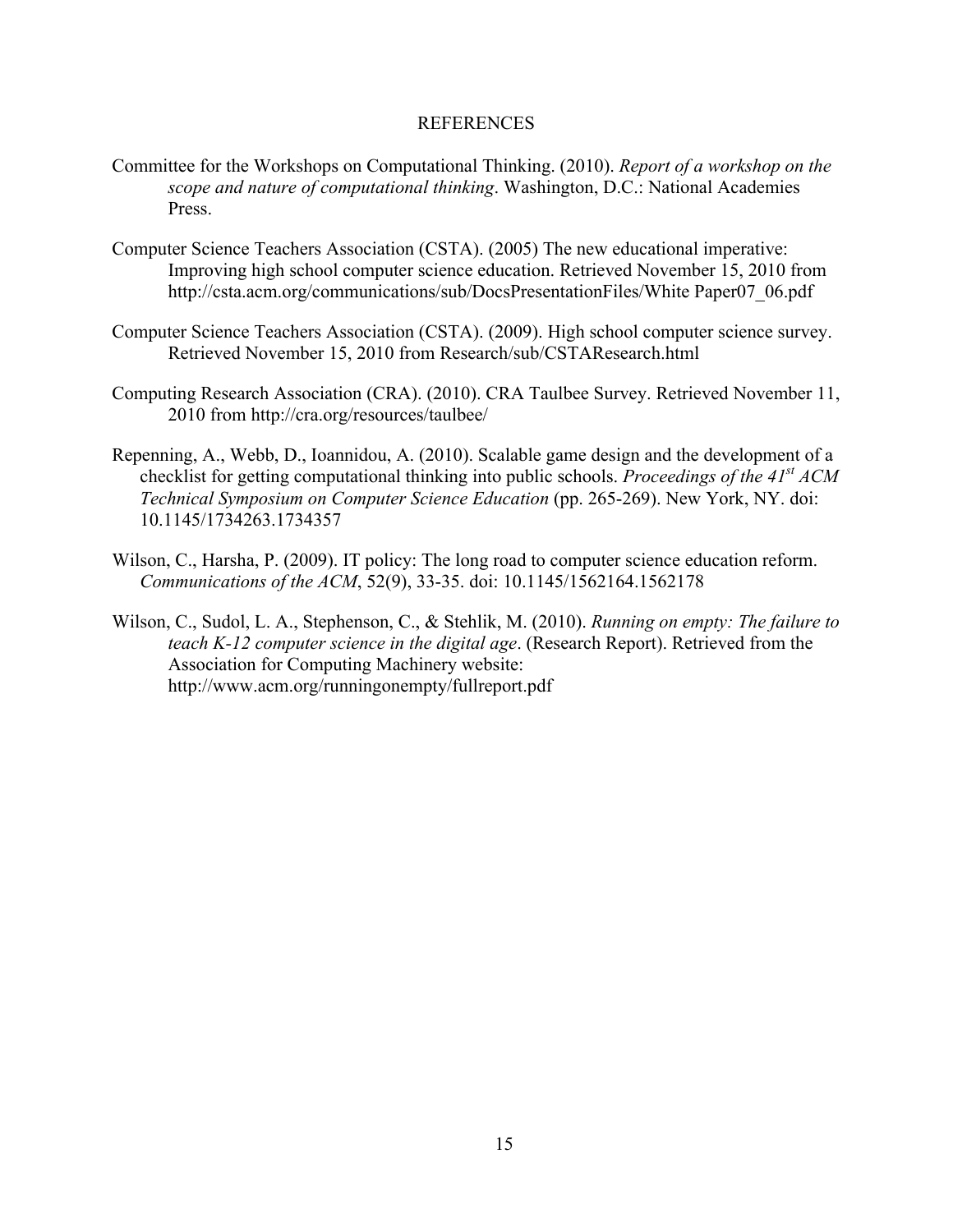#### REFERENCES

- Committee for the Workshops on Computational Thinking. (2010). *Report of a workshop on the scope and nature of computational thinking*. Washington, D.C.: National Academies Press.
- Computer Science Teachers Association (CSTA). (2005) The new educational imperative: Improving high school computer science education. Retrieved November 15, 2010 from http://csta.acm.org/communications/sub/DocsPresentationFiles/White Paper07\_06.pdf
- Computer Science Teachers Association (CSTA). (2009). High school computer science survey. Retrieved November 15, 2010 from Research/sub/CSTAResearch.html
- Computing Research Association (CRA). (2010). CRA Taulbee Survey. Retrieved November 11, 2010 from http://cra.org/resources/taulbee/
- Repenning, A., Webb, D., Ioannidou, A. (2010). Scalable game design and the development of a checklist for getting computational thinking into public schools. *Proceedings of the 41st ACM Technical Symposium on Computer Science Education* (pp. 265-269). New York, NY. doi: 10.1145/1734263.1734357
- Wilson, C., Harsha, P. (2009). IT policy: The long road to computer science education reform. *Communications of the ACM*, 52(9), 33-35. doi: 10.1145/1562164.1562178
- Wilson, C., Sudol, L. A., Stephenson, C., & Stehlik, M. (2010). *Running on empty: The failure to teach K-12 computer science in the digital age*. (Research Report). Retrieved from the Association for Computing Machinery website: http://www.acm.org/runningonempty/fullreport.pdf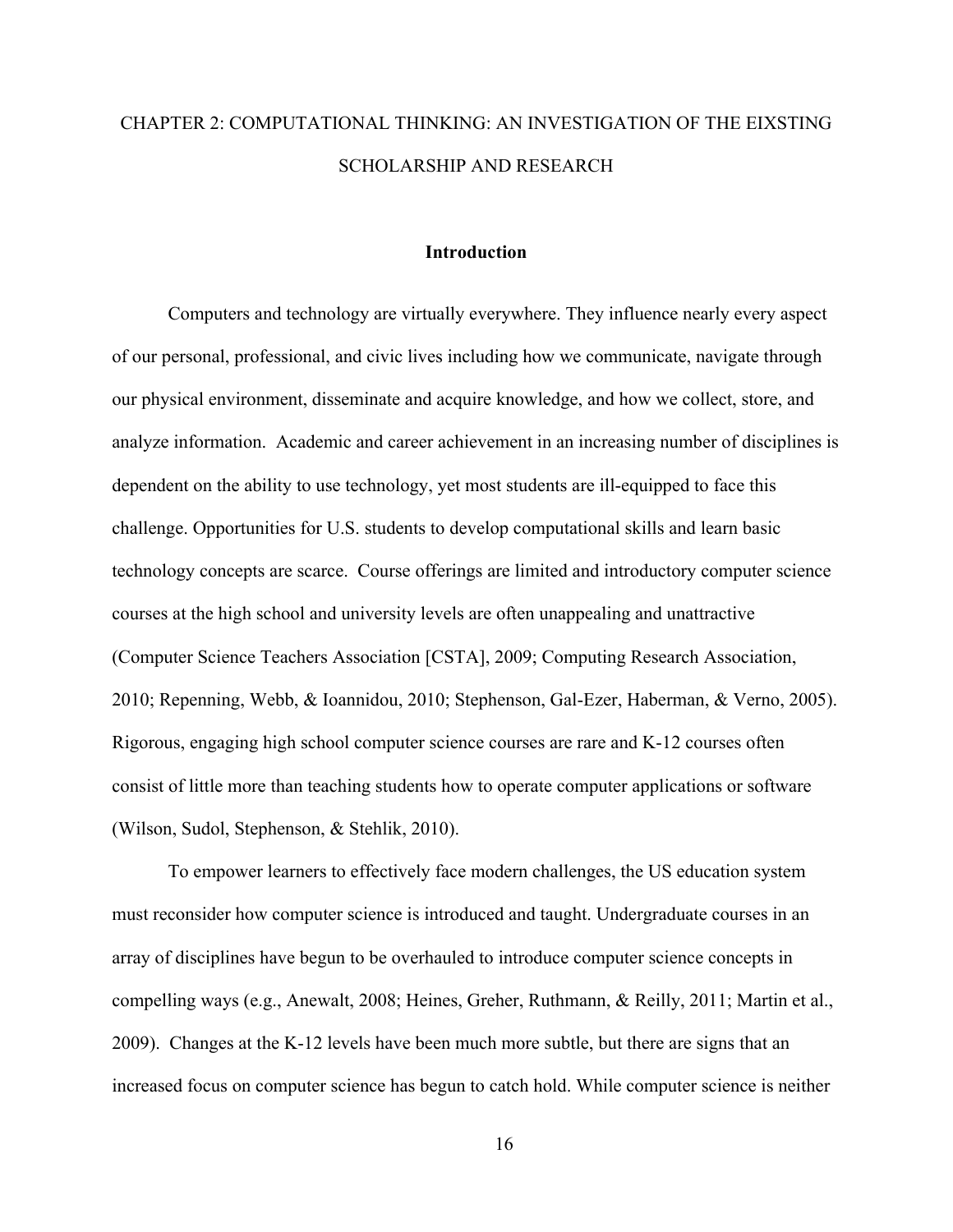### CHAPTER 2: COMPUTATIONAL THINKING: AN INVESTIGATION OF THE EIXSTING SCHOLARSHIP AND RESEARCH

#### **Introduction**

Computers and technology are virtually everywhere. They influence nearly every aspect of our personal, professional, and civic lives including how we communicate, navigate through our physical environment, disseminate and acquire knowledge, and how we collect, store, and analyze information. Academic and career achievement in an increasing number of disciplines is dependent on the ability to use technology, yet most students are ill-equipped to face this challenge. Opportunities for U.S. students to develop computational skills and learn basic technology concepts are scarce. Course offerings are limited and introductory computer science courses at the high school and university levels are often unappealing and unattractive (Computer Science Teachers Association [CSTA], 2009; Computing Research Association, 2010; Repenning, Webb, & Ioannidou, 2010; Stephenson, Gal-Ezer, Haberman, & Verno, 2005). Rigorous, engaging high school computer science courses are rare and K-12 courses often consist of little more than teaching students how to operate computer applications or software (Wilson, Sudol, Stephenson, & Stehlik, 2010).

To empower learners to effectively face modern challenges, the US education system must reconsider how computer science is introduced and taught. Undergraduate courses in an array of disciplines have begun to be overhauled to introduce computer science concepts in compelling ways (e.g., Anewalt, 2008; Heines, Greher, Ruthmann, & Reilly, 2011; Martin et al., 2009). Changes at the K-12 levels have been much more subtle, but there are signs that an increased focus on computer science has begun to catch hold. While computer science is neither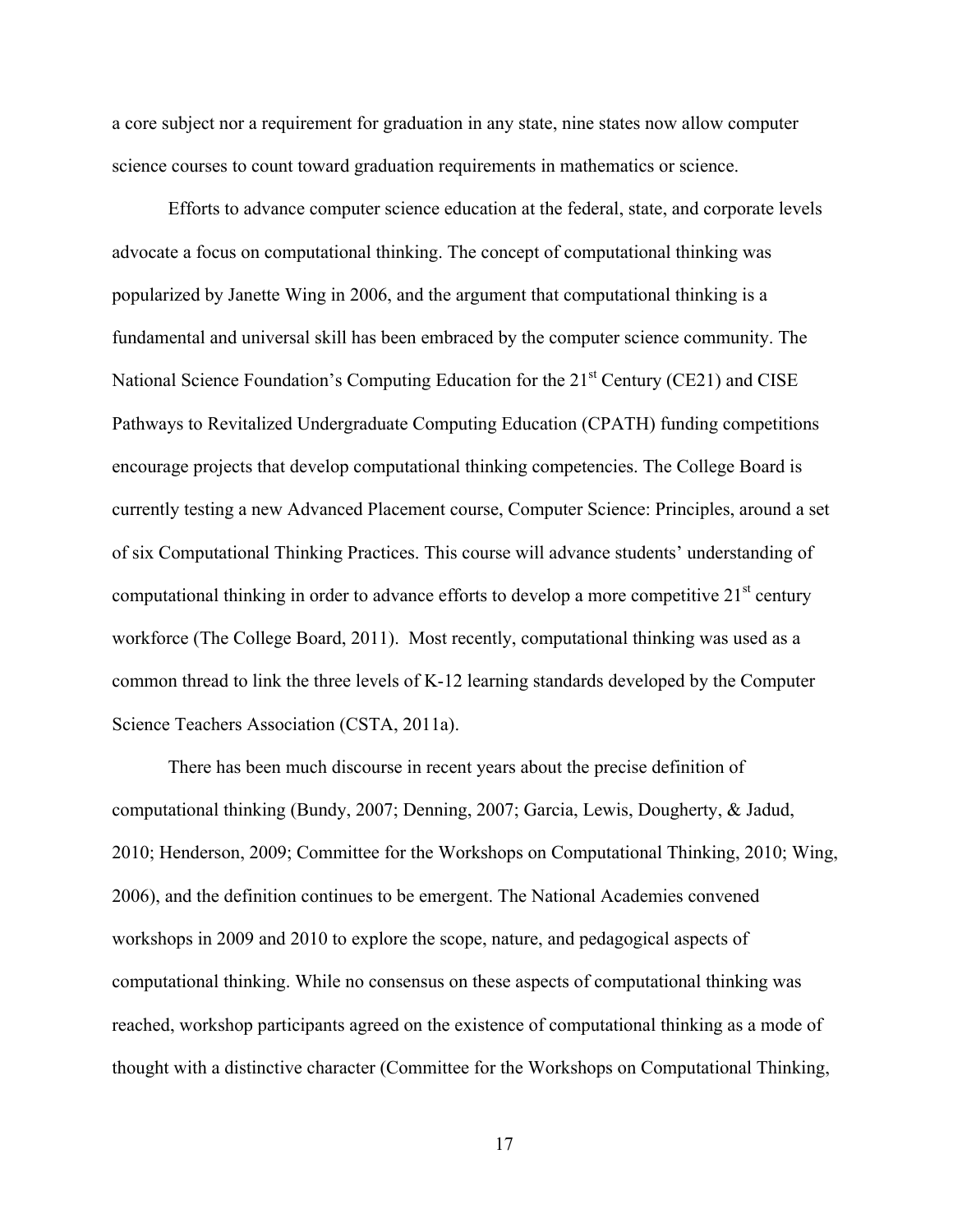a core subject nor a requirement for graduation in any state, nine states now allow computer science courses to count toward graduation requirements in mathematics or science.

Efforts to advance computer science education at the federal, state, and corporate levels advocate a focus on computational thinking. The concept of computational thinking was popularized by Janette Wing in 2006, and the argument that computational thinking is a fundamental and universal skill has been embraced by the computer science community. The National Science Foundation's Computing Education for the 21<sup>st</sup> Century (CE21) and CISE Pathways to Revitalized Undergraduate Computing Education (CPATH) funding competitions encourage projects that develop computational thinking competencies. The College Board is currently testing a new Advanced Placement course, Computer Science: Principles, around a set of six Computational Thinking Practices. This course will advance students' understanding of computational thinking in order to advance efforts to develop a more competitive  $21<sup>st</sup>$  century workforce (The College Board, 2011). Most recently, computational thinking was used as a common thread to link the three levels of K-12 learning standards developed by the Computer Science Teachers Association (CSTA, 2011a).

There has been much discourse in recent years about the precise definition of computational thinking (Bundy, 2007; Denning, 2007; Garcia, Lewis, Dougherty, & Jadud, 2010; Henderson, 2009; Committee for the Workshops on Computational Thinking, 2010; Wing, 2006), and the definition continues to be emergent. The National Academies convened workshops in 2009 and 2010 to explore the scope, nature, and pedagogical aspects of computational thinking. While no consensus on these aspects of computational thinking was reached, workshop participants agreed on the existence of computational thinking as a mode of thought with a distinctive character (Committee for the Workshops on Computational Thinking,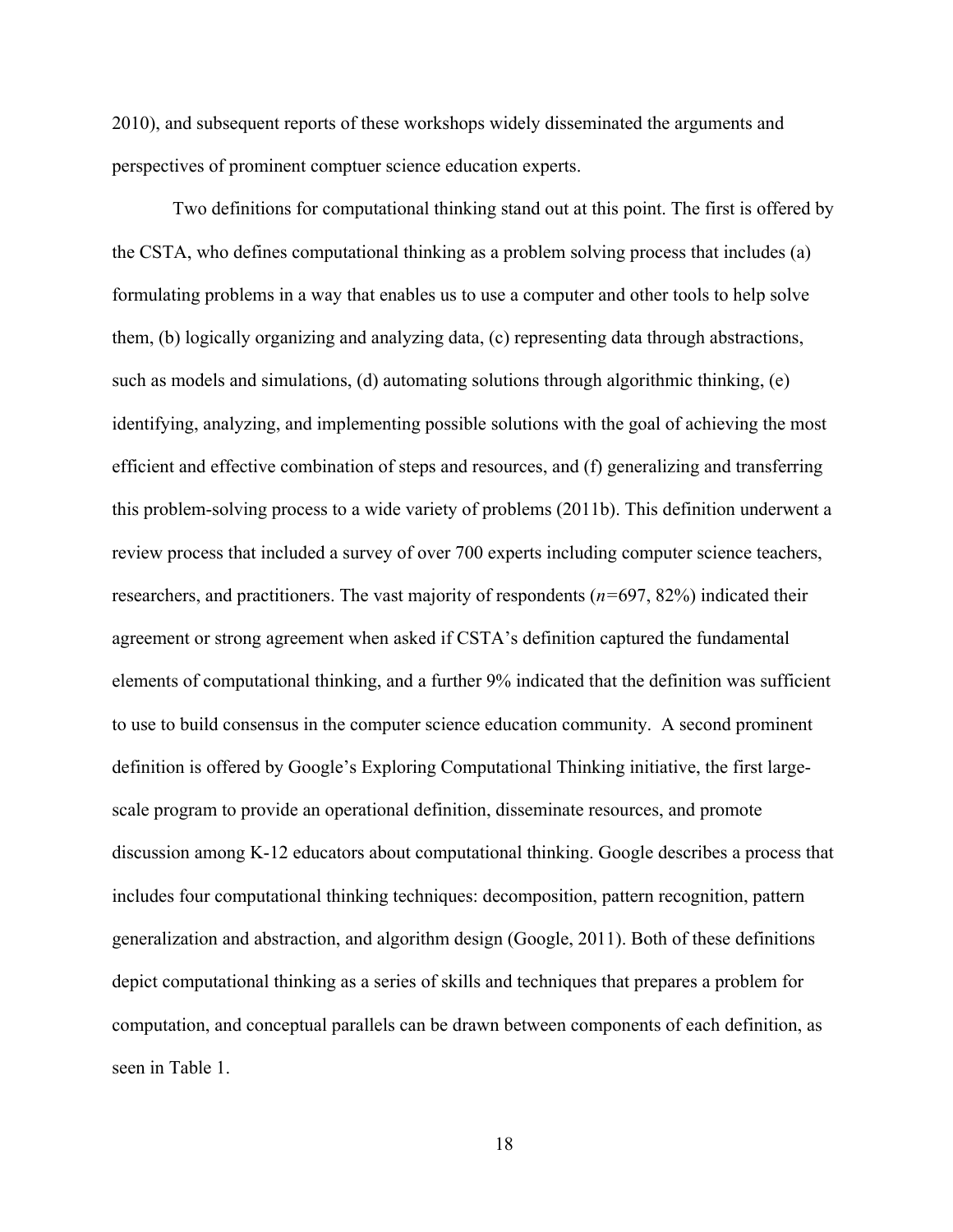2010), and subsequent reports of these workshops widely disseminated the arguments and perspectives of prominent comptuer science education experts.

Two definitions for computational thinking stand out at this point. The first is offered by the CSTA, who defines computational thinking as a problem solving process that includes (a) formulating problems in a way that enables us to use a computer and other tools to help solve them, (b) logically organizing and analyzing data, (c) representing data through abstractions, such as models and simulations, (d) automating solutions through algorithmic thinking, (e) identifying, analyzing, and implementing possible solutions with the goal of achieving the most efficient and effective combination of steps and resources, and (f) generalizing and transferring this problem-solving process to a wide variety of problems (2011b). This definition underwent a review process that included a survey of over 700 experts including computer science teachers, researchers, and practitioners. The vast majority of respondents (*n=*697, 82%) indicated their agreement or strong agreement when asked if CSTA's definition captured the fundamental elements of computational thinking, and a further 9% indicated that the definition was sufficient to use to build consensus in the computer science education community. A second prominent definition is offered by Google's Exploring Computational Thinking initiative, the first largescale program to provide an operational definition, disseminate resources, and promote discussion among K-12 educators about computational thinking. Google describes a process that includes four computational thinking techniques: decomposition, pattern recognition, pattern generalization and abstraction, and algorithm design (Google, 2011). Both of these definitions depict computational thinking as a series of skills and techniques that prepares a problem for computation, and conceptual parallels can be drawn between components of each definition, as seen in Table 1.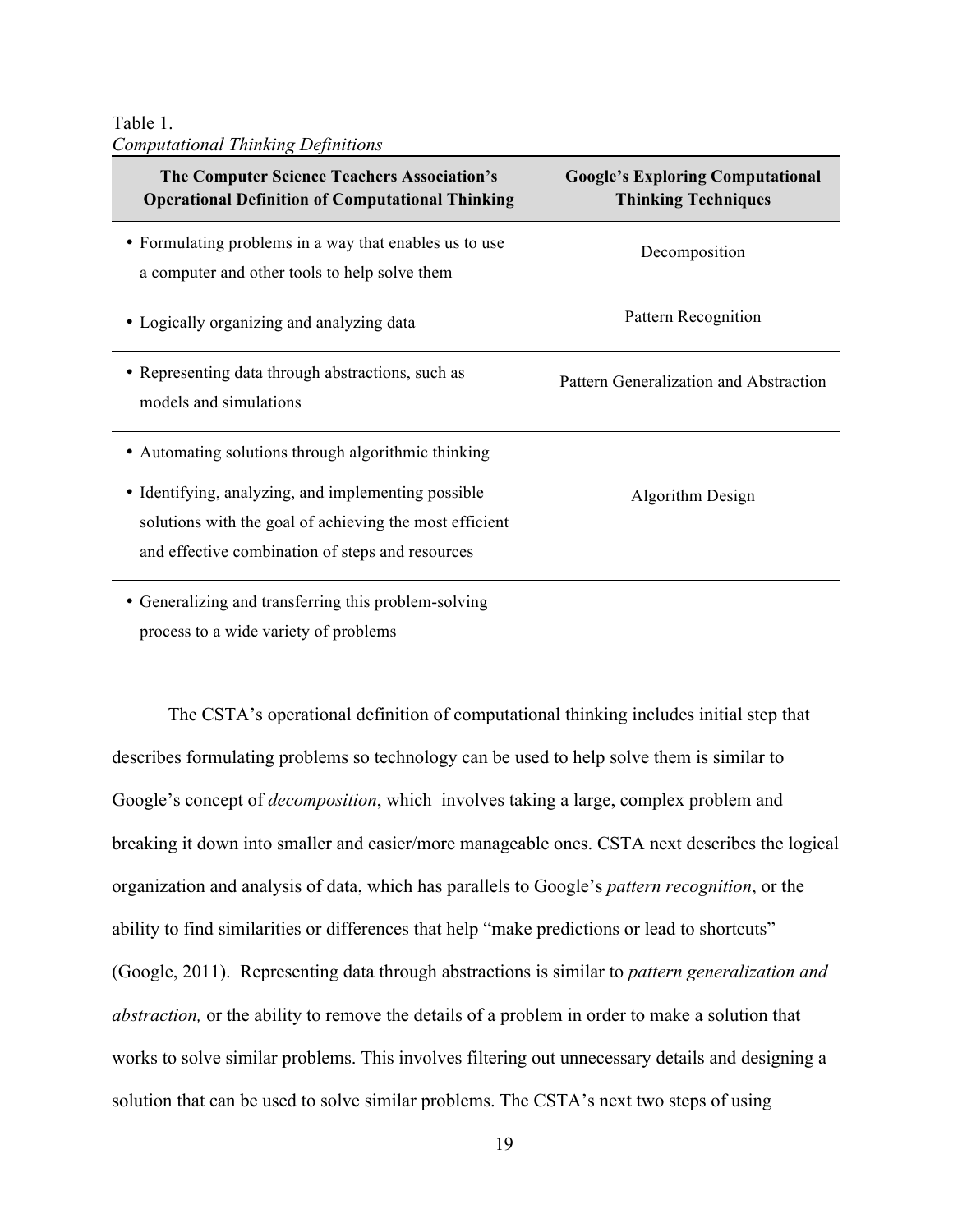#### Table 1. *Computational Thinking Definitions*

| The Computer Science Teachers Association's<br><b>Operational Definition of Computational Thinking</b>                                                                                                                    | <b>Google's Exploring Computational</b><br><b>Thinking Techniques</b> |
|---------------------------------------------------------------------------------------------------------------------------------------------------------------------------------------------------------------------------|-----------------------------------------------------------------------|
| • Formulating problems in a way that enables us to use<br>a computer and other tools to help solve them                                                                                                                   | Decomposition                                                         |
| • Logically organizing and analyzing data                                                                                                                                                                                 | Pattern Recognition                                                   |
| • Representing data through abstractions, such as<br>models and simulations                                                                                                                                               | Pattern Generalization and Abstraction                                |
| • Automating solutions through algorithmic thinking<br>• Identifying, analyzing, and implementing possible<br>solutions with the goal of achieving the most efficient<br>and effective combination of steps and resources | Algorithm Design                                                      |
| • Generalizing and transferring this problem-solving<br>process to a wide variety of problems                                                                                                                             |                                                                       |

The CSTA's operational definition of computational thinking includes initial step that describes formulating problems so technology can be used to help solve them is similar to Google's concept of *decomposition*, which involves taking a large, complex problem and breaking it down into smaller and easier/more manageable ones. CSTA next describes the logical organization and analysis of data, which has parallels to Google's *pattern recognition*, or the ability to find similarities or differences that help "make predictions or lead to shortcuts" (Google, 2011). Representing data through abstractions is similar to *pattern generalization and abstraction,* or the ability to remove the details of a problem in order to make a solution that works to solve similar problems. This involves filtering out unnecessary details and designing a solution that can be used to solve similar problems. The CSTA's next two steps of using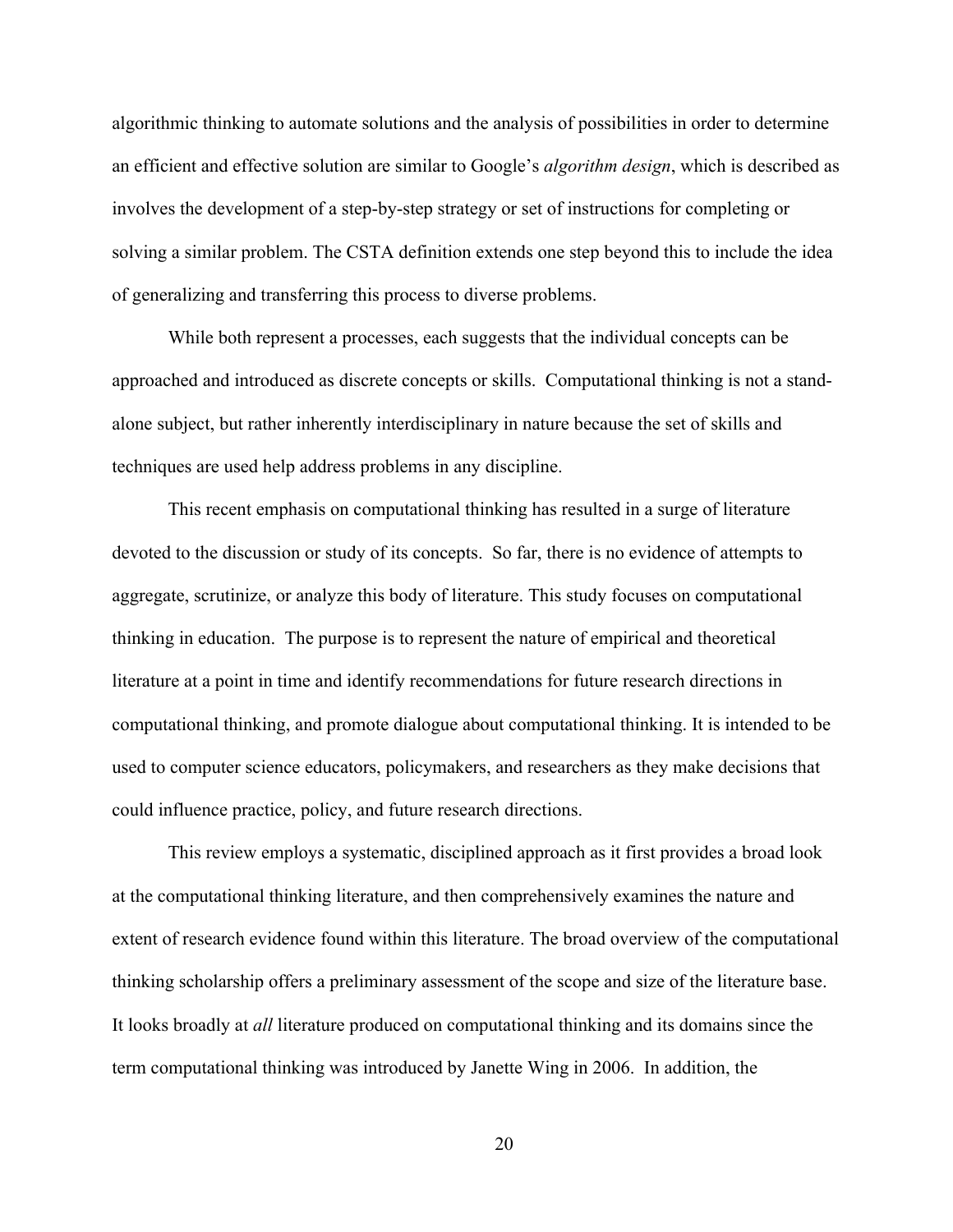algorithmic thinking to automate solutions and the analysis of possibilities in order to determine an efficient and effective solution are similar to Google's *algorithm design*, which is described as involves the development of a step-by-step strategy or set of instructions for completing or solving a similar problem. The CSTA definition extends one step beyond this to include the idea of generalizing and transferring this process to diverse problems.

While both represent a processes, each suggests that the individual concepts can be approached and introduced as discrete concepts or skills. Computational thinking is not a standalone subject, but rather inherently interdisciplinary in nature because the set of skills and techniques are used help address problems in any discipline.

This recent emphasis on computational thinking has resulted in a surge of literature devoted to the discussion or study of its concepts. So far, there is no evidence of attempts to aggregate, scrutinize, or analyze this body of literature. This study focuses on computational thinking in education. The purpose is to represent the nature of empirical and theoretical literature at a point in time and identify recommendations for future research directions in computational thinking, and promote dialogue about computational thinking. It is intended to be used to computer science educators, policymakers, and researchers as they make decisions that could influence practice, policy, and future research directions.

This review employs a systematic, disciplined approach as it first provides a broad look at the computational thinking literature, and then comprehensively examines the nature and extent of research evidence found within this literature. The broad overview of the computational thinking scholarship offers a preliminary assessment of the scope and size of the literature base. It looks broadly at *all* literature produced on computational thinking and its domains since the term computational thinking was introduced by Janette Wing in 2006. In addition, the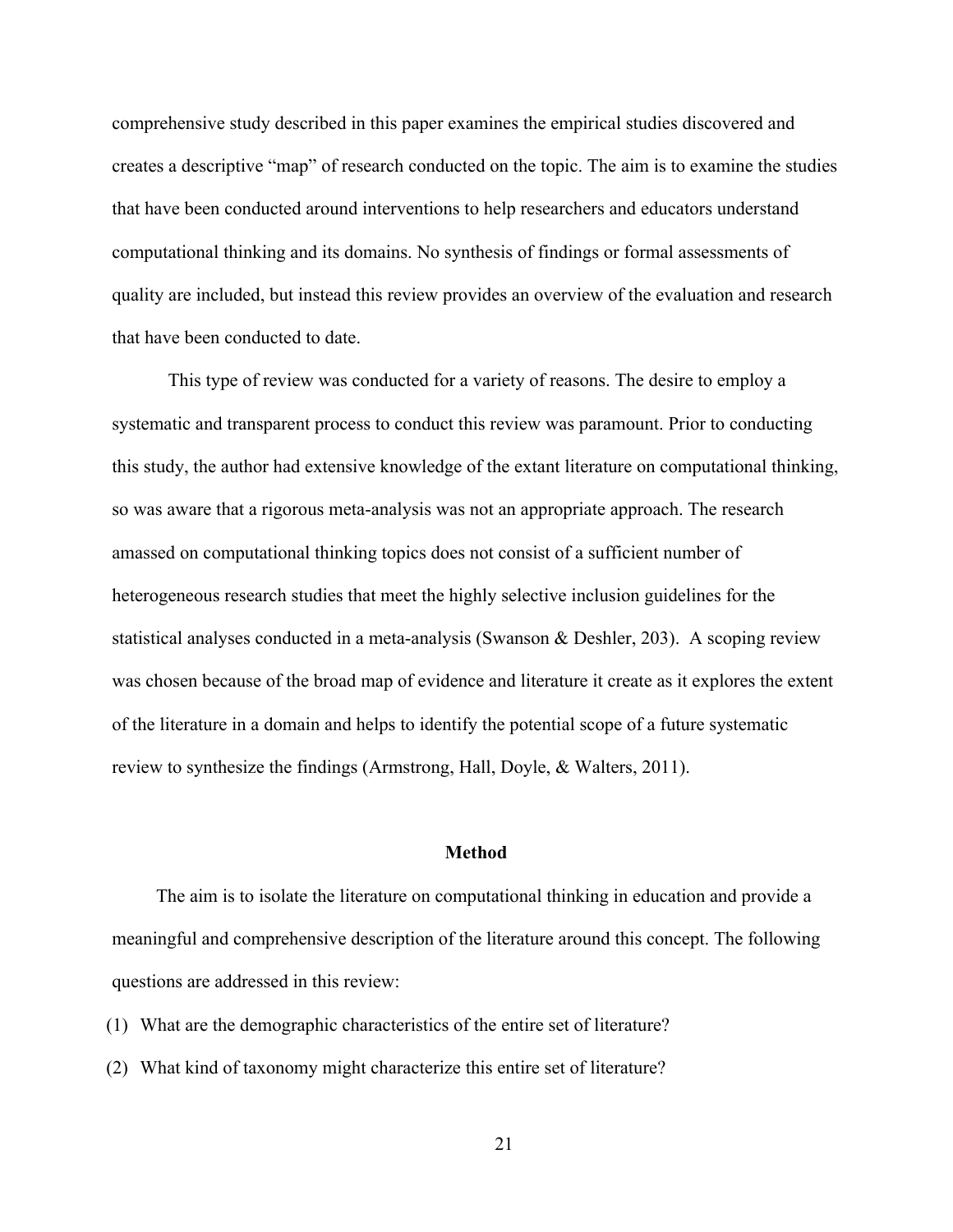comprehensive study described in this paper examines the empirical studies discovered and creates a descriptive "map" of research conducted on the topic. The aim is to examine the studies that have been conducted around interventions to help researchers and educators understand computational thinking and its domains. No synthesis of findings or formal assessments of quality are included, but instead this review provides an overview of the evaluation and research that have been conducted to date.

This type of review was conducted for a variety of reasons. The desire to employ a systematic and transparent process to conduct this review was paramount. Prior to conducting this study, the author had extensive knowledge of the extant literature on computational thinking, so was aware that a rigorous meta-analysis was not an appropriate approach. The research amassed on computational thinking topics does not consist of a sufficient number of heterogeneous research studies that meet the highly selective inclusion guidelines for the statistical analyses conducted in a meta-analysis (Swanson & Deshler, 203). A scoping review was chosen because of the broad map of evidence and literature it create as it explores the extent of the literature in a domain and helps to identify the potential scope of a future systematic review to synthesize the findings (Armstrong, Hall, Doyle, & Walters, 2011).

#### **Method**

The aim is to isolate the literature on computational thinking in education and provide a meaningful and comprehensive description of the literature around this concept. The following questions are addressed in this review:

- (1) What are the demographic characteristics of the entire set of literature?
- (2) What kind of taxonomy might characterize this entire set of literature?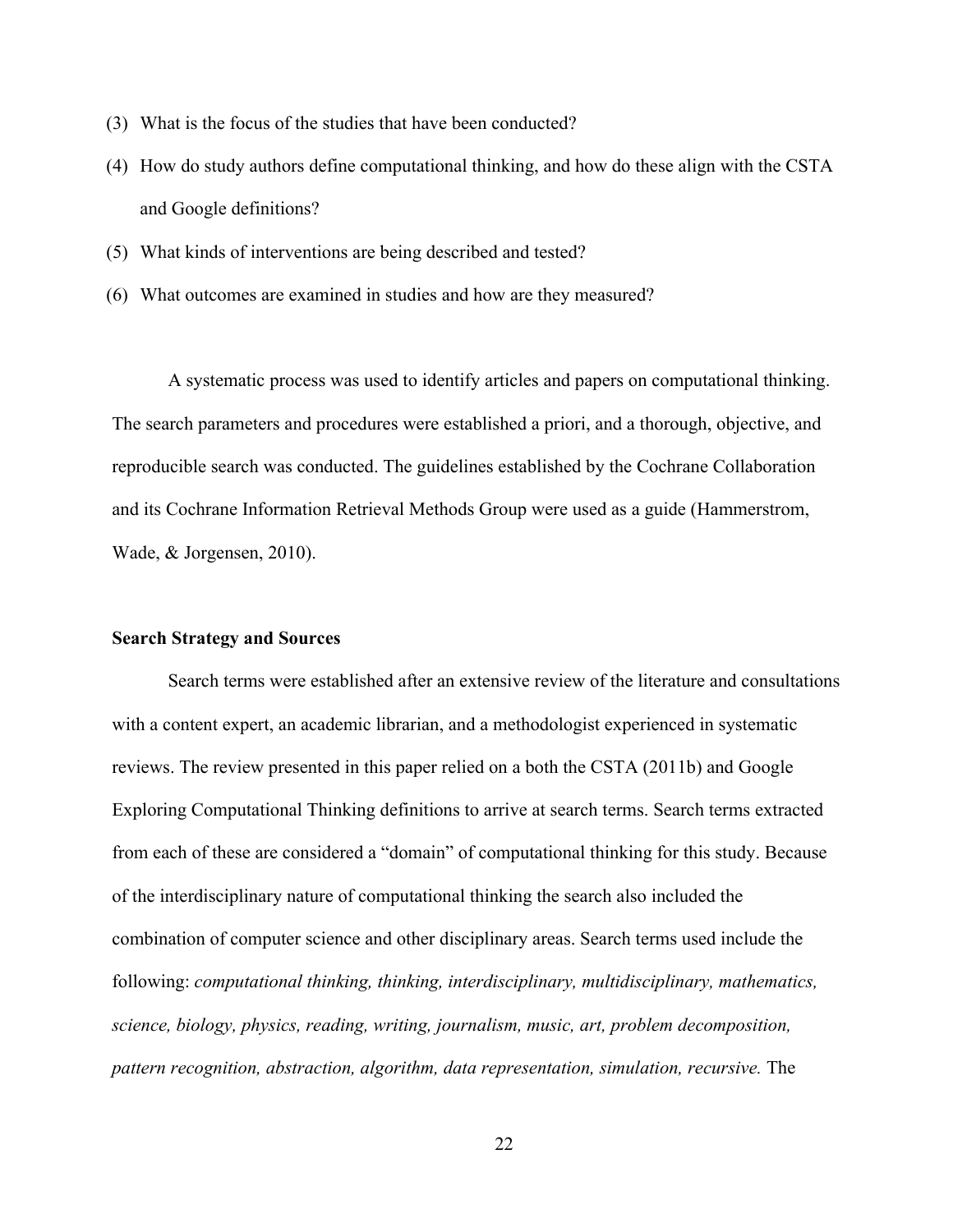- (3) What is the focus of the studies that have been conducted?
- (4) How do study authors define computational thinking, and how do these align with the CSTA and Google definitions?
- (5) What kinds of interventions are being described and tested?
- (6) What outcomes are examined in studies and how are they measured?

A systematic process was used to identify articles and papers on computational thinking. The search parameters and procedures were established a priori, and a thorough, objective, and reproducible search was conducted. The guidelines established by the Cochrane Collaboration and its Cochrane Information Retrieval Methods Group were used as a guide (Hammerstrom, Wade, & Jorgensen, 2010).

#### **Search Strategy and Sources**

Search terms were established after an extensive review of the literature and consultations with a content expert, an academic librarian, and a methodologist experienced in systematic reviews. The review presented in this paper relied on a both the CSTA (2011b) and Google Exploring Computational Thinking definitions to arrive at search terms. Search terms extracted from each of these are considered a "domain" of computational thinking for this study. Because of the interdisciplinary nature of computational thinking the search also included the combination of computer science and other disciplinary areas. Search terms used include the following: *computational thinking, thinking, interdisciplinary, multidisciplinary, mathematics, science, biology, physics, reading, writing, journalism, music, art, problem decomposition, pattern recognition, abstraction, algorithm, data representation, simulation, recursive.* The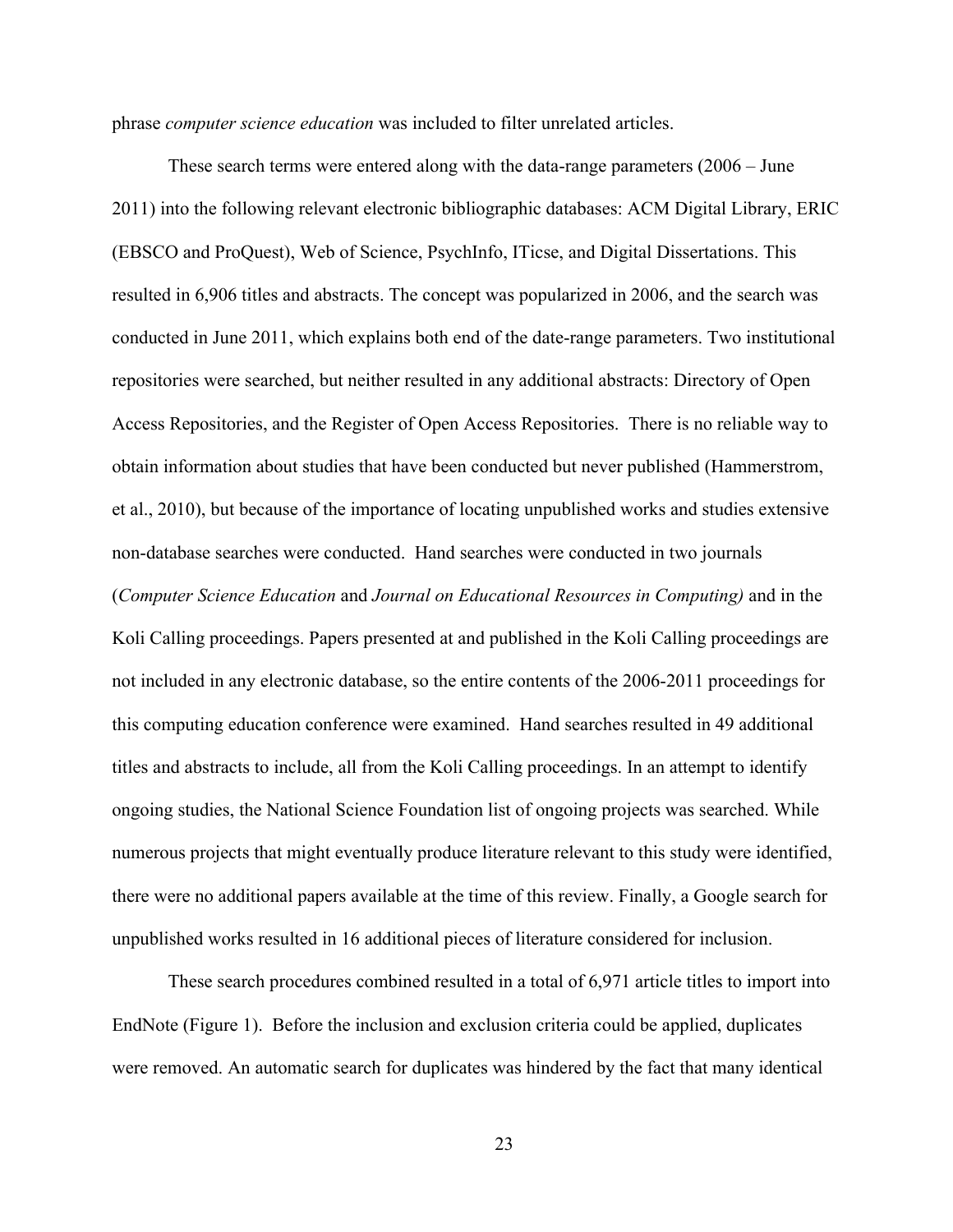phrase *computer science education* was included to filter unrelated articles.

These search terms were entered along with the data-range parameters (2006 – June 2011) into the following relevant electronic bibliographic databases: ACM Digital Library, ERIC (EBSCO and ProQuest), Web of Science, PsychInfo, ITicse, and Digital Dissertations. This resulted in 6,906 titles and abstracts. The concept was popularized in 2006, and the search was conducted in June 2011, which explains both end of the date-range parameters. Two institutional repositories were searched, but neither resulted in any additional abstracts: Directory of Open Access Repositories, and the Register of Open Access Repositories. There is no reliable way to obtain information about studies that have been conducted but never published (Hammerstrom, et al., 2010), but because of the importance of locating unpublished works and studies extensive non-database searches were conducted. Hand searches were conducted in two journals (*Computer Science Education* and *Journal on Educational Resources in Computing)* and in the Koli Calling proceedings. Papers presented at and published in the Koli Calling proceedings are not included in any electronic database, so the entire contents of the 2006-2011 proceedings for this computing education conference were examined. Hand searches resulted in 49 additional titles and abstracts to include, all from the Koli Calling proceedings. In an attempt to identify ongoing studies, the National Science Foundation list of ongoing projects was searched. While numerous projects that might eventually produce literature relevant to this study were identified, there were no additional papers available at the time of this review. Finally, a Google search for unpublished works resulted in 16 additional pieces of literature considered for inclusion.

These search procedures combined resulted in a total of 6,971 article titles to import into EndNote (Figure 1). Before the inclusion and exclusion criteria could be applied, duplicates were removed. An automatic search for duplicates was hindered by the fact that many identical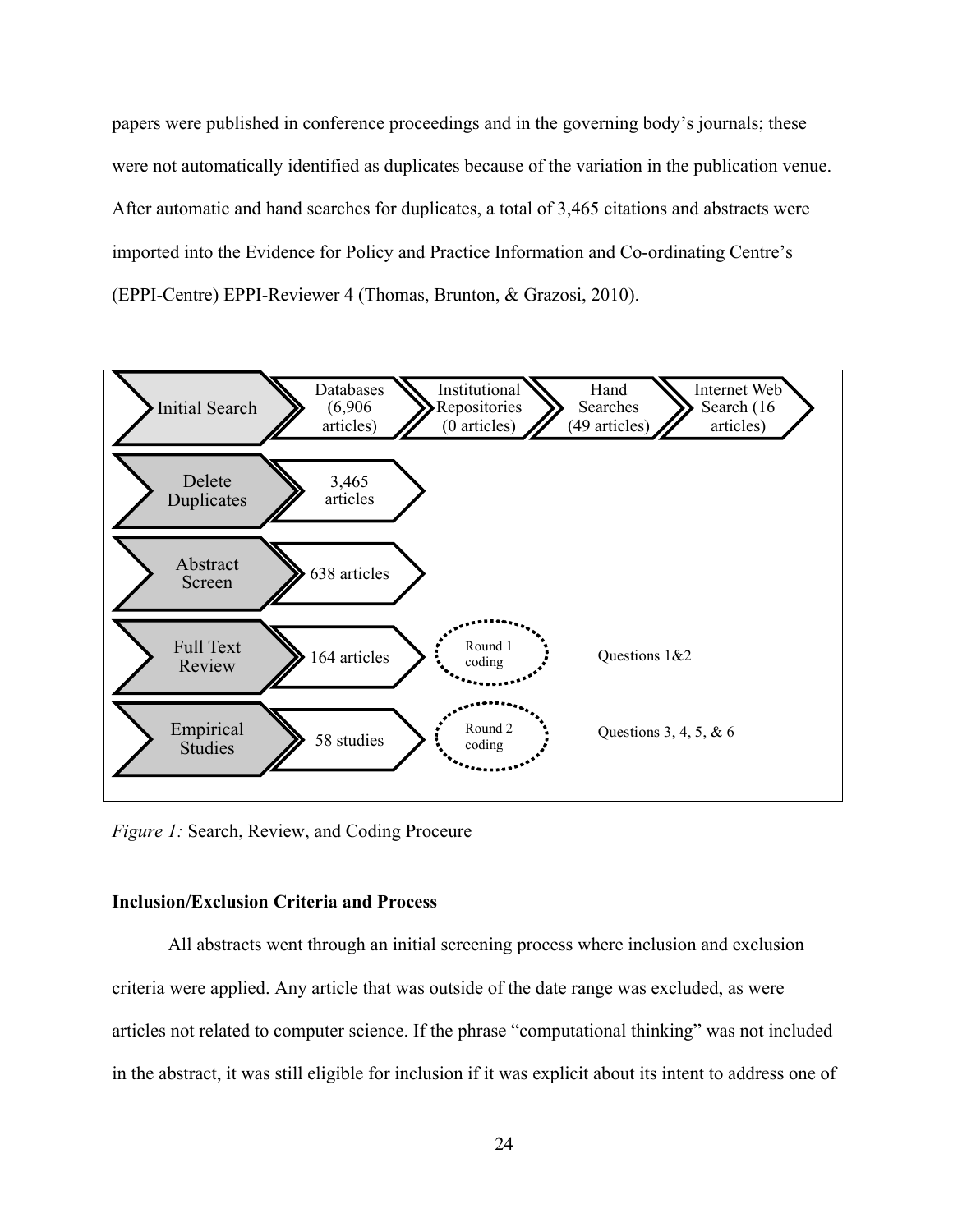papers were published in conference proceedings and in the governing body's journals; these were not automatically identified as duplicates because of the variation in the publication venue. After automatic and hand searches for duplicates, a total of 3,465 citations and abstracts were imported into the Evidence for Policy and Practice Information and Co-ordinating Centre's (EPPI-Centre) EPPI-Reviewer 4 (Thomas, Brunton, & Grazosi, 2010).



*Figure 1:* Search, Review, and Coding Proceure

#### **Inclusion/Exclusion Criteria and Process**

All abstracts went through an initial screening process where inclusion and exclusion criteria were applied. Any article that was outside of the date range was excluded, as were articles not related to computer science. If the phrase "computational thinking" was not included in the abstract, it was still eligible for inclusion if it was explicit about its intent to address one of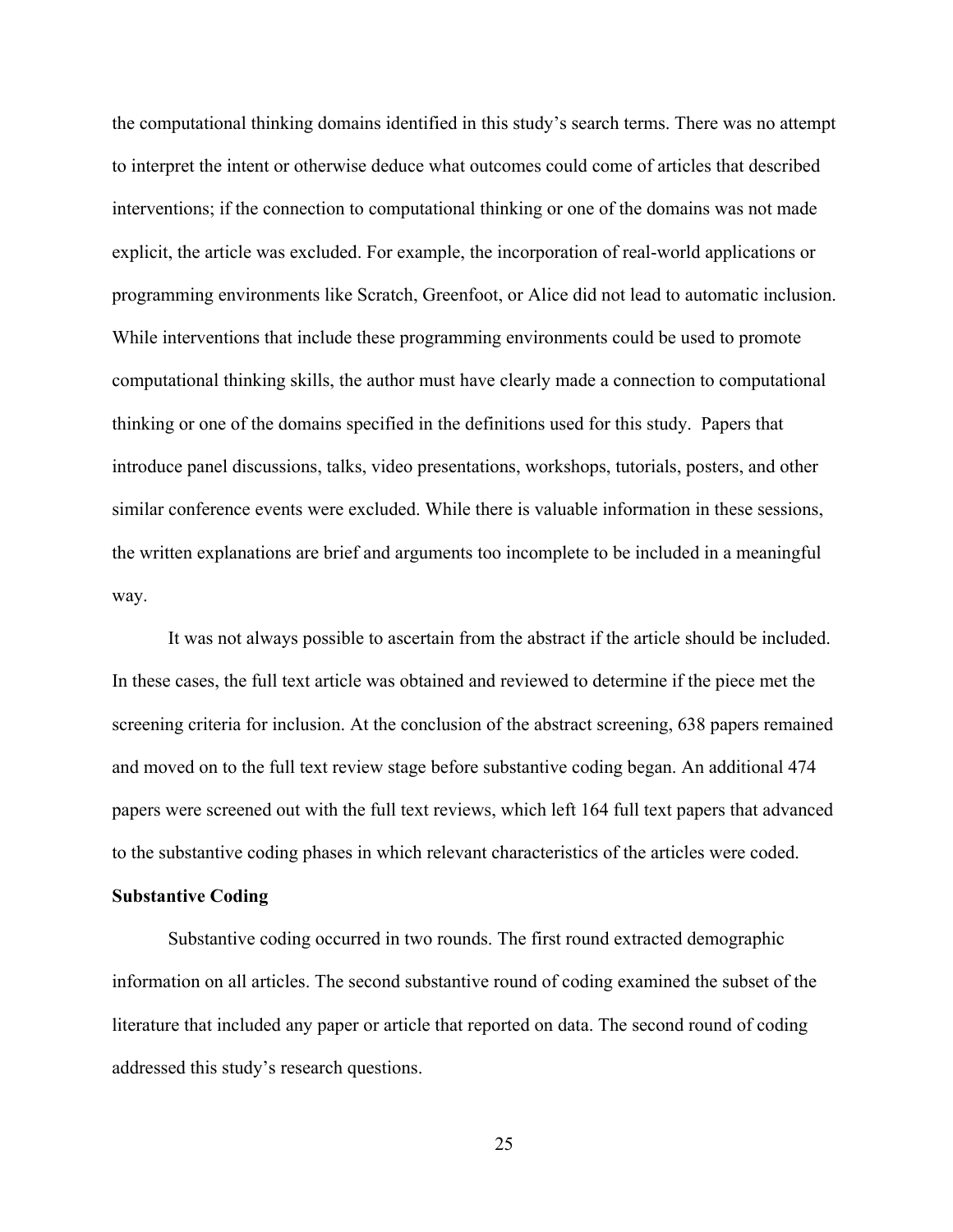the computational thinking domains identified in this study's search terms. There was no attempt to interpret the intent or otherwise deduce what outcomes could come of articles that described interventions; if the connection to computational thinking or one of the domains was not made explicit, the article was excluded. For example, the incorporation of real-world applications or programming environments like Scratch, Greenfoot, or Alice did not lead to automatic inclusion. While interventions that include these programming environments could be used to promote computational thinking skills, the author must have clearly made a connection to computational thinking or one of the domains specified in the definitions used for this study. Papers that introduce panel discussions, talks, video presentations, workshops, tutorials, posters, and other similar conference events were excluded. While there is valuable information in these sessions, the written explanations are brief and arguments too incomplete to be included in a meaningful way.

It was not always possible to ascertain from the abstract if the article should be included. In these cases, the full text article was obtained and reviewed to determine if the piece met the screening criteria for inclusion. At the conclusion of the abstract screening, 638 papers remained and moved on to the full text review stage before substantive coding began. An additional 474 papers were screened out with the full text reviews, which left 164 full text papers that advanced to the substantive coding phases in which relevant characteristics of the articles were coded.

#### **Substantive Coding**

Substantive coding occurred in two rounds. The first round extracted demographic information on all articles. The second substantive round of coding examined the subset of the literature that included any paper or article that reported on data. The second round of coding addressed this study's research questions.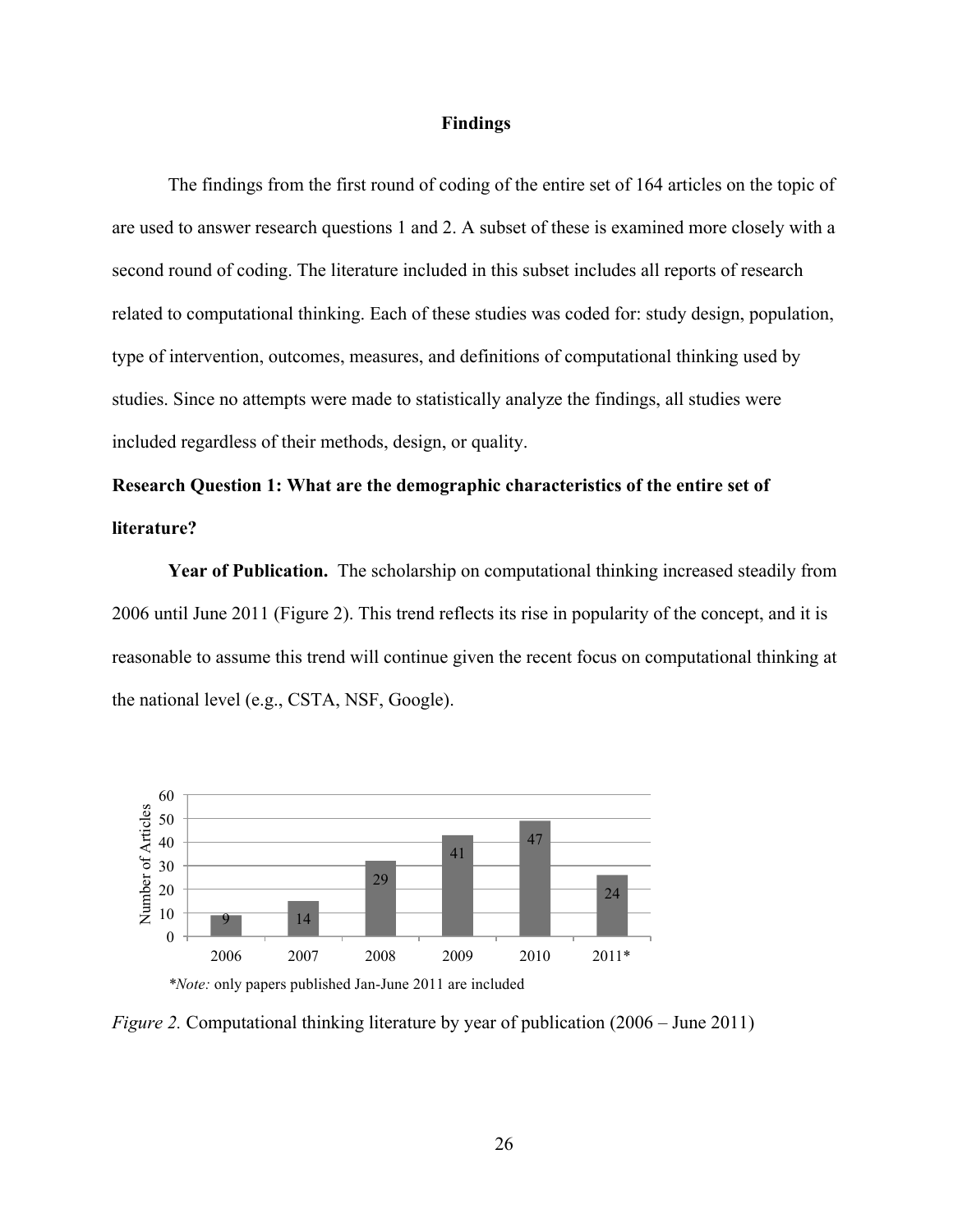#### **Findings**

The findings from the first round of coding of the entire set of 164 articles on the topic of are used to answer research questions 1 and 2. A subset of these is examined more closely with a second round of coding. The literature included in this subset includes all reports of research related to computational thinking. Each of these studies was coded for: study design, population, type of intervention, outcomes, measures, and definitions of computational thinking used by studies. Since no attempts were made to statistically analyze the findings, all studies were included regardless of their methods, design, or quality.

### **Research Question 1: What are the demographic characteristics of the entire set of literature?**

**Year of Publication.** The scholarship on computational thinking increased steadily from 2006 until June 2011 (Figure 2). This trend reflects its rise in popularity of the concept, and it is reasonable to assume this trend will continue given the recent focus on computational thinking at the national level (e.g., CSTA, NSF, Google).



*Figure 2.* Computational thinking literature by year of publication (2006 – June 2011)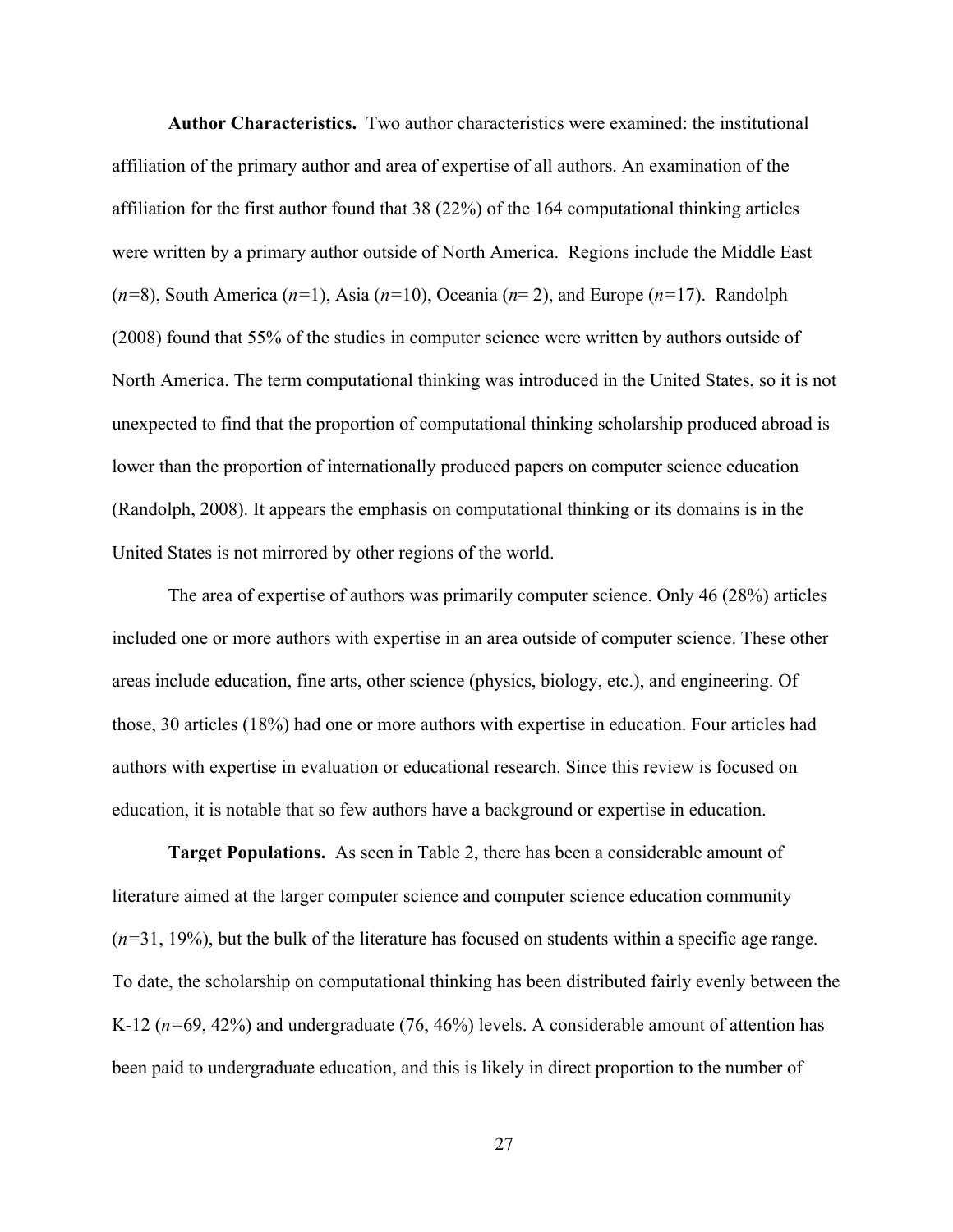**Author Characteristics.** Two author characteristics were examined: the institutional affiliation of the primary author and area of expertise of all authors. An examination of the affiliation for the first author found that 38 (22%) of the 164 computational thinking articles were written by a primary author outside of North America. Regions include the Middle East (*n=*8), South America (*n=*1), Asia (*n=*10), Oceania (*n*= 2), and Europe (*n=*17). Randolph (2008) found that 55% of the studies in computer science were written by authors outside of North America. The term computational thinking was introduced in the United States, so it is not unexpected to find that the proportion of computational thinking scholarship produced abroad is lower than the proportion of internationally produced papers on computer science education (Randolph, 2008). It appears the emphasis on computational thinking or its domains is in the United States is not mirrored by other regions of the world.

The area of expertise of authors was primarily computer science. Only 46 (28%) articles included one or more authors with expertise in an area outside of computer science. These other areas include education, fine arts, other science (physics, biology, etc.), and engineering. Of those, 30 articles (18%) had one or more authors with expertise in education. Four articles had authors with expertise in evaluation or educational research. Since this review is focused on education, it is notable that so few authors have a background or expertise in education.

**Target Populations.** As seen in Table 2, there has been a considerable amount of literature aimed at the larger computer science and computer science education community (*n=*31, 19%), but the bulk of the literature has focused on students within a specific age range. To date, the scholarship on computational thinking has been distributed fairly evenly between the K-12 (*n=*69, 42%) and undergraduate (76, 46%) levels. A considerable amount of attention has been paid to undergraduate education, and this is likely in direct proportion to the number of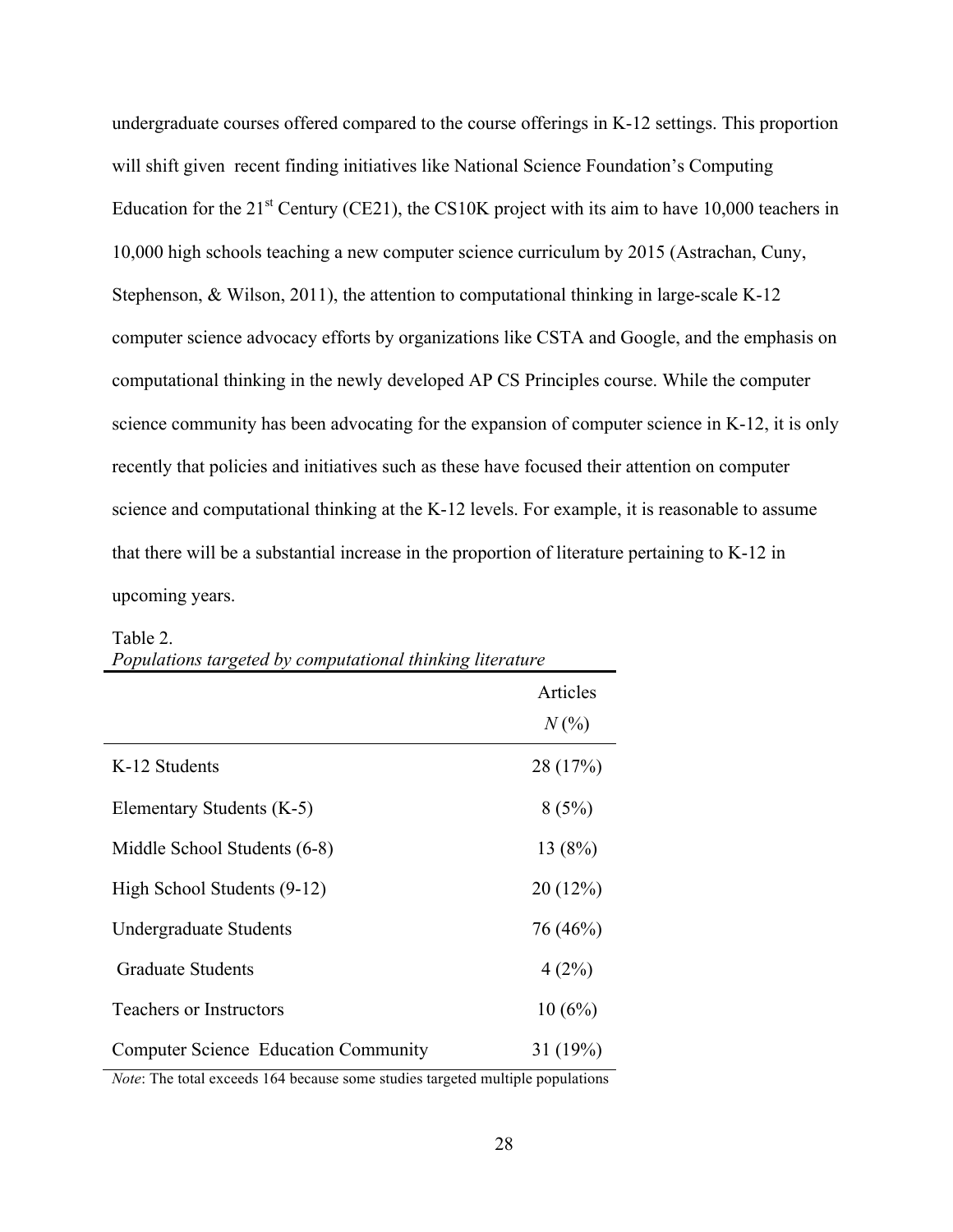undergraduate courses offered compared to the course offerings in K-12 settings. This proportion will shift given recent finding initiatives like National Science Foundation's Computing Education for the  $21<sup>st</sup>$  Century (CE21), the CS10K project with its aim to have 10,000 teachers in 10,000 high schools teaching a new computer science curriculum by 2015 (Astrachan, Cuny, Stephenson,  $\&$  Wilson, 2011), the attention to computational thinking in large-scale K-12 computer science advocacy efforts by organizations like CSTA and Google, and the emphasis on computational thinking in the newly developed AP CS Principles course. While the computer science community has been advocating for the expansion of computer science in K-12, it is only recently that policies and initiatives such as these have focused their attention on computer science and computational thinking at the K-12 levels. For example, it is reasonable to assume that there will be a substantial increase in the proportion of literature pertaining to K-12 in upcoming years.

| I ophianons iargelea by comparational infining therature |                     |  |
|----------------------------------------------------------|---------------------|--|
|                                                          | Articles<br>$N(\%)$ |  |
| K-12 Students                                            | 28 (17%)            |  |
| Elementary Students (K-5)                                | 8(5%)               |  |
| Middle School Students (6-8)                             | 13(8%)              |  |
| High School Students (9-12)                              | 20(12%)             |  |
| <b>Undergraduate Students</b>                            | 76 (46%)            |  |
| Graduate Students                                        | 4(2%)               |  |
| <b>Teachers or Instructors</b>                           | 10(6%)              |  |
| <b>Computer Science Education Community</b>              | 31(19%)             |  |

#### Table 2.

*Populations targeted by computational thinking literature*

*Note*: The total exceeds 164 because some studies targeted multiple populations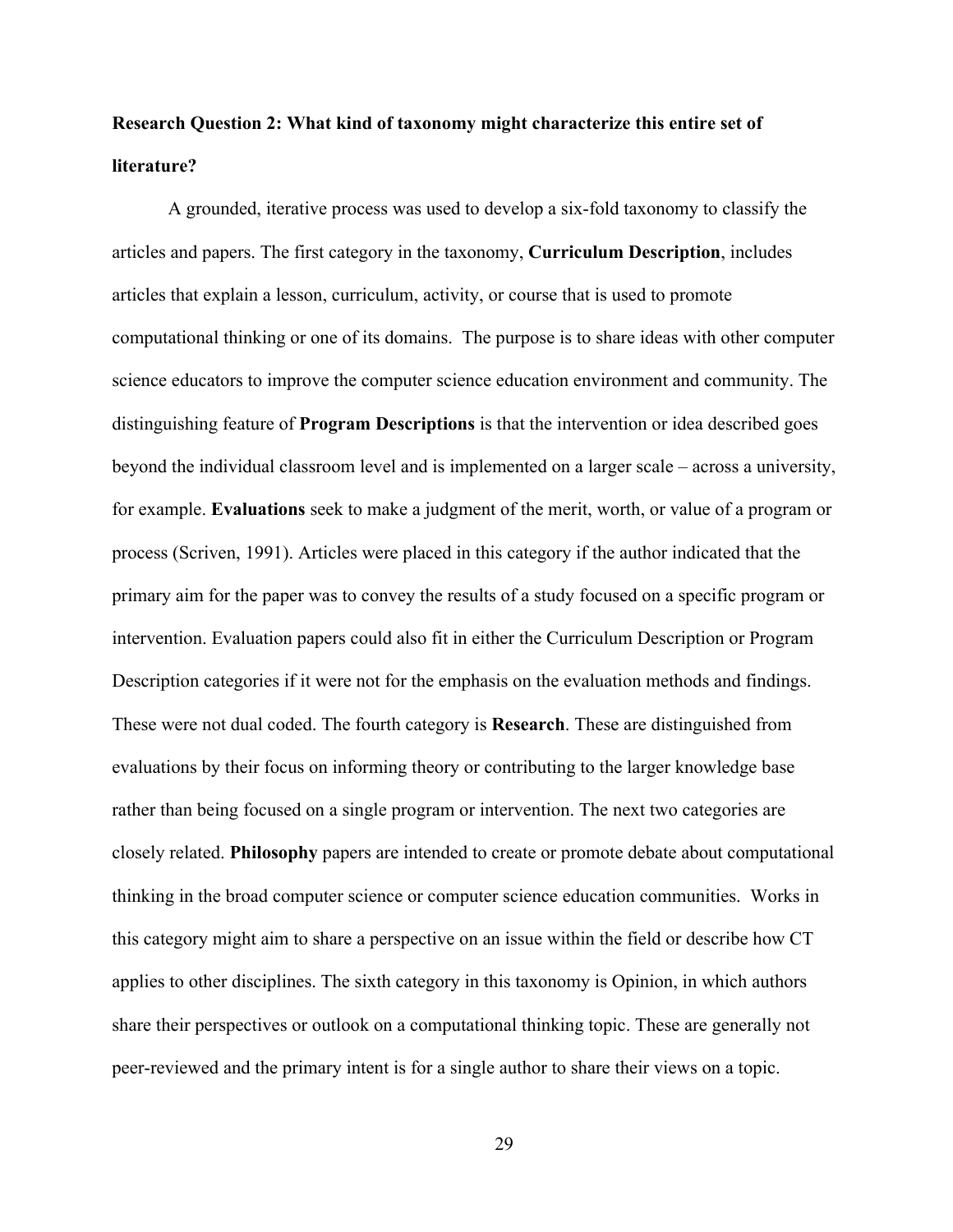### **Research Question 2: What kind of taxonomy might characterize this entire set of literature?**

A grounded, iterative process was used to develop a six-fold taxonomy to classify the articles and papers. The first category in the taxonomy, **Curriculum Description**, includes articles that explain a lesson, curriculum, activity, or course that is used to promote computational thinking or one of its domains. The purpose is to share ideas with other computer science educators to improve the computer science education environment and community. The distinguishing feature of **Program Descriptions** is that the intervention or idea described goes beyond the individual classroom level and is implemented on a larger scale – across a university, for example. **Evaluations** seek to make a judgment of the merit, worth, or value of a program or process (Scriven, 1991). Articles were placed in this category if the author indicated that the primary aim for the paper was to convey the results of a study focused on a specific program or intervention. Evaluation papers could also fit in either the Curriculum Description or Program Description categories if it were not for the emphasis on the evaluation methods and findings. These were not dual coded. The fourth category is **Research**. These are distinguished from evaluations by their focus on informing theory or contributing to the larger knowledge base rather than being focused on a single program or intervention. The next two categories are closely related. **Philosophy** papers are intended to create or promote debate about computational thinking in the broad computer science or computer science education communities. Works in this category might aim to share a perspective on an issue within the field or describe how CT applies to other disciplines. The sixth category in this taxonomy is Opinion, in which authors share their perspectives or outlook on a computational thinking topic. These are generally not peer-reviewed and the primary intent is for a single author to share their views on a topic.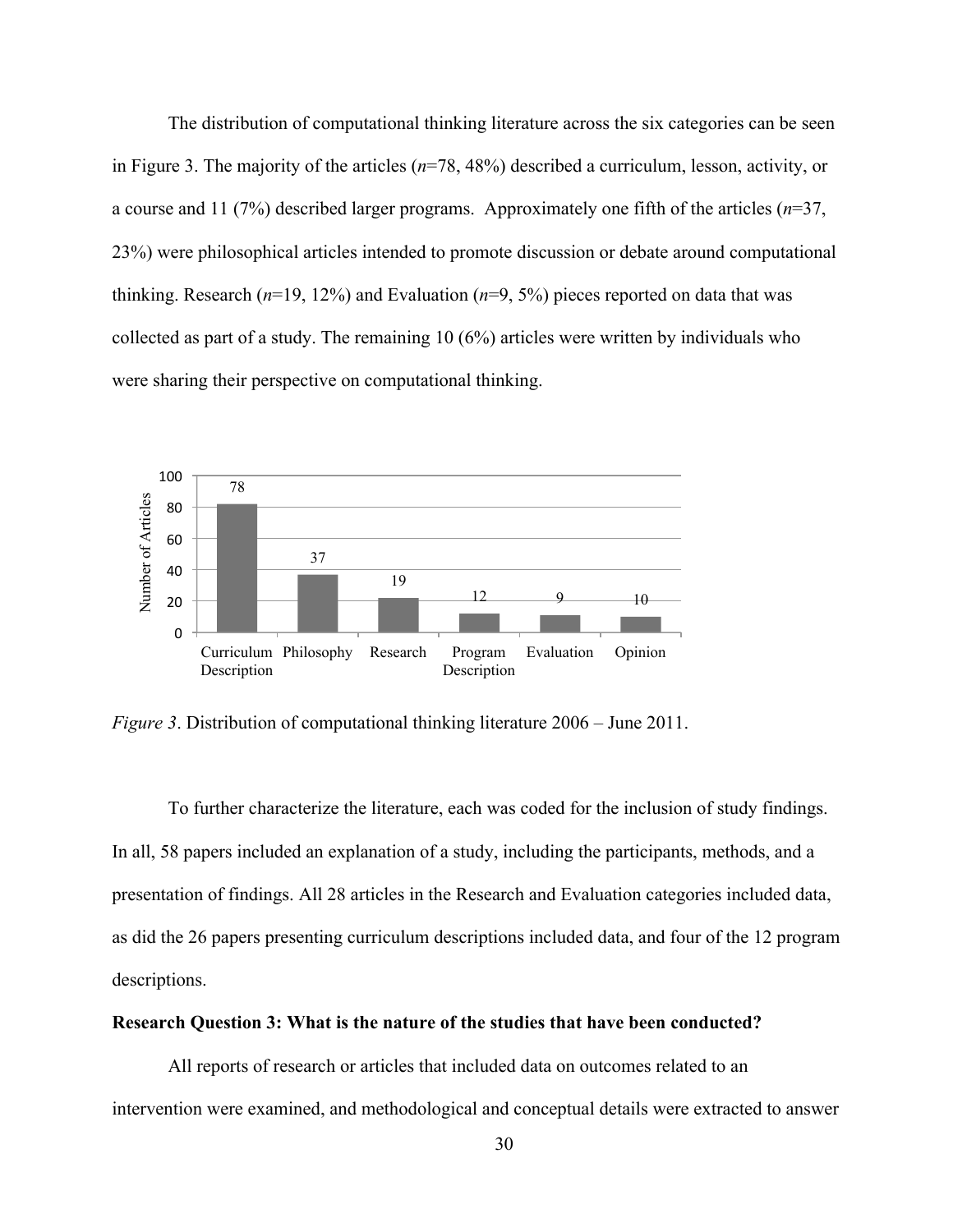The distribution of computational thinking literature across the six categories can be seen in Figure 3. The majority of the articles (*n*=78, 48%) described a curriculum, lesson, activity, or a course and 11 (7%) described larger programs. Approximately one fifth of the articles (*n*=37, 23%) were philosophical articles intended to promote discussion or debate around computational thinking. Research (*n*=19, 12%) and Evaluation (*n*=9, 5%) pieces reported on data that was collected as part of a study. The remaining 10 (6%) articles were written by individuals who were sharing their perspective on computational thinking.



*Figure 3*. Distribution of computational thinking literature 2006 – June 2011.

To further characterize the literature, each was coded for the inclusion of study findings. In all, 58 papers included an explanation of a study, including the participants, methods, and a presentation of findings. All 28 articles in the Research and Evaluation categories included data, as did the 26 papers presenting curriculum descriptions included data, and four of the 12 program descriptions.

#### **Research Question 3: What is the nature of the studies that have been conducted?**

All reports of research or articles that included data on outcomes related to an intervention were examined, and methodological and conceptual details were extracted to answer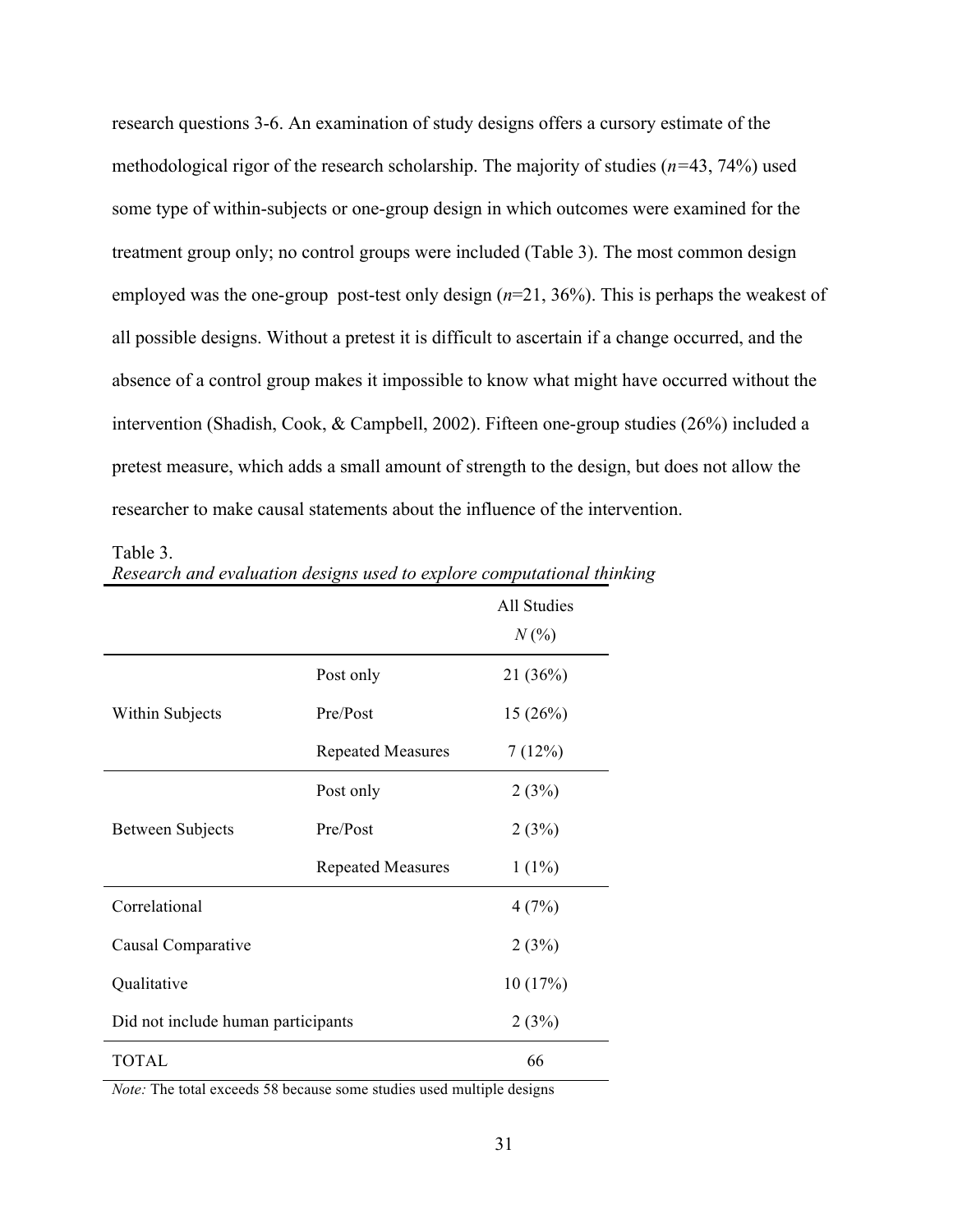research questions 3-6. An examination of study designs offers a cursory estimate of the methodological rigor of the research scholarship. The majority of studies (*n=*43, 74%) used some type of within-subjects or one-group design in which outcomes were examined for the treatment group only; no control groups were included (Table 3). The most common design employed was the one-group post-test only design (*n*=21, 36%). This is perhaps the weakest of all possible designs. Without a pretest it is difficult to ascertain if a change occurred, and the absence of a control group makes it impossible to know what might have occurred without the intervention (Shadish, Cook, & Campbell, 2002). Fifteen one-group studies (26%) included a pretest measure, which adds a small amount of strength to the design, but does not allow the researcher to make causal statements about the influence of the intervention.

Table 3.

|                                    |                          | All Studies<br>N(% |
|------------------------------------|--------------------------|--------------------|
|                                    | Post only                | 21(36%)            |
| Within Subjects                    | Pre/Post                 | 15(26%)            |
|                                    | <b>Repeated Measures</b> | 7(12%)             |
|                                    | Post only                | 2(3%)              |
| <b>Between Subjects</b>            | Pre/Post                 | 2(3%)              |
|                                    | <b>Repeated Measures</b> | $1(1\%)$           |
| Correlational                      |                          | 4(7%)              |
| Causal Comparative                 |                          | 2(3%)              |
| Qualitative                        | 10(17%)                  |                    |
| Did not include human participants | 2(3%)                    |                    |
| <b>TOTAL</b>                       |                          | 66                 |

*Research and evaluation designs used to explore computational thinking* 

*Note:* The total exceeds 58 because some studies used multiple designs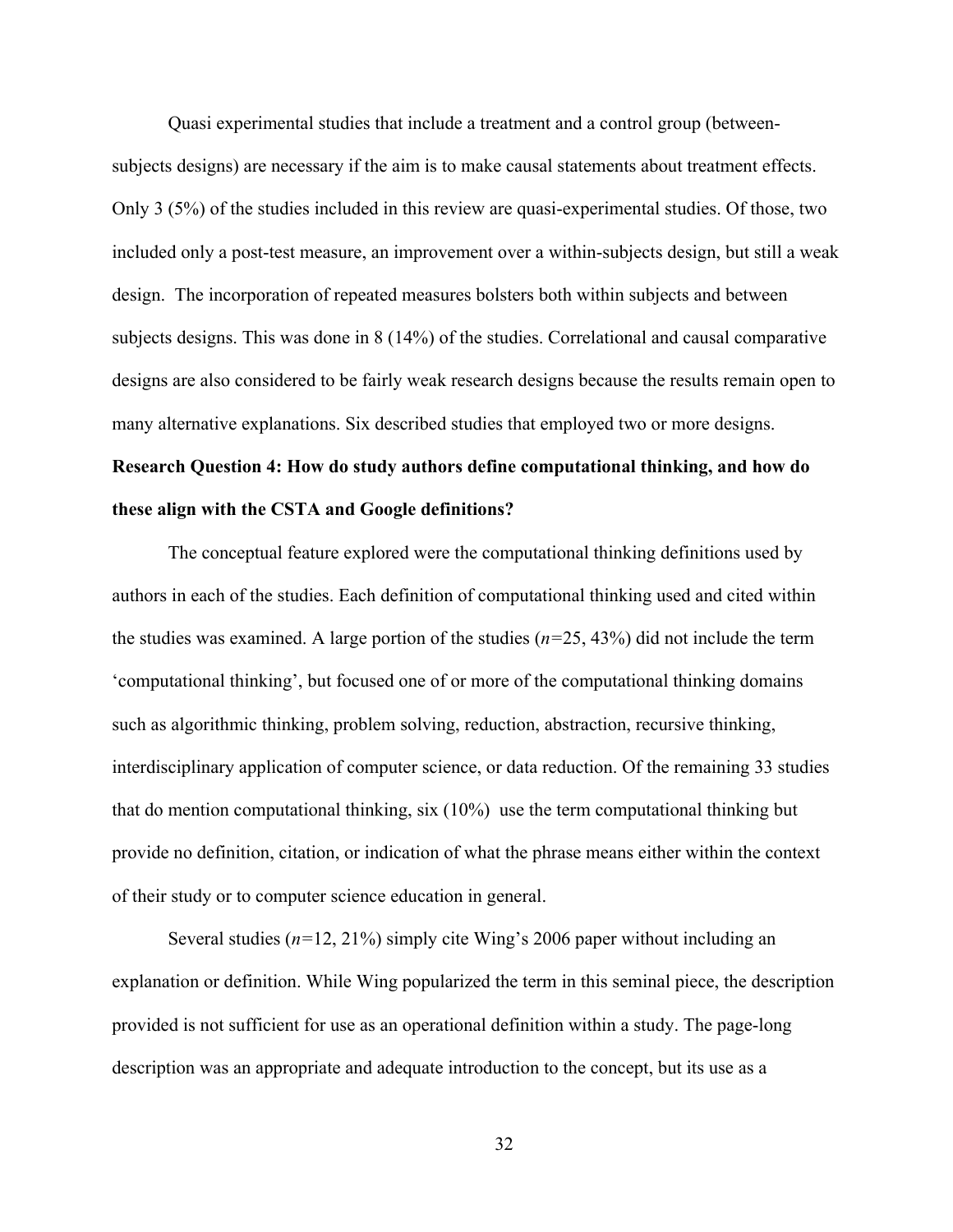Quasi experimental studies that include a treatment and a control group (betweensubjects designs) are necessary if the aim is to make causal statements about treatment effects. Only 3 (5%) of the studies included in this review are quasi-experimental studies. Of those, two included only a post-test measure, an improvement over a within-subjects design, but still a weak design. The incorporation of repeated measures bolsters both within subjects and between subjects designs. This was done in 8 (14%) of the studies. Correlational and causal comparative designs are also considered to be fairly weak research designs because the results remain open to many alternative explanations. Six described studies that employed two or more designs.

### **Research Question 4: How do study authors define computational thinking, and how do these align with the CSTA and Google definitions?**

The conceptual feature explored were the computational thinking definitions used by authors in each of the studies. Each definition of computational thinking used and cited within the studies was examined. A large portion of the studies (*n=*25, 43%) did not include the term 'computational thinking', but focused one of or more of the computational thinking domains such as algorithmic thinking, problem solving, reduction, abstraction, recursive thinking, interdisciplinary application of computer science, or data reduction. Of the remaining 33 studies that do mention computational thinking, six (10%) use the term computational thinking but provide no definition, citation, or indication of what the phrase means either within the context of their study or to computer science education in general.

Several studies (*n=*12, 21%) simply cite Wing's 2006 paper without including an explanation or definition. While Wing popularized the term in this seminal piece, the description provided is not sufficient for use as an operational definition within a study. The page-long description was an appropriate and adequate introduction to the concept, but its use as a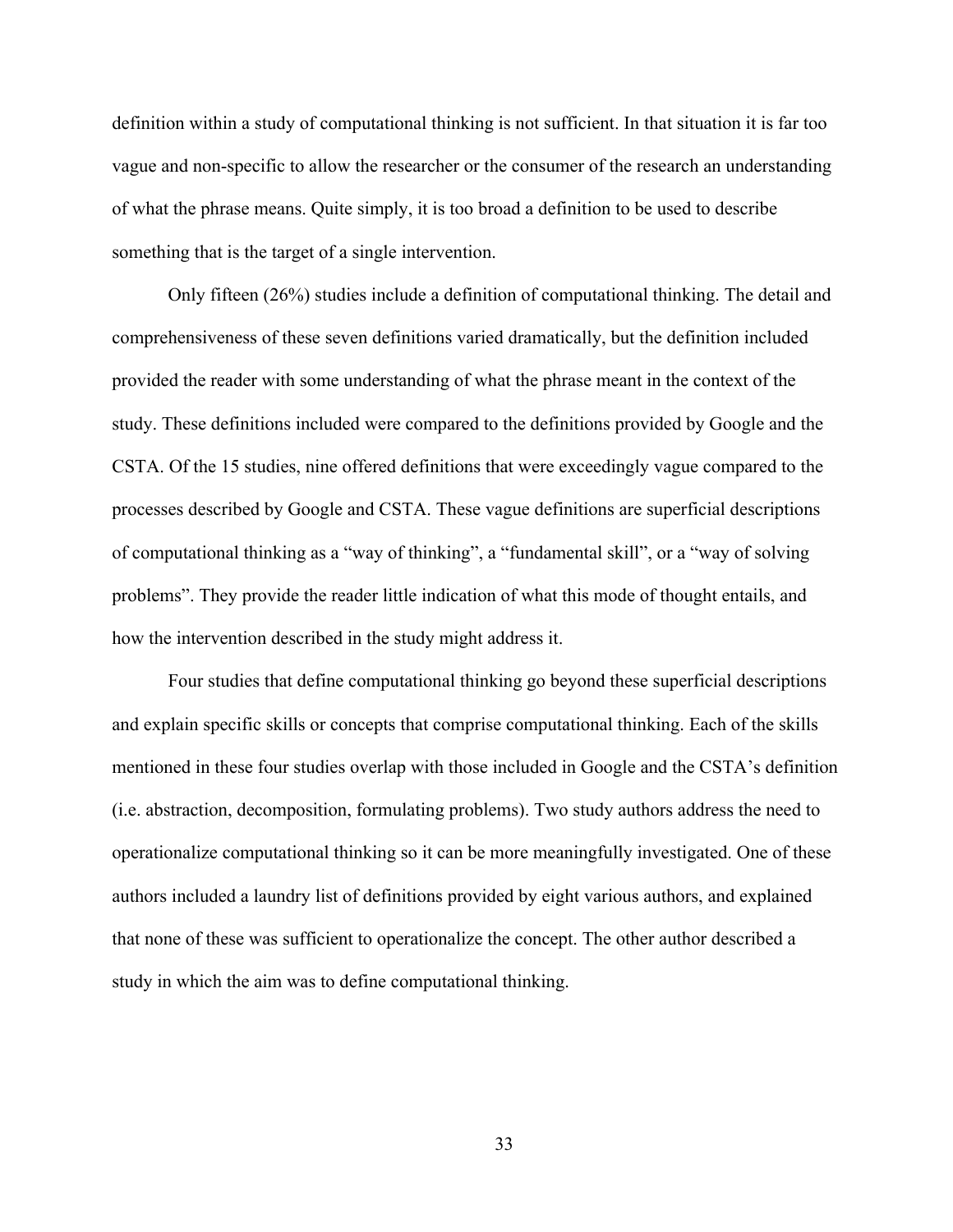definition within a study of computational thinking is not sufficient. In that situation it is far too vague and non-specific to allow the researcher or the consumer of the research an understanding of what the phrase means. Quite simply, it is too broad a definition to be used to describe something that is the target of a single intervention.

Only fifteen (26%) studies include a definition of computational thinking. The detail and comprehensiveness of these seven definitions varied dramatically, but the definition included provided the reader with some understanding of what the phrase meant in the context of the study. These definitions included were compared to the definitions provided by Google and the CSTA. Of the 15 studies, nine offered definitions that were exceedingly vague compared to the processes described by Google and CSTA. These vague definitions are superficial descriptions of computational thinking as a "way of thinking", a "fundamental skill", or a "way of solving problems". They provide the reader little indication of what this mode of thought entails, and how the intervention described in the study might address it.

Four studies that define computational thinking go beyond these superficial descriptions and explain specific skills or concepts that comprise computational thinking. Each of the skills mentioned in these four studies overlap with those included in Google and the CSTA's definition (i.e. abstraction, decomposition, formulating problems). Two study authors address the need to operationalize computational thinking so it can be more meaningfully investigated. One of these authors included a laundry list of definitions provided by eight various authors, and explained that none of these was sufficient to operationalize the concept. The other author described a study in which the aim was to define computational thinking.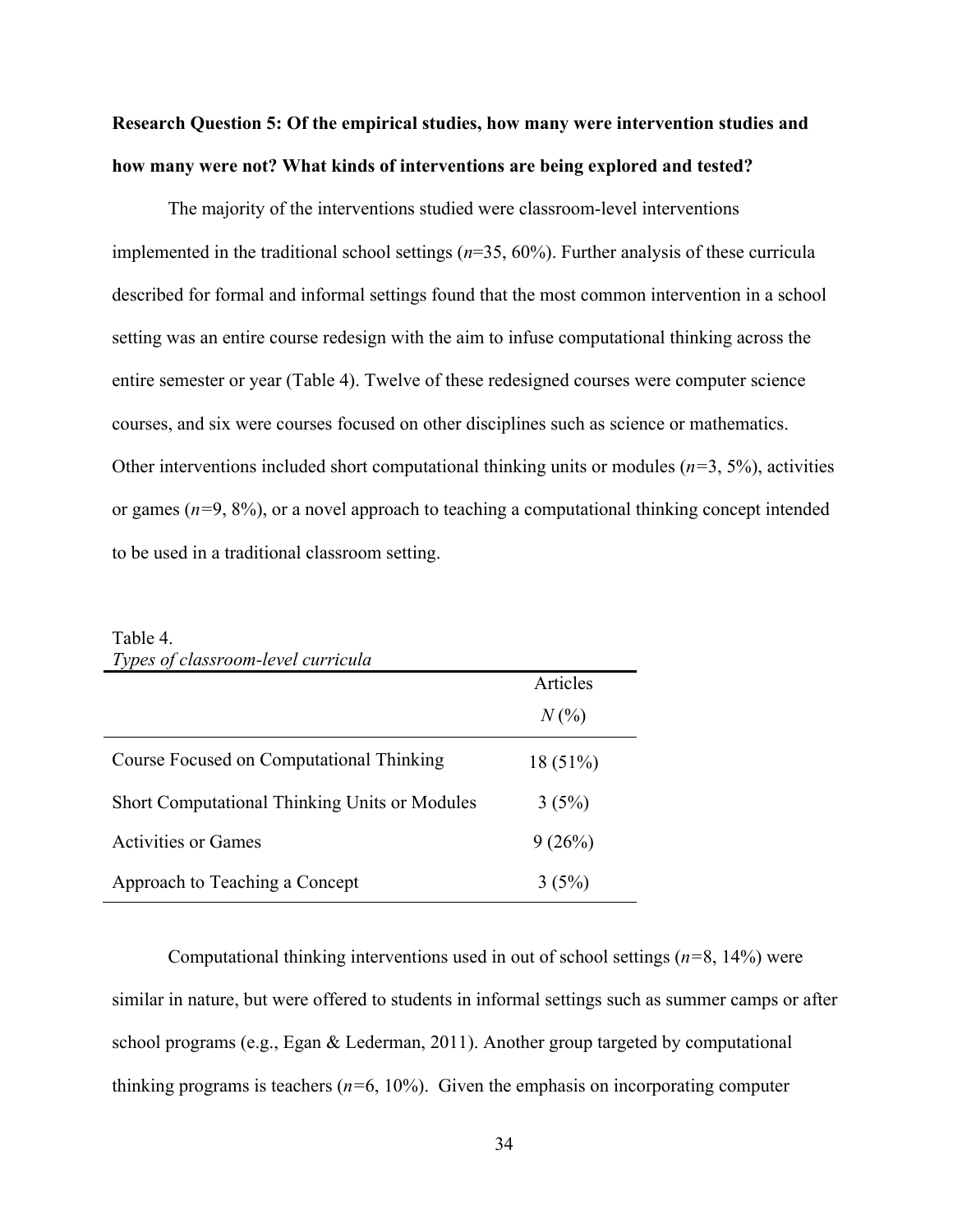### **Research Question 5: Of the empirical studies, how many were intervention studies and how many were not? What kinds of interventions are being explored and tested?**

The majority of the interventions studied were classroom-level interventions implemented in the traditional school settings (*n*=35, 60%). Further analysis of these curricula described for formal and informal settings found that the most common intervention in a school setting was an entire course redesign with the aim to infuse computational thinking across the entire semester or year (Table 4). Twelve of these redesigned courses were computer science courses, and six were courses focused on other disciplines such as science or mathematics. Other interventions included short computational thinking units or modules  $(n=3, 5\%)$ , activities or games (*n=*9, 8%), or a novel approach to teaching a computational thinking concept intended to be used in a traditional classroom setting.

| Types of classroom-level curricula                   |            |  |  |
|------------------------------------------------------|------------|--|--|
|                                                      | Articles   |  |  |
|                                                      | $N(\%)$    |  |  |
| Course Focused on Computational Thinking             | $18(51\%)$ |  |  |
| <b>Short Computational Thinking Units or Modules</b> | 3(5%)      |  |  |
| <b>Activities or Games</b>                           | 9(26%)     |  |  |
| Approach to Teaching a Concept                       | 3(5%)      |  |  |

Table 4.

# Computational thinking interventions used in out of school settings (*n=*8, 14%) were similar in nature, but were offered to students in informal settings such as summer camps or after school programs (e.g., Egan & Lederman, 2011). Another group targeted by computational thinking programs is teachers (*n=*6, 10%). Given the emphasis on incorporating computer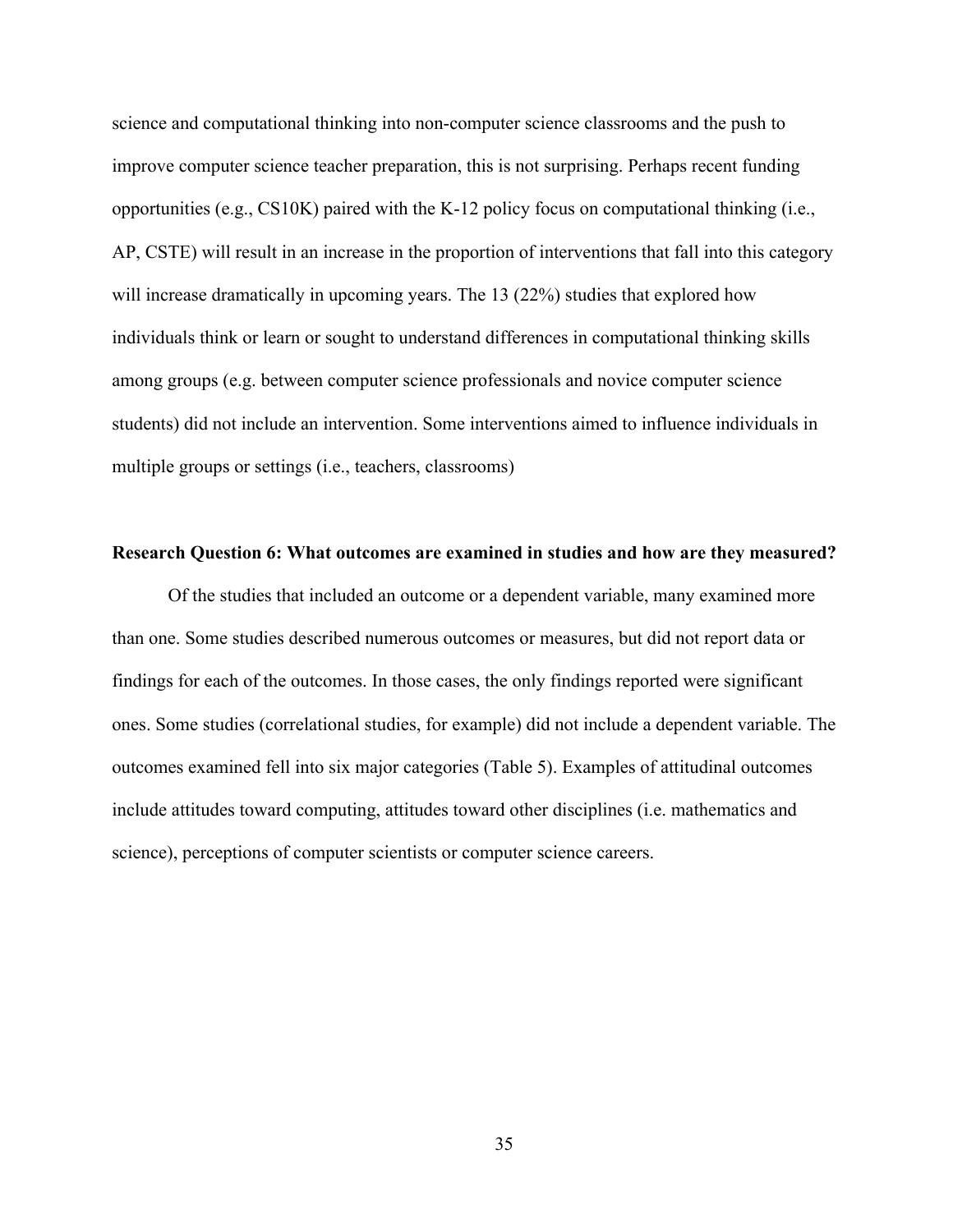science and computational thinking into non-computer science classrooms and the push to improve computer science teacher preparation, this is not surprising. Perhaps recent funding opportunities (e.g., CS10K) paired with the K-12 policy focus on computational thinking (i.e., AP, CSTE) will result in an increase in the proportion of interventions that fall into this category will increase dramatically in upcoming years. The 13 (22%) studies that explored how individuals think or learn or sought to understand differences in computational thinking skills among groups (e.g. between computer science professionals and novice computer science students) did not include an intervention. Some interventions aimed to influence individuals in multiple groups or settings (i.e., teachers, classrooms)

#### **Research Question 6: What outcomes are examined in studies and how are they measured?**

Of the studies that included an outcome or a dependent variable, many examined more than one. Some studies described numerous outcomes or measures, but did not report data or findings for each of the outcomes. In those cases, the only findings reported were significant ones. Some studies (correlational studies, for example) did not include a dependent variable. The outcomes examined fell into six major categories (Table 5). Examples of attitudinal outcomes include attitudes toward computing, attitudes toward other disciplines (i.e. mathematics and science), perceptions of computer scientists or computer science careers.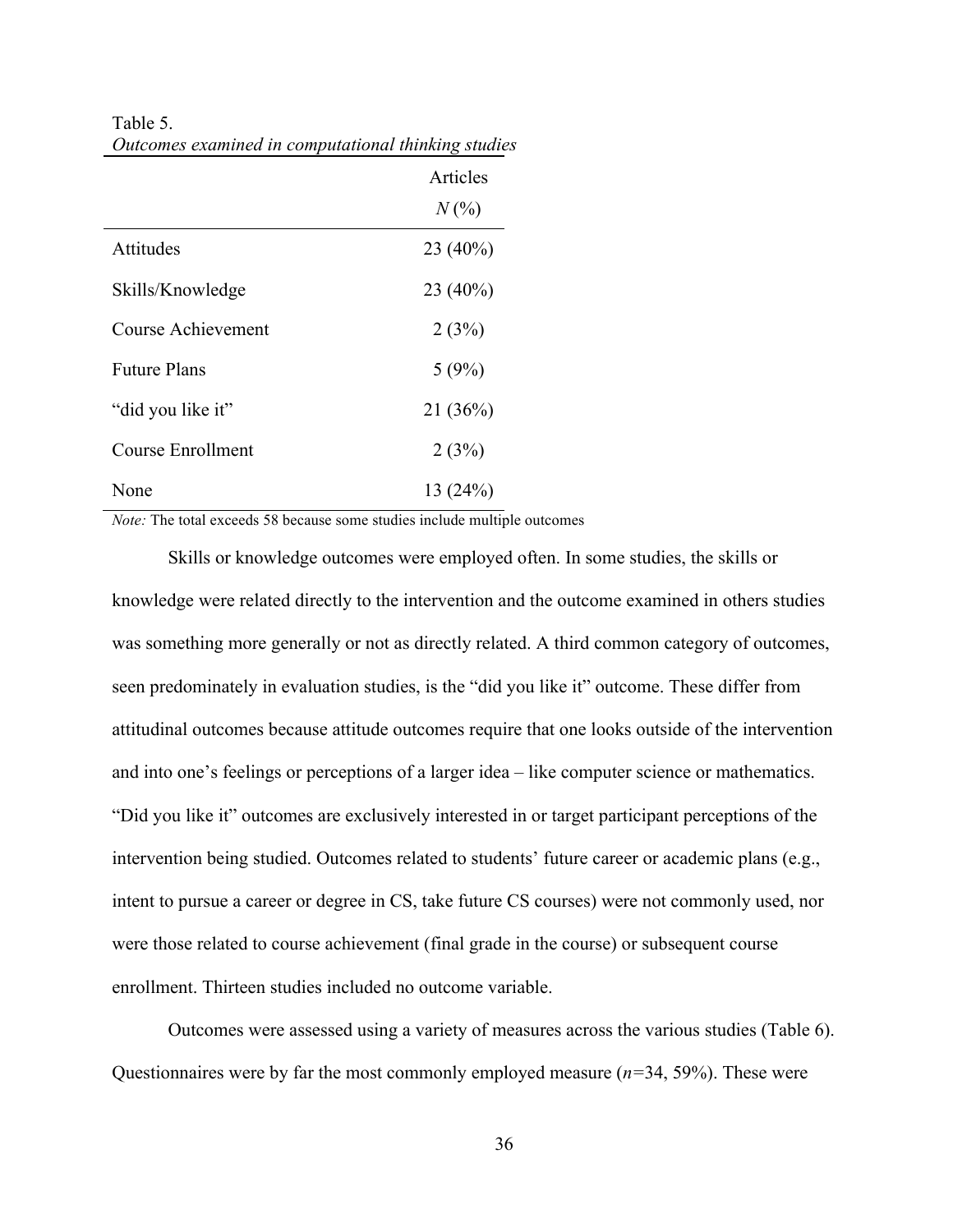|                     | Articles<br>$N(\%)$ |
|---------------------|---------------------|
|                     |                     |
| Attitudes           | $23(40\%)$          |
| Skills/Knowledge    | $23(40\%)$          |
| Course Achievement  | 2(3%)               |
| <b>Future Plans</b> | 5(9%)               |
| "did you like it"   | 21(36%)             |
| Course Enrollment   | 2(3%)               |
| None                | 13 (24%)            |

Table 5. *Outcomes examined in computational thinking studies*

*Note:* The total exceeds 58 because some studies include multiple outcomes

Skills or knowledge outcomes were employed often. In some studies, the skills or knowledge were related directly to the intervention and the outcome examined in others studies was something more generally or not as directly related. A third common category of outcomes, seen predominately in evaluation studies, is the "did you like it" outcome. These differ from attitudinal outcomes because attitude outcomes require that one looks outside of the intervention and into one's feelings or perceptions of a larger idea – like computer science or mathematics. "Did you like it" outcomes are exclusively interested in or target participant perceptions of the intervention being studied. Outcomes related to students' future career or academic plans (e.g., intent to pursue a career or degree in CS, take future CS courses) were not commonly used, nor were those related to course achievement (final grade in the course) or subsequent course enrollment. Thirteen studies included no outcome variable.

Outcomes were assessed using a variety of measures across the various studies (Table 6). Questionnaires were by far the most commonly employed measure (*n=*34, 59%). These were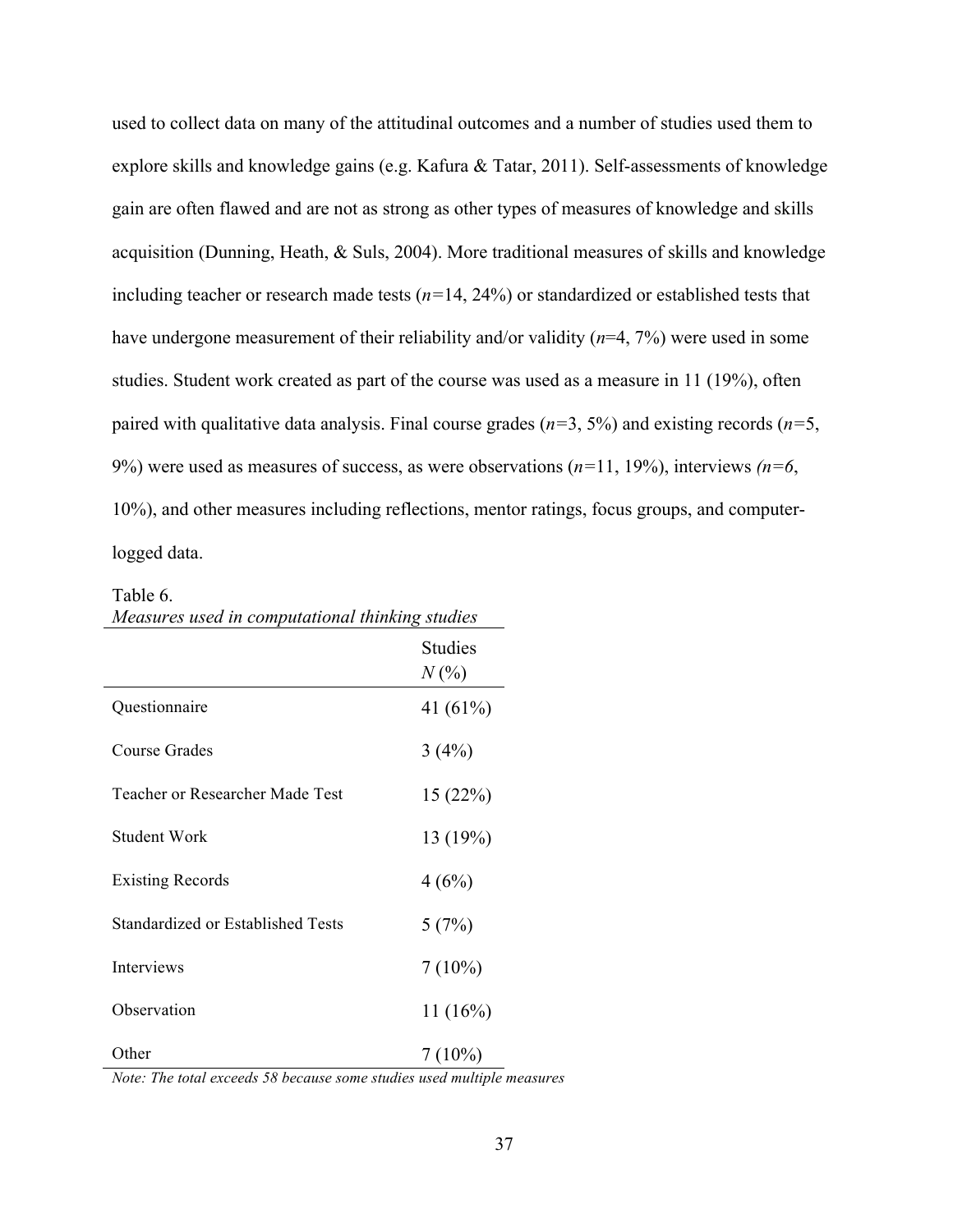used to collect data on many of the attitudinal outcomes and a number of studies used them to explore skills and knowledge gains (e.g. Kafura & Tatar, 2011). Self-assessments of knowledge gain are often flawed and are not as strong as other types of measures of knowledge and skills acquisition (Dunning, Heath, & Suls, 2004). More traditional measures of skills and knowledge including teacher or research made tests (*n=*14, 24%) or standardized or established tests that have undergone measurement of their reliability and/or validity (*n*=4, 7%) were used in some studies. Student work created as part of the course was used as a measure in 11 (19%), often paired with qualitative data analysis. Final course grades (*n=*3, 5%) and existing records (*n=*5, 9%) were used as measures of success, as were observations (*n=*11, 19%), interviews *(n=6*, 10%), and other measures including reflections, mentor ratings, focus groups, and computerlogged data.

#### Table 6.

| Measures used in computational thinking studies |                           |
|-------------------------------------------------|---------------------------|
|                                                 | <b>Studies</b><br>$N(\%)$ |
| Questionnaire                                   | 41 $(61%)$                |
| Course Grades                                   | 3(4%)                     |
| Teacher or Researcher Made Test                 | 15(22%)                   |
| <b>Student Work</b>                             | 13(19%)                   |
| <b>Existing Records</b>                         | 4(6%)                     |
| Standardized or Established Tests               | 5(7%)                     |
| Interviews                                      | $7(10\%)$                 |
| Observation                                     | 11(16%)                   |
| Other                                           | $7(10\%)$                 |

*Measures used in computational thinking studies*

*Note: The total exceeds 58 because some studies used multiple measures*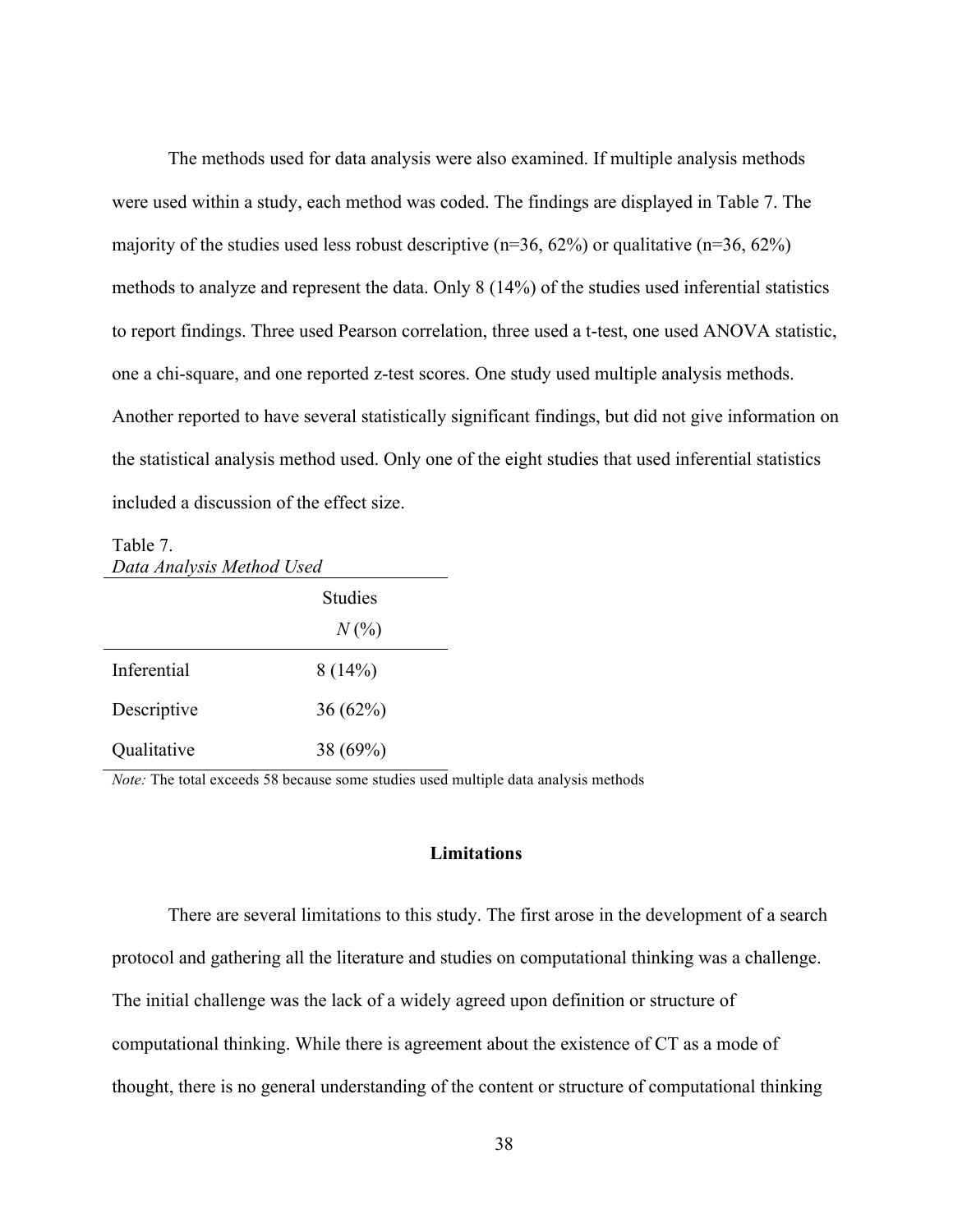The methods used for data analysis were also examined. If multiple analysis methods were used within a study, each method was coded. The findings are displayed in Table 7. The majority of the studies used less robust descriptive ( $n=36, 62\%$ ) or qualitative ( $n=36, 62\%$ ) methods to analyze and represent the data. Only 8 (14%) of the studies used inferential statistics to report findings. Three used Pearson correlation, three used a t-test, one used ANOVA statistic, one a chi-square, and one reported z-test scores. One study used multiple analysis methods. Another reported to have several statistically significant findings, but did not give information on the statistical analysis method used. Only one of the eight studies that used inferential statistics included a discussion of the effect size.

Table 7. *Data Analysis Method Used* 

|             | <b>Studies</b> |  |
|-------------|----------------|--|
|             | $N(\%)$        |  |
| Inferential | 8(14%)         |  |
| Descriptive | $36(62\%)$     |  |
| Qualitative | 38 (69%)       |  |

*Note:* The total exceeds 58 because some studies used multiple data analysis methods

## **Limitations**

There are several limitations to this study. The first arose in the development of a search protocol and gathering all the literature and studies on computational thinking was a challenge. The initial challenge was the lack of a widely agreed upon definition or structure of computational thinking. While there is agreement about the existence of CT as a mode of thought, there is no general understanding of the content or structure of computational thinking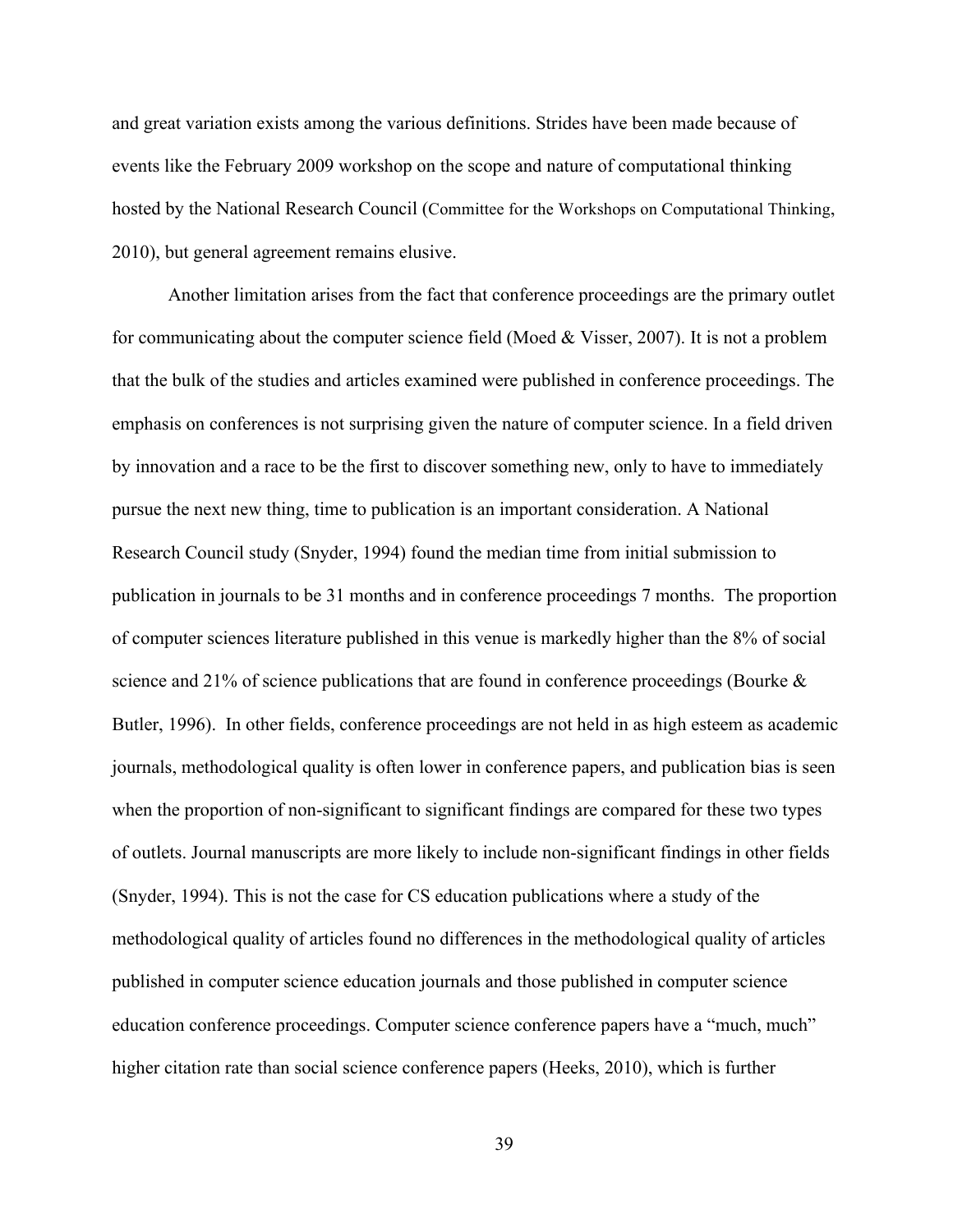and great variation exists among the various definitions. Strides have been made because of events like the February 2009 workshop on the scope and nature of computational thinking hosted by the National Research Council (Committee for the Workshops on Computational Thinking, 2010), but general agreement remains elusive.

Another limitation arises from the fact that conference proceedings are the primary outlet for communicating about the computer science field (Moed  $& Visser, 2007$ ). It is not a problem that the bulk of the studies and articles examined were published in conference proceedings. The emphasis on conferences is not surprising given the nature of computer science. In a field driven by innovation and a race to be the first to discover something new, only to have to immediately pursue the next new thing, time to publication is an important consideration. A National Research Council study (Snyder, 1994) found the median time from initial submission to publication in journals to be 31 months and in conference proceedings 7 months. The proportion of computer sciences literature published in this venue is markedly higher than the 8% of social science and 21% of science publications that are found in conference proceedings (Bourke  $\&$ Butler, 1996). In other fields, conference proceedings are not held in as high esteem as academic journals, methodological quality is often lower in conference papers, and publication bias is seen when the proportion of non-significant to significant findings are compared for these two types of outlets. Journal manuscripts are more likely to include non-significant findings in other fields (Snyder, 1994). This is not the case for CS education publications where a study of the methodological quality of articles found no differences in the methodological quality of articles published in computer science education journals and those published in computer science education conference proceedings. Computer science conference papers have a "much, much" higher citation rate than social science conference papers (Heeks, 2010), which is further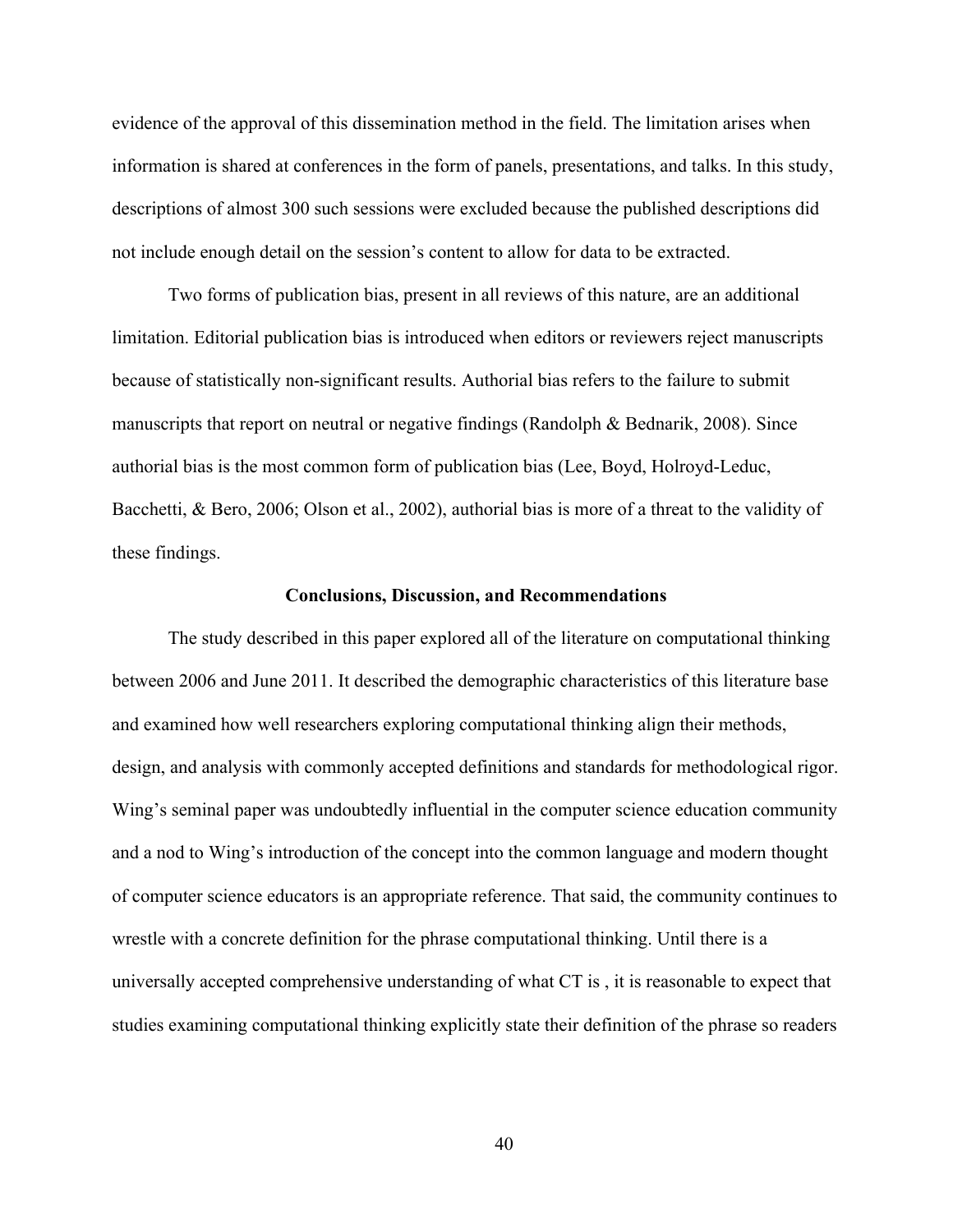evidence of the approval of this dissemination method in the field. The limitation arises when information is shared at conferences in the form of panels, presentations, and talks. In this study, descriptions of almost 300 such sessions were excluded because the published descriptions did not include enough detail on the session's content to allow for data to be extracted.

Two forms of publication bias, present in all reviews of this nature, are an additional limitation. Editorial publication bias is introduced when editors or reviewers reject manuscripts because of statistically non-significant results. Authorial bias refers to the failure to submit manuscripts that report on neutral or negative findings (Randolph & Bednarik, 2008). Since authorial bias is the most common form of publication bias (Lee, Boyd, Holroyd-Leduc, Bacchetti, & Bero, 2006; Olson et al., 2002), authorial bias is more of a threat to the validity of these findings.

#### **Conclusions, Discussion, and Recommendations**

The study described in this paper explored all of the literature on computational thinking between 2006 and June 2011. It described the demographic characteristics of this literature base and examined how well researchers exploring computational thinking align their methods, design, and analysis with commonly accepted definitions and standards for methodological rigor. Wing's seminal paper was undoubtedly influential in the computer science education community and a nod to Wing's introduction of the concept into the common language and modern thought of computer science educators is an appropriate reference. That said, the community continues to wrestle with a concrete definition for the phrase computational thinking. Until there is a universally accepted comprehensive understanding of what CT is , it is reasonable to expect that studies examining computational thinking explicitly state their definition of the phrase so readers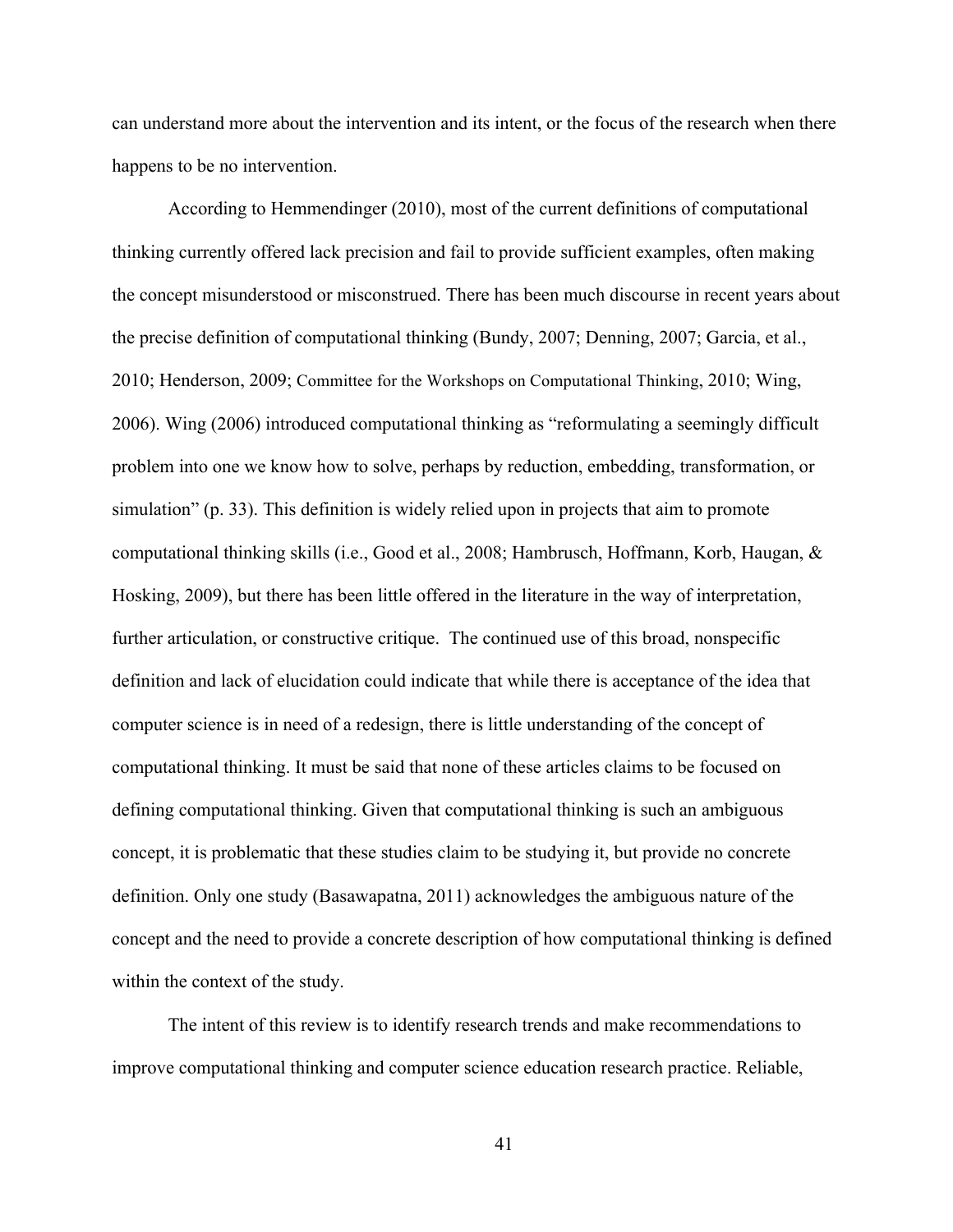can understand more about the intervention and its intent, or the focus of the research when there happens to be no intervention.

According to Hemmendinger (2010), most of the current definitions of computational thinking currently offered lack precision and fail to provide sufficient examples, often making the concept misunderstood or misconstrued. There has been much discourse in recent years about the precise definition of computational thinking (Bundy, 2007; Denning, 2007; Garcia, et al., 2010; Henderson, 2009; Committee for the Workshops on Computational Thinking, 2010; Wing, 2006). Wing (2006) introduced computational thinking as "reformulating a seemingly difficult problem into one we know how to solve, perhaps by reduction, embedding, transformation, or simulation" (p. 33). This definition is widely relied upon in projects that aim to promote computational thinking skills (i.e., Good et al., 2008; Hambrusch, Hoffmann, Korb, Haugan, & Hosking, 2009), but there has been little offered in the literature in the way of interpretation, further articulation, or constructive critique. The continued use of this broad, nonspecific definition and lack of elucidation could indicate that while there is acceptance of the idea that computer science is in need of a redesign, there is little understanding of the concept of computational thinking. It must be said that none of these articles claims to be focused on defining computational thinking. Given that computational thinking is such an ambiguous concept, it is problematic that these studies claim to be studying it, but provide no concrete definition. Only one study (Basawapatna, 2011) acknowledges the ambiguous nature of the concept and the need to provide a concrete description of how computational thinking is defined within the context of the study.

The intent of this review is to identify research trends and make recommendations to improve computational thinking and computer science education research practice. Reliable,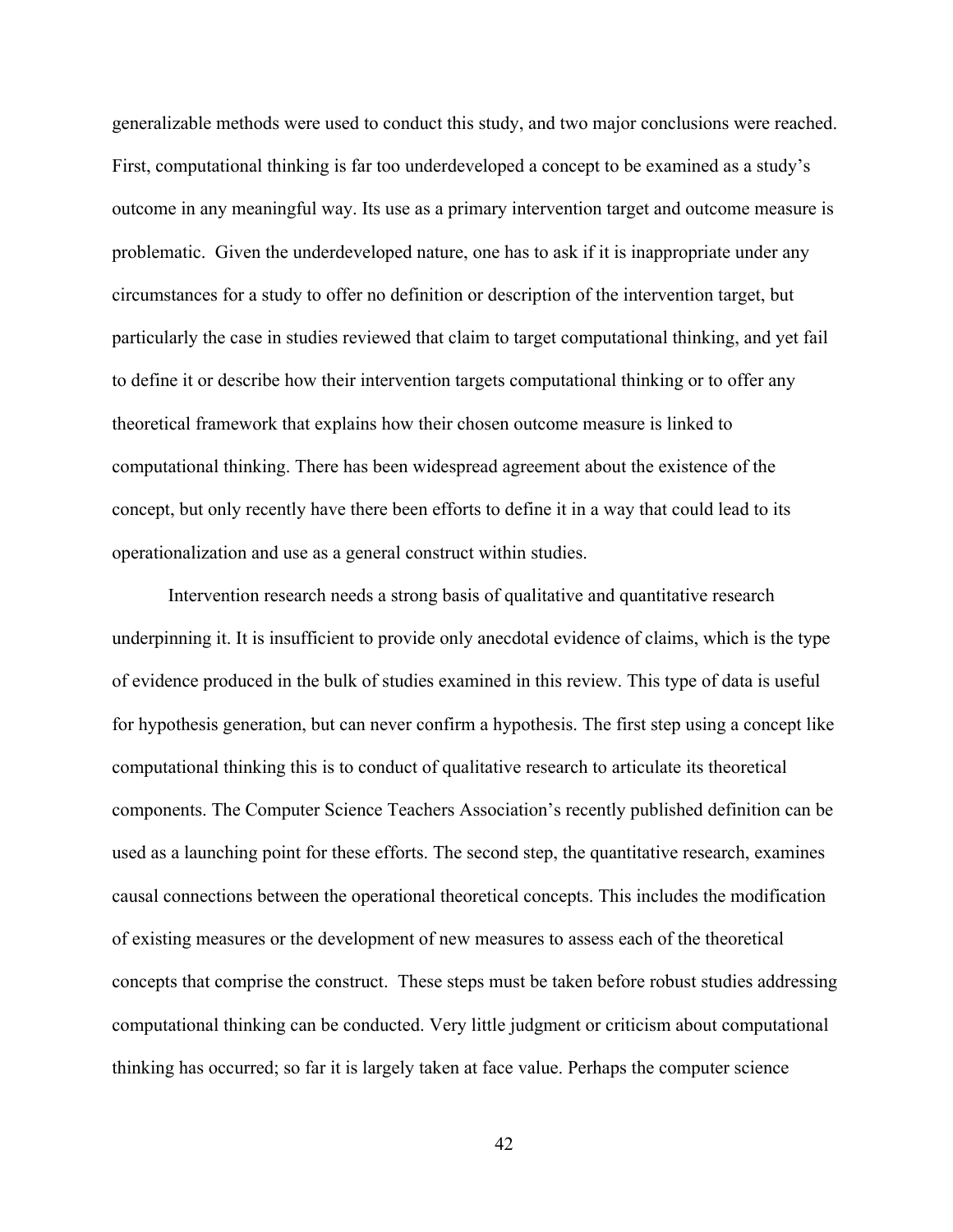generalizable methods were used to conduct this study, and two major conclusions were reached. First, computational thinking is far too underdeveloped a concept to be examined as a study's outcome in any meaningful way. Its use as a primary intervention target and outcome measure is problematic. Given the underdeveloped nature, one has to ask if it is inappropriate under any circumstances for a study to offer no definition or description of the intervention target, but particularly the case in studies reviewed that claim to target computational thinking, and yet fail to define it or describe how their intervention targets computational thinking or to offer any theoretical framework that explains how their chosen outcome measure is linked to computational thinking. There has been widespread agreement about the existence of the concept, but only recently have there been efforts to define it in a way that could lead to its operationalization and use as a general construct within studies.

Intervention research needs a strong basis of qualitative and quantitative research underpinning it. It is insufficient to provide only anecdotal evidence of claims, which is the type of evidence produced in the bulk of studies examined in this review. This type of data is useful for hypothesis generation, but can never confirm a hypothesis. The first step using a concept like computational thinking this is to conduct of qualitative research to articulate its theoretical components. The Computer Science Teachers Association's recently published definition can be used as a launching point for these efforts. The second step, the quantitative research, examines causal connections between the operational theoretical concepts. This includes the modification of existing measures or the development of new measures to assess each of the theoretical concepts that comprise the construct. These steps must be taken before robust studies addressing computational thinking can be conducted. Very little judgment or criticism about computational thinking has occurred; so far it is largely taken at face value. Perhaps the computer science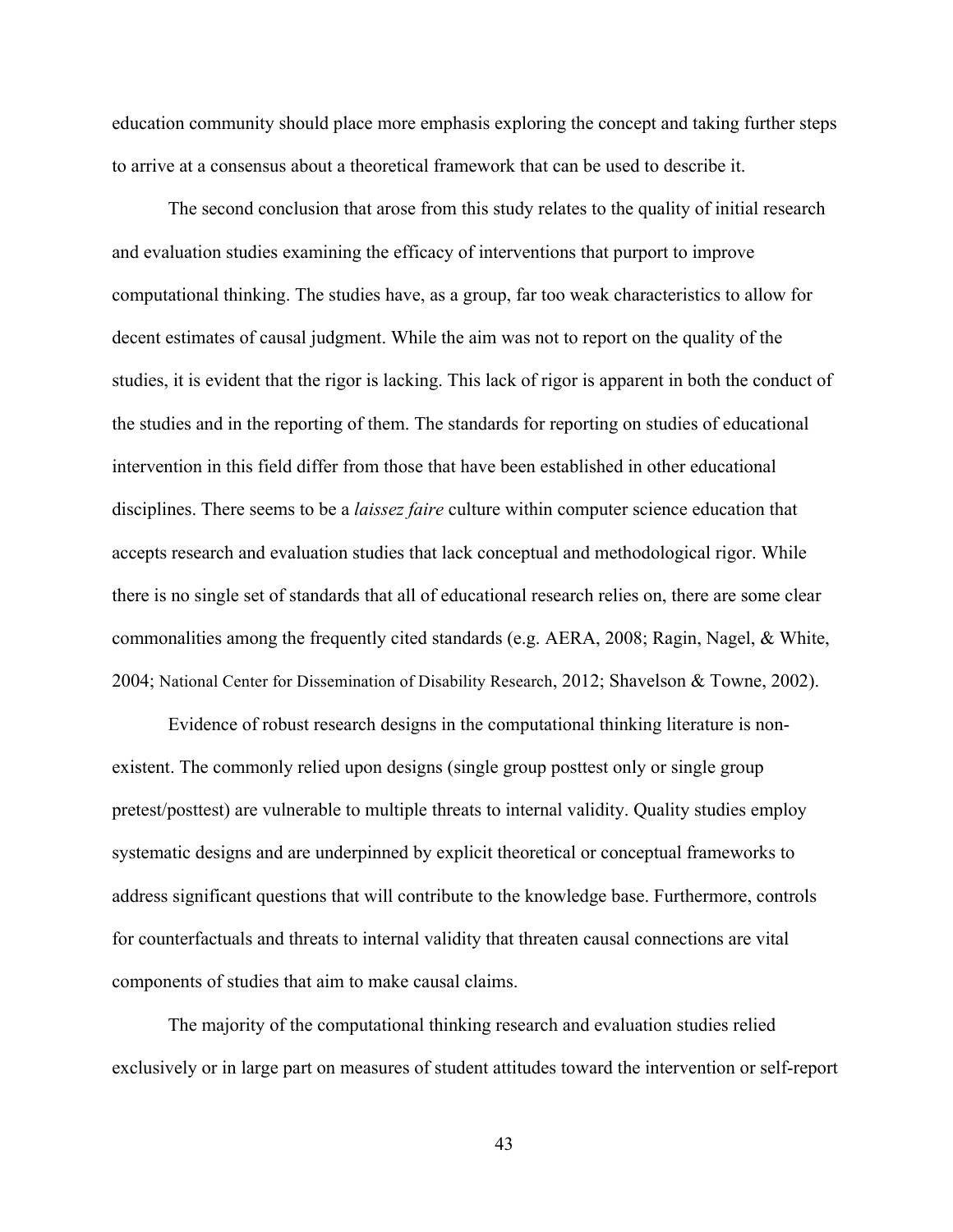education community should place more emphasis exploring the concept and taking further steps to arrive at a consensus about a theoretical framework that can be used to describe it.

The second conclusion that arose from this study relates to the quality of initial research and evaluation studies examining the efficacy of interventions that purport to improve computational thinking. The studies have, as a group, far too weak characteristics to allow for decent estimates of causal judgment. While the aim was not to report on the quality of the studies, it is evident that the rigor is lacking. This lack of rigor is apparent in both the conduct of the studies and in the reporting of them. The standards for reporting on studies of educational intervention in this field differ from those that have been established in other educational disciplines. There seems to be a *laissez faire* culture within computer science education that accepts research and evaluation studies that lack conceptual and methodological rigor. While there is no single set of standards that all of educational research relies on, there are some clear commonalities among the frequently cited standards (e.g. AERA, 2008; Ragin, Nagel, & White, 2004; National Center for Dissemination of Disability Research, 2012; Shavelson & Towne, 2002).

Evidence of robust research designs in the computational thinking literature is nonexistent. The commonly relied upon designs (single group posttest only or single group pretest/posttest) are vulnerable to multiple threats to internal validity. Quality studies employ systematic designs and are underpinned by explicit theoretical or conceptual frameworks to address significant questions that will contribute to the knowledge base. Furthermore, controls for counterfactuals and threats to internal validity that threaten causal connections are vital components of studies that aim to make causal claims.

The majority of the computational thinking research and evaluation studies relied exclusively or in large part on measures of student attitudes toward the intervention or self-report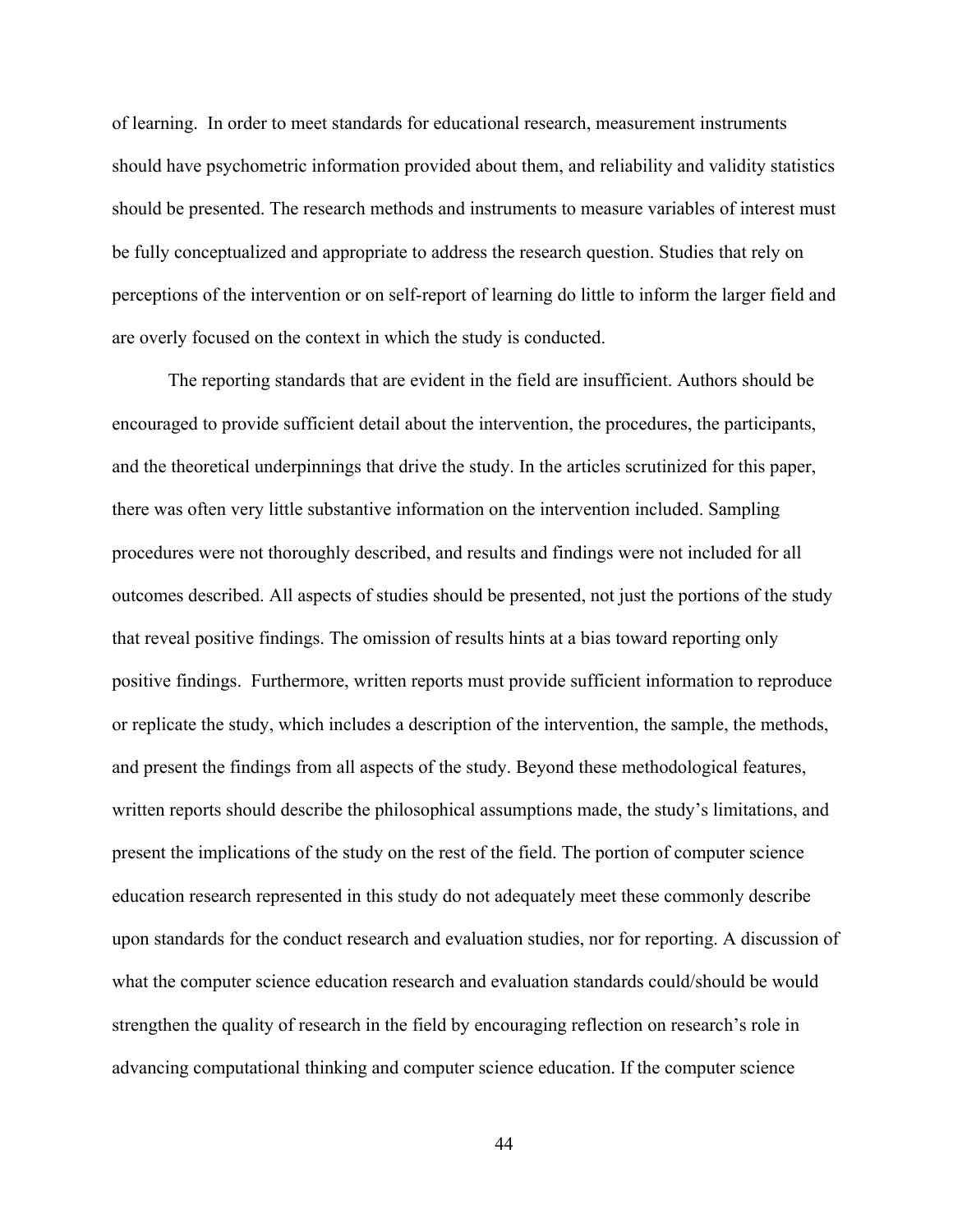of learning. In order to meet standards for educational research, measurement instruments should have psychometric information provided about them, and reliability and validity statistics should be presented. The research methods and instruments to measure variables of interest must be fully conceptualized and appropriate to address the research question. Studies that rely on perceptions of the intervention or on self-report of learning do little to inform the larger field and are overly focused on the context in which the study is conducted.

The reporting standards that are evident in the field are insufficient. Authors should be encouraged to provide sufficient detail about the intervention, the procedures, the participants, and the theoretical underpinnings that drive the study. In the articles scrutinized for this paper, there was often very little substantive information on the intervention included. Sampling procedures were not thoroughly described, and results and findings were not included for all outcomes described. All aspects of studies should be presented, not just the portions of the study that reveal positive findings. The omission of results hints at a bias toward reporting only positive findings. Furthermore, written reports must provide sufficient information to reproduce or replicate the study, which includes a description of the intervention, the sample, the methods, and present the findings from all aspects of the study. Beyond these methodological features, written reports should describe the philosophical assumptions made, the study's limitations, and present the implications of the study on the rest of the field. The portion of computer science education research represented in this study do not adequately meet these commonly describe upon standards for the conduct research and evaluation studies, nor for reporting. A discussion of what the computer science education research and evaluation standards could/should be would strengthen the quality of research in the field by encouraging reflection on research's role in advancing computational thinking and computer science education. If the computer science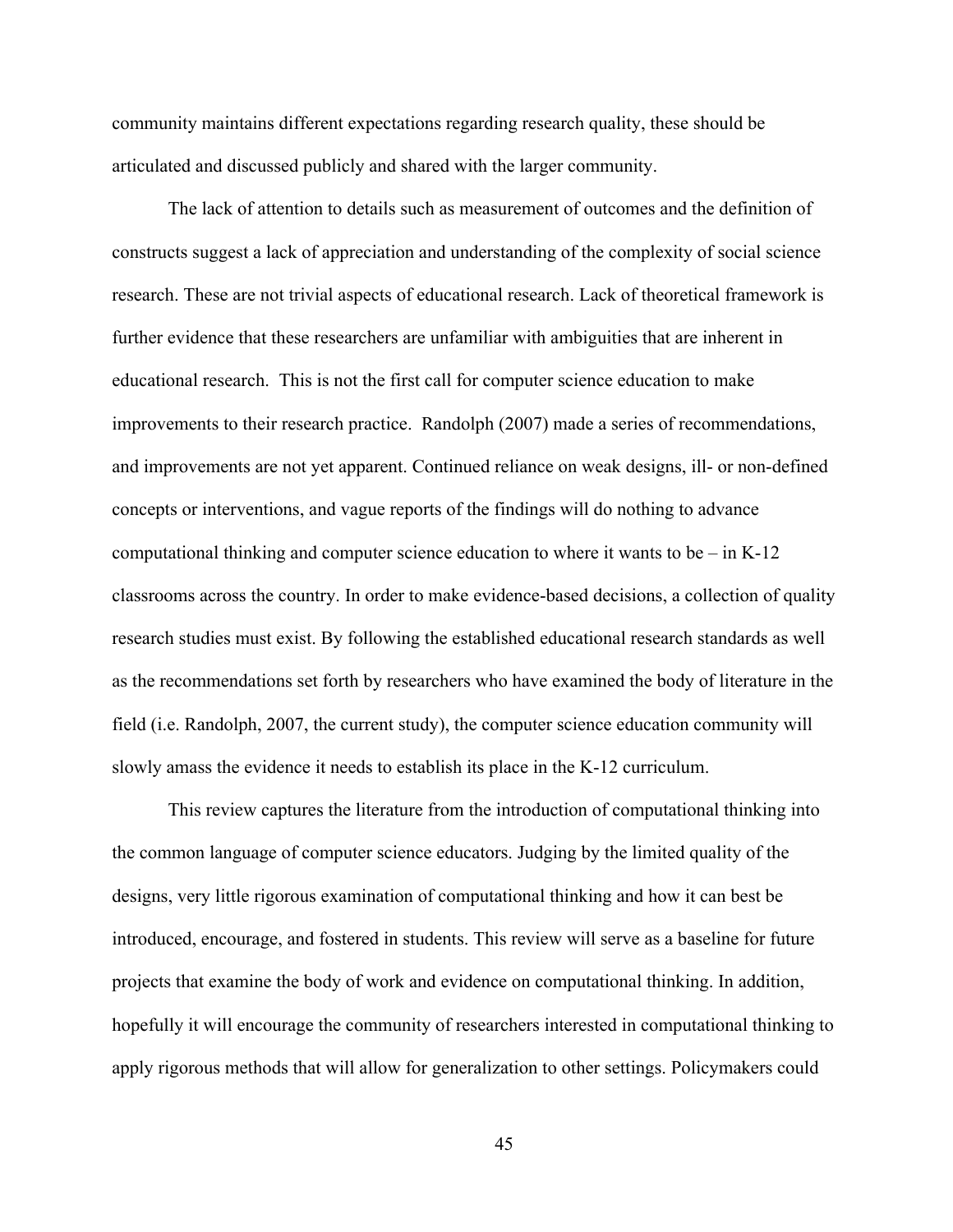community maintains different expectations regarding research quality, these should be articulated and discussed publicly and shared with the larger community.

The lack of attention to details such as measurement of outcomes and the definition of constructs suggest a lack of appreciation and understanding of the complexity of social science research. These are not trivial aspects of educational research. Lack of theoretical framework is further evidence that these researchers are unfamiliar with ambiguities that are inherent in educational research.This is not the first call for computer science education to make improvements to their research practice. Randolph (2007) made a series of recommendations, and improvements are not yet apparent. Continued reliance on weak designs, ill- or non-defined concepts or interventions, and vague reports of the findings will do nothing to advance computational thinking and computer science education to where it wants to be  $-$  in K-12 classrooms across the country. In order to make evidence-based decisions, a collection of quality research studies must exist. By following the established educational research standards as well as the recommendations set forth by researchers who have examined the body of literature in the field (i.e. Randolph, 2007, the current study), the computer science education community will slowly amass the evidence it needs to establish its place in the K-12 curriculum.

This review captures the literature from the introduction of computational thinking into the common language of computer science educators. Judging by the limited quality of the designs, very little rigorous examination of computational thinking and how it can best be introduced, encourage, and fostered in students. This review will serve as a baseline for future projects that examine the body of work and evidence on computational thinking. In addition, hopefully it will encourage the community of researchers interested in computational thinking to apply rigorous methods that will allow for generalization to other settings. Policymakers could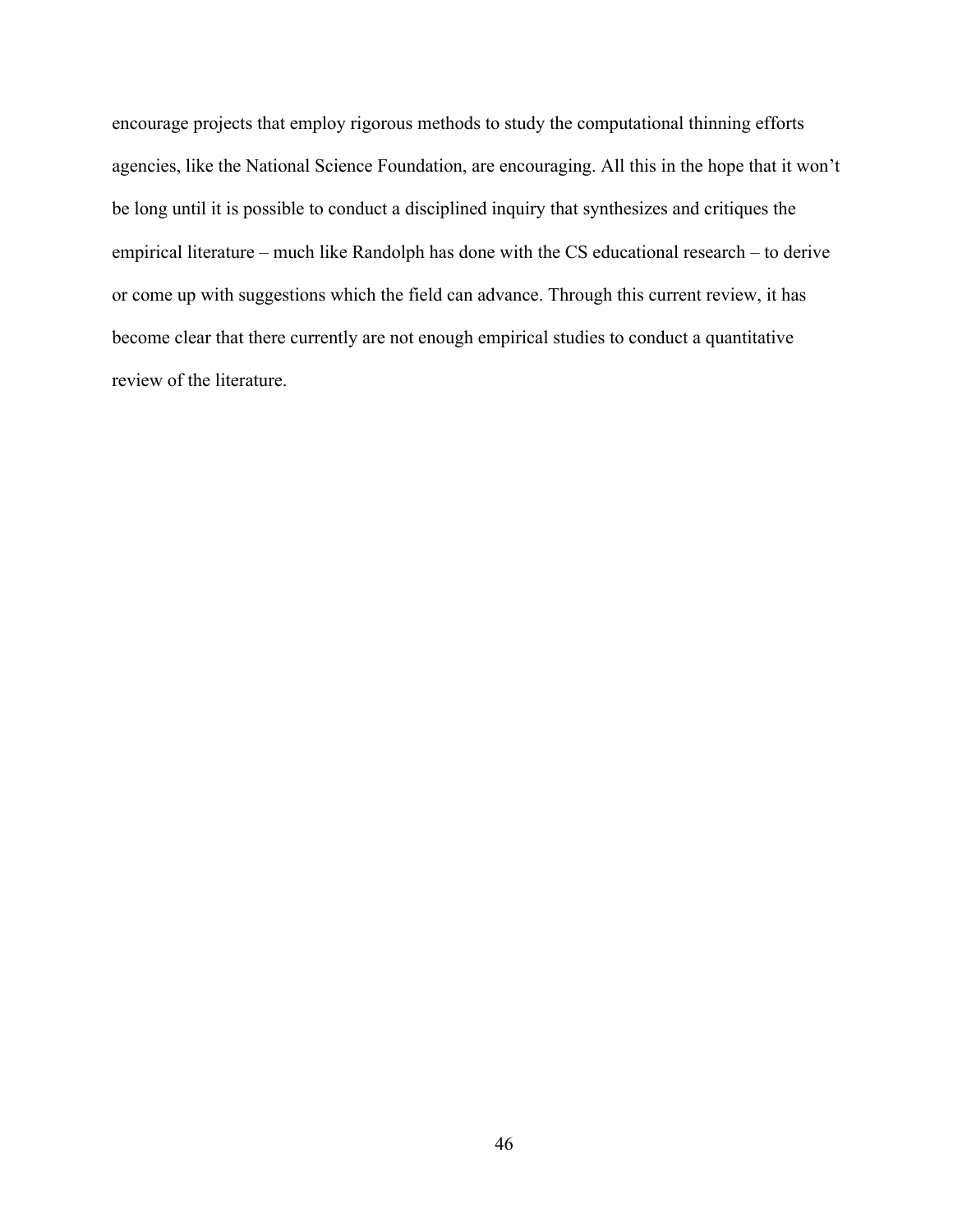encourage projects that employ rigorous methods to study the computational thinning efforts agencies, like the National Science Foundation, are encouraging. All this in the hope that it won't be long until it is possible to conduct a disciplined inquiry that synthesizes and critiques the empirical literature – much like Randolph has done with the CS educational research – to derive or come up with suggestions which the field can advance. Through this current review, it has become clear that there currently are not enough empirical studies to conduct a quantitative review of the literature.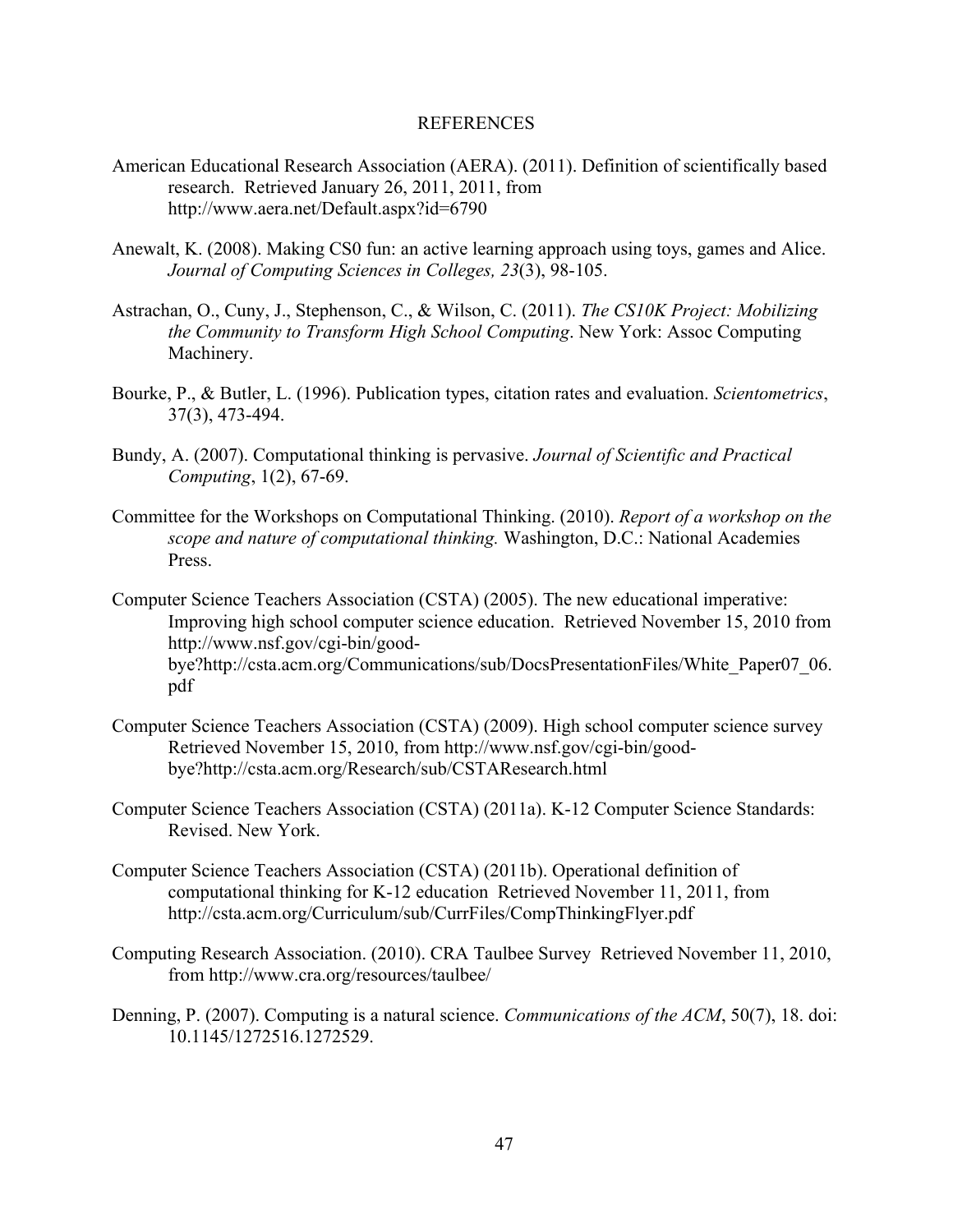## REFERENCES

- American Educational Research Association (AERA). (2011). Definition of scientifically based research. Retrieved January 26, 2011, 2011, from http://www.aera.net/Default.aspx?id=6790
- Anewalt, K. (2008). Making CS0 fun: an active learning approach using toys, games and Alice. *Journal of Computing Sciences in Colleges, 23*(3), 98-105.
- Astrachan, O., Cuny, J., Stephenson, C., & Wilson, C. (2011). *The CS10K Project: Mobilizing the Community to Transform High School Computing*. New York: Assoc Computing Machinery.
- Bourke, P., & Butler, L. (1996). Publication types, citation rates and evaluation. *Scientometrics*, 37(3), 473-494.
- Bundy, A. (2007). Computational thinking is pervasive. *Journal of Scientific and Practical Computing*, 1(2), 67-69.
- Committee for the Workshops on Computational Thinking. (2010). *Report of a workshop on the scope and nature of computational thinking.* Washington, D.C.: National Academies **Press**.
- Computer Science Teachers Association (CSTA) (2005). The new educational imperative: Improving high school computer science education. Retrieved November 15, 2010 from http://www.nsf.gov/cgi-bin/goodbye?http://csta.acm.org/Communications/sub/DocsPresentationFiles/White\_Paper07\_06. pdf
- Computer Science Teachers Association (CSTA) (2009). High school computer science survey Retrieved November 15, 2010, from http://www.nsf.gov/cgi-bin/goodbye?http://csta.acm.org/Research/sub/CSTAResearch.html
- Computer Science Teachers Association (CSTA) (2011a). K-12 Computer Science Standards: Revised. New York.
- Computer Science Teachers Association (CSTA) (2011b). Operational definition of computational thinking for K-12 education Retrieved November 11, 2011, from http://csta.acm.org/Curriculum/sub/CurrFiles/CompThinkingFlyer.pdf
- Computing Research Association. (2010). CRA Taulbee Survey Retrieved November 11, 2010, from http://www.cra.org/resources/taulbee/
- Denning, P. (2007). Computing is a natural science. *Communications of the ACM*, 50(7), 18. doi: 10.1145/1272516.1272529.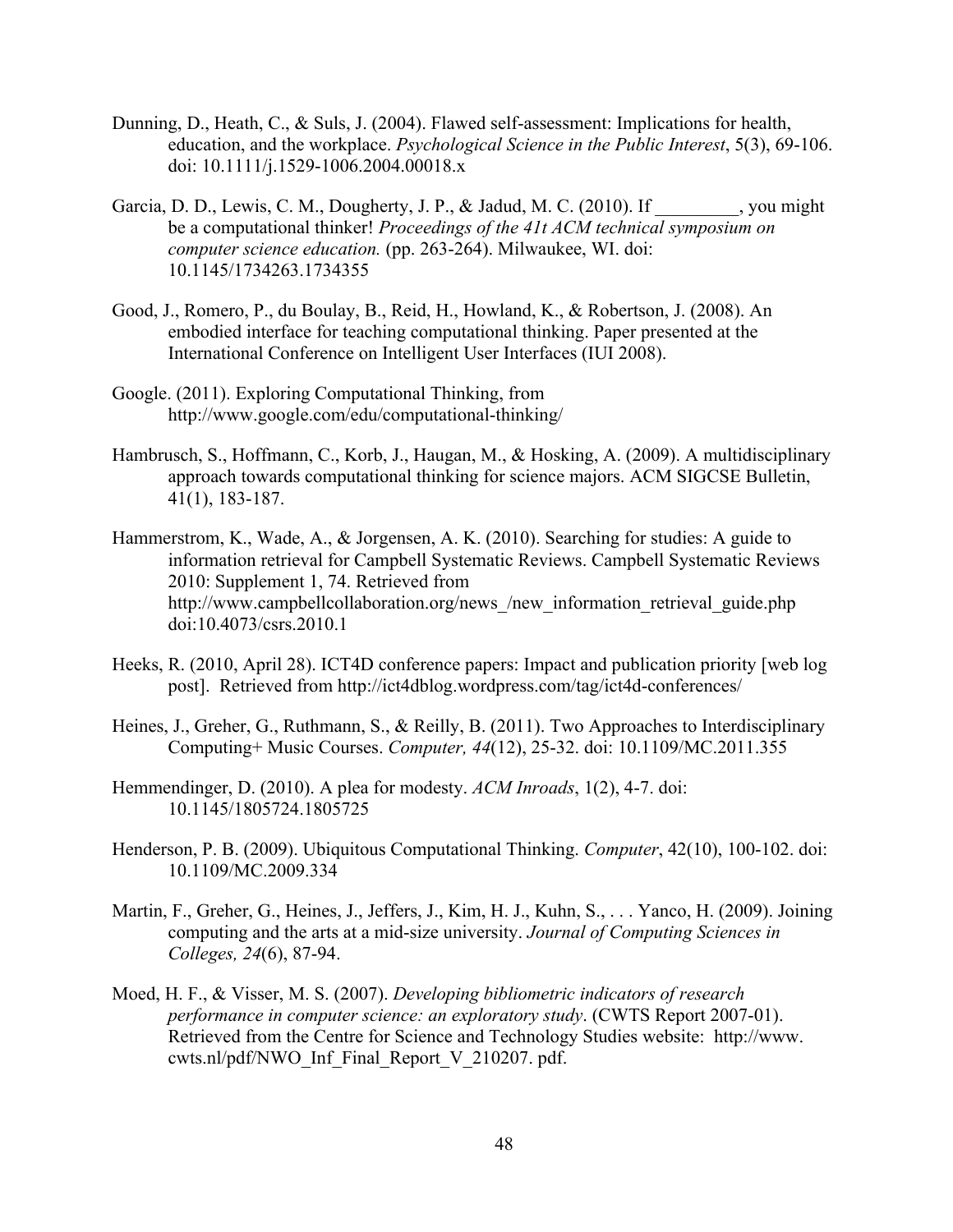- Dunning, D., Heath, C., & Suls, J. (2004). Flawed self-assessment: Implications for health, education, and the workplace. *Psychological Science in the Public Interest*, 5(3), 69-106. doi: 10.1111/j.1529-1006.2004.00018.x
- Garcia, D. D., Lewis, C. M., Dougherty, J. P., & Jadud, M. C. (2010). If you might be a computational thinker! *Proceedings of the 41t ACM technical symposium on computer science education.* (pp. 263-264). Milwaukee, WI. doi: 10.1145/1734263.1734355
- Good, J., Romero, P., du Boulay, B., Reid, H., Howland, K., & Robertson, J. (2008). An embodied interface for teaching computational thinking. Paper presented at the International Conference on Intelligent User Interfaces (IUI 2008).
- Google. (2011). Exploring Computational Thinking, from http://www.google.com/edu/computational-thinking/
- Hambrusch, S., Hoffmann, C., Korb, J., Haugan, M., & Hosking, A. (2009). A multidisciplinary approach towards computational thinking for science majors. ACM SIGCSE Bulletin, 41(1), 183-187.
- Hammerstrom, K., Wade, A., & Jorgensen, A. K. (2010). Searching for studies: A guide to information retrieval for Campbell Systematic Reviews. Campbell Systematic Reviews 2010: Supplement 1, 74. Retrieved from http://www.campbellcollaboration.org/news /new information retrieval guide.php doi:10.4073/csrs.2010.1
- Heeks, R. (2010, April 28). ICT4D conference papers: Impact and publication priority [web log post]. Retrieved from http://ict4dblog.wordpress.com/tag/ict4d-conferences/
- Heines, J., Greher, G., Ruthmann, S., & Reilly, B. (2011). Two Approaches to Interdisciplinary Computing+ Music Courses. *Computer, 44*(12), 25-32. doi: 10.1109/MC.2011.355
- Hemmendinger, D. (2010). A plea for modesty. *ACM Inroads*, 1(2), 4-7. doi: 10.1145/1805724.1805725
- Henderson, P. B. (2009). Ubiquitous Computational Thinking. *Computer*, 42(10), 100-102. doi: 10.1109/MC.2009.334
- Martin, F., Greher, G., Heines, J., Jeffers, J., Kim, H. J., Kuhn, S., . . . Yanco, H. (2009). Joining computing and the arts at a mid-size university. *Journal of Computing Sciences in Colleges, 24*(6), 87-94.
- Moed, H. F., & Visser, M. S. (2007). *Developing bibliometric indicators of research performance in computer science: an exploratory study*. (CWTS Report 2007-01). Retrieved from the Centre for Science and Technology Studies website: http://www. cwts.nl/pdf/NWO\_Inf\_Final\_Report\_V\_210207. pdf.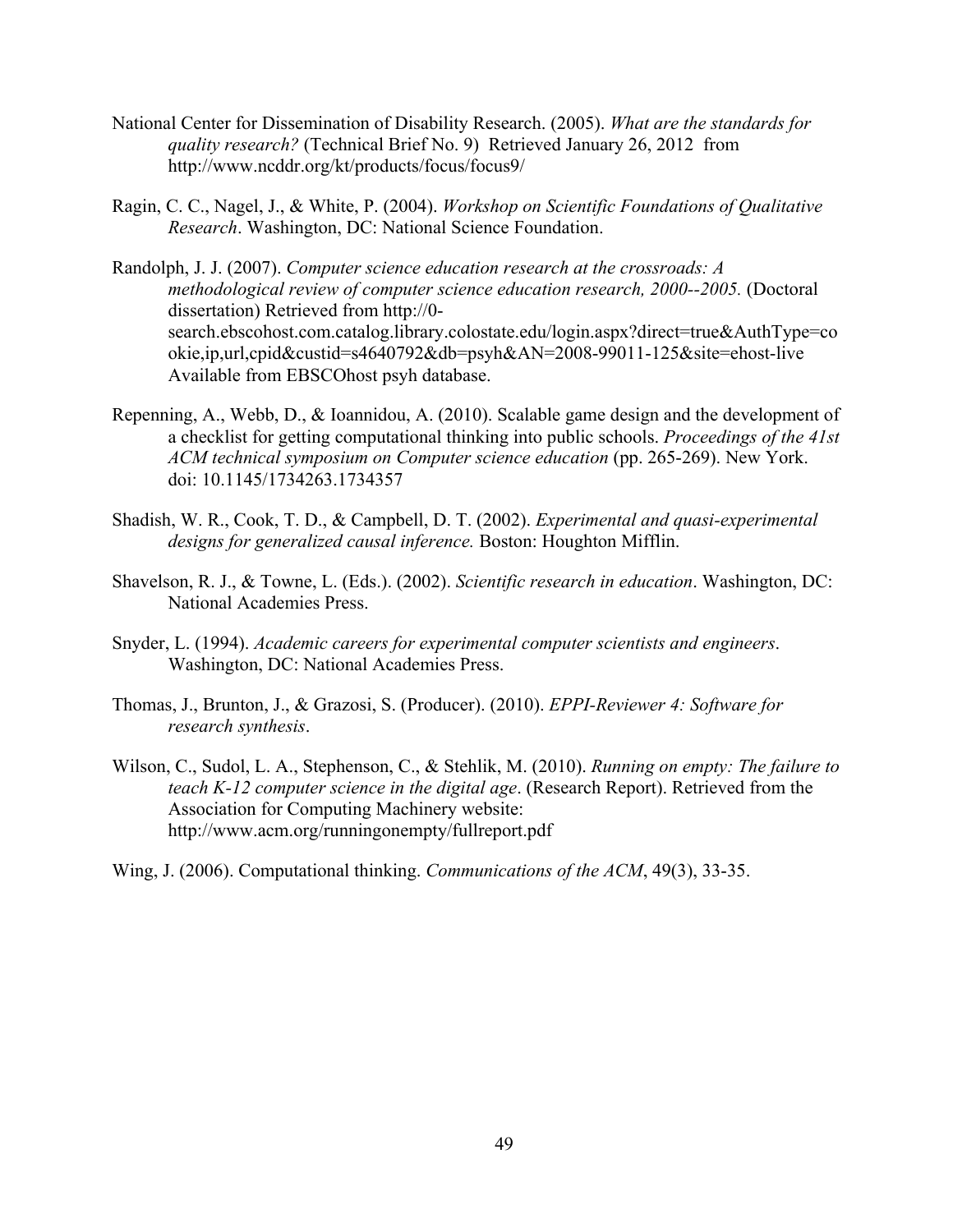- National Center for Dissemination of Disability Research. (2005). *What are the standards for quality research?* (Technical Brief No. 9) Retrieved January 26, 2012 from http://www.ncddr.org/kt/products/focus/focus9/
- Ragin, C. C., Nagel, J., & White, P. (2004). *Workshop on Scientific Foundations of Qualitative Research*. Washington, DC: National Science Foundation.
- Randolph, J. J. (2007). *Computer science education research at the crossroads: A methodological review of computer science education research, 2000--2005.* (Doctoral dissertation) Retrieved from http://0 search.ebscohost.com.catalog.library.colostate.edu/login.aspx?direct=true&AuthType=co okie,ip,url,cpid&custid=s4640792&db=psyh&AN=2008-99011-125&site=ehost-live Available from EBSCOhost psyh database.
- Repenning, A., Webb, D., & Ioannidou, A. (2010). Scalable game design and the development of a checklist for getting computational thinking into public schools. *Proceedings of the 41st ACM technical symposium on Computer science education* (pp. 265-269). New York. doi: 10.1145/1734263.1734357
- Shadish, W. R., Cook, T. D., & Campbell, D. T. (2002). *Experimental and quasi-experimental designs for generalized causal inference.* Boston: Houghton Mifflin.
- Shavelson, R. J., & Towne, L. (Eds.). (2002). *Scientific research in education*. Washington, DC: National Academies Press.
- Snyder, L. (1994). *Academic careers for experimental computer scientists and engineers*. Washington, DC: National Academies Press.
- Thomas, J., Brunton, J., & Grazosi, S. (Producer). (2010). *EPPI-Reviewer 4: Software for research synthesis*.
- Wilson, C., Sudol, L. A., Stephenson, C., & Stehlik, M. (2010). *Running on empty: The failure to teach K-12 computer science in the digital age*. (Research Report). Retrieved from the Association for Computing Machinery website: http://www.acm.org/runningonempty/fullreport.pdf

Wing, J. (2006). Computational thinking. *Communications of the ACM*, 49(3), 33-35.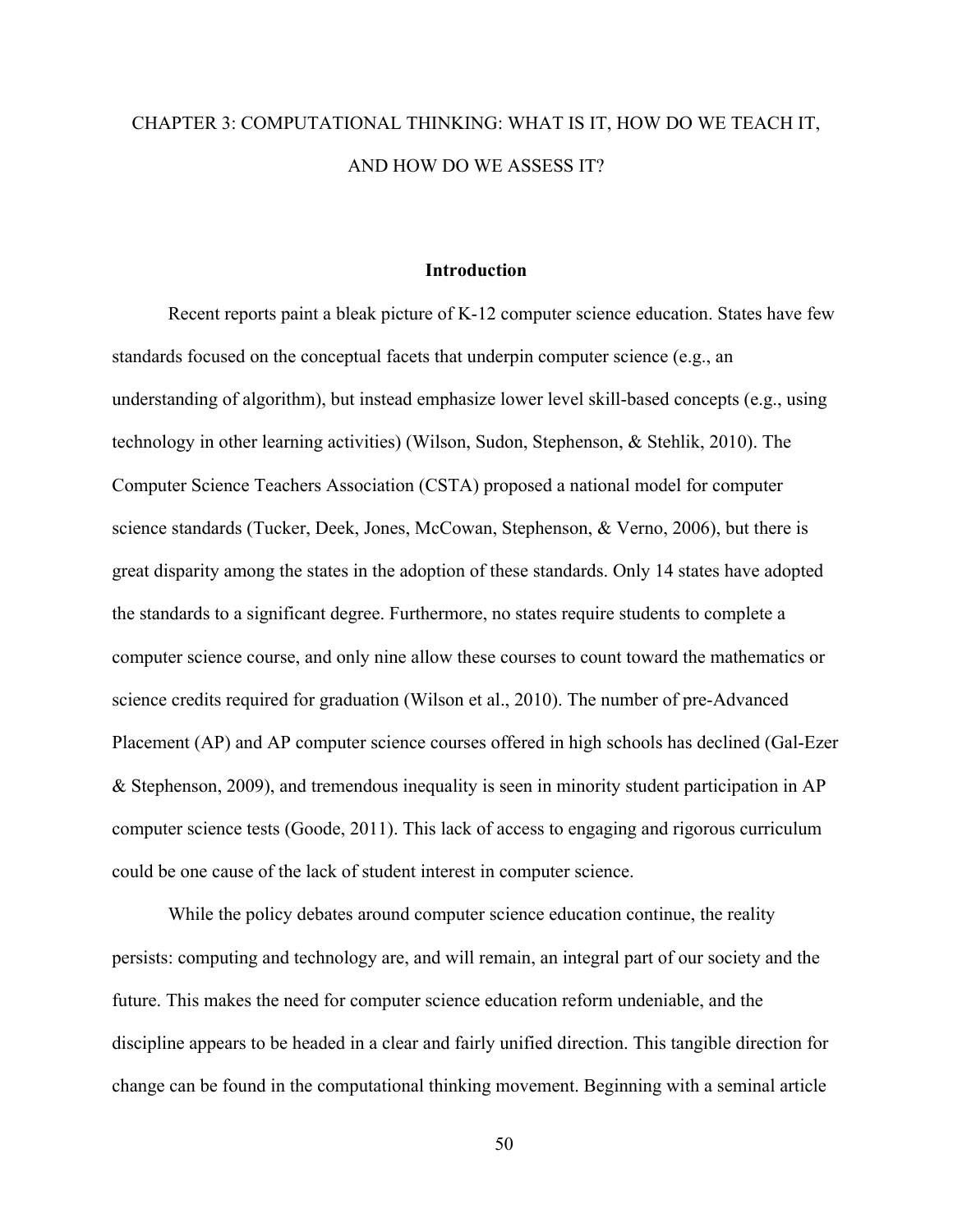# CHAPTER 3: COMPUTATIONAL THINKING: WHAT IS IT, HOW DO WE TEACH IT, AND HOW DO WE ASSESS IT?

#### **Introduction**

Recent reports paint a bleak picture of K-12 computer science education. States have few standards focused on the conceptual facets that underpin computer science (e.g., an understanding of algorithm), but instead emphasize lower level skill-based concepts (e.g., using technology in other learning activities) (Wilson, Sudon, Stephenson, & Stehlik, 2010). The Computer Science Teachers Association (CSTA) proposed a national model for computer science standards (Tucker, Deek, Jones, McCowan, Stephenson, & Verno, 2006), but there is great disparity among the states in the adoption of these standards. Only 14 states have adopted the standards to a significant degree. Furthermore, no states require students to complete a computer science course, and only nine allow these courses to count toward the mathematics or science credits required for graduation (Wilson et al., 2010). The number of pre-Advanced Placement (AP) and AP computer science courses offered in high schools has declined (Gal-Ezer & Stephenson, 2009), and tremendous inequality is seen in minority student participation in AP computer science tests (Goode, 2011). This lack of access to engaging and rigorous curriculum could be one cause of the lack of student interest in computer science.

While the policy debates around computer science education continue, the reality persists: computing and technology are, and will remain, an integral part of our society and the future. This makes the need for computer science education reform undeniable, and the discipline appears to be headed in a clear and fairly unified direction. This tangible direction for change can be found in the computational thinking movement. Beginning with a seminal article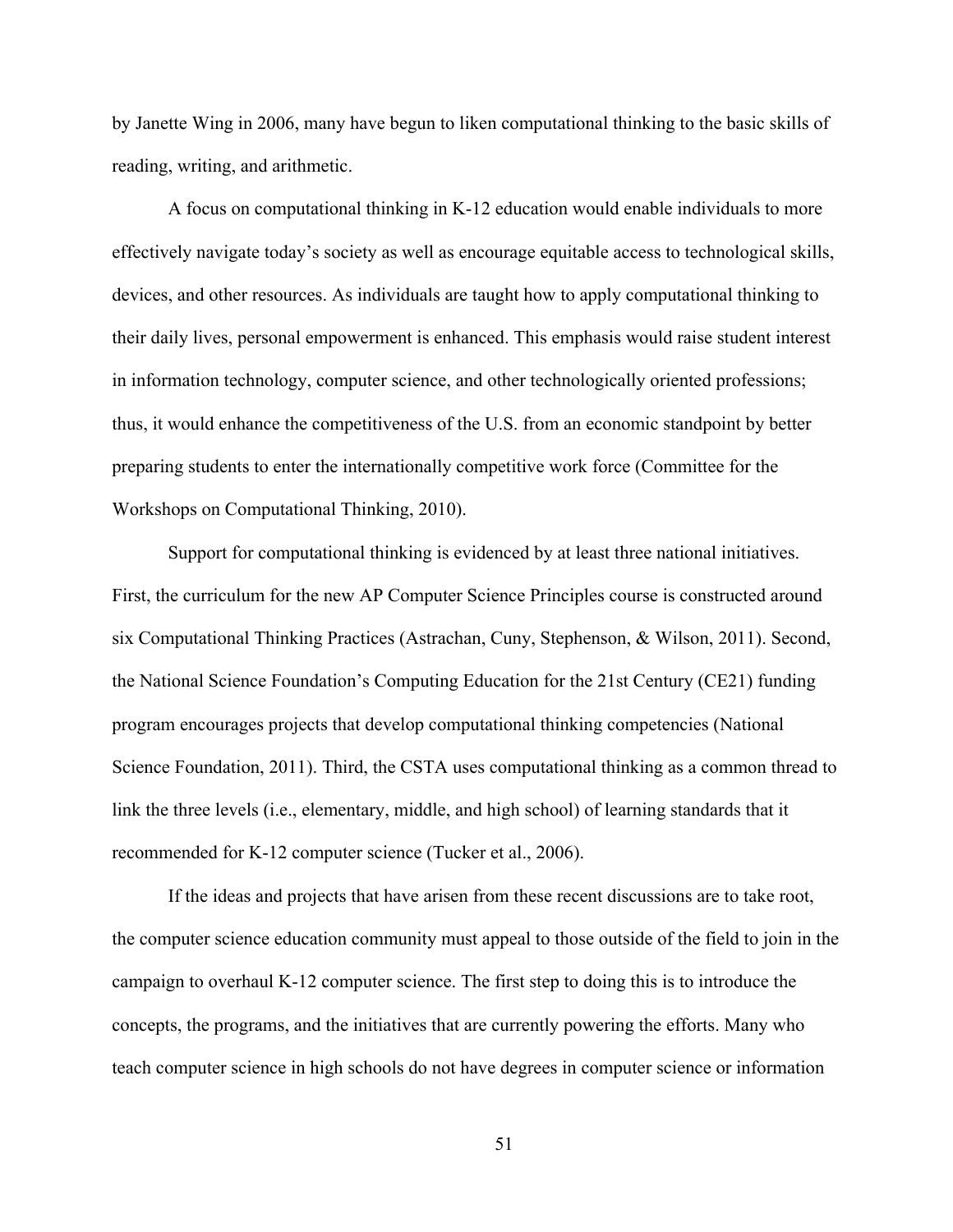by Janette Wing in 2006, many have begun to liken computational thinking to the basic skills of reading, writing, and arithmetic.

A focus on computational thinking in K-12 education would enable individuals to more effectively navigate today's society as well as encourage equitable access to technological skills, devices, and other resources. As individuals are taught how to apply computational thinking to their daily lives, personal empowerment is enhanced. This emphasis would raise student interest in information technology, computer science, and other technologically oriented professions; thus, it would enhance the competitiveness of the U.S. from an economic standpoint by better preparing students to enter the internationally competitive work force (Committee for the Workshops on Computational Thinking, 2010).

Support for computational thinking is evidenced by at least three national initiatives. First, the curriculum for the new AP Computer Science Principles course is constructed around six Computational Thinking Practices (Astrachan, Cuny, Stephenson, & Wilson, 2011). Second, the National Science Foundation's Computing Education for the 21st Century (CE21) funding program encourages projects that develop computational thinking competencies (National Science Foundation, 2011). Third, the CSTA uses computational thinking as a common thread to link the three levels (i.e., elementary, middle, and high school) of learning standards that it recommended for K-12 computer science (Tucker et al., 2006).

If the ideas and projects that have arisen from these recent discussions are to take root, the computer science education community must appeal to those outside of the field to join in the campaign to overhaul K-12 computer science. The first step to doing this is to introduce the concepts, the programs, and the initiatives that are currently powering the efforts. Many who teach computer science in high schools do not have degrees in computer science or information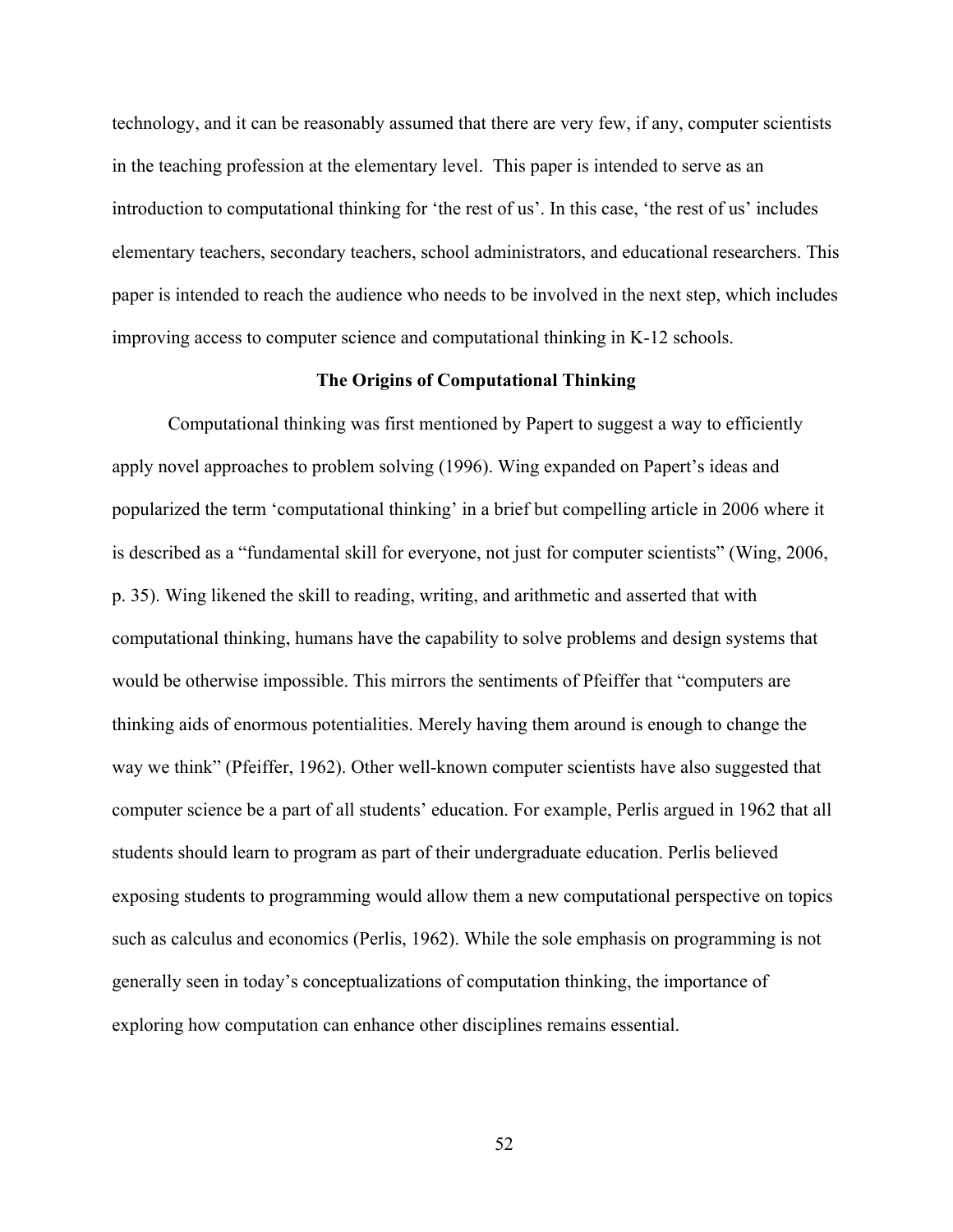technology, and it can be reasonably assumed that there are very few, if any, computer scientists in the teaching profession at the elementary level. This paper is intended to serve as an introduction to computational thinking for 'the rest of us'. In this case, 'the rest of us' includes elementary teachers, secondary teachers, school administrators, and educational researchers. This paper is intended to reach the audience who needs to be involved in the next step, which includes improving access to computer science and computational thinking in K-12 schools.

## **The Origins of Computational Thinking**

Computational thinking was first mentioned by Papert to suggest a way to efficiently apply novel approaches to problem solving (1996). Wing expanded on Papert's ideas and popularized the term 'computational thinking' in a brief but compelling article in 2006 where it is described as a "fundamental skill for everyone, not just for computer scientists" (Wing, 2006, p. 35). Wing likened the skill to reading, writing, and arithmetic and asserted that with computational thinking, humans have the capability to solve problems and design systems that would be otherwise impossible. This mirrors the sentiments of Pfeiffer that "computers are thinking aids of enormous potentialities. Merely having them around is enough to change the way we think" (Pfeiffer, 1962). Other well-known computer scientists have also suggested that computer science be a part of all students' education. For example, Perlis argued in 1962 that all students should learn to program as part of their undergraduate education. Perlis believed exposing students to programming would allow them a new computational perspective on topics such as calculus and economics (Perlis, 1962). While the sole emphasis on programming is not generally seen in today's conceptualizations of computation thinking, the importance of exploring how computation can enhance other disciplines remains essential.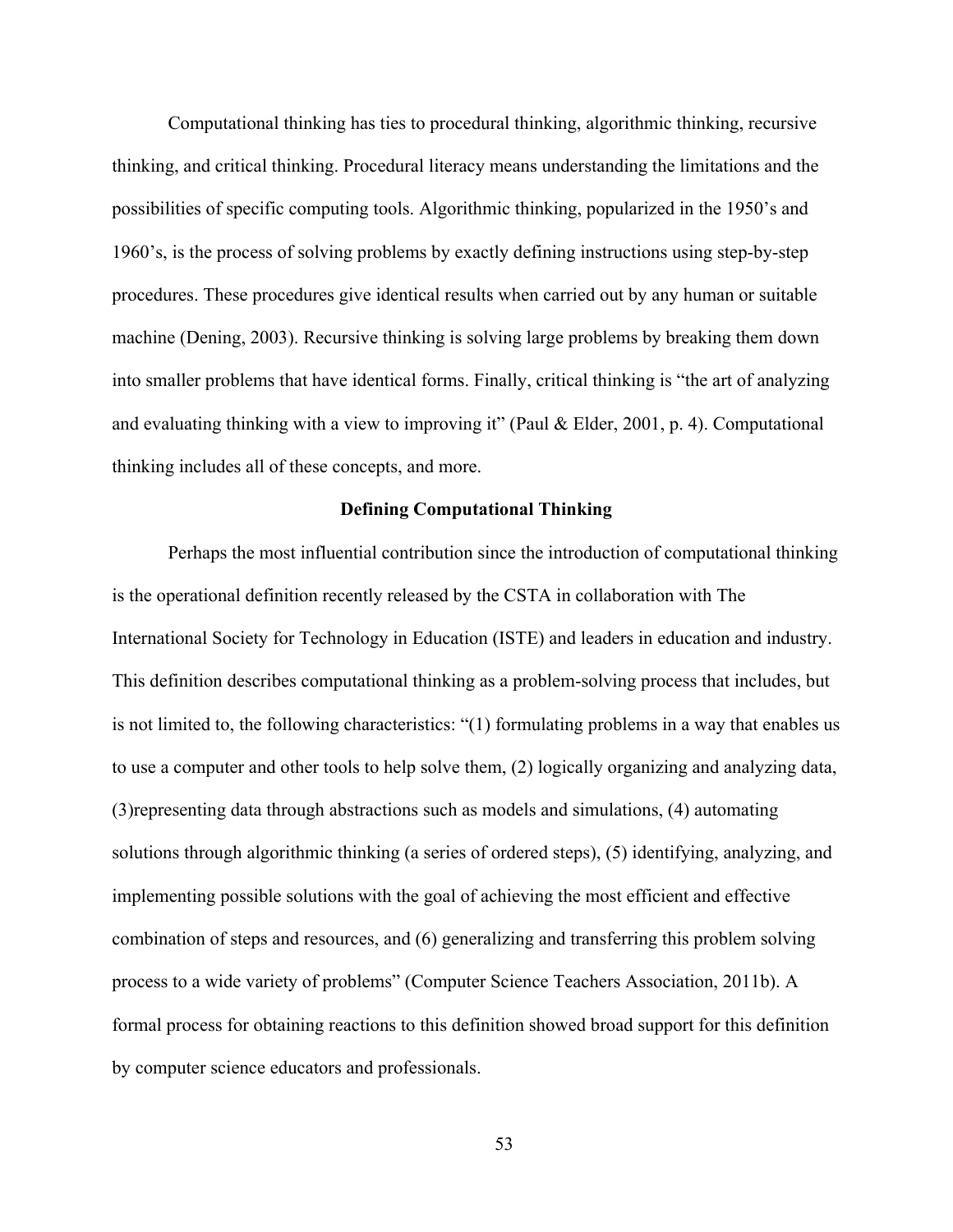Computational thinking has ties to procedural thinking, algorithmic thinking, recursive thinking, and critical thinking. Procedural literacy means understanding the limitations and the possibilities of specific computing tools. Algorithmic thinking, popularized in the 1950's and 1960's, is the process of solving problems by exactly defining instructions using step-by-step procedures. These procedures give identical results when carried out by any human or suitable machine (Dening, 2003). Recursive thinking is solving large problems by breaking them down into smaller problems that have identical forms. Finally, critical thinking is "the art of analyzing and evaluating thinking with a view to improving it" (Paul  $\&$  Elder, 2001, p. 4). Computational thinking includes all of these concepts, and more.

## **Defining Computational Thinking**

Perhaps the most influential contribution since the introduction of computational thinking is the operational definition recently released by the CSTA in collaboration with The International Society for Technology in Education (ISTE) and leaders in education and industry. This definition describes computational thinking as a problem-solving process that includes, but is not limited to, the following characteristics: "(1) formulating problems in a way that enables us to use a computer and other tools to help solve them, (2) logically organizing and analyzing data, (3)representing data through abstractions such as models and simulations, (4) automating solutions through algorithmic thinking (a series of ordered steps), (5) identifying, analyzing, and implementing possible solutions with the goal of achieving the most efficient and effective combination of steps and resources, and (6) generalizing and transferring this problem solving process to a wide variety of problems" (Computer Science Teachers Association, 2011b). A formal process for obtaining reactions to this definition showed broad support for this definition by computer science educators and professionals.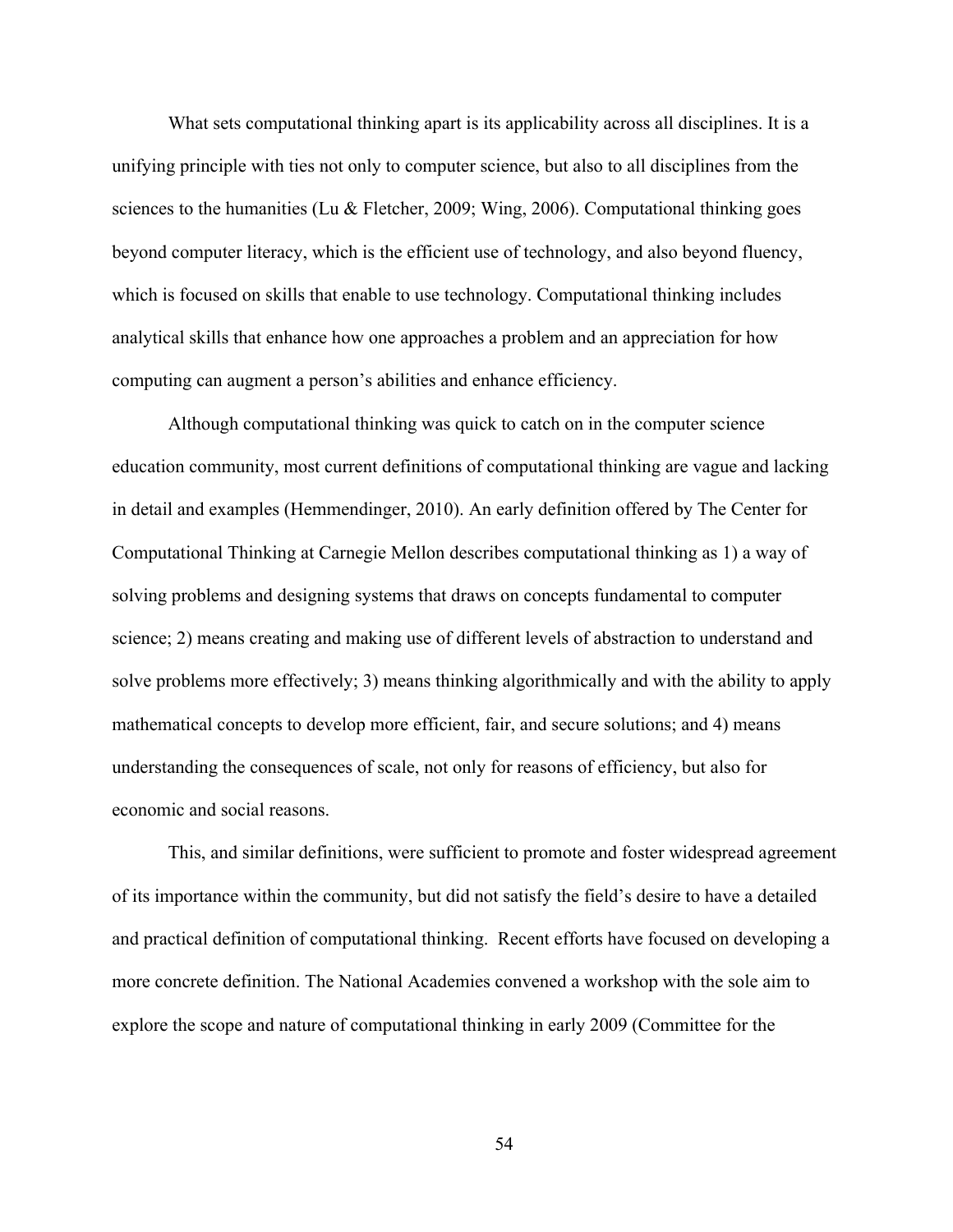What sets computational thinking apart is its applicability across all disciplines. It is a unifying principle with ties not only to computer science, but also to all disciplines from the sciences to the humanities (Lu & Fletcher, 2009; Wing, 2006). Computational thinking goes beyond computer literacy, which is the efficient use of technology, and also beyond fluency, which is focused on skills that enable to use technology. Computational thinking includes analytical skills that enhance how one approaches a problem and an appreciation for how computing can augment a person's abilities and enhance efficiency.

Although computational thinking was quick to catch on in the computer science education community, most current definitions of computational thinking are vague and lacking in detail and examples (Hemmendinger, 2010). An early definition offered by The Center for Computational Thinking at Carnegie Mellon describes computational thinking as 1) a way of solving problems and designing systems that draws on concepts fundamental to computer science; 2) means creating and making use of different levels of abstraction to understand and solve problems more effectively; 3) means thinking algorithmically and with the ability to apply mathematical concepts to develop more efficient, fair, and secure solutions; and 4) means understanding the consequences of scale, not only for reasons of efficiency, but also for economic and social reasons.

This, and similar definitions, were sufficient to promote and foster widespread agreement of its importance within the community, but did not satisfy the field's desire to have a detailed and practical definition of computational thinking. Recent efforts have focused on developing a more concrete definition. The National Academies convened a workshop with the sole aim to explore the scope and nature of computational thinking in early 2009 (Committee for the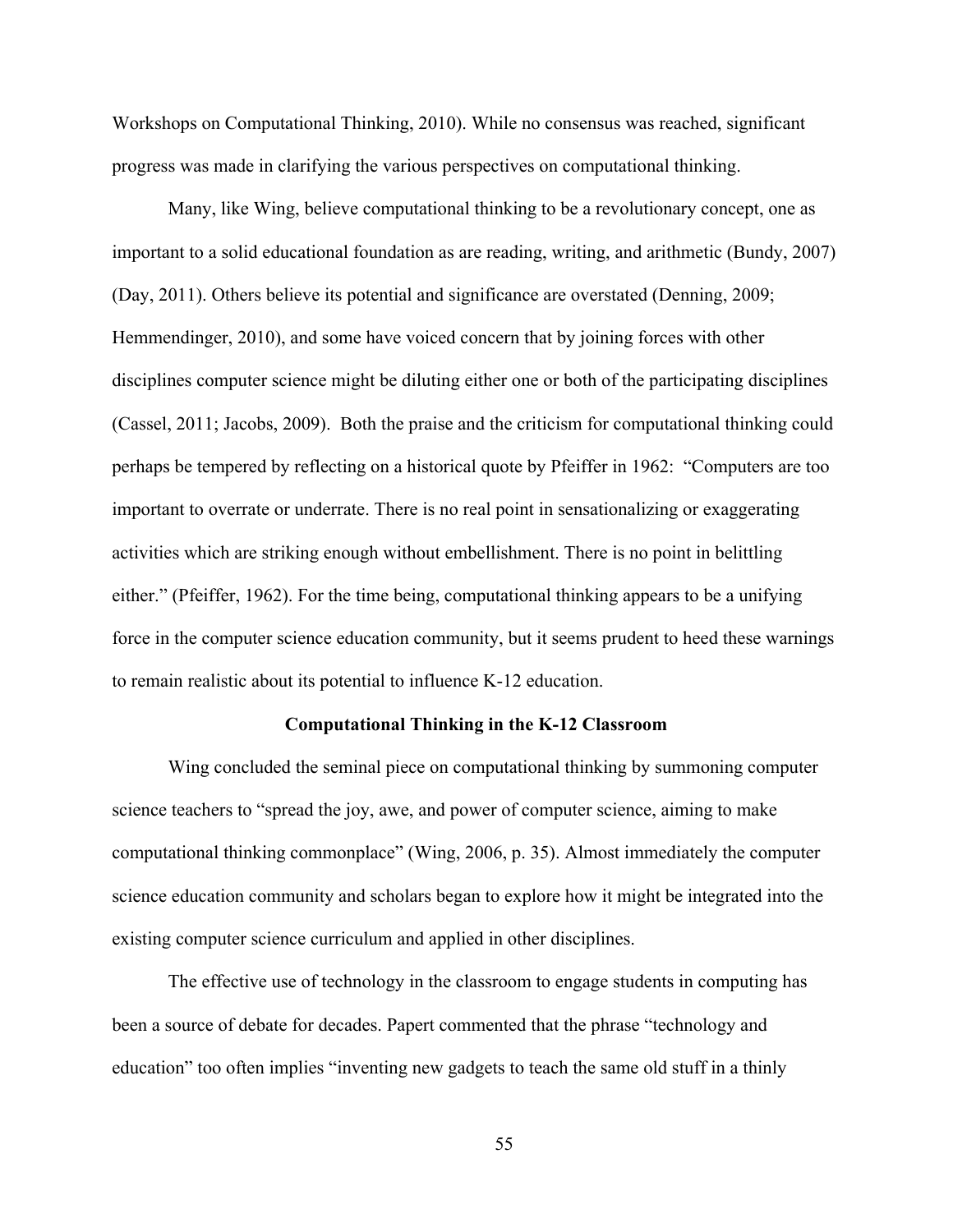Workshops on Computational Thinking, 2010). While no consensus was reached, significant progress was made in clarifying the various perspectives on computational thinking.

Many, like Wing, believe computational thinking to be a revolutionary concept, one as important to a solid educational foundation as are reading, writing, and arithmetic (Bundy, 2007) (Day, 2011). Others believe its potential and significance are overstated (Denning, 2009; Hemmendinger, 2010), and some have voiced concern that by joining forces with other disciplines computer science might be diluting either one or both of the participating disciplines (Cassel, 2011; Jacobs, 2009). Both the praise and the criticism for computational thinking could perhaps be tempered by reflecting on a historical quote by Pfeiffer in 1962: "Computers are too important to overrate or underrate. There is no real point in sensationalizing or exaggerating activities which are striking enough without embellishment. There is no point in belittling either." (Pfeiffer, 1962). For the time being, computational thinking appears to be a unifying force in the computer science education community, but it seems prudent to heed these warnings to remain realistic about its potential to influence K-12 education.

#### **Computational Thinking in the K-12 Classroom**

Wing concluded the seminal piece on computational thinking by summoning computer science teachers to "spread the joy, awe, and power of computer science, aiming to make computational thinking commonplace" (Wing, 2006, p. 35). Almost immediately the computer science education community and scholars began to explore how it might be integrated into the existing computer science curriculum and applied in other disciplines.

The effective use of technology in the classroom to engage students in computing has been a source of debate for decades. Papert commented that the phrase "technology and education" too often implies "inventing new gadgets to teach the same old stuff in a thinly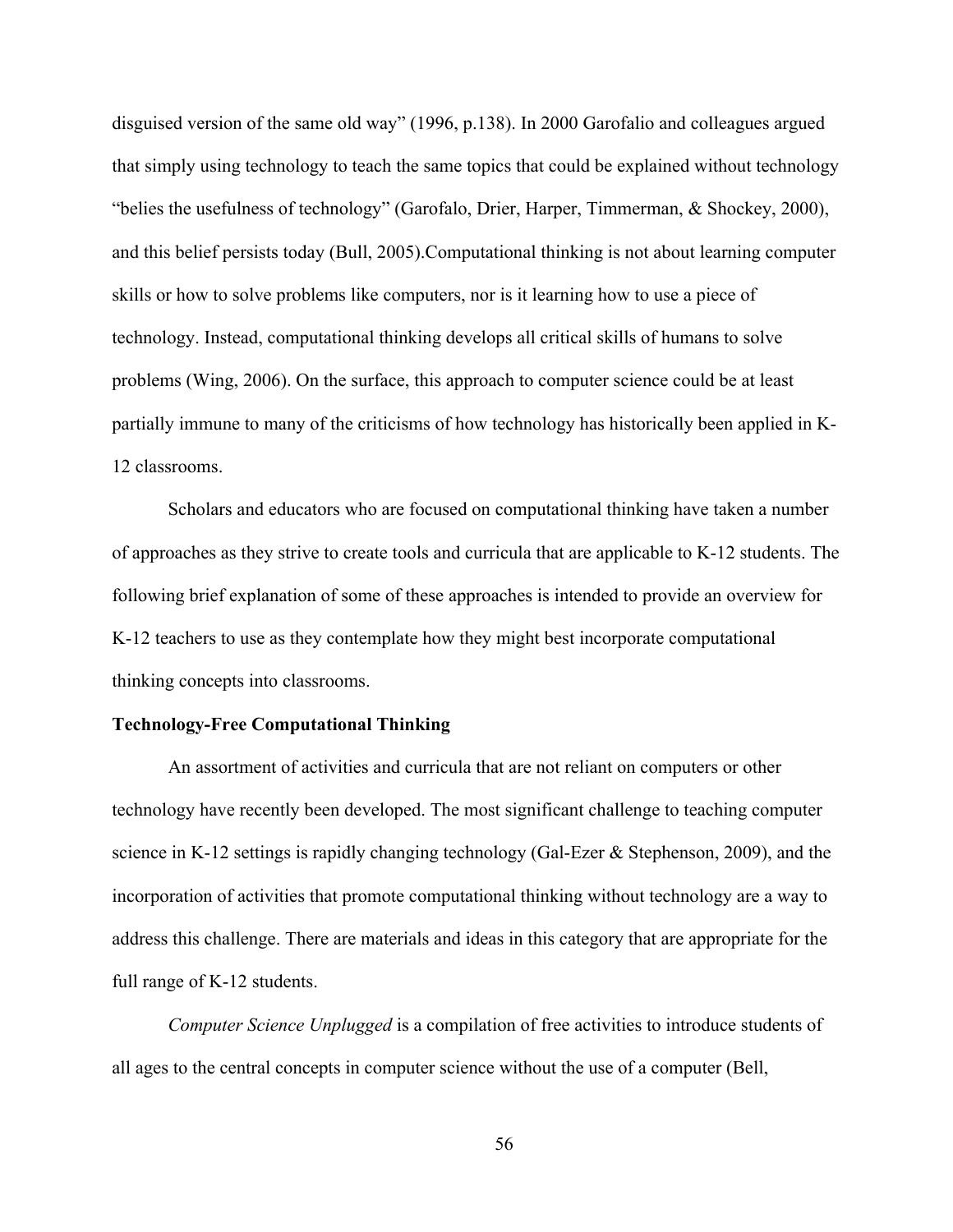disguised version of the same old way" (1996, p.138). In 2000 Garofalio and colleagues argued that simply using technology to teach the same topics that could be explained without technology "belies the usefulness of technology" (Garofalo, Drier, Harper, Timmerman, & Shockey, 2000), and this belief persists today (Bull, 2005).Computational thinking is not about learning computer skills or how to solve problems like computers, nor is it learning how to use a piece of technology. Instead, computational thinking develops all critical skills of humans to solve problems (Wing, 2006). On the surface, this approach to computer science could be at least partially immune to many of the criticisms of how technology has historically been applied in K-12 classrooms.

Scholars and educators who are focused on computational thinking have taken a number of approaches as they strive to create tools and curricula that are applicable to K-12 students. The following brief explanation of some of these approaches is intended to provide an overview for K-12 teachers to use as they contemplate how they might best incorporate computational thinking concepts into classrooms.

## **Technology-Free Computational Thinking**

An assortment of activities and curricula that are not reliant on computers or other technology have recently been developed. The most significant challenge to teaching computer science in K-12 settings is rapidly changing technology (Gal-Ezer & Stephenson, 2009), and the incorporation of activities that promote computational thinking without technology are a way to address this challenge. There are materials and ideas in this category that are appropriate for the full range of K-12 students.

*Computer Science Unplugged* is a compilation of free activities to introduce students of all ages to the central concepts in computer science without the use of a computer (Bell,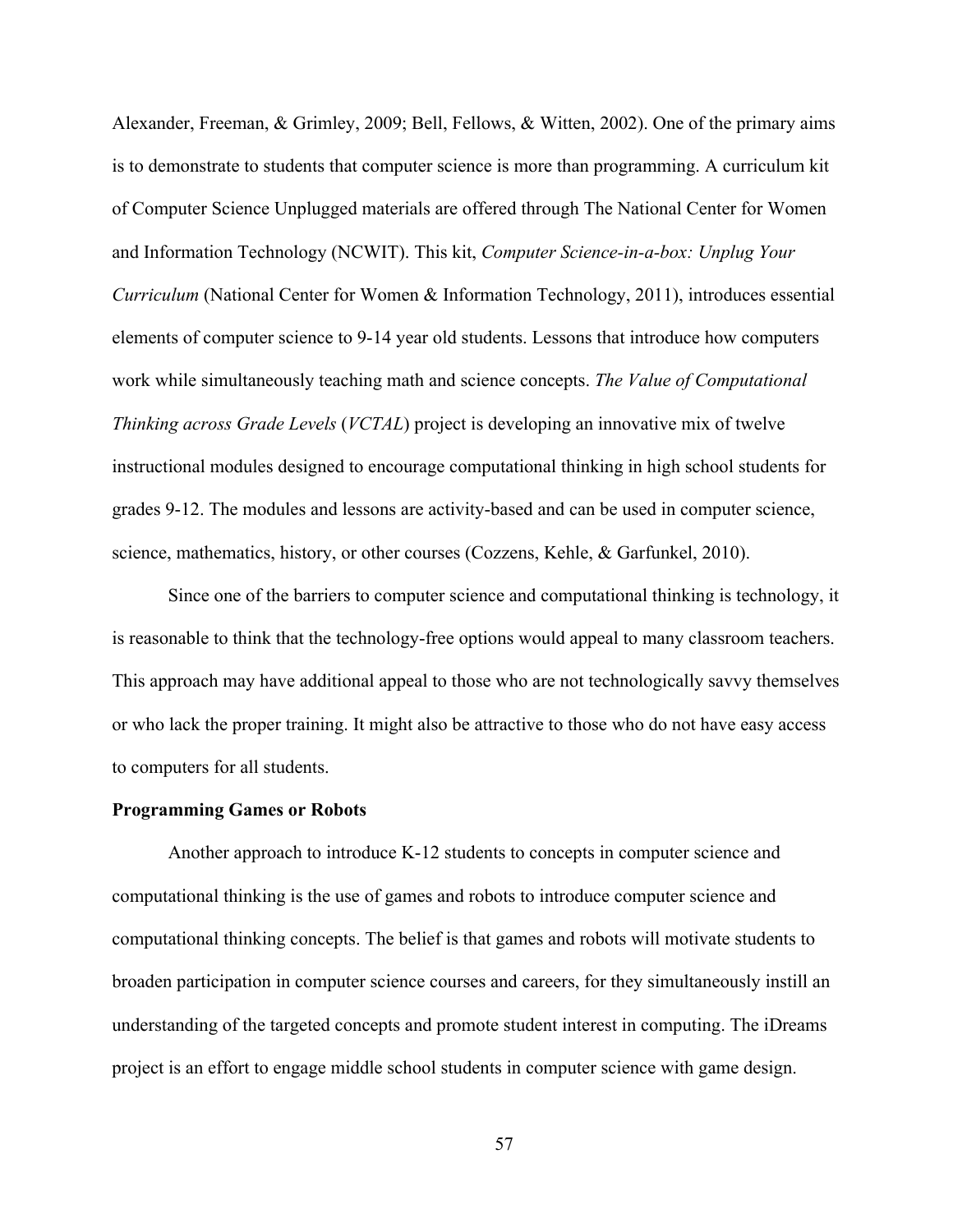Alexander, Freeman, & Grimley, 2009; Bell, Fellows, & Witten, 2002). One of the primary aims is to demonstrate to students that computer science is more than programming. A curriculum kit of Computer Science Unplugged materials are offered through The National Center for Women and Information Technology (NCWIT). This kit, *Computer Science-in-a-box: Unplug Your Curriculum* (National Center for Women & Information Technology, 2011), introduces essential elements of computer science to 9-14 year old students. Lessons that introduce how computers work while simultaneously teaching math and science concepts. *The Value of Computational Thinking across Grade Levels* (*VCTAL*) project is developing an innovative mix of twelve instructional modules designed to encourage computational thinking in high school students for grades 9-12. The modules and lessons are activity-based and can be used in computer science, science, mathematics, history, or other courses (Cozzens, Kehle, & Garfunkel, 2010).

Since one of the barriers to computer science and computational thinking is technology, it is reasonable to think that the technology-free options would appeal to many classroom teachers. This approach may have additional appeal to those who are not technologically savvy themselves or who lack the proper training. It might also be attractive to those who do not have easy access to computers for all students.

## **Programming Games or Robots**

Another approach to introduce K-12 students to concepts in computer science and computational thinking is the use of games and robots to introduce computer science and computational thinking concepts. The belief is that games and robots will motivate students to broaden participation in computer science courses and careers, for they simultaneously instill an understanding of the targeted concepts and promote student interest in computing. The iDreams project is an effort to engage middle school students in computer science with game design.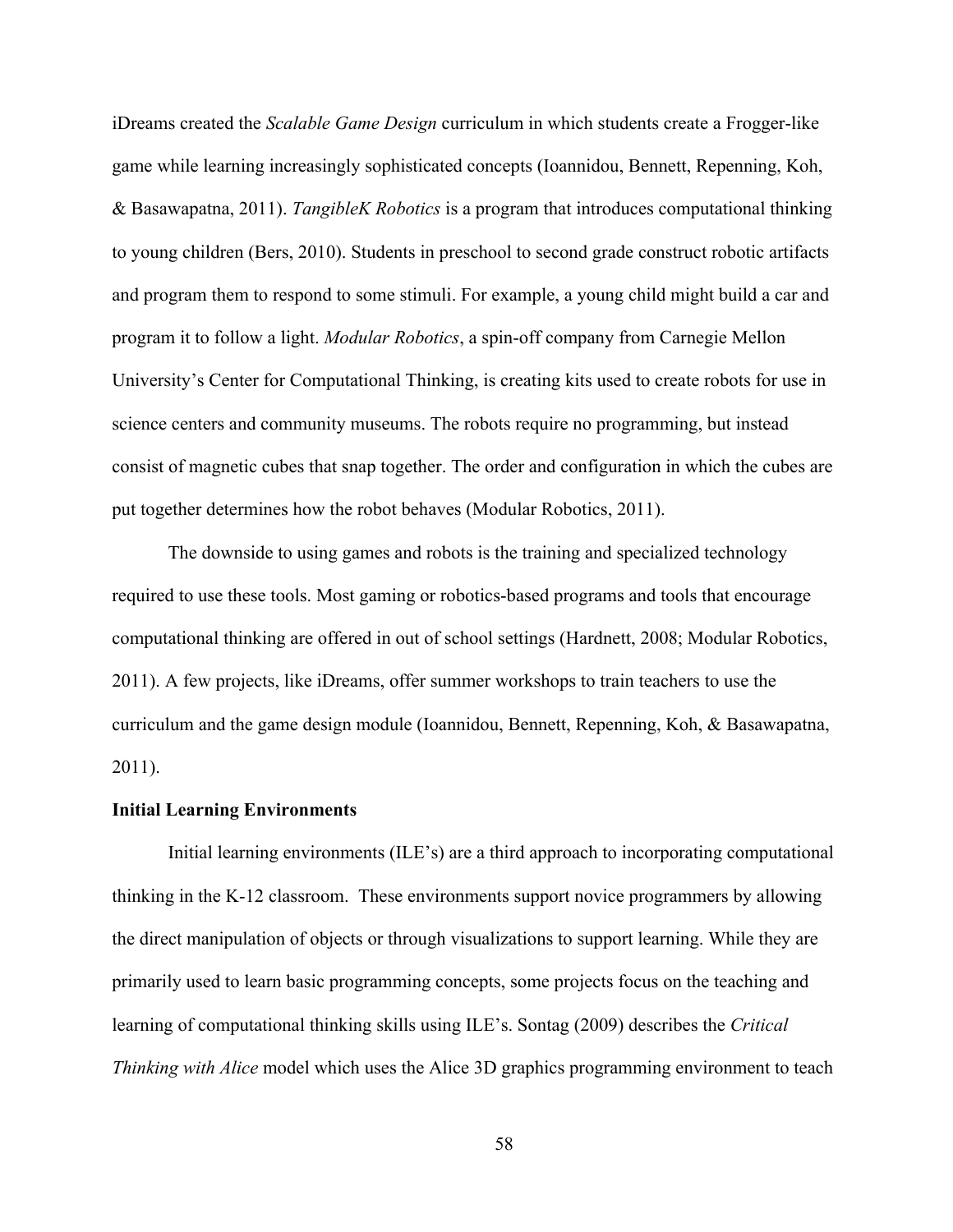iDreams created the *Scalable Game Design* curriculum in which students create a Frogger-like game while learning increasingly sophisticated concepts (Ioannidou, Bennett, Repenning, Koh, & Basawapatna, 2011). *TangibleK Robotics* is a program that introduces computational thinking to young children (Bers, 2010). Students in preschool to second grade construct robotic artifacts and program them to respond to some stimuli. For example, a young child might build a car and program it to follow a light. *Modular Robotics*, a spin-off company from Carnegie Mellon University's Center for Computational Thinking, is creating kits used to create robots for use in science centers and community museums. The robots require no programming, but instead consist of magnetic cubes that snap together. The order and configuration in which the cubes are put together determines how the robot behaves (Modular Robotics, 2011).

The downside to using games and robots is the training and specialized technology required to use these tools. Most gaming or robotics-based programs and tools that encourage computational thinking are offered in out of school settings (Hardnett, 2008; Modular Robotics, 2011). A few projects, like iDreams, offer summer workshops to train teachers to use the curriculum and the game design module (Ioannidou, Bennett, Repenning, Koh, & Basawapatna, 2011).

### **Initial Learning Environments**

Initial learning environments (ILE's) are a third approach to incorporating computational thinking in the K-12 classroom. These environments support novice programmers by allowing the direct manipulation of objects or through visualizations to support learning. While they are primarily used to learn basic programming concepts, some projects focus on the teaching and learning of computational thinking skills using ILE's. Sontag (2009) describes the *Critical Thinking with Alice* model which uses the Alice 3D graphics programming environment to teach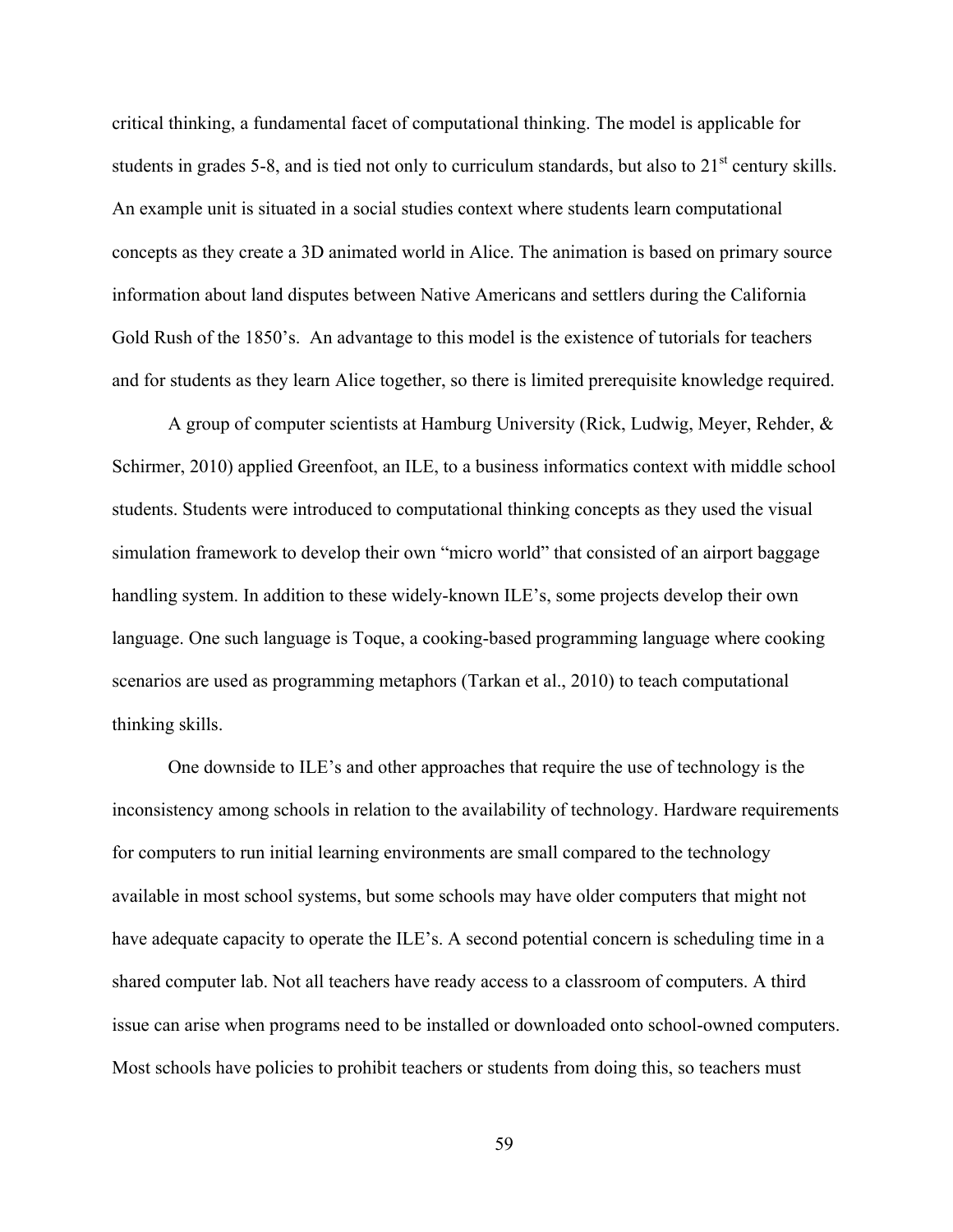critical thinking, a fundamental facet of computational thinking. The model is applicable for students in grades 5-8, and is tied not only to curriculum standards, but also to  $21<sup>st</sup>$  century skills. An example unit is situated in a social studies context where students learn computational concepts as they create a 3D animated world in Alice. The animation is based on primary source information about land disputes between Native Americans and settlers during the California Gold Rush of the 1850's. An advantage to this model is the existence of tutorials for teachers and for students as they learn Alice together, so there is limited prerequisite knowledge required.

A group of computer scientists at Hamburg University (Rick, Ludwig, Meyer, Rehder, & Schirmer, 2010) applied Greenfoot, an ILE, to a business informatics context with middle school students. Students were introduced to computational thinking concepts as they used the visual simulation framework to develop their own "micro world" that consisted of an airport baggage handling system. In addition to these widely-known ILE's, some projects develop their own language. One such language is Toque, a cooking-based programming language where cooking scenarios are used as programming metaphors (Tarkan et al., 2010) to teach computational thinking skills.

One downside to ILE's and other approaches that require the use of technology is the inconsistency among schools in relation to the availability of technology. Hardware requirements for computers to run initial learning environments are small compared to the technology available in most school systems, but some schools may have older computers that might not have adequate capacity to operate the ILE's. A second potential concern is scheduling time in a shared computer lab. Not all teachers have ready access to a classroom of computers. A third issue can arise when programs need to be installed or downloaded onto school-owned computers. Most schools have policies to prohibit teachers or students from doing this, so teachers must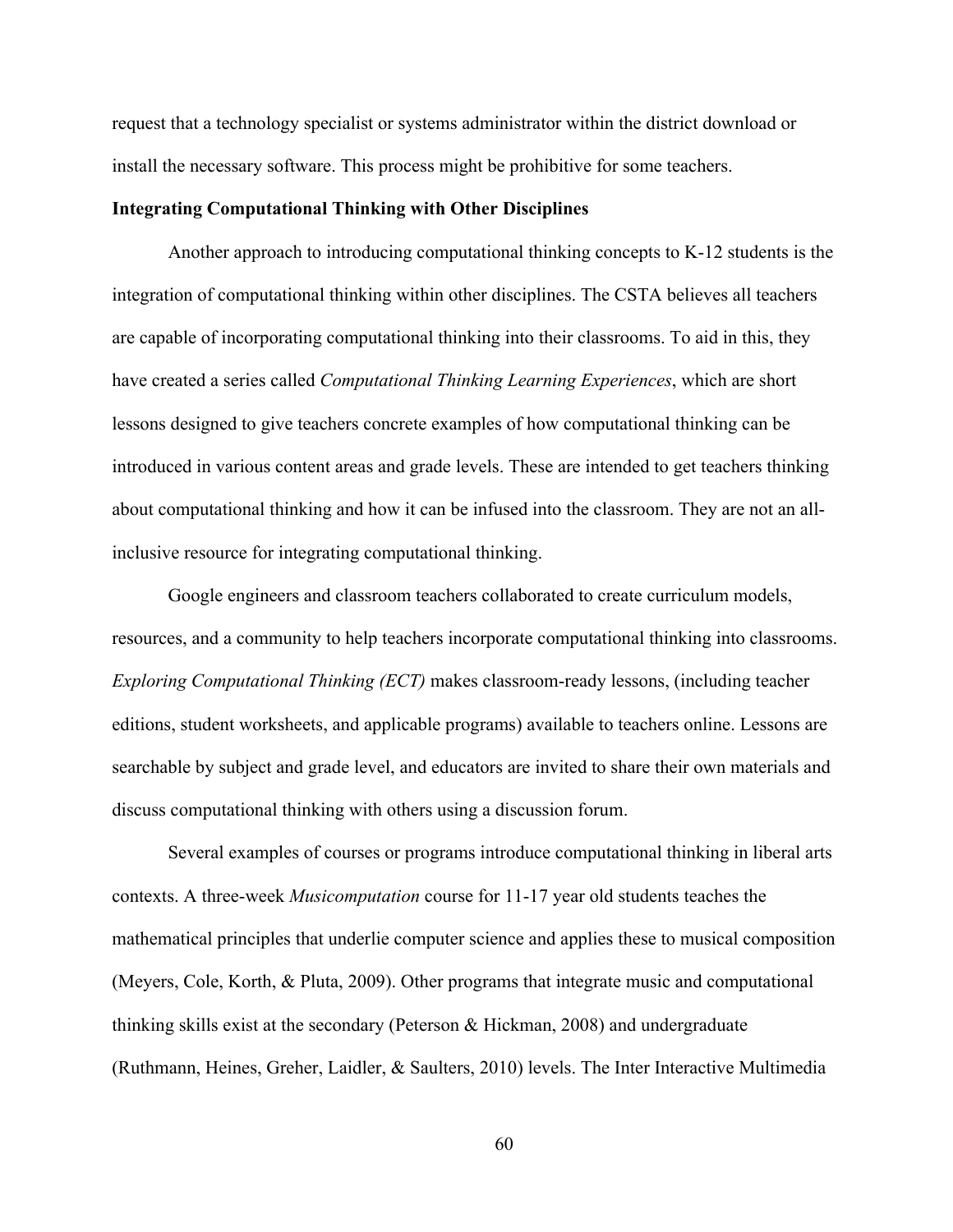request that a technology specialist or systems administrator within the district download or install the necessary software. This process might be prohibitive for some teachers.

## **Integrating Computational Thinking with Other Disciplines**

Another approach to introducing computational thinking concepts to K-12 students is the integration of computational thinking within other disciplines. The CSTA believes all teachers are capable of incorporating computational thinking into their classrooms. To aid in this, they have created a series called *Computational Thinking Learning Experiences*, which are short lessons designed to give teachers concrete examples of how computational thinking can be introduced in various content areas and grade levels. These are intended to get teachers thinking about computational thinking and how it can be infused into the classroom. They are not an allinclusive resource for integrating computational thinking.

Google engineers and classroom teachers collaborated to create curriculum models, resources, and a community to help teachers incorporate computational thinking into classrooms. *Exploring Computational Thinking (ECT)* makes classroom-ready lessons, (including teacher editions, student worksheets, and applicable programs) available to teachers online. Lessons are searchable by subject and grade level, and educators are invited to share their own materials and discuss computational thinking with others using a discussion forum.

Several examples of courses or programs introduce computational thinking in liberal arts contexts. A three-week *Musicomputation* course for 11-17 year old students teaches the mathematical principles that underlie computer science and applies these to musical composition (Meyers, Cole, Korth, & Pluta, 2009). Other programs that integrate music and computational thinking skills exist at the secondary (Peterson & Hickman, 2008) and undergraduate (Ruthmann, Heines, Greher, Laidler, & Saulters, 2010) levels. The Inter Interactive Multimedia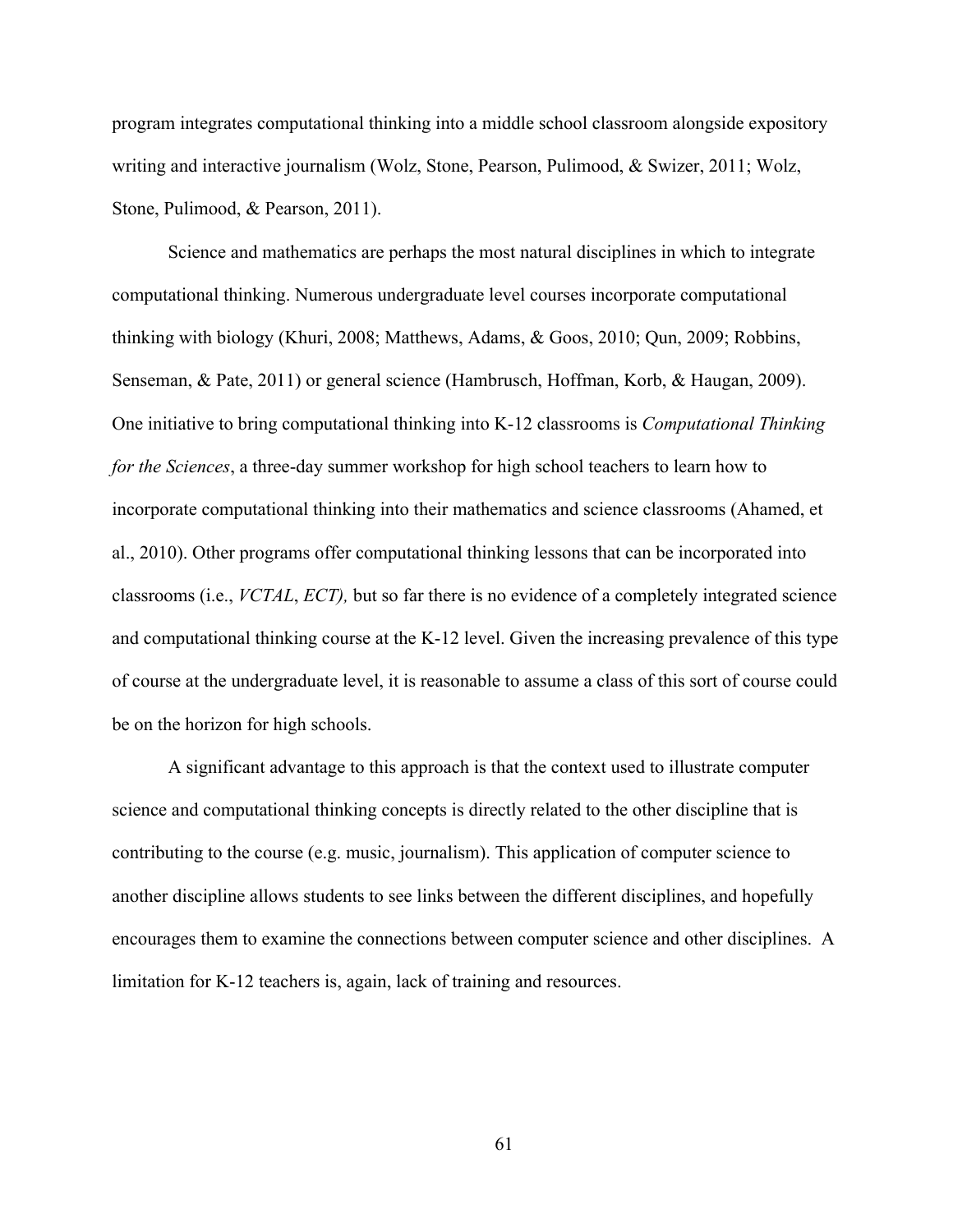program integrates computational thinking into a middle school classroom alongside expository writing and interactive journalism (Wolz, Stone, Pearson, Pulimood, & Swizer, 2011; Wolz, Stone, Pulimood, & Pearson, 2011).

Science and mathematics are perhaps the most natural disciplines in which to integrate computational thinking. Numerous undergraduate level courses incorporate computational thinking with biology (Khuri, 2008; Matthews, Adams, & Goos, 2010; Qun, 2009; Robbins, Senseman, & Pate, 2011) or general science (Hambrusch, Hoffman, Korb, & Haugan, 2009). One initiative to bring computational thinking into K-12 classrooms is *Computational Thinking for the Sciences*, a three-day summer workshop for high school teachers to learn how to incorporate computational thinking into their mathematics and science classrooms (Ahamed, et al., 2010). Other programs offer computational thinking lessons that can be incorporated into classrooms (i.e., *VCTAL*, *ECT),* but so far there is no evidence of a completely integrated science and computational thinking course at the K-12 level. Given the increasing prevalence of this type of course at the undergraduate level, it is reasonable to assume a class of this sort of course could be on the horizon for high schools.

A significant advantage to this approach is that the context used to illustrate computer science and computational thinking concepts is directly related to the other discipline that is contributing to the course (e.g. music, journalism). This application of computer science to another discipline allows students to see links between the different disciplines, and hopefully encourages them to examine the connections between computer science and other disciplines. A limitation for K-12 teachers is, again, lack of training and resources.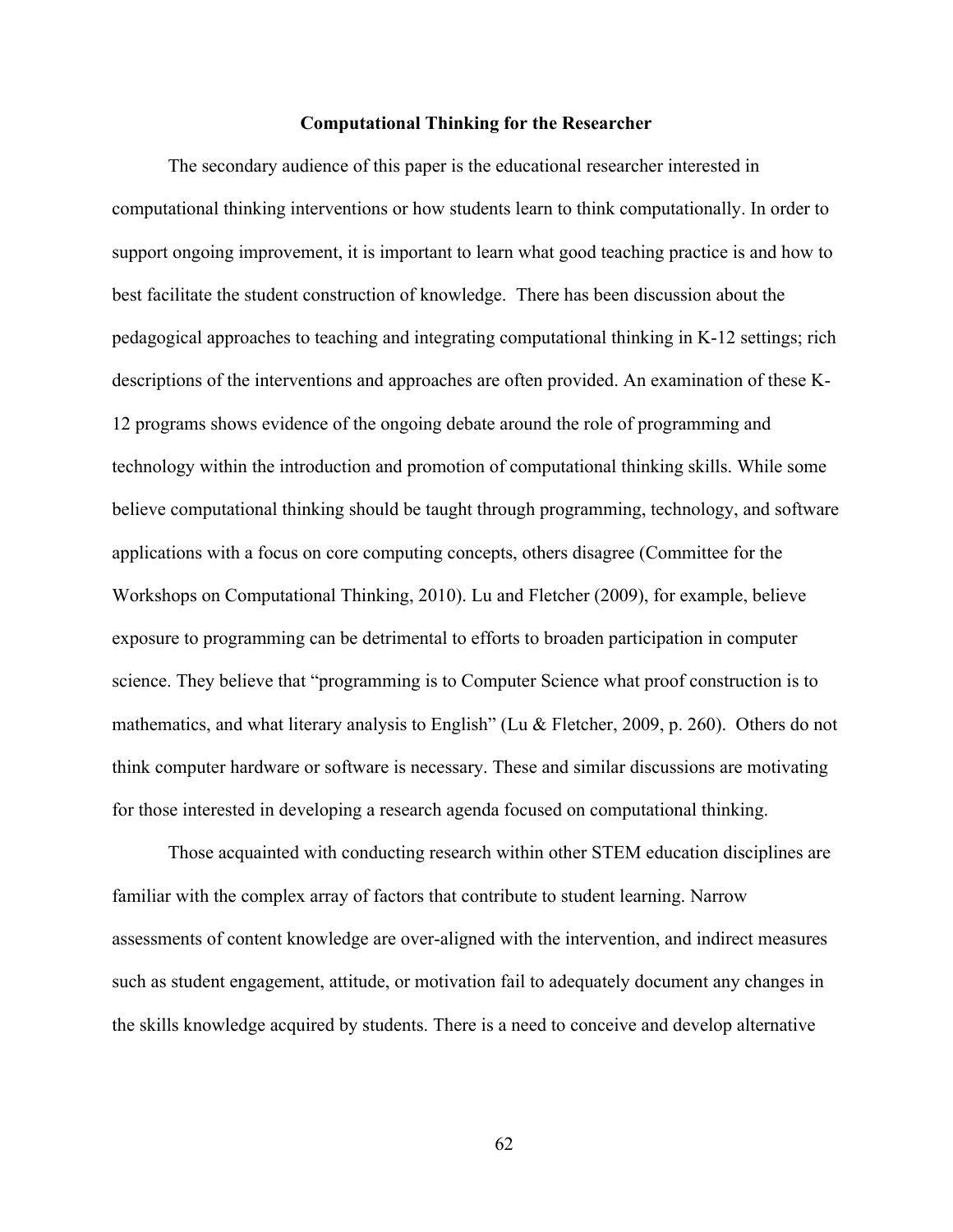#### **Computational Thinking for the Researcher**

The secondary audience of this paper is the educational researcher interested in computational thinking interventions or how students learn to think computationally. In order to support ongoing improvement, it is important to learn what good teaching practice is and how to best facilitate the student construction of knowledge. There has been discussion about the pedagogical approaches to teaching and integrating computational thinking in K-12 settings; rich descriptions of the interventions and approaches are often provided. An examination of these K-12 programs shows evidence of the ongoing debate around the role of programming and technology within the introduction and promotion of computational thinking skills. While some believe computational thinking should be taught through programming, technology, and software applications with a focus on core computing concepts, others disagree (Committee for the Workshops on Computational Thinking, 2010). Lu and Fletcher (2009), for example, believe exposure to programming can be detrimental to efforts to broaden participation in computer science. They believe that "programming is to Computer Science what proof construction is to mathematics, and what literary analysis to English" (Lu & Fletcher, 2009, p. 260). Others do not think computer hardware or software is necessary. These and similar discussions are motivating for those interested in developing a research agenda focused on computational thinking.

Those acquainted with conducting research within other STEM education disciplines are familiar with the complex array of factors that contribute to student learning. Narrow assessments of content knowledge are over-aligned with the intervention, and indirect measures such as student engagement, attitude, or motivation fail to adequately document any changes in the skills knowledge acquired by students. There is a need to conceive and develop alternative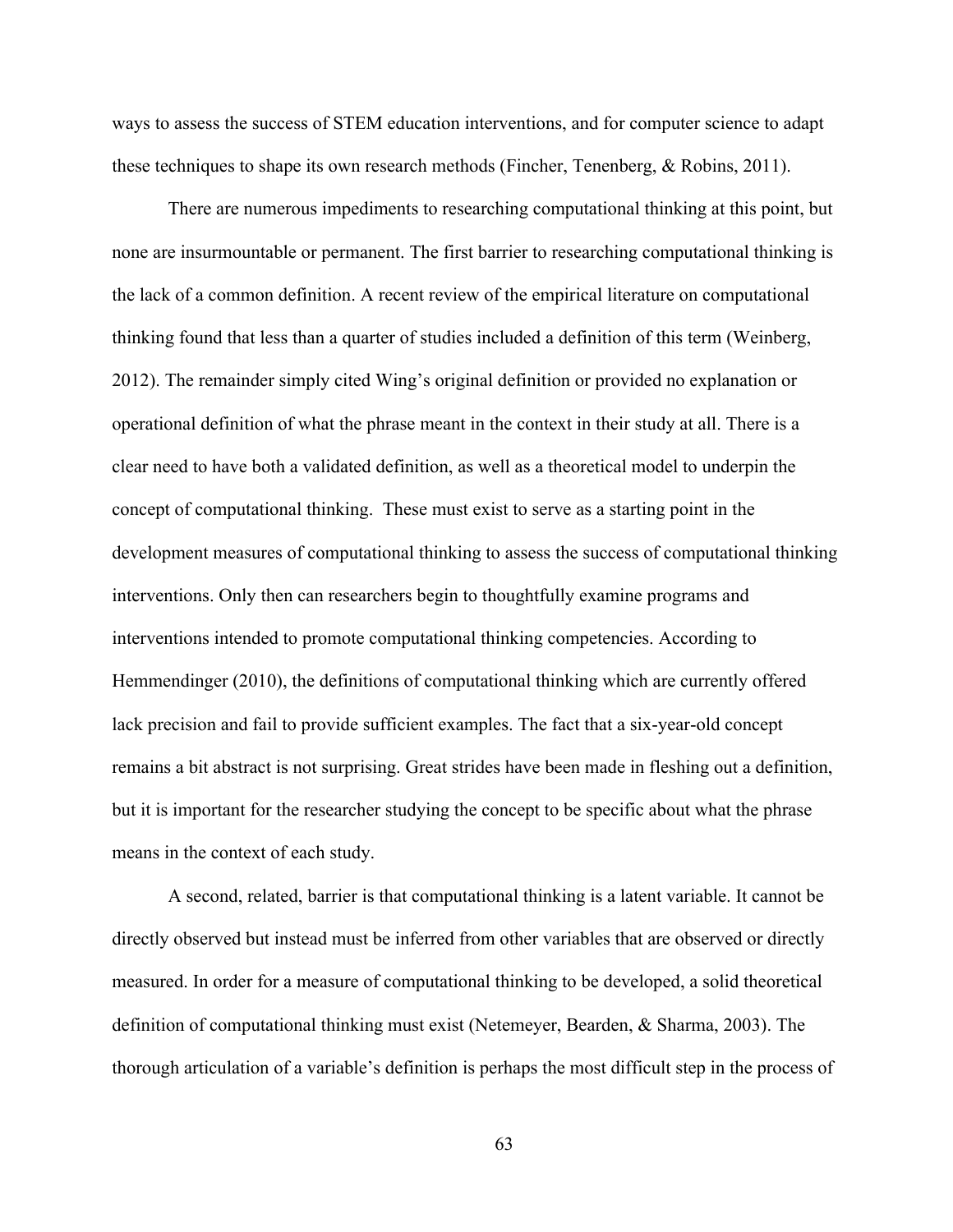ways to assess the success of STEM education interventions, and for computer science to adapt these techniques to shape its own research methods (Fincher, Tenenberg, & Robins, 2011).

There are numerous impediments to researching computational thinking at this point, but none are insurmountable or permanent. The first barrier to researching computational thinking is the lack of a common definition. A recent review of the empirical literature on computational thinking found that less than a quarter of studies included a definition of this term (Weinberg, 2012). The remainder simply cited Wing's original definition or provided no explanation or operational definition of what the phrase meant in the context in their study at all. There is a clear need to have both a validated definition, as well as a theoretical model to underpin the concept of computational thinking. These must exist to serve as a starting point in the development measures of computational thinking to assess the success of computational thinking interventions. Only then can researchers begin to thoughtfully examine programs and interventions intended to promote computational thinking competencies. According to Hemmendinger (2010), the definitions of computational thinking which are currently offered lack precision and fail to provide sufficient examples. The fact that a six-year-old concept remains a bit abstract is not surprising. Great strides have been made in fleshing out a definition, but it is important for the researcher studying the concept to be specific about what the phrase means in the context of each study.

A second, related, barrier is that computational thinking is a latent variable. It cannot be directly observed but instead must be inferred from other variables that are observed or directly measured. In order for a measure of computational thinking to be developed, a solid theoretical definition of computational thinking must exist (Netemeyer, Bearden, & Sharma, 2003). The thorough articulation of a variable's definition is perhaps the most difficult step in the process of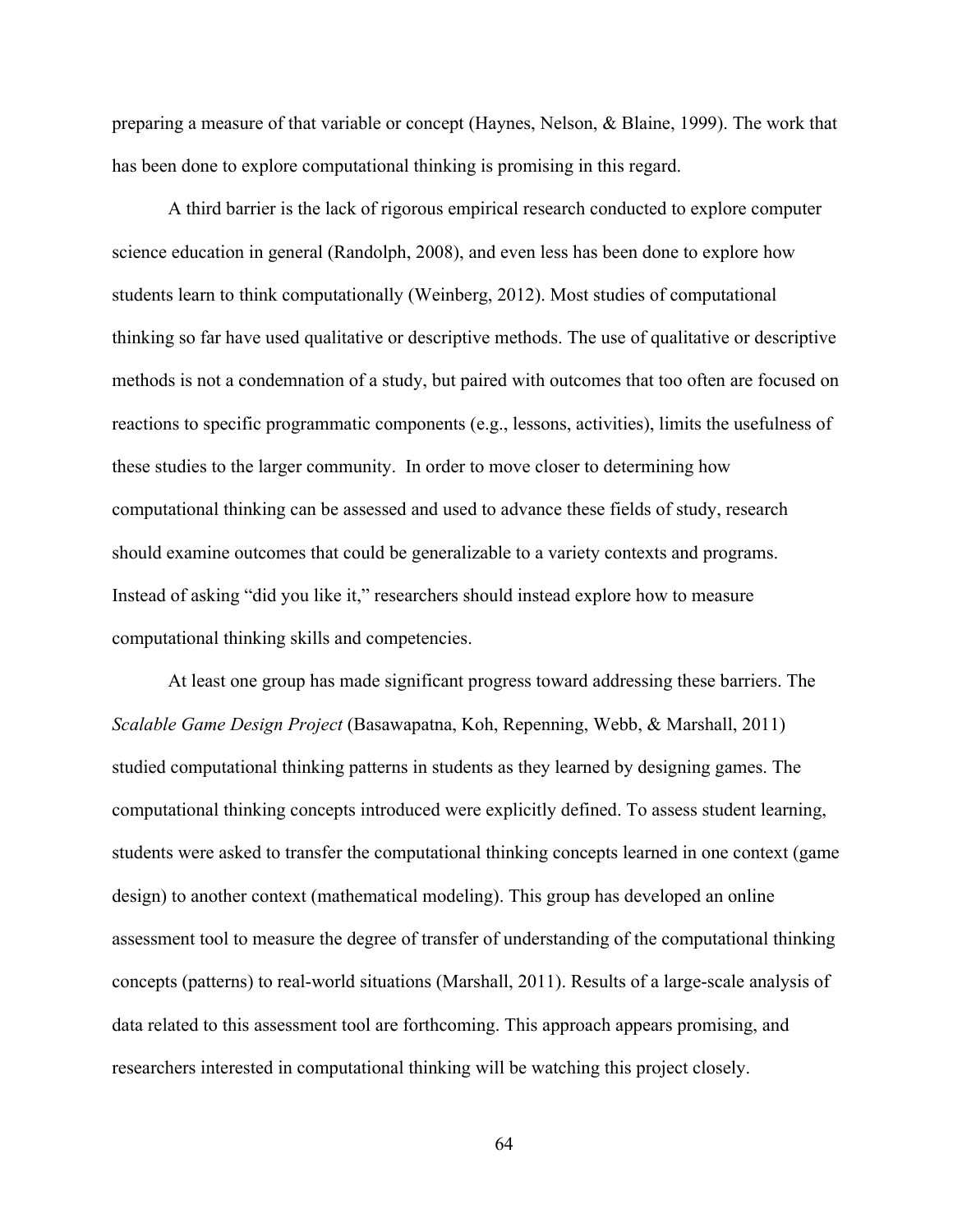preparing a measure of that variable or concept (Haynes, Nelson, & Blaine, 1999). The work that has been done to explore computational thinking is promising in this regard.

A third barrier is the lack of rigorous empirical research conducted to explore computer science education in general (Randolph, 2008), and even less has been done to explore how students learn to think computationally (Weinberg, 2012). Most studies of computational thinking so far have used qualitative or descriptive methods. The use of qualitative or descriptive methods is not a condemnation of a study, but paired with outcomes that too often are focused on reactions to specific programmatic components (e.g., lessons, activities), limits the usefulness of these studies to the larger community. In order to move closer to determining how computational thinking can be assessed and used to advance these fields of study, research should examine outcomes that could be generalizable to a variety contexts and programs. Instead of asking "did you like it," researchers should instead explore how to measure computational thinking skills and competencies.

At least one group has made significant progress toward addressing these barriers. The *Scalable Game Design Project* (Basawapatna, Koh, Repenning, Webb, & Marshall, 2011) studied computational thinking patterns in students as they learned by designing games. The computational thinking concepts introduced were explicitly defined. To assess student learning, students were asked to transfer the computational thinking concepts learned in one context (game design) to another context (mathematical modeling). This group has developed an online assessment tool to measure the degree of transfer of understanding of the computational thinking concepts (patterns) to real-world situations (Marshall, 2011). Results of a large-scale analysis of data related to this assessment tool are forthcoming. This approach appears promising, and researchers interested in computational thinking will be watching this project closely.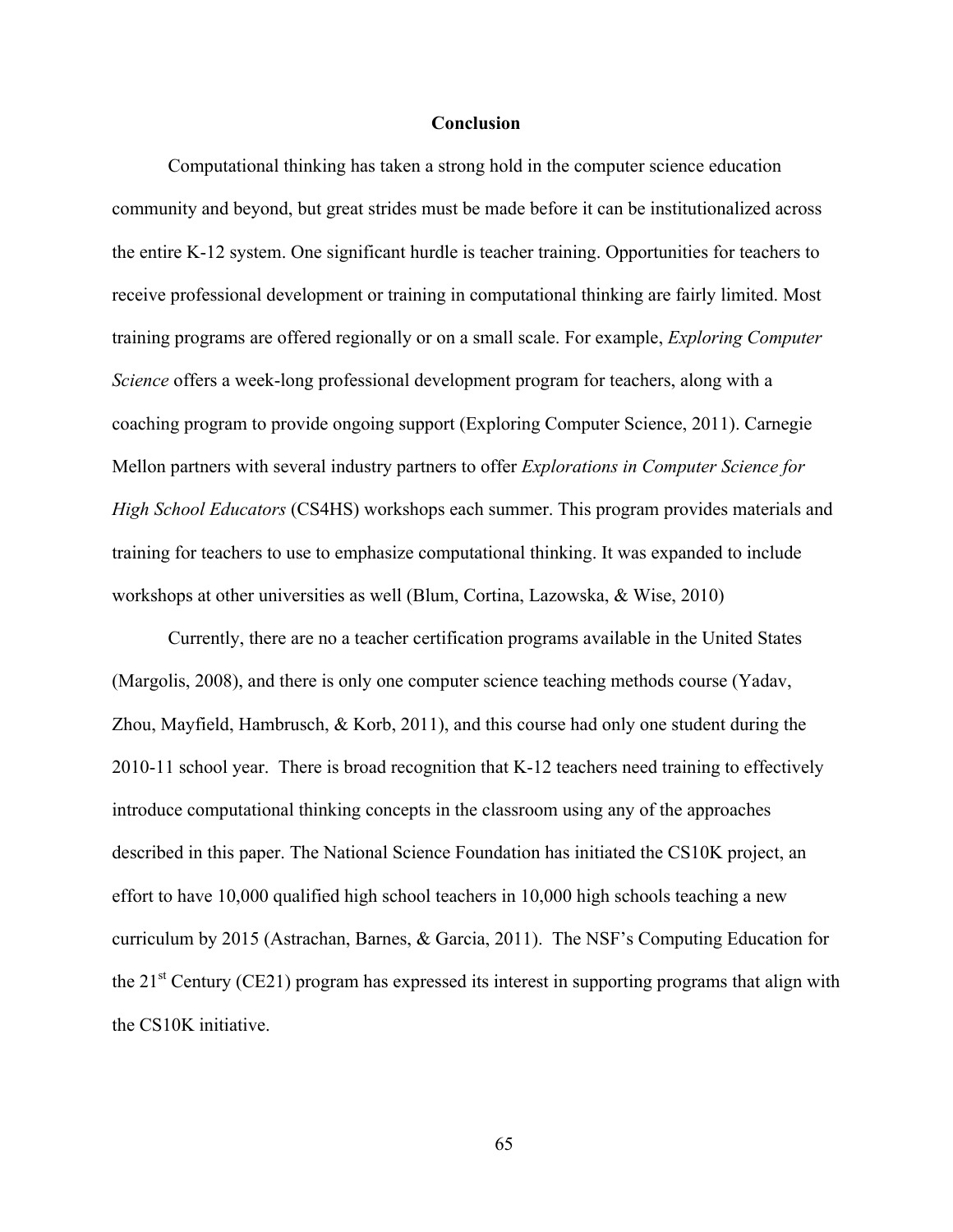### **Conclusion**

Computational thinking has taken a strong hold in the computer science education community and beyond, but great strides must be made before it can be institutionalized across the entire K-12 system. One significant hurdle is teacher training. Opportunities for teachers to receive professional development or training in computational thinking are fairly limited. Most training programs are offered regionally or on a small scale. For example, *Exploring Computer Science* offers a week-long professional development program for teachers, along with a coaching program to provide ongoing support (Exploring Computer Science, 2011). Carnegie Mellon partners with several industry partners to offer *Explorations in Computer Science for High School Educators* (CS4HS) workshops each summer. This program provides materials and training for teachers to use to emphasize computational thinking. It was expanded to include workshops at other universities as well (Blum, Cortina, Lazowska, & Wise, 2010)

Currently, there are no a teacher certification programs available in the United States (Margolis, 2008), and there is only one computer science teaching methods course (Yadav, Zhou, Mayfield, Hambrusch, & Korb, 2011), and this course had only one student during the 2010-11 school year. There is broad recognition that K-12 teachers need training to effectively introduce computational thinking concepts in the classroom using any of the approaches described in this paper. The National Science Foundation has initiated the CS10K project, an effort to have 10,000 qualified high school teachers in 10,000 high schools teaching a new curriculum by 2015 (Astrachan, Barnes, & Garcia, 2011). The NSF's Computing Education for the 21<sup>st</sup> Century (CE21) program has expressed its interest in supporting programs that align with the CS10K initiative.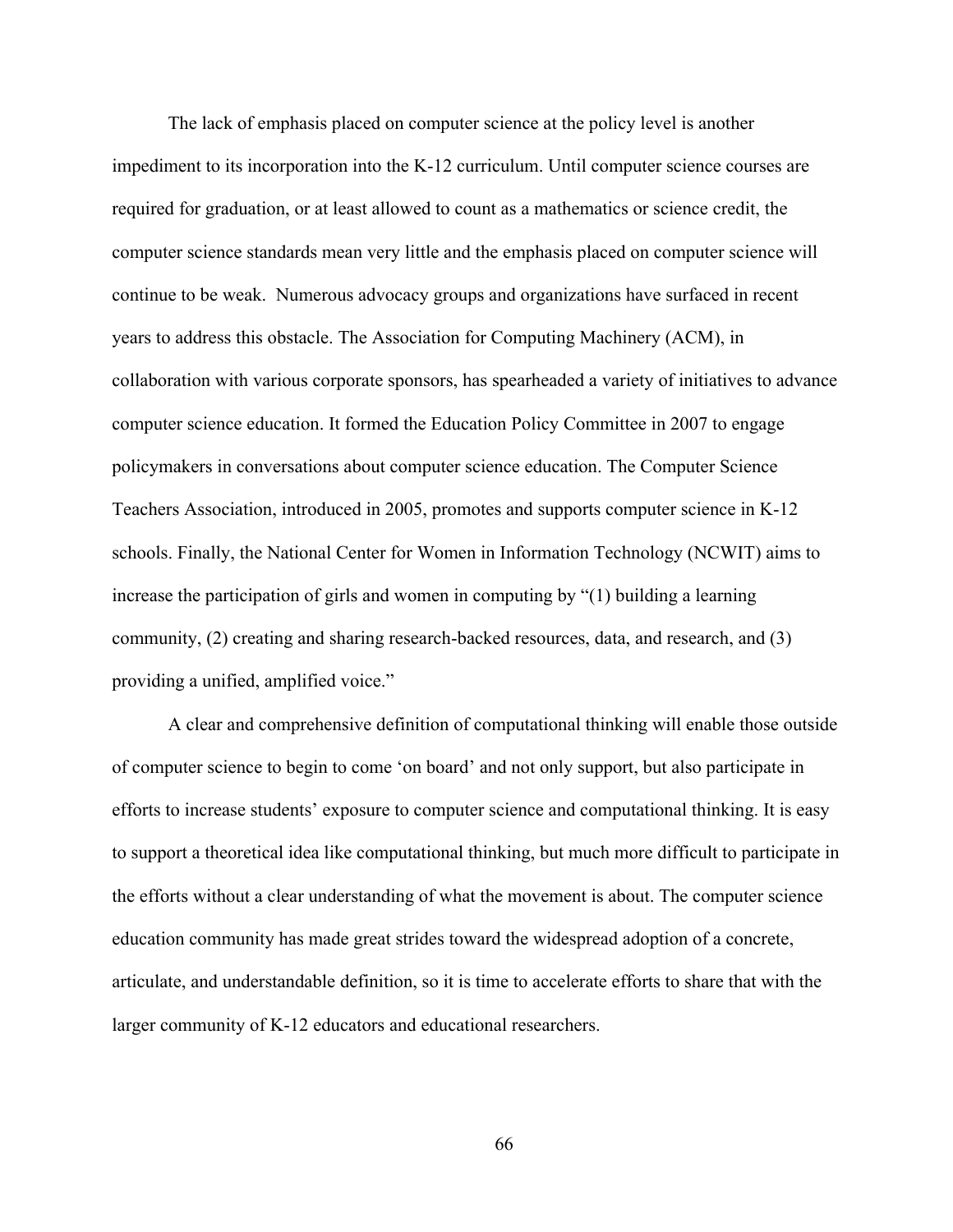The lack of emphasis placed on computer science at the policy level is another impediment to its incorporation into the K-12 curriculum. Until computer science courses are required for graduation, or at least allowed to count as a mathematics or science credit, the computer science standards mean very little and the emphasis placed on computer science will continue to be weak. Numerous advocacy groups and organizations have surfaced in recent years to address this obstacle. The Association for Computing Machinery (ACM), in collaboration with various corporate sponsors, has spearheaded a variety of initiatives to advance computer science education. It formed the Education Policy Committee in 2007 to engage policymakers in conversations about computer science education. The Computer Science Teachers Association, introduced in 2005, promotes and supports computer science in K-12 schools. Finally, the National Center for Women in Information Technology (NCWIT) aims to increase the participation of girls and women in computing by "(1) building a learning community, (2) creating and sharing research-backed resources, data, and research, and (3) providing a unified, amplified voice."

A clear and comprehensive definition of computational thinking will enable those outside of computer science to begin to come 'on board' and not only support, but also participate in efforts to increase students' exposure to computer science and computational thinking. It is easy to support a theoretical idea like computational thinking, but much more difficult to participate in the efforts without a clear understanding of what the movement is about. The computer science education community has made great strides toward the widespread adoption of a concrete, articulate, and understandable definition, so it is time to accelerate efforts to share that with the larger community of K-12 educators and educational researchers.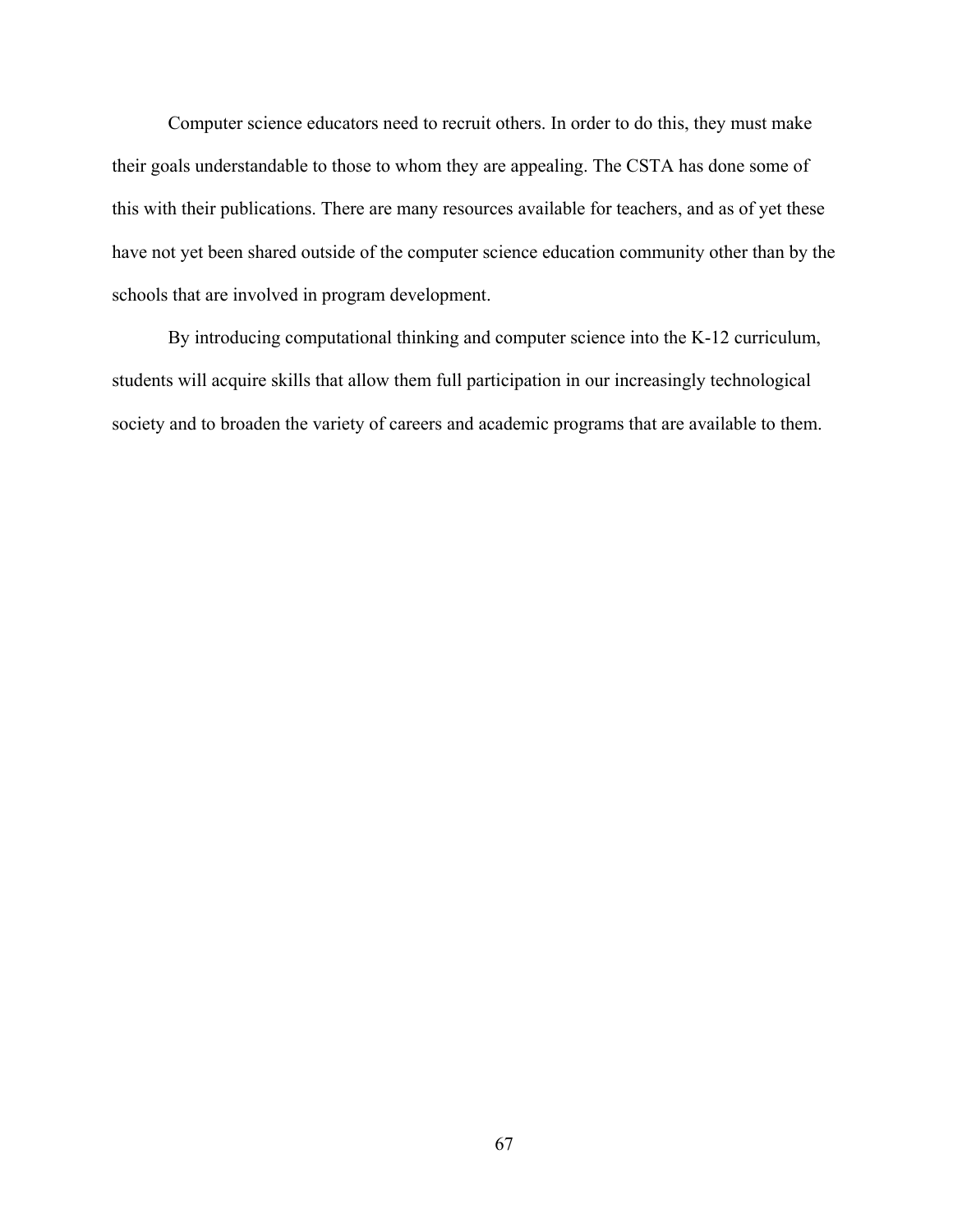Computer science educators need to recruit others. In order to do this, they must make their goals understandable to those to whom they are appealing. The CSTA has done some of this with their publications. There are many resources available for teachers, and as of yet these have not yet been shared outside of the computer science education community other than by the schools that are involved in program development.

By introducing computational thinking and computer science into the K-12 curriculum, students will acquire skills that allow them full participation in our increasingly technological society and to broaden the variety of careers and academic programs that are available to them.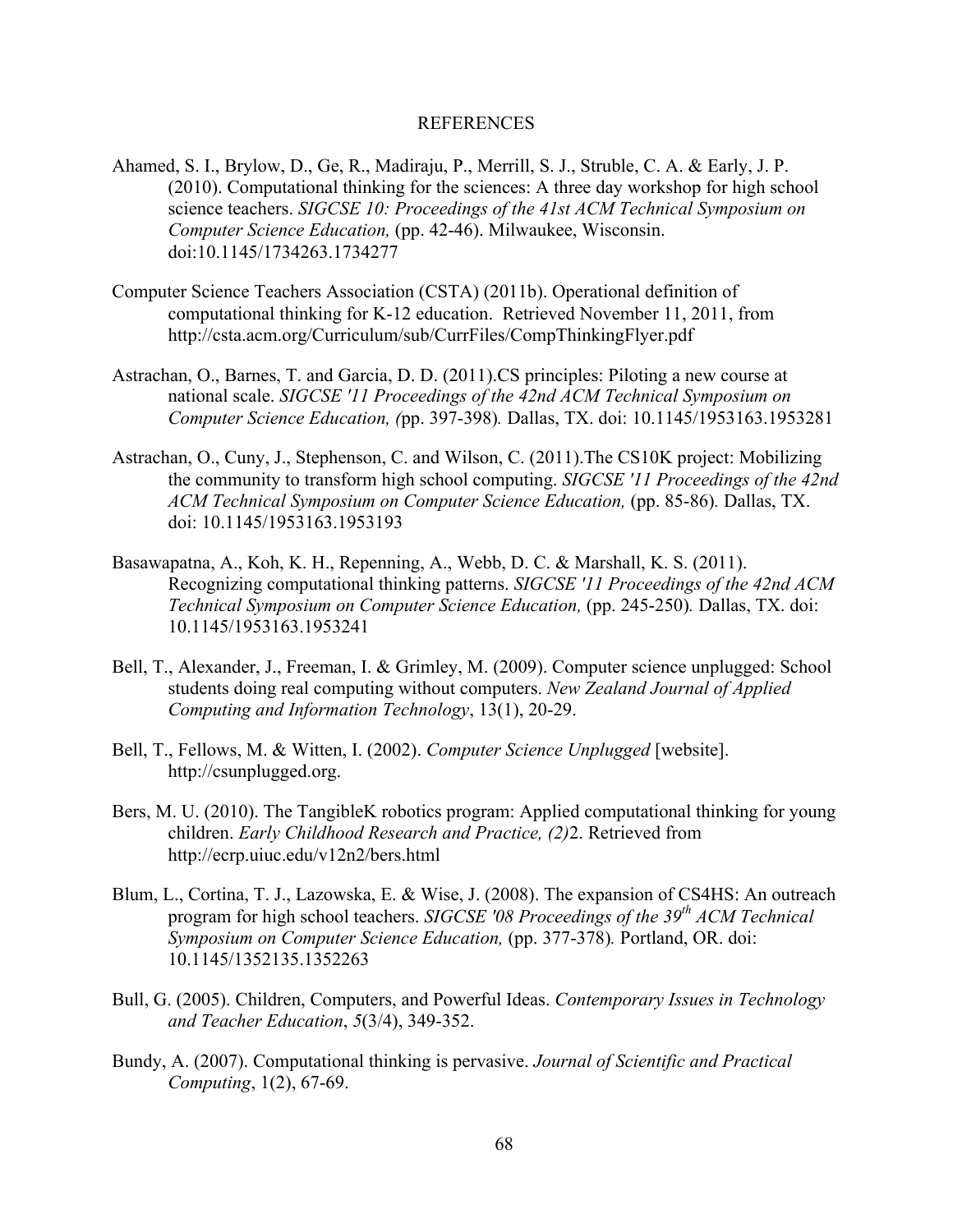## REFERENCES

- Ahamed, S. I., Brylow, D., Ge, R., Madiraju, P., Merrill, S. J., Struble, C. A. & Early, J. P. (2010). Computational thinking for the sciences: A three day workshop for high school science teachers. *SIGCSE 10: Proceedings of the 41st ACM Technical Symposium on Computer Science Education,* (pp. 42-46). Milwaukee, Wisconsin. doi:10.1145/1734263.1734277
- Computer Science Teachers Association (CSTA) (2011b). Operational definition of computational thinking for K-12 education. Retrieved November 11, 2011, from http://csta.acm.org/Curriculum/sub/CurrFiles/CompThinkingFlyer.pdf
- Astrachan, O., Barnes, T. and Garcia, D. D. (2011).CS principles: Piloting a new course at national scale. *SIGCSE '11 Proceedings of the 42nd ACM Technical Symposium on Computer Science Education, (*pp. 397-398)*.* Dallas, TX. doi: 10.1145/1953163.1953281
- Astrachan, O., Cuny, J., Stephenson, C. and Wilson, C. (2011).The CS10K project: Mobilizing the community to transform high school computing. *SIGCSE '11 Proceedings of the 42nd ACM Technical Symposium on Computer Science Education,* (pp. 85-86)*.* Dallas, TX. doi: 10.1145/1953163.1953193
- Basawapatna, A., Koh, K. H., Repenning, A., Webb, D. C. & Marshall, K. S. (2011). Recognizing computational thinking patterns. *SIGCSE '11 Proceedings of the 42nd ACM Technical Symposium on Computer Science Education, (pp. 245-250). Dallas, TX. doi:* 10.1145/1953163.1953241
- Bell, T., Alexander, J., Freeman, I. & Grimley, M. (2009). Computer science unplugged: School students doing real computing without computers. *New Zealand Journal of Applied Computing and Information Technology*, 13(1), 20-29.
- Bell, T., Fellows, M. & Witten, I. (2002). *Computer Science Unplugged* [website]. http://csunplugged.org.
- Bers, M. U. (2010). The TangibleK robotics program: Applied computational thinking for young children. *Early Childhood Research and Practice, (2)*2. Retrieved from http://ecrp.uiuc.edu/v12n2/bers.html
- Blum, L., Cortina, T. J., Lazowska, E. & Wise, J. (2008). The expansion of CS4HS: An outreach program for high school teachers. *SIGCSE '08 Proceedings of the 39th ACM Technical Symposium on Computer Science Education,* (pp. 377-378)*.* Portland, OR. doi: 10.1145/1352135.1352263
- Bull, G. (2005). Children, Computers, and Powerful Ideas. *Contemporary Issues in Technology and Teacher Education*, *5*(3/4), 349-352.
- Bundy, A. (2007). Computational thinking is pervasive. *Journal of Scientific and Practical Computing*, 1(2), 67-69.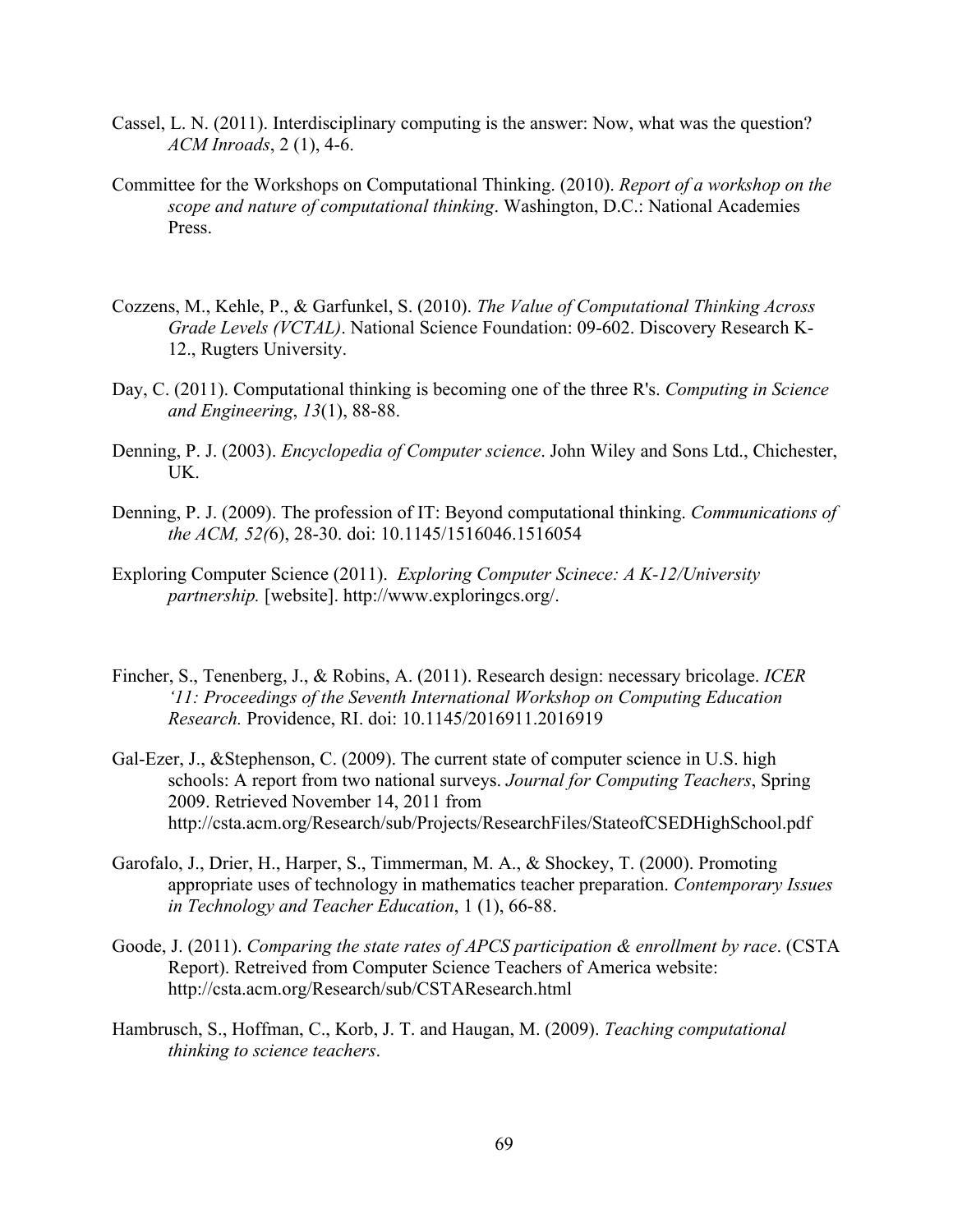- Cassel, L. N. (2011). Interdisciplinary computing is the answer: Now, what was the question? *ACM Inroads*, 2 (1), 4-6.
- Committee for the Workshops on Computational Thinking. (2010). *Report of a workshop on the scope and nature of computational thinking*. Washington, D.C.: National Academies Press.
- Cozzens, M., Kehle, P., & Garfunkel, S. (2010). *The Value of Computational Thinking Across Grade Levels (VCTAL)*. National Science Foundation: 09-602. Discovery Research K-12., Rugters University.
- Day, C. (2011). Computational thinking is becoming one of the three R's. *Computing in Science and Engineering*, *13*(1), 88-88.
- Denning, P. J. (2003). *Encyclopedia of Computer science*. John Wiley and Sons Ltd., Chichester, UK.
- Denning, P. J. (2009). The profession of IT: Beyond computational thinking. *Communications of the ACM, 52(*6), 28-30. doi: 10.1145/1516046.1516054
- Exploring Computer Science (2011). *Exploring Computer Scinece: A K-12/University partnership.* [website]. http://www.exploringcs.org/.
- Fincher, S., Tenenberg, J., & Robins, A. (2011). Research design: necessary bricolage. *ICER '11: Proceedings of the Seventh International Workshop on Computing Education Research.* Providence, RI. doi: 10.1145/2016911.2016919
- Gal-Ezer, J., & Stephenson, C. (2009). The current state of computer science in U.S. high schools: A report from two national surveys. *Journal for Computing Teachers*, Spring 2009. Retrieved November 14, 2011 from http://csta.acm.org/Research/sub/Projects/ResearchFiles/StateofCSEDHighSchool.pdf
- Garofalo, J., Drier, H., Harper, S., Timmerman, M. A., & Shockey, T. (2000). Promoting appropriate uses of technology in mathematics teacher preparation. *Contemporary Issues in Technology and Teacher Education*, 1 (1), 66-88.
- Goode, J. (2011). *Comparing the state rates of APCS participation & enrollment by race*. (CSTA Report). Retreived from Computer Science Teachers of America website: http://csta.acm.org/Research/sub/CSTAResearch.html
- Hambrusch, S., Hoffman, C., Korb, J. T. and Haugan, M. (2009). *Teaching computational thinking to science teachers*.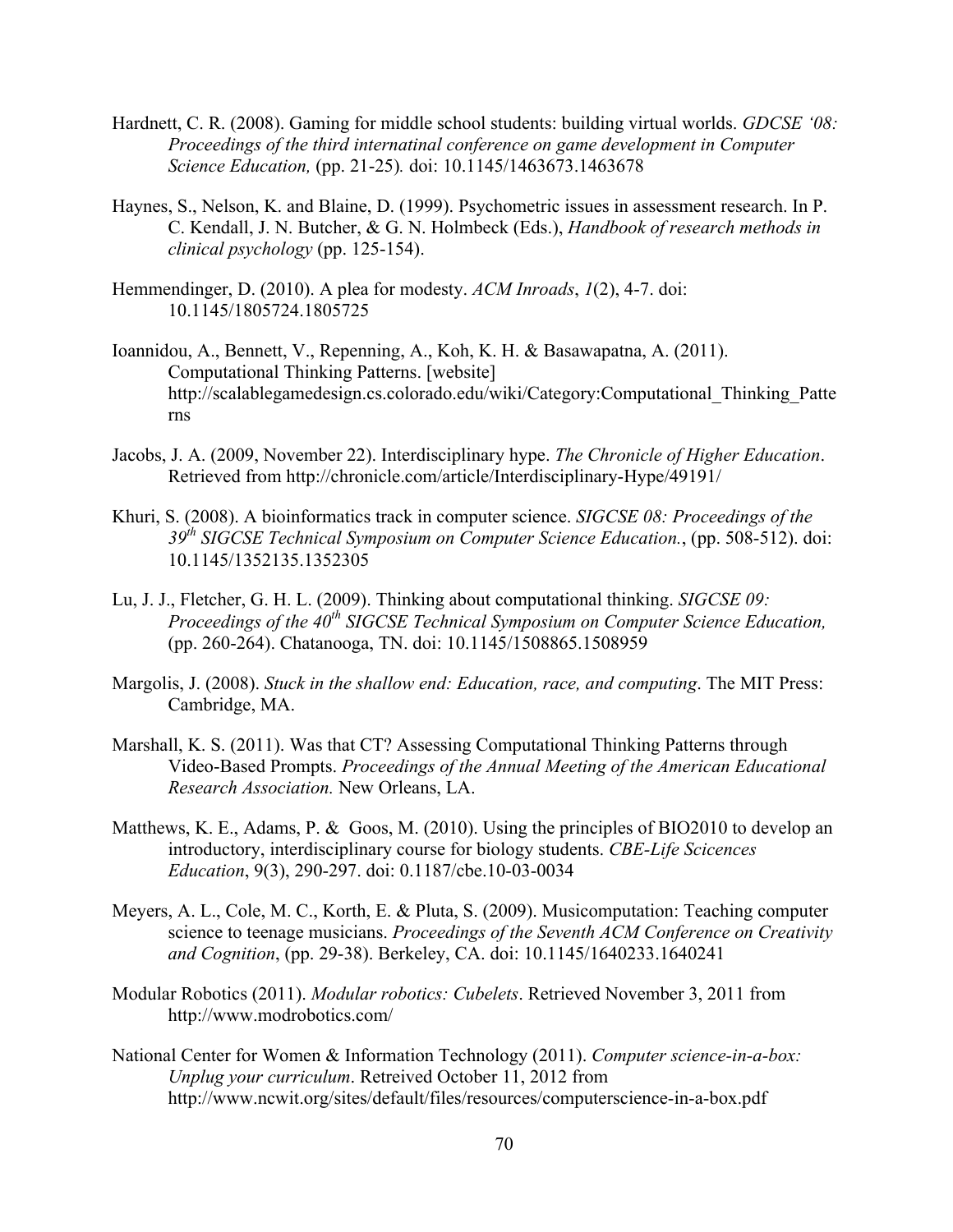- Hardnett, C. R. (2008). Gaming for middle school students: building virtual worlds. *GDCSE '08: Proceedings of the third internatinal conference on game development in Computer Science Education,* (pp. 21-25)*.* doi: 10.1145/1463673.1463678
- Haynes, S., Nelson, K. and Blaine, D. (1999). Psychometric issues in assessment research. In P. C. Kendall, J. N. Butcher, & G. N. Holmbeck (Eds.), *Handbook of research methods in clinical psychology* (pp. 125-154).
- Hemmendinger, D. (2010). A plea for modesty. *ACM Inroads*, *1*(2), 4-7. doi: 10.1145/1805724.1805725
- Ioannidou, A., Bennett, V., Repenning, A., Koh, K. H. & Basawapatna, A. (2011). Computational Thinking Patterns. [website] http://scalablegamedesign.cs.colorado.edu/wiki/Category:Computational\_Thinking\_Patte rns
- Jacobs, J. A. (2009, November 22). Interdisciplinary hype. *The Chronicle of Higher Education*. Retrieved from http://chronicle.com/article/Interdisciplinary-Hype/49191/
- Khuri, S. (2008). A bioinformatics track in computer science. *SIGCSE 08: Proceedings of the 39th SIGCSE Technical Symposium on Computer Science Education.*, (pp. 508-512). doi: 10.1145/1352135.1352305
- Lu, J. J., Fletcher, G. H. L. (2009). Thinking about computational thinking. *SIGCSE 09: Proceedings of the 40th SIGCSE Technical Symposium on Computer Science Education,*  (pp. 260-264). Chatanooga, TN. doi: 10.1145/1508865.1508959
- Margolis, J. (2008). *Stuck in the shallow end: Education, race, and computing*. The MIT Press: Cambridge, MA.
- Marshall, K. S. (2011). Was that CT? Assessing Computational Thinking Patterns through Video-Based Prompts. *Proceedings of the Annual Meeting of the American Educational Research Association.* New Orleans, LA.
- Matthews, K. E., Adams, P. & Goos, M. (2010). Using the principles of BIO2010 to develop an introductory, interdisciplinary course for biology students. *CBE-Life Scicences Education*, 9(3), 290-297. doi: 0.1187/cbe.10-03-0034
- Meyers, A. L., Cole, M. C., Korth, E. & Pluta, S. (2009). Musicomputation: Teaching computer science to teenage musicians. *Proceedings of the Seventh ACM Conference on Creativity and Cognition*, (pp. 29-38). Berkeley, CA. doi: 10.1145/1640233.1640241
- Modular Robotics (2011). *Modular robotics: Cubelets*. Retrieved November 3, 2011 from http://www.modrobotics.com/
- National Center for Women & Information Technology (2011). *Computer science-in-a-box: Unplug your curriculum*. Retreived October 11, 2012 from http://www.ncwit.org/sites/default/files/resources/computerscience-in-a-box.pdf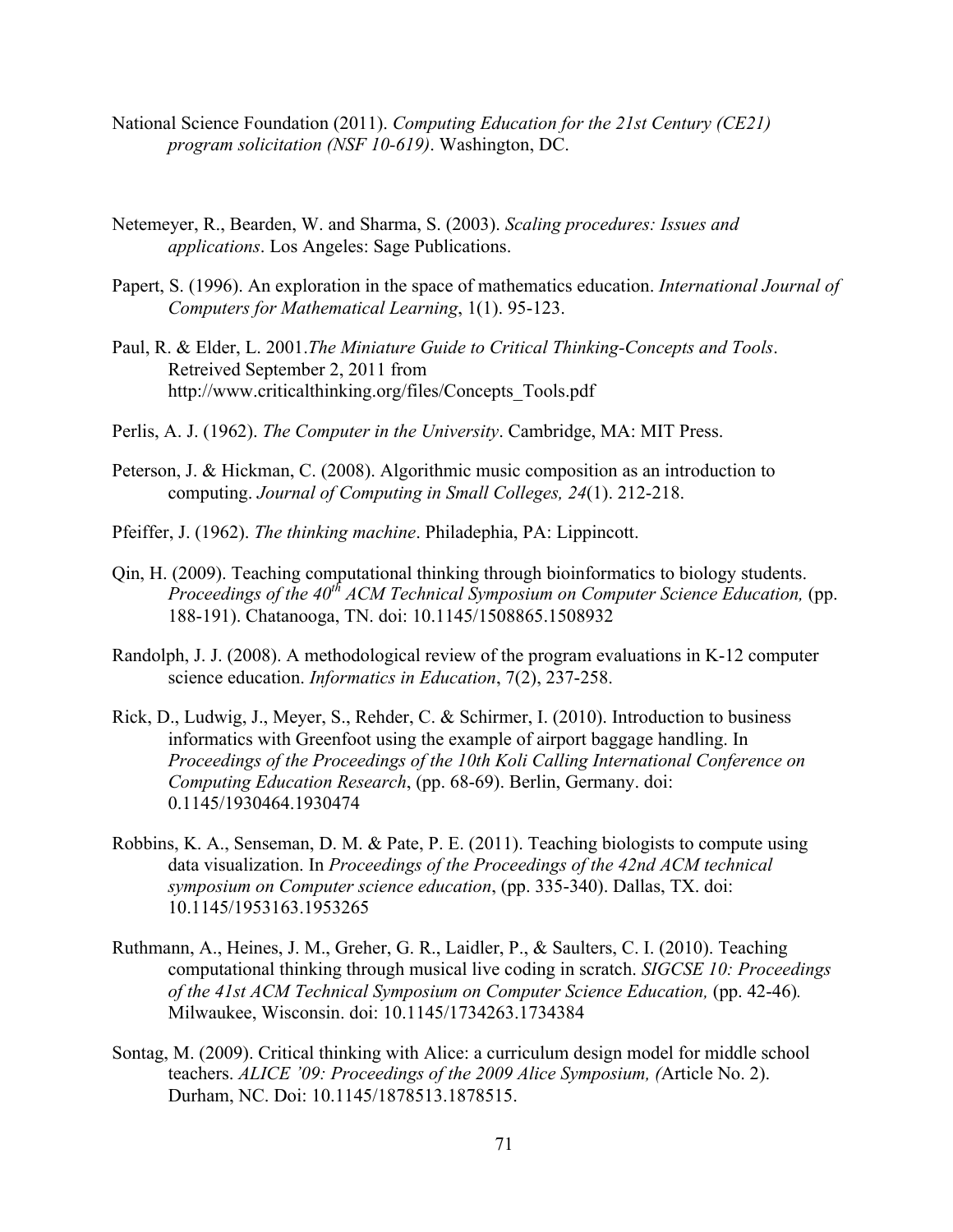- National Science Foundation (2011). *Computing Education for the 21st Century (CE21) program solicitation (NSF 10-619)*. Washington, DC.
- Netemeyer, R., Bearden, W. and Sharma, S. (2003). *Scaling procedures: Issues and applications*. Los Angeles: Sage Publications.
- Papert, S. (1996). An exploration in the space of mathematics education. *International Journal of Computers for Mathematical Learning*, 1(1). 95-123.
- Paul, R. & Elder, L. 2001.*The Miniature Guide to Critical Thinking-Concepts and Tools*. Retreived September 2, 2011 from http://www.criticalthinking.org/files/Concepts\_Tools.pdf
- Perlis, A. J. (1962). *The Computer in the University*. Cambridge, MA: MIT Press.
- Peterson, J. & Hickman, C. (2008). Algorithmic music composition as an introduction to computing. *Journal of Computing in Small Colleges, 24*(1). 212-218.
- Pfeiffer, J. (1962). *The thinking machine*. Philadephia, PA: Lippincott.
- Qin, H. (2009). Teaching computational thinking through bioinformatics to biology students. *Proceedings of the 40th ACM Technical Symposium on Computer Science Education,* (pp. 188-191). Chatanooga, TN. doi: 10.1145/1508865.1508932
- Randolph, J. J. (2008). A methodological review of the program evaluations in K-12 computer science education. *Informatics in Education*, 7(2), 237-258.
- Rick, D., Ludwig, J., Meyer, S., Rehder, C. & Schirmer, I. (2010). Introduction to business informatics with Greenfoot using the example of airport baggage handling. In *Proceedings of the Proceedings of the 10th Koli Calling International Conference on Computing Education Research*, (pp. 68-69). Berlin, Germany. doi: 0.1145/1930464.1930474
- Robbins, K. A., Senseman, D. M. & Pate, P. E. (2011). Teaching biologists to compute using data visualization. In *Proceedings of the Proceedings of the 42nd ACM technical symposium on Computer science education*, (pp. 335-340). Dallas, TX. doi: 10.1145/1953163.1953265
- Ruthmann, A., Heines, J. M., Greher, G. R., Laidler, P., & Saulters, C. I. (2010). Teaching computational thinking through musical live coding in scratch. *SIGCSE 10: Proceedings of the 41st ACM Technical Symposium on Computer Science Education, (pp. 42-46).* Milwaukee, Wisconsin. doi: 10.1145/1734263.1734384
- Sontag, M. (2009). Critical thinking with Alice: a curriculum design model for middle school teachers. *ALICE '09: Proceedings of the 2009 Alice Symposium, (*Article No. 2). Durham, NC. Doi: 10.1145/1878513.1878515.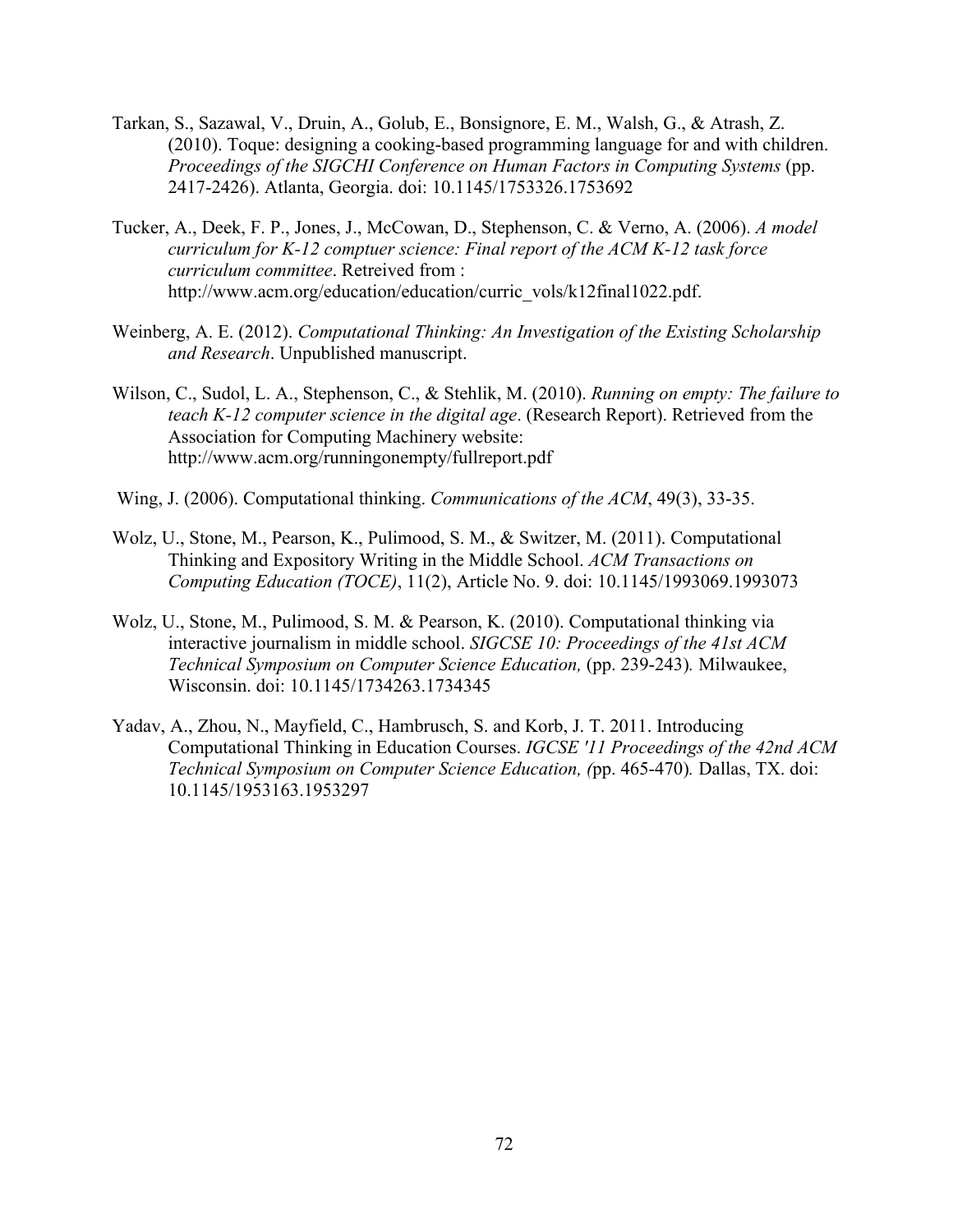- Tarkan, S., Sazawal, V., Druin, A., Golub, E., Bonsignore, E. M., Walsh, G., & Atrash, Z. (2010). Toque: designing a cooking-based programming language for and with children. *Proceedings of the SIGCHI Conference on Human Factors in Computing Systems (pp.* 2417-2426). Atlanta, Georgia. doi: 10.1145/1753326.1753692
- Tucker, A., Deek, F. P., Jones, J., McCowan, D., Stephenson, C. & Verno, A. (2006). *A model curriculum for K-12 comptuer science: Final report of the ACM K-12 task force curriculum committee*. Retreived from : http://www.acm.org/education/education/curric\_vols/k12final1022.pdf.
- Weinberg, A. E. (2012). *Computational Thinking: An Investigation of the Existing Scholarship and Research*. Unpublished manuscript.
- Wilson, C., Sudol, L. A., Stephenson, C., & Stehlik, M. (2010). *Running on empty: The failure to teach K-12 computer science in the digital age*. (Research Report). Retrieved from the Association for Computing Machinery website: http://www.acm.org/runningonempty/fullreport.pdf
- Wing, J. (2006). Computational thinking. *Communications of the ACM*, 49(3), 33-35.
- Wolz, U., Stone, M., Pearson, K., Pulimood, S. M., & Switzer, M. (2011). Computational Thinking and Expository Writing in the Middle School. *ACM Transactions on Computing Education (TOCE)*, 11(2), Article No. 9. doi: 10.1145/1993069.1993073
- Wolz, U., Stone, M., Pulimood, S. M. & Pearson, K. (2010). Computational thinking via interactive journalism in middle school. *SIGCSE 10: Proceedings of the 41st ACM Technical Symposium on Computer Science Education, (pp. 239-243). Milwaukee,* Wisconsin. doi: 10.1145/1734263.1734345
- Yadav, A., Zhou, N., Mayfield, C., Hambrusch, S. and Korb, J. T. 2011. Introducing Computational Thinking in Education Courses. *IGCSE '11 Proceedings of the 42nd ACM Technical Symposium on Computer Science Education, (*pp. 465-470)*.* Dallas, TX. doi: 10.1145/1953163.1953297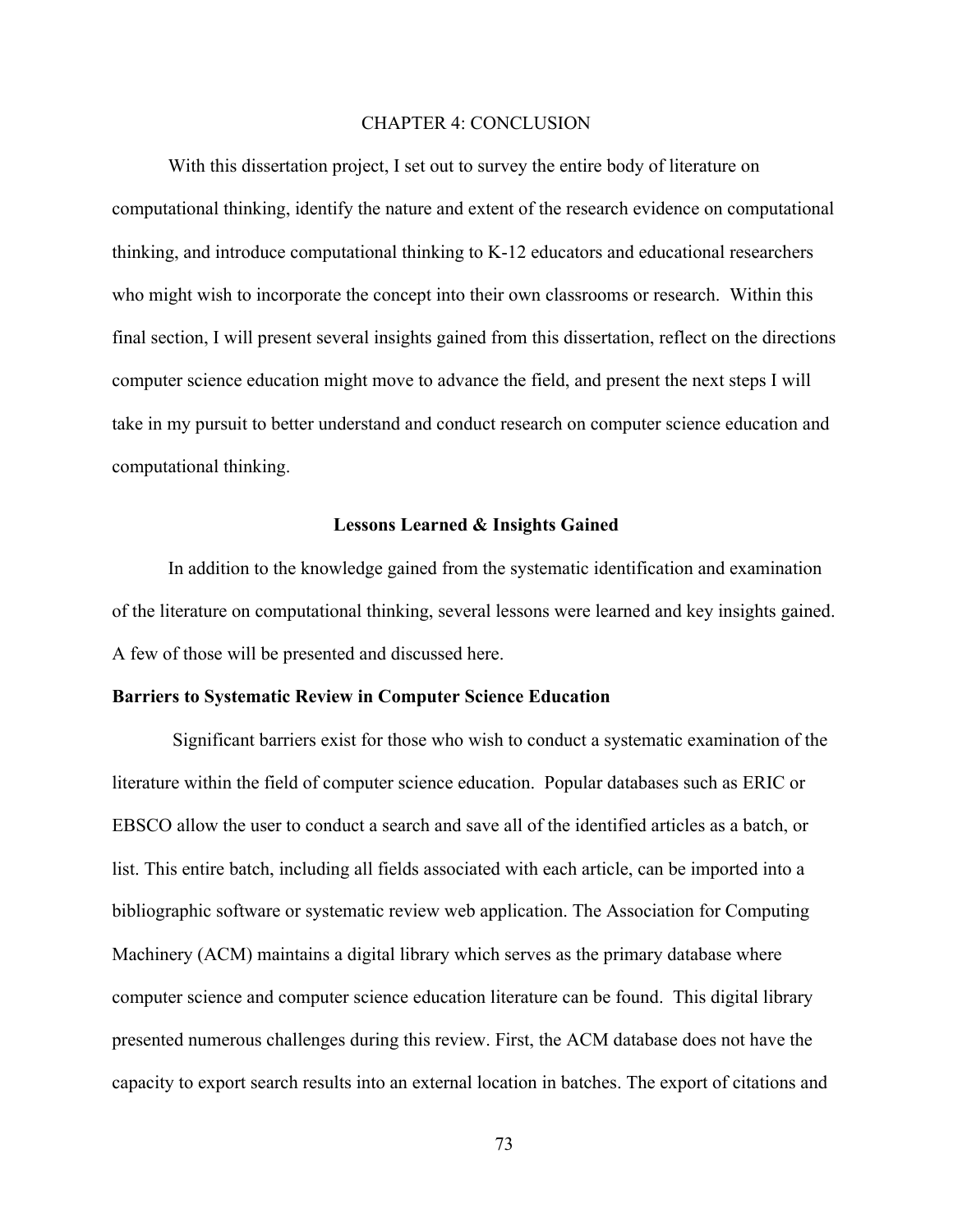#### CHAPTER 4: CONCLUSION

With this dissertation project, I set out to survey the entire body of literature on computational thinking, identify the nature and extent of the research evidence on computational thinking, and introduce computational thinking to K-12 educators and educational researchers who might wish to incorporate the concept into their own classrooms or research. Within this final section, I will present several insights gained from this dissertation, reflect on the directions computer science education might move to advance the field, and present the next steps I will take in my pursuit to better understand and conduct research on computer science education and computational thinking.

#### **Lessons Learned & Insights Gained**

In addition to the knowledge gained from the systematic identification and examination of the literature on computational thinking, several lessons were learned and key insights gained. A few of those will be presented and discussed here.

#### **Barriers to Systematic Review in Computer Science Education**

Significant barriers exist for those who wish to conduct a systematic examination of the literature within the field of computer science education. Popular databases such as ERIC or EBSCO allow the user to conduct a search and save all of the identified articles as a batch, or list. This entire batch, including all fields associated with each article, can be imported into a bibliographic software or systematic review web application. The Association for Computing Machinery (ACM) maintains a digital library which serves as the primary database where computer science and computer science education literature can be found. This digital library presented numerous challenges during this review. First, the ACM database does not have the capacity to export search results into an external location in batches. The export of citations and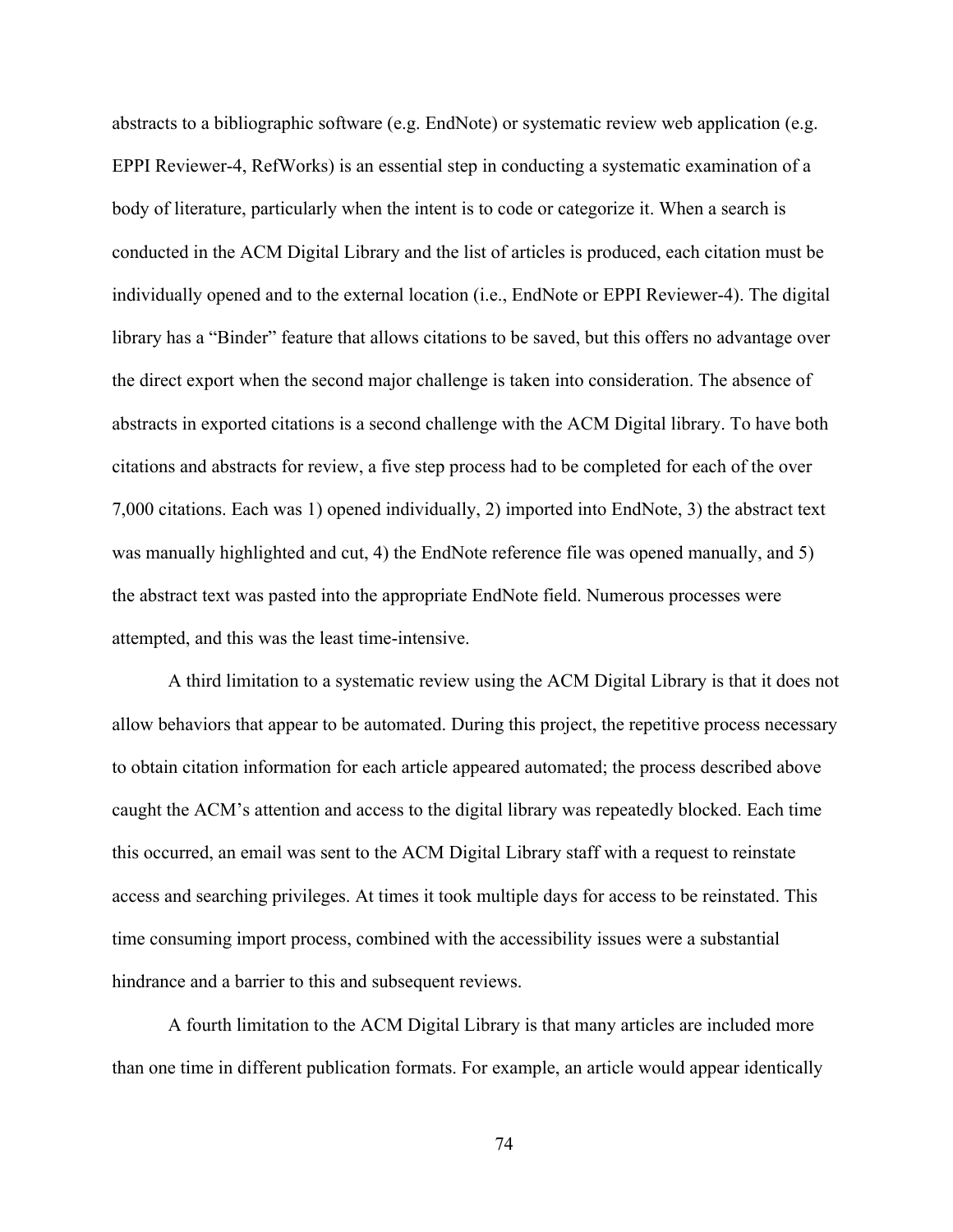abstracts to a bibliographic software (e.g. EndNote) or systematic review web application (e.g. EPPI Reviewer-4, RefWorks) is an essential step in conducting a systematic examination of a body of literature, particularly when the intent is to code or categorize it. When a search is conducted in the ACM Digital Library and the list of articles is produced, each citation must be individually opened and to the external location (i.e., EndNote or EPPI Reviewer-4). The digital library has a "Binder" feature that allows citations to be saved, but this offers no advantage over the direct export when the second major challenge is taken into consideration. The absence of abstracts in exported citations is a second challenge with the ACM Digital library. To have both citations and abstracts for review, a five step process had to be completed for each of the over 7,000 citations. Each was 1) opened individually, 2) imported into EndNote, 3) the abstract text was manually highlighted and cut, 4) the EndNote reference file was opened manually, and 5) the abstract text was pasted into the appropriate EndNote field. Numerous processes were attempted, and this was the least time-intensive.

A third limitation to a systematic review using the ACM Digital Library is that it does not allow behaviors that appear to be automated. During this project, the repetitive process necessary to obtain citation information for each article appeared automated; the process described above caught the ACM's attention and access to the digital library was repeatedly blocked. Each time this occurred, an email was sent to the ACM Digital Library staff with a request to reinstate access and searching privileges. At times it took multiple days for access to be reinstated. This time consuming import process, combined with the accessibility issues were a substantial hindrance and a barrier to this and subsequent reviews.

A fourth limitation to the ACM Digital Library is that many articles are included more than one time in different publication formats. For example, an article would appear identically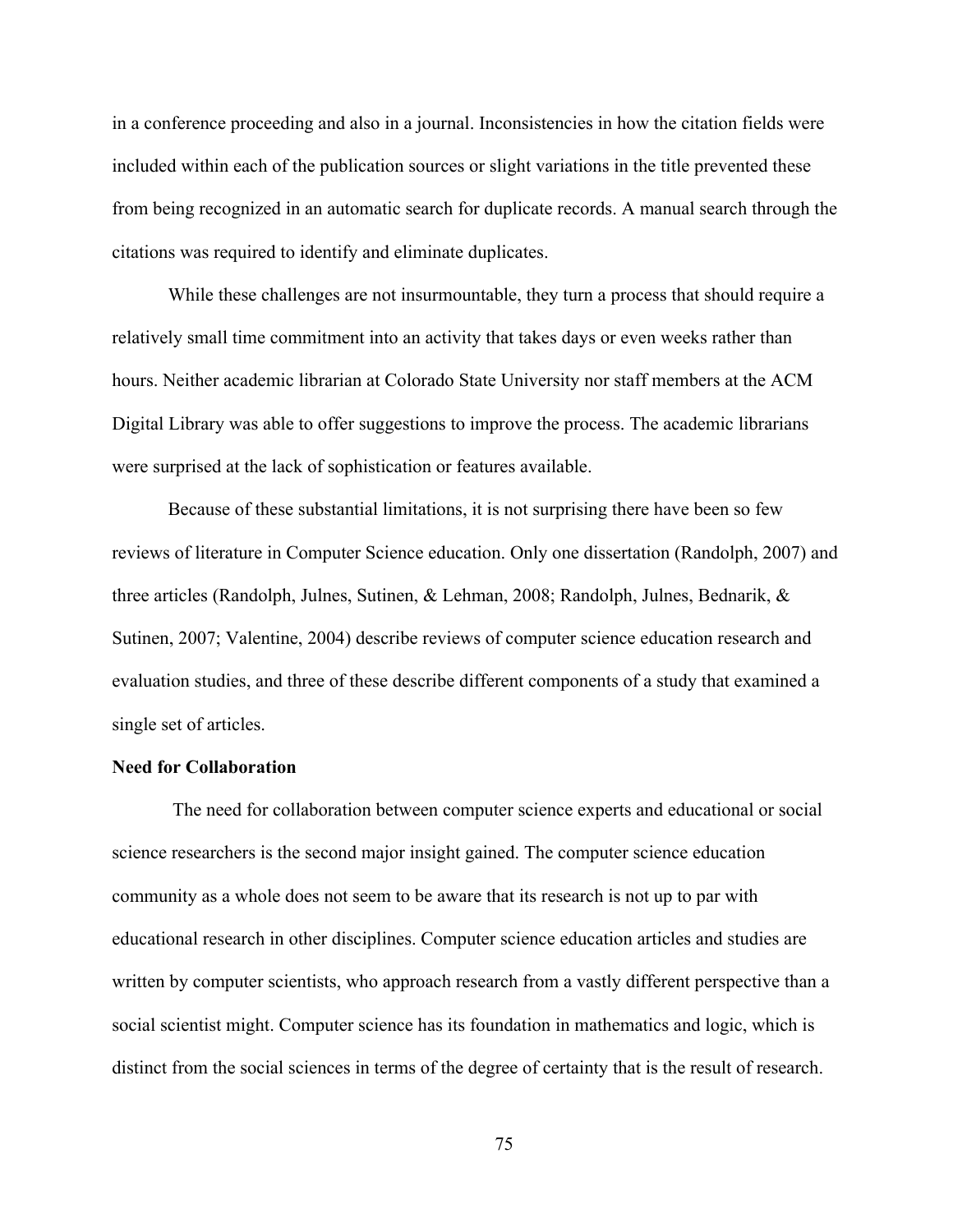in a conference proceeding and also in a journal. Inconsistencies in how the citation fields were included within each of the publication sources or slight variations in the title prevented these from being recognized in an automatic search for duplicate records. A manual search through the citations was required to identify and eliminate duplicates.

While these challenges are not insurmountable, they turn a process that should require a relatively small time commitment into an activity that takes days or even weeks rather than hours. Neither academic librarian at Colorado State University nor staff members at the ACM Digital Library was able to offer suggestions to improve the process. The academic librarians were surprised at the lack of sophistication or features available.

Because of these substantial limitations, it is not surprising there have been so few reviews of literature in Computer Science education. Only one dissertation (Randolph, 2007) and three articles (Randolph, Julnes, Sutinen, & Lehman, 2008; Randolph, Julnes, Bednarik, & Sutinen, 2007; Valentine, 2004) describe reviews of computer science education research and evaluation studies, and three of these describe different components of a study that examined a single set of articles.

#### **Need for Collaboration**

The need for collaboration between computer science experts and educational or social science researchers is the second major insight gained. The computer science education community as a whole does not seem to be aware that its research is not up to par with educational research in other disciplines. Computer science education articles and studies are written by computer scientists, who approach research from a vastly different perspective than a social scientist might. Computer science has its foundation in mathematics and logic, which is distinct from the social sciences in terms of the degree of certainty that is the result of research.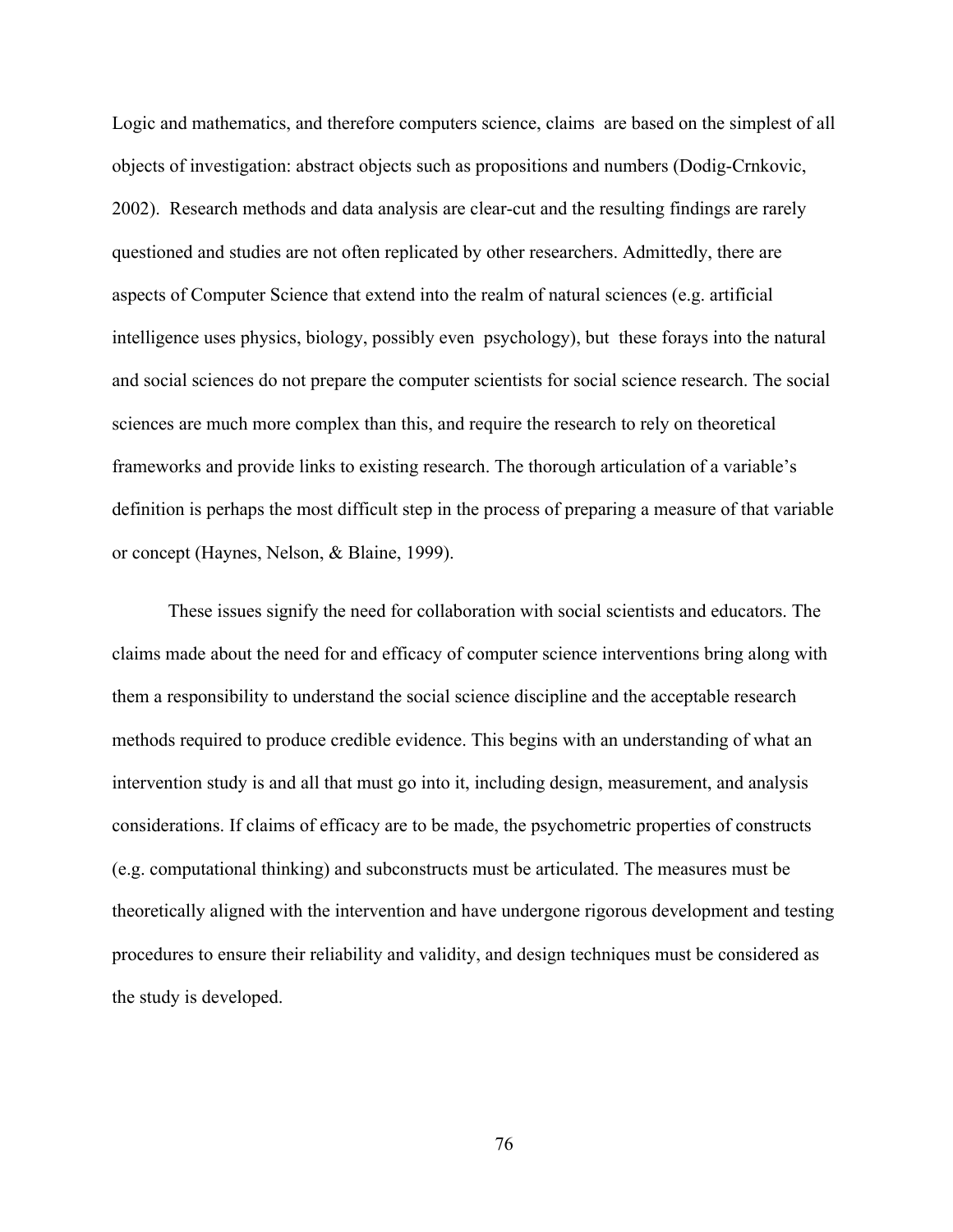Logic and mathematics, and therefore computers science, claims are based on the simplest of all objects of investigation: abstract objects such as propositions and numbers (Dodig-Crnkovic, 2002). Research methods and data analysis are clear-cut and the resulting findings are rarely questioned and studies are not often replicated by other researchers. Admittedly, there are aspects of Computer Science that extend into the realm of natural sciences (e.g. artificial intelligence uses physics, biology, possibly even psychology), but these forays into the natural and social sciences do not prepare the computer scientists for social science research. The social sciences are much more complex than this, and require the research to rely on theoretical frameworks and provide links to existing research. The thorough articulation of a variable's definition is perhaps the most difficult step in the process of preparing a measure of that variable or concept (Haynes, Nelson, & Blaine, 1999).

These issues signify the need for collaboration with social scientists and educators. The claims made about the need for and efficacy of computer science interventions bring along with them a responsibility to understand the social science discipline and the acceptable research methods required to produce credible evidence. This begins with an understanding of what an intervention study is and all that must go into it, including design, measurement, and analysis considerations. If claims of efficacy are to be made, the psychometric properties of constructs (e.g. computational thinking) and subconstructs must be articulated. The measures must be theoretically aligned with the intervention and have undergone rigorous development and testing procedures to ensure their reliability and validity, and design techniques must be considered as the study is developed.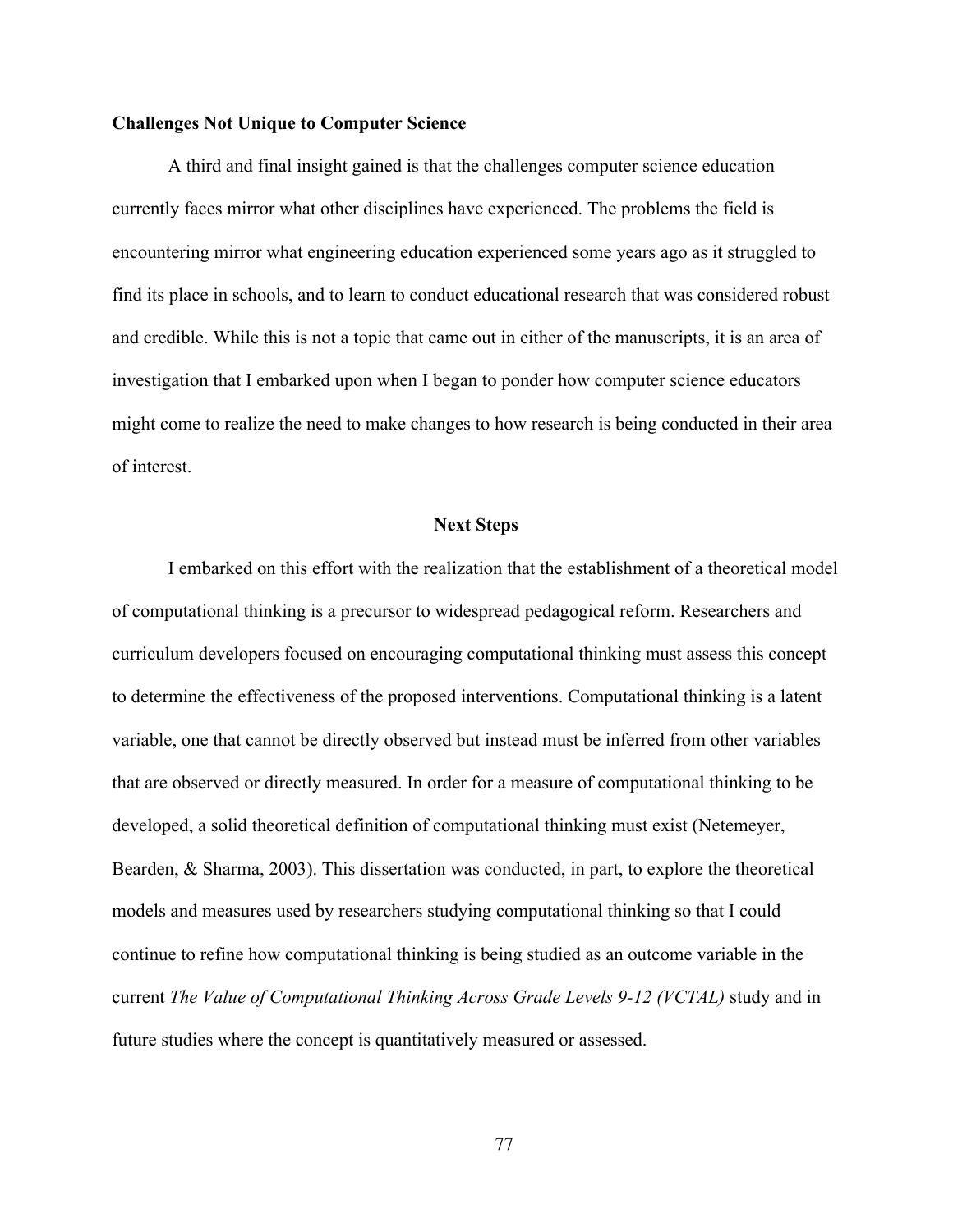#### **Challenges Not Unique to Computer Science**

A third and final insight gained is that the challenges computer science education currently faces mirror what other disciplines have experienced. The problems the field is encountering mirror what engineering education experienced some years ago as it struggled to find its place in schools, and to learn to conduct educational research that was considered robust and credible. While this is not a topic that came out in either of the manuscripts, it is an area of investigation that I embarked upon when I began to ponder how computer science educators might come to realize the need to make changes to how research is being conducted in their area of interest.

#### **Next Steps**

I embarked on this effort with the realization that the establishment of a theoretical model of computational thinking is a precursor to widespread pedagogical reform. Researchers and curriculum developers focused on encouraging computational thinking must assess this concept to determine the effectiveness of the proposed interventions. Computational thinking is a latent variable, one that cannot be directly observed but instead must be inferred from other variables that are observed or directly measured. In order for a measure of computational thinking to be developed, a solid theoretical definition of computational thinking must exist (Netemeyer, Bearden, & Sharma, 2003). This dissertation was conducted, in part, to explore the theoretical models and measures used by researchers studying computational thinking so that I could continue to refine how computational thinking is being studied as an outcome variable in the current *The Value of Computational Thinking Across Grade Levels 9-12 (VCTAL)* study and in future studies where the concept is quantitatively measured or assessed.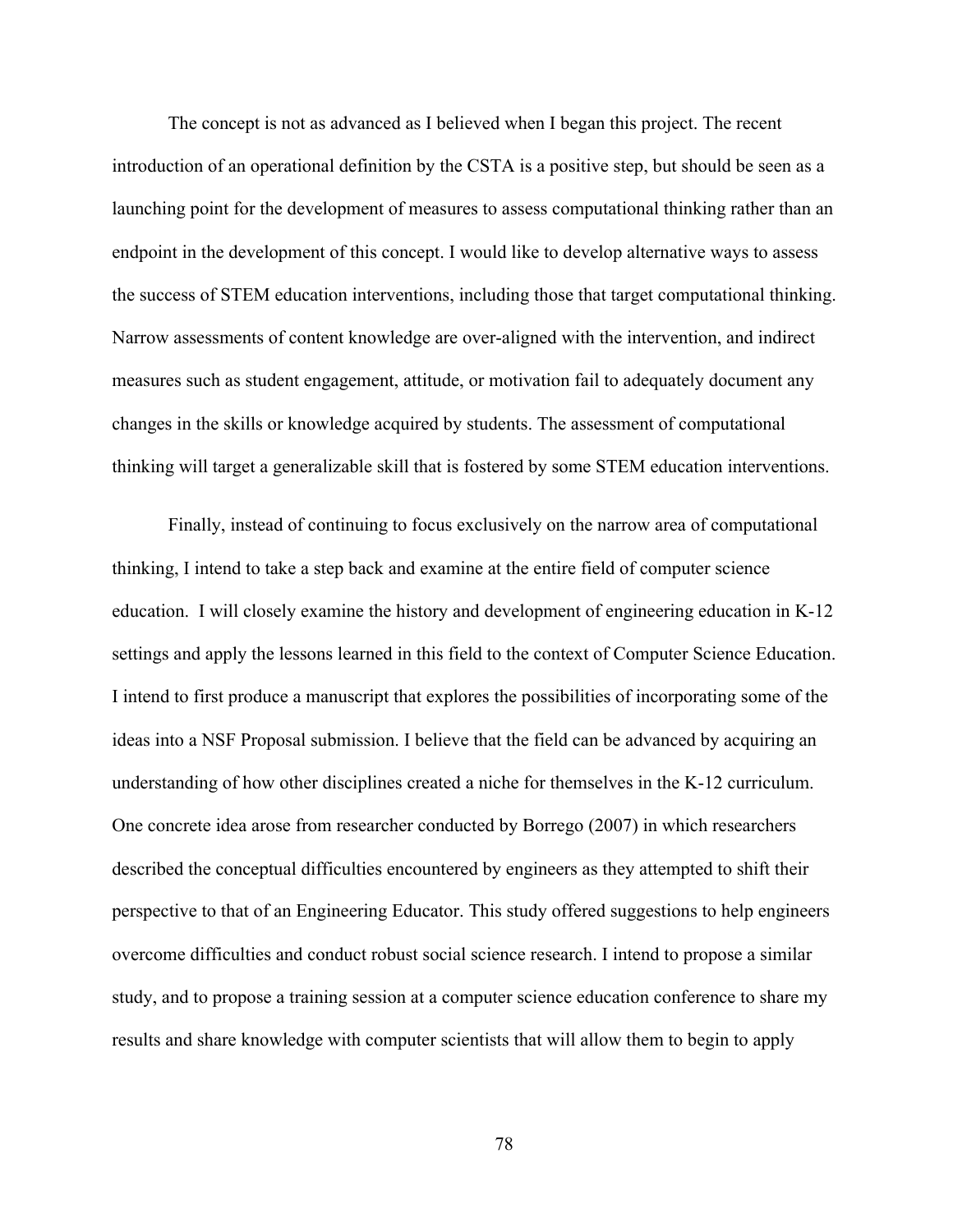The concept is not as advanced as I believed when I began this project. The recent introduction of an operational definition by the CSTA is a positive step, but should be seen as a launching point for the development of measures to assess computational thinking rather than an endpoint in the development of this concept. I would like to develop alternative ways to assess the success of STEM education interventions, including those that target computational thinking. Narrow assessments of content knowledge are over-aligned with the intervention, and indirect measures such as student engagement, attitude, or motivation fail to adequately document any changes in the skills or knowledge acquired by students. The assessment of computational thinking will target a generalizable skill that is fostered by some STEM education interventions.

Finally, instead of continuing to focus exclusively on the narrow area of computational thinking, I intend to take a step back and examine at the entire field of computer science education. I will closely examine the history and development of engineering education in K-12 settings and apply the lessons learned in this field to the context of Computer Science Education. I intend to first produce a manuscript that explores the possibilities of incorporating some of the ideas into a NSF Proposal submission. I believe that the field can be advanced by acquiring an understanding of how other disciplines created a niche for themselves in the K-12 curriculum. One concrete idea arose from researcher conducted by Borrego (2007) in which researchers described the conceptual difficulties encountered by engineers as they attempted to shift their perspective to that of an Engineering Educator. This study offered suggestions to help engineers overcome difficulties and conduct robust social science research. I intend to propose a similar study, and to propose a training session at a computer science education conference to share my results and share knowledge with computer scientists that will allow them to begin to apply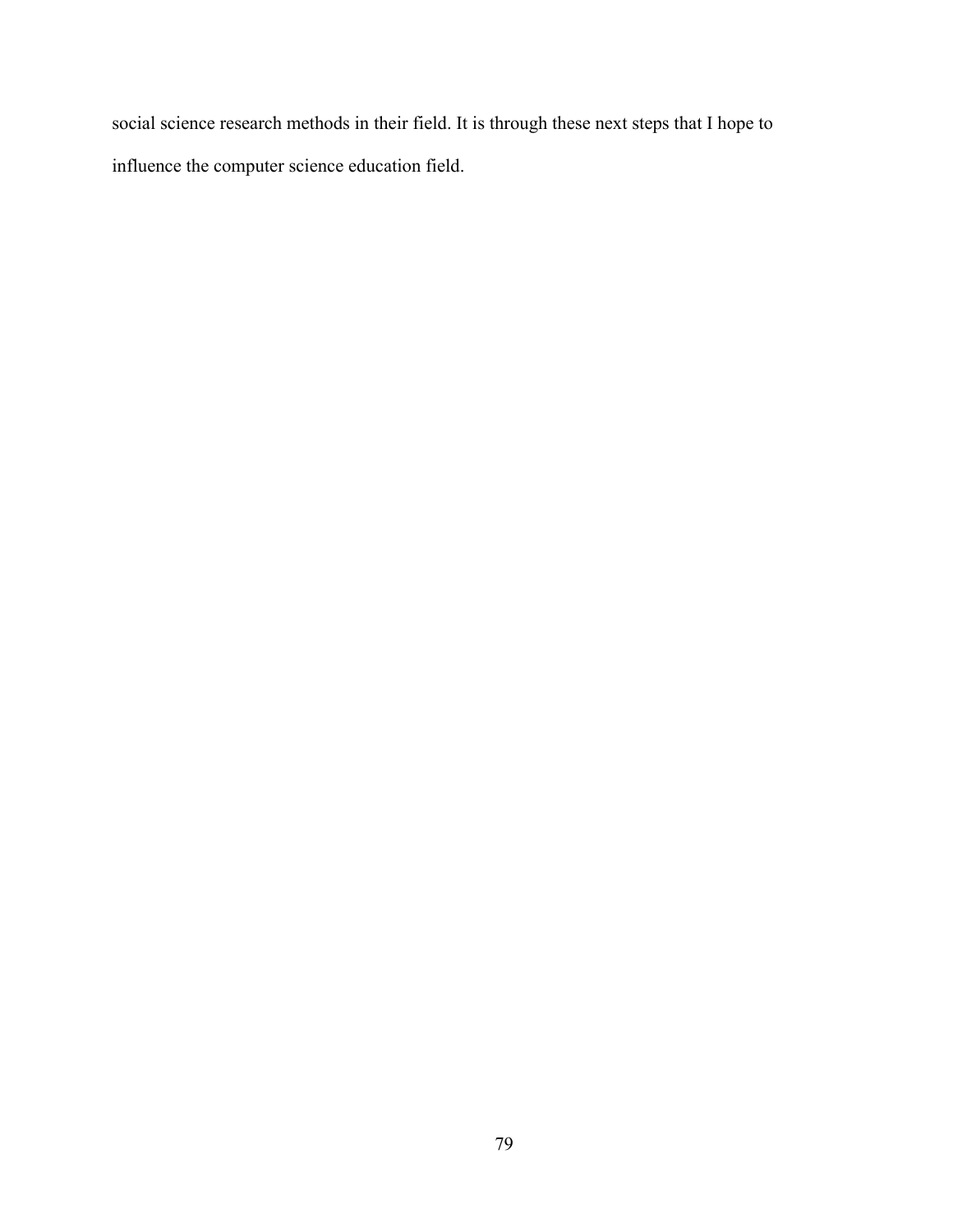social science research methods in their field. It is through these next steps that I hope to influence the computer science education field.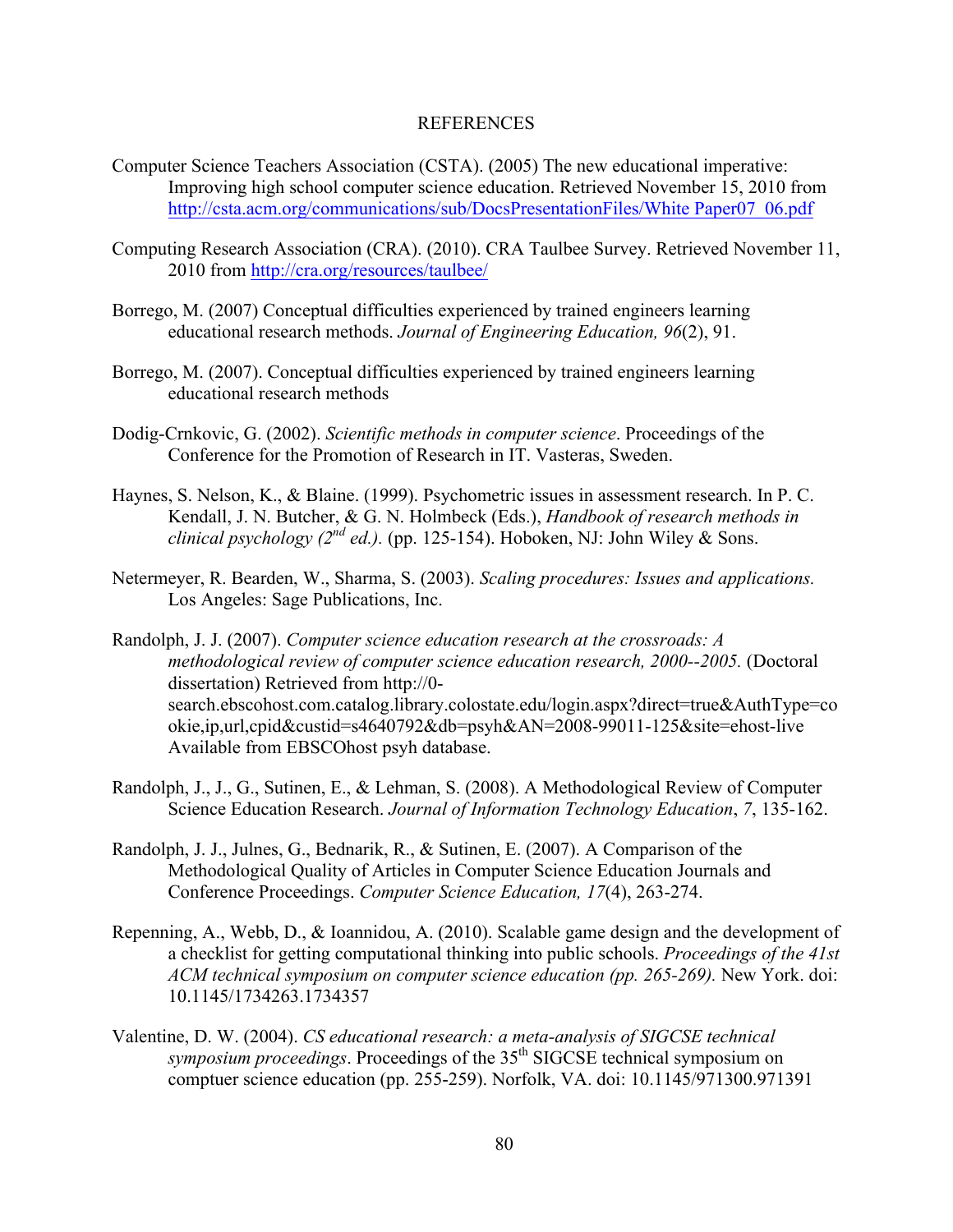#### REFERENCES

- Computer Science Teachers Association (CSTA). (2005) The new educational imperative: Improving high school computer science education. Retrieved November 15, 2010 from http://csta.acm.org/communications/sub/DocsPresentationFiles/White Paper07\_06.pdf
- Computing Research Association (CRA). (2010). CRA Taulbee Survey. Retrieved November 11, 2010 from http://cra.org/resources/taulbee/
- Borrego, M. (2007) Conceptual difficulties experienced by trained engineers learning educational research methods. *Journal of Engineering Education, 96*(2), 91.
- Borrego, M. (2007). Conceptual difficulties experienced by trained engineers learning educational research methods
- Dodig-Crnkovic, G. (2002). *Scientific methods in computer science*. Proceedings of the Conference for the Promotion of Research in IT. Vasteras, Sweden.
- Haynes, S. Nelson, K., & Blaine. (1999). Psychometric issues in assessment research. In P. C. Kendall, J. N. Butcher, & G. N. Holmbeck (Eds.), *Handbook of research methods in clinical psychology (2nd ed.).* (pp. 125-154). Hoboken, NJ: John Wiley & Sons.
- Netermeyer, R. Bearden, W., Sharma, S. (2003). *Scaling procedures: Issues and applications.*  Los Angeles: Sage Publications, Inc.

Randolph, J. J. (2007). *Computer science education research at the crossroads: A methodological review of computer science education research, 2000--2005.* (Doctoral dissertation) Retrieved from http://0 search.ebscohost.com.catalog.library.colostate.edu/login.aspx?direct=true&AuthType=co okie,ip,url,cpid&custid=s4640792&db=psyh&AN=2008-99011-125&site=ehost-live Available from EBSCOhost psyh database.

- Randolph, J., J., G., Sutinen, E., & Lehman, S. (2008). A Methodological Review of Computer Science Education Research. *Journal of Information Technology Education*, *7*, 135-162.
- Randolph, J. J., Julnes, G., Bednarik, R., & Sutinen, E. (2007). A Comparison of the Methodological Quality of Articles in Computer Science Education Journals and Conference Proceedings. *Computer Science Education, 17*(4), 263-274.
- Repenning, A., Webb, D., & Ioannidou, A. (2010). Scalable game design and the development of a checklist for getting computational thinking into public schools. *Proceedings of the 41st ACM technical symposium on computer science education (pp. 265-269).* New York. doi: 10.1145/1734263.1734357
- Valentine, D. W. (2004). *CS educational research: a meta-analysis of SIGCSE technical symposium proceedings*. Proceedings of the 35<sup>th</sup> SIGCSE technical symposium on comptuer science education (pp. 255-259). Norfolk, VA. doi: 10.1145/971300.971391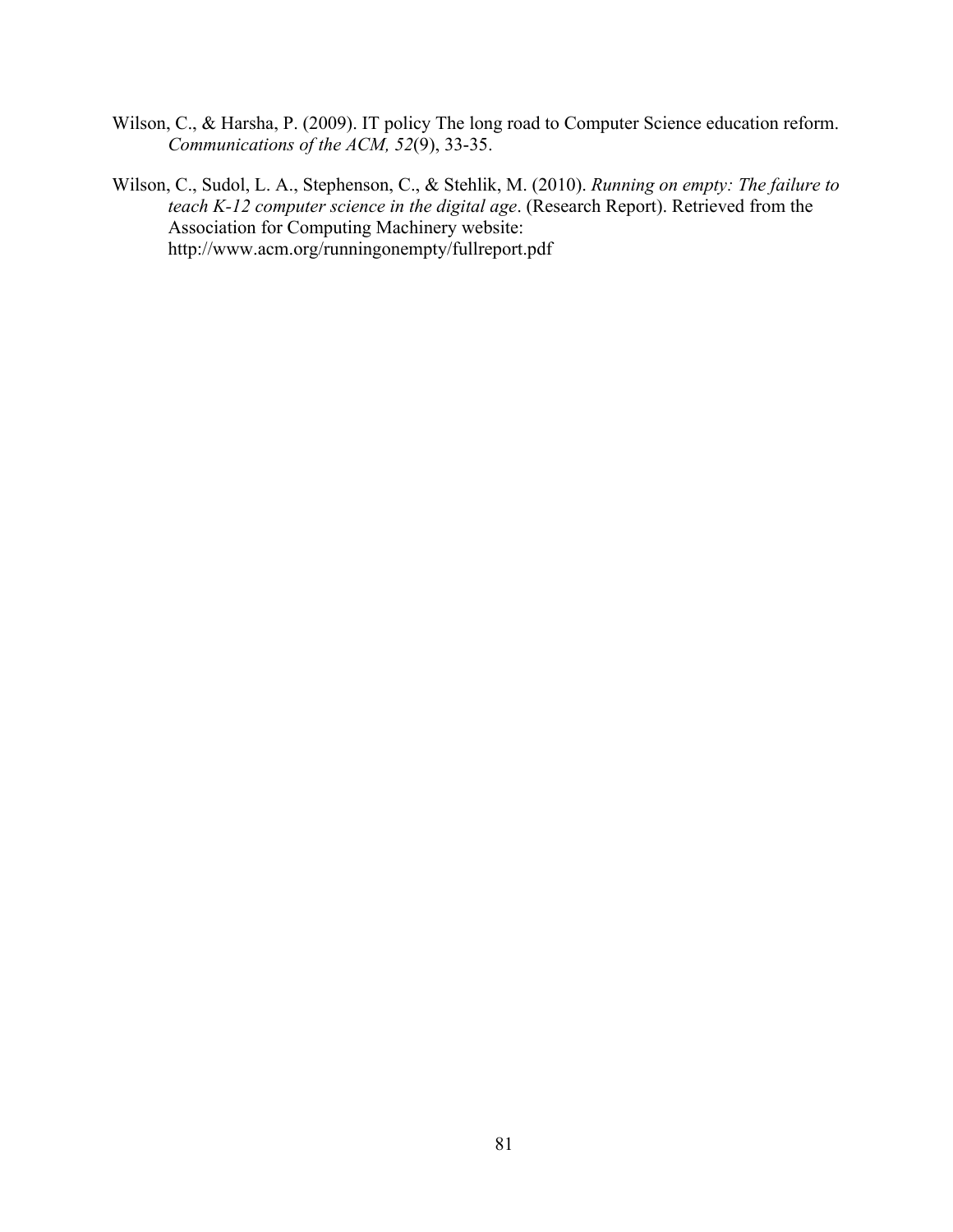- Wilson, C., & Harsha, P. (2009). IT policy The long road to Computer Science education reform. *Communications of the ACM, 52*(9), 33-35.
- Wilson, C., Sudol, L. A., Stephenson, C., & Stehlik, M. (2010). *Running on empty: The failure to teach K-12 computer science in the digital age*. (Research Report). Retrieved from the Association for Computing Machinery website: http://www.acm.org/runningonempty/fullreport.pdf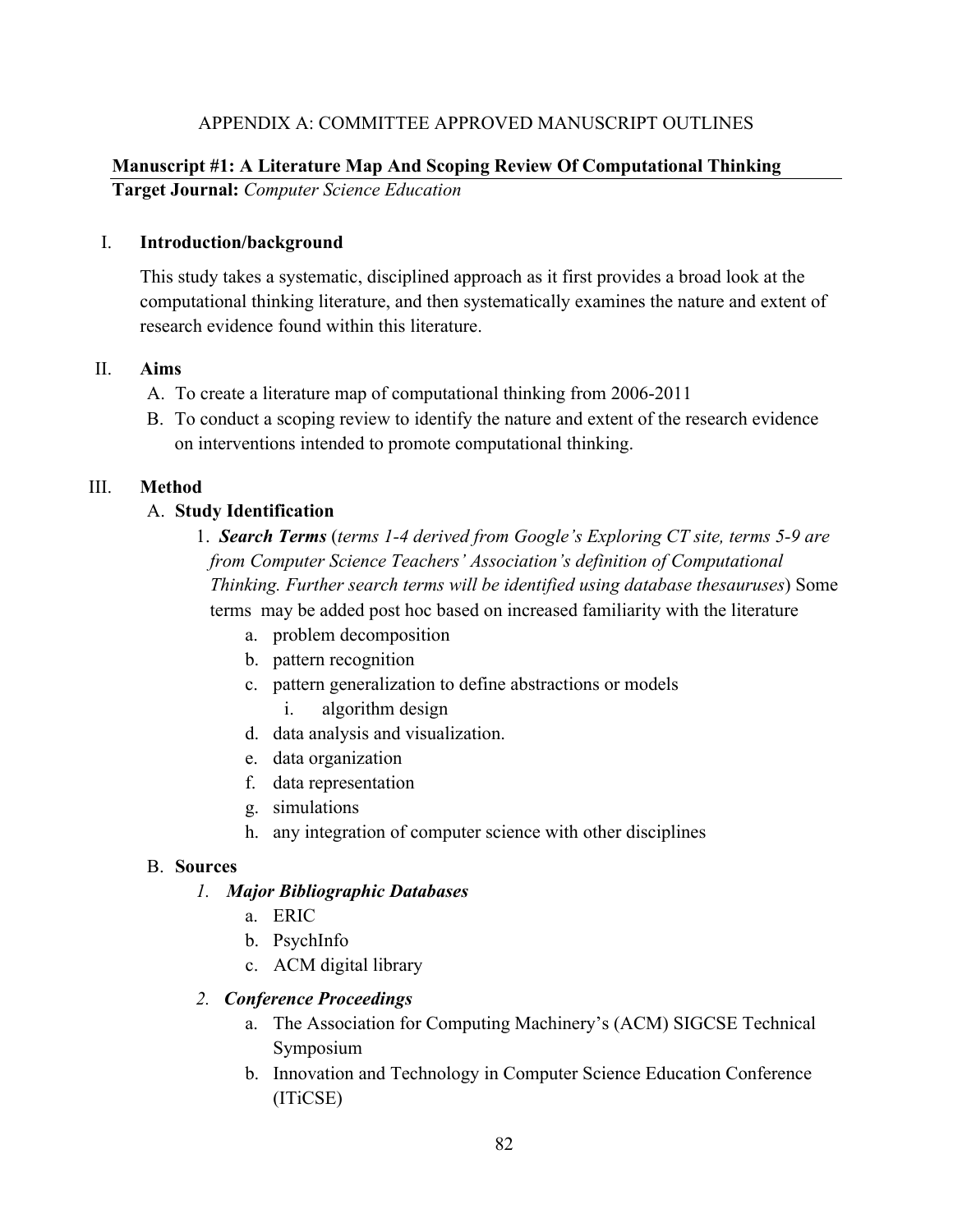## APPENDIX A: COMMITTEE APPROVED MANUSCRIPT OUTLINES

## **Manuscript #1: A Literature Map And Scoping Review Of Computational Thinking**

**Target Journal:** *Computer Science Education*

## I. **Introduction/background**

This study takes a systematic, disciplined approach as it first provides a broad look at the computational thinking literature, and then systematically examines the nature and extent of research evidence found within this literature.

## II. **Aims**

- A. To create a literature map of computational thinking from 2006-2011
- B. To conduct a scoping review to identify the nature and extent of the research evidence on interventions intended to promote computational thinking.

## III. **Method**

## A. **Study Identification**

- 1.*Search Terms* (*terms 1-4 derived from Google's Exploring CT site, terms 5-9 are from Computer Science Teachers' Association's definition of Computational Thinking. Further search terms will be identified using database thesauruses*) Some terms may be added post hoc based on increased familiarity with the literature
	- a. problem decomposition
	- b. pattern recognition
	- c. pattern generalization to define abstractions or models
		- i. algorithm design
	- d. data analysis and visualization.
	- e. data organization
	- f. data representation
	- g. simulations
	- h. any integration of computer science with other disciplines

## B. **Sources**

- *1. Major Bibliographic Databases*
	- a. ERIC
	- b. PsychInfo
	- c. ACM digital library

## *2. Conference Proceedings*

- a. The Association for Computing Machinery's (ACM) SIGCSE Technical Symposium
- b. Innovation and Technology in Computer Science Education Conference (ITiCSE)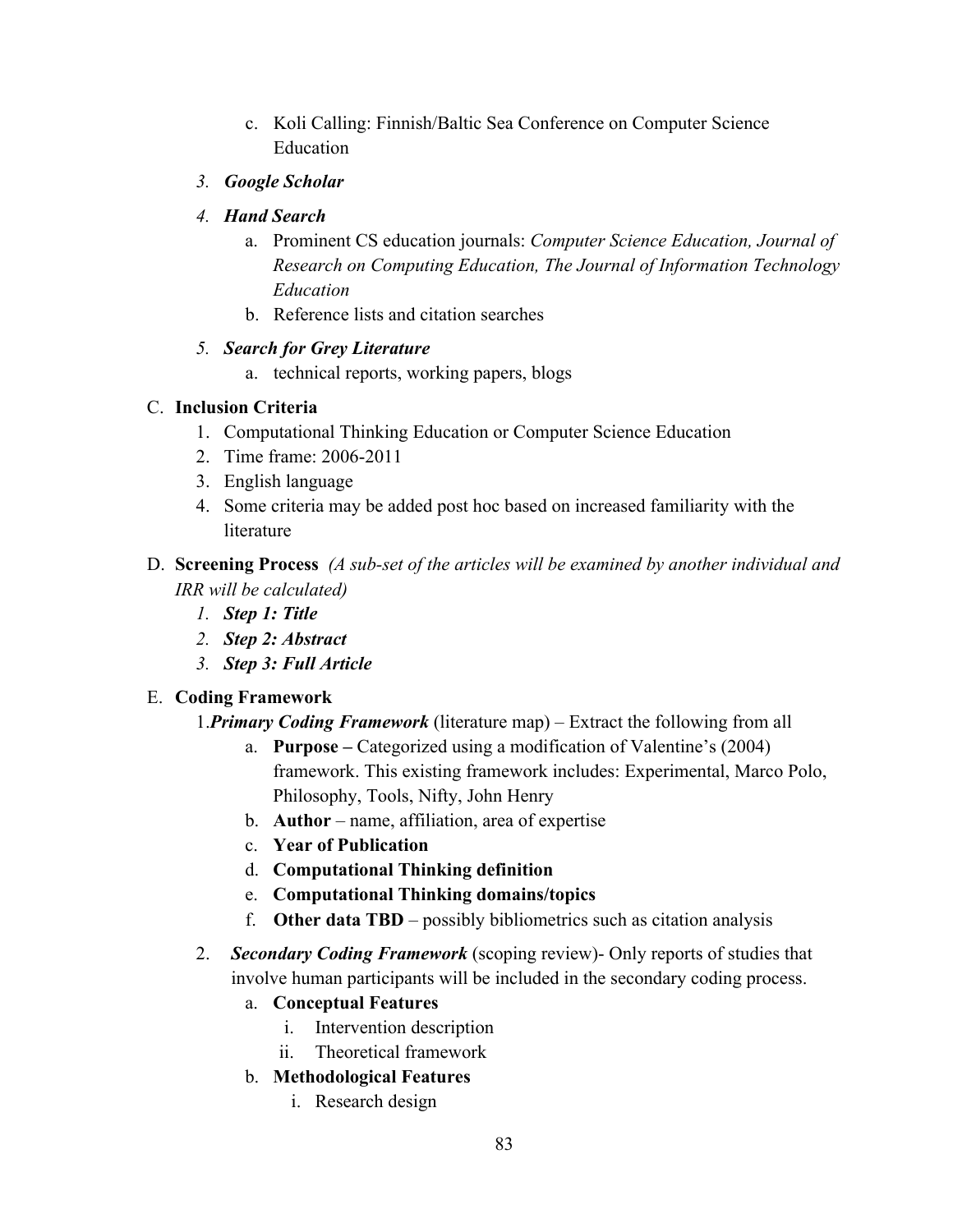- c. Koli Calling: Finnish/Baltic Sea Conference on Computer Science **Education**
- *3. Google Scholar*
- *4. Hand Search*
	- a. Prominent CS education journals: *Computer Science Education, Journal of Research on Computing Education, The Journal of Information Technology Education*
	- b. Reference lists and citation searches

## *5. Search for Grey Literature*

a. technical reports, working papers, blogs

## C. **Inclusion Criteria**

- 1. Computational Thinking Education or Computer Science Education
- 2. Time frame: 2006-2011
- 3. English language
- 4. Some criteria may be added post hoc based on increased familiarity with the literature
- D. **Screening Process** *(A sub-set of the articles will be examined by another individual and IRR will be calculated)*
	- *1. Step 1: Title*
	- *2. Step 2: Abstract*
	- *3. Step 3: Full Article*

## E. **Coding Framework**

## 1.*Primary Coding Framework* (literature map) – Extract the following from all

- a. **Purpose –** Categorized using a modification of Valentine's (2004) framework. This existing framework includes: Experimental, Marco Polo, Philosophy, Tools, Nifty, John Henry
- b. **Author** name, affiliation, area of expertise
- c. **Year of Publication**
- d. **Computational Thinking definition**
- e. **Computational Thinking domains/topics**
- f. **Other data TBD** possibly bibliometrics such as citation analysis
- 2. *Secondary Coding Framework* (scoping review)- Only reports of studies that involve human participants will be included in the secondary coding process.
	- a. **Conceptual Features**
		- i. Intervention description
		- ii. Theoretical framework
	- b. **Methodological Features**
		- i. Research design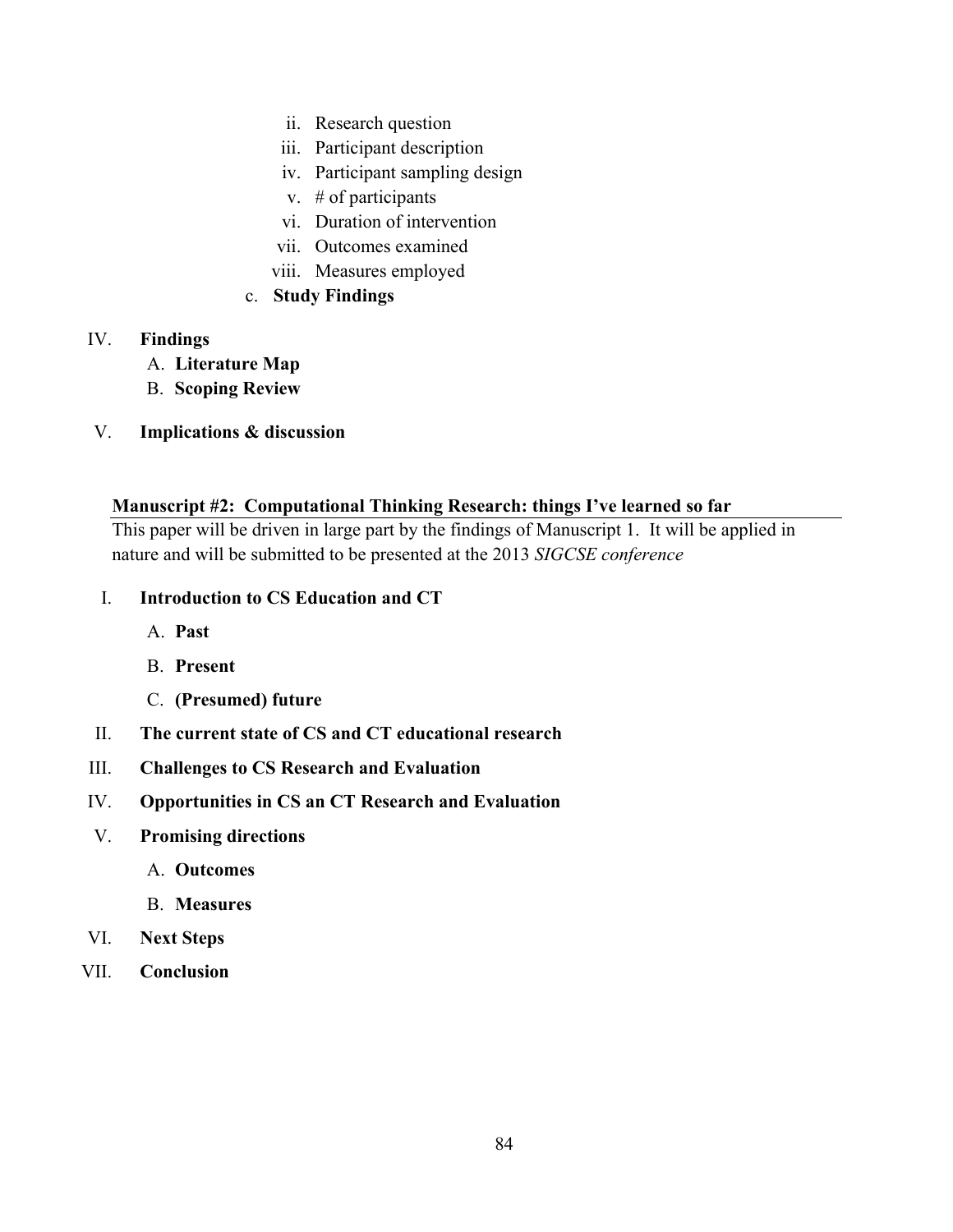- ii. Research question
- iii. Participant description
- iv. Participant sampling design
- v.  $#$  of participants
- vi. Duration of intervention
- vii. Outcomes examined
- viii. Measures employed
- c. **Study Findings**

## IV. **Findings**

- A. **Literature Map**
- B. **Scoping Review**

## V. **Implications & discussion**

## **Manuscript #2: Computational Thinking Research: things I've learned so far**

This paper will be driven in large part by the findings of Manuscript 1. It will be applied in nature and will be submitted to be presented at the 2013 *SIGCSE conference*

## I. **Introduction to CS Education and CT**

- A. **Past**
- B. **Present**
- C. **(Presumed) future**
- II. **The current state of CS and CT educational research**
- III. **Challenges to CS Research and Evaluation**
- IV. **Opportunities in CS an CT Research and Evaluation**
- V. **Promising directions**
	- A. **Outcomes**
	- B. **Measures**
- VI. **Next Steps**
- VII. **Conclusion**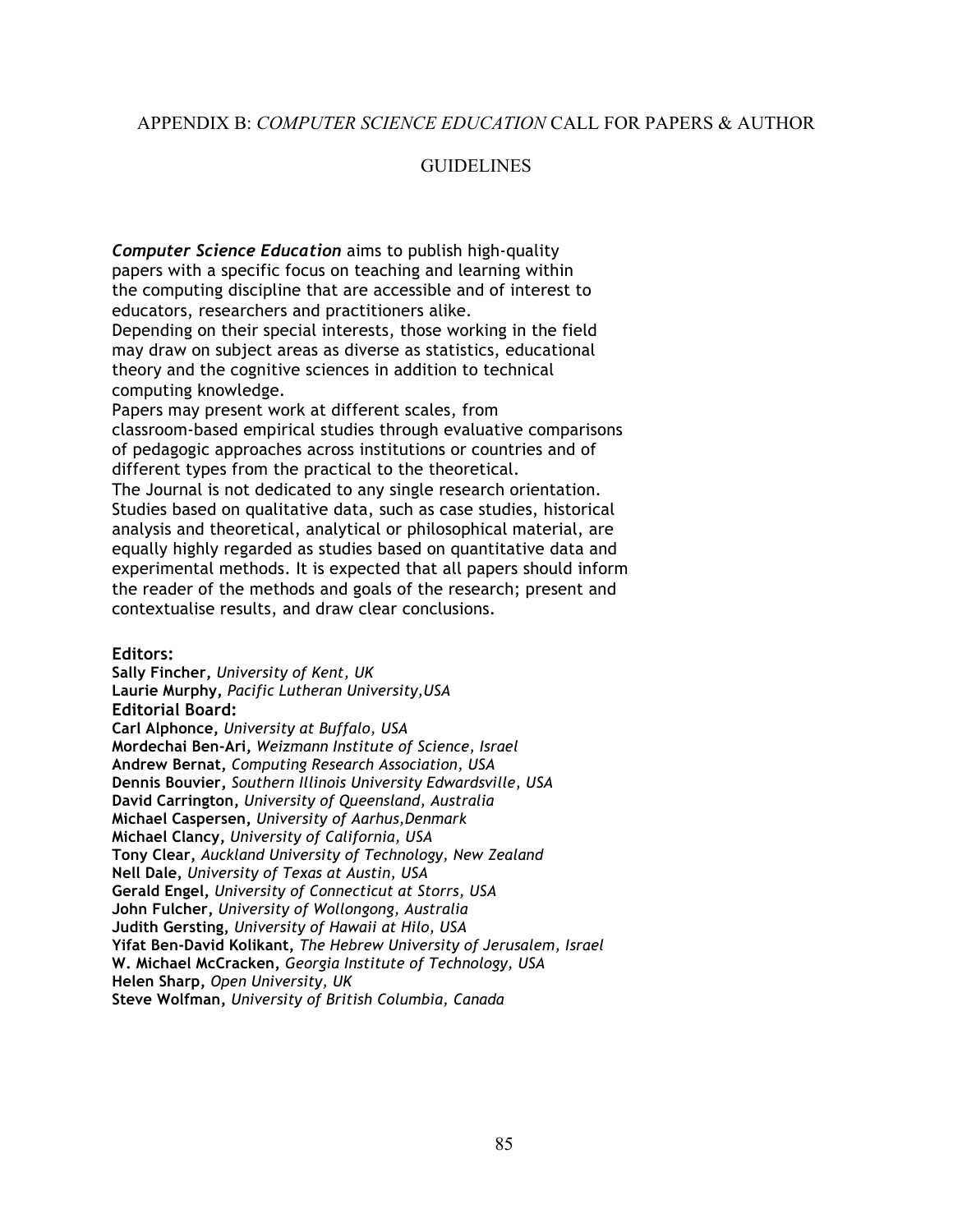#### APPENDIX B: *COMPUTER SCIENCE EDUCATION* CALL FOR PAPERS & AUTHOR

#### **GUIDELINES**

*Computer Science Education* aims to publish high-quality papers with a specific focus on teaching and learning within the computing discipline that are accessible and of interest to educators, researchers and practitioners alike.

Depending on their special interests, those working in the field may draw on subject areas as diverse as statistics, educational theory and the cognitive sciences in addition to technical computing knowledge.

Papers may present work at different scales, from classroom-based empirical studies through evaluative comparisons of pedagogic approaches across institutions or countries and of different types from the practical to the theoretical.

The Journal is not dedicated to any single research orientation. Studies based on qualitative data, such as case studies, historical analysis and theoretical, analytical or philosophical material, are equally highly regarded as studies based on quantitative data and experimental methods. It is expected that all papers should inform the reader of the methods and goals of the research; present and contextualise results, and draw clear conclusions.

#### **Editors:**

**Sally Fincher,** *University of Kent, UK* **Laurie Murphy,** *Pacific Lutheran University,USA* **Editorial Board: Carl Alphonce,** *University at Buffalo, USA* **Mordechai Ben-Ari,** *Weizmann Institute of Science, Israel* **Andrew Bernat,** *Computing Research Association, USA* **Dennis Bouvier,** *Southern Illinois University Edwardsville, USA* **David Carrington,** *University of Queensland, Australia* **Michael Caspersen,** *University of Aarhus,Denmark* **Michael Clancy,** *University of California, USA* **Tony Clear,** *Auckland University of Technology, New Zealand* **Nell Dale,** *University of Texas at Austin, USA* **Gerald Engel,** *University of Connecticut at Storrs, USA* **John Fulcher,** *University of Wollongong, Australia* **Judith Gersting,** *University of Hawaii at Hilo, USA* **Yifat Ben-David Kolikant,** *The Hebrew University of Jerusalem, Israel* **W. Michael McCracken,** *Georgia Institute of Technology, USA* **Helen Sharp,** *Open University, UK* **Steve Wolfman,** *University of British Columbia, Canada*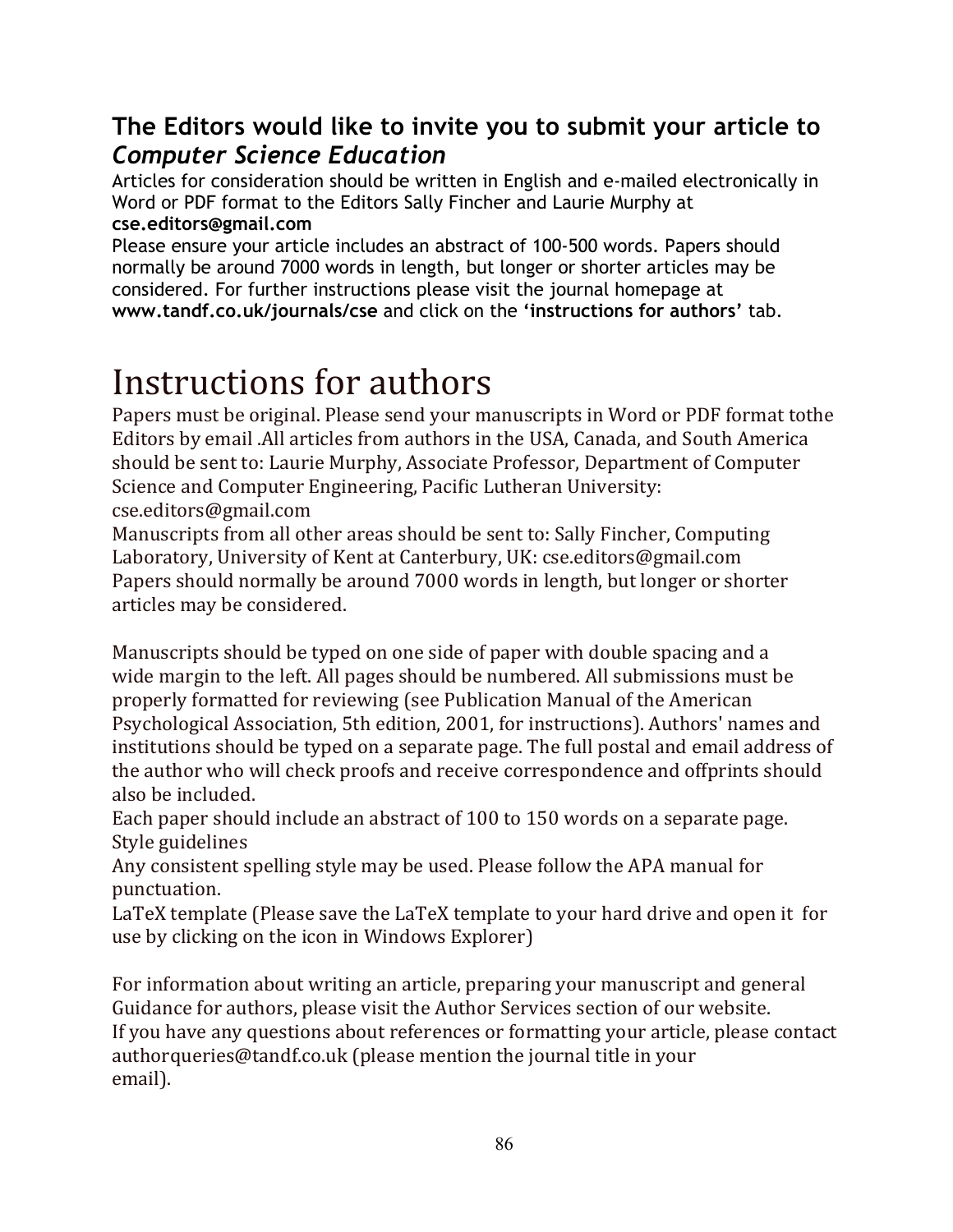# **The Editors would like to invite you to submit your article to** *Computer Science Education*

Articles for consideration should be written in English and e-mailed electronically in Word or PDF format to the Editors Sally Fincher and Laurie Murphy at **cse.editors@gmail.com**

Please ensure your article includes an abstract of 100-500 words. Papers should normally be around 7000 words in length, but longer or shorter articles may be considered. For further instructions please visit the journal homepage at **www.tandf.co.uk/journals/cse** and click on the **'instructions for authors'** tab.

# Instructions for authors

Papers must be original. Please send your manuscripts in Word or PDF format tothe Editors by email .All articles from authors in the USA, Canada, and South America should be sent to: Laurie Murphy, Associate Professor, Department of Computer Science and Computer Engineering, Pacific Lutheran University: cse.editors@gmail.com

Manuscripts from all other areas should be sent to: Sally Fincher, Computing Laboratory, University of Kent at Canterbury, UK: cse.editors@gmail.com Papers should normally be around 7000 words in length, but longer or shorter articles may be considered.

Manuscripts should be typed on one side of paper with double spacing and a wide margin to the left. All pages should be numbered. All submissions must be properly formatted for reviewing (see Publication Manual of the American Psychological Association, 5th edition, 2001, for instructions). Authors' names and institutions should be typed on a separate page. The full postal and email address of the author who will check proofs and receive correspondence and offprints should also be included.

Each paper should include an abstract of 100 to 150 words on a separate page. Style guidelines

Any consistent spelling style may be used. Please follow the APA manual for punctuation.

LaTeX template (Please save the LaTeX template to your hard drive and open it for use by clicking on the icon in Windows Explorer)

For information about writing an article, preparing your manuscript and general Guidance for authors, please visit the Author Services section of our website. If you have any questions about references or formatting your article, please contact authorqueries@tandf.co.uk (please mention the journal title in your email).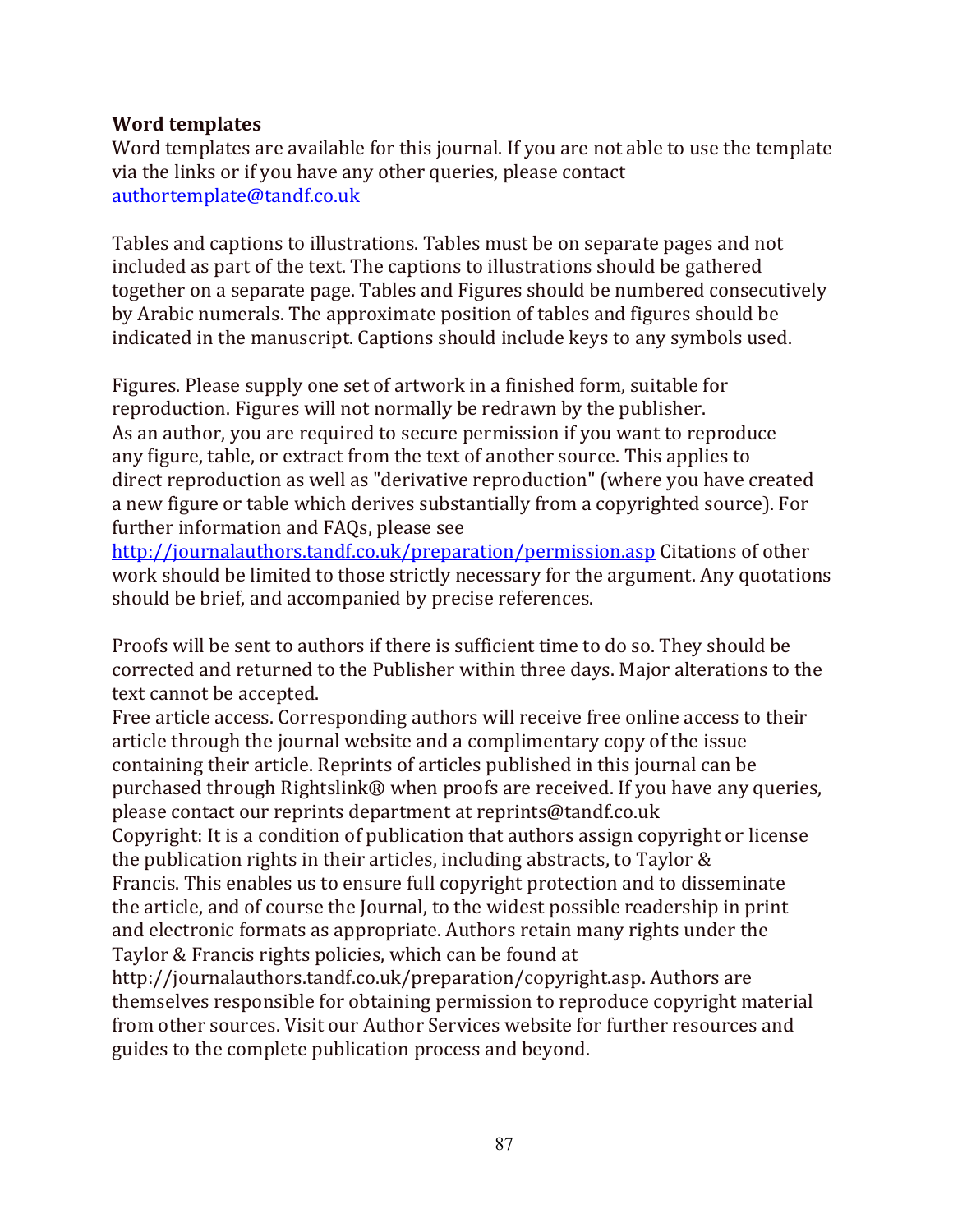## **Word templates**

Word templates are available for this journal. If you are not able to use the template via the links or if you have any other queries, please contact authortemplate@tandf.co.uk

Tables and captions to illustrations. Tables must be on separate pages and not included as part of the text. The captions to illustrations should be gathered together on a separate page. Tables and Figures should be numbered consecutively by Arabic numerals. The approximate position of tables and figures should be indicated in the manuscript. Captions should include keys to any symbols used.

Figures. Please supply one set of artwork in a finished form, suitable for reproduction. Figures will not normally be redrawn by the publisher. As an author, you are required to secure permission if you want to reproduce any figure, table, or extract from the text of another source. This applies to direct reproduction as well as "derivative reproduction" (where you have created a new figure or table which derives substantially from a copyrighted source). For further information and FAQs, please see

http://journalauthors.tandf.co.uk/preparation/permission.asp Citations of other work should be limited to those strictly necessary for the argument. Any quotations should be brief, and accompanied by precise references.

Proofs will be sent to authors if there is sufficient time to do so. They should be corrected and returned to the Publisher within three days. Major alterations to the text cannot be accepted.

Free article access. Corresponding authors will receive free online access to their article through the journal website and a complimentary copy of the issue containing their article. Reprints of articles published in this journal can be purchased through Rightslink® when proofs are received. If you have any queries, please contact our reprints department at reprints@tandf.co.uk Copyright: It is a condition of publication that authors assign copyright or license the publication rights in their articles, including abstracts, to Taylor  $&$ Francis. This enables us to ensure full copyright protection and to disseminate the article, and of course the Journal, to the widest possible readership in print and electronic formats as appropriate. Authors retain many rights under the Taylor & Francis rights policies, which can be found at http://journalauthors.tandf.co.uk/preparation/copyright.asp. Authors are

themselves responsible for obtaining permission to reproduce copyright material from other sources. Visit our Author Services website for further resources and guides to the complete publication process and beyond.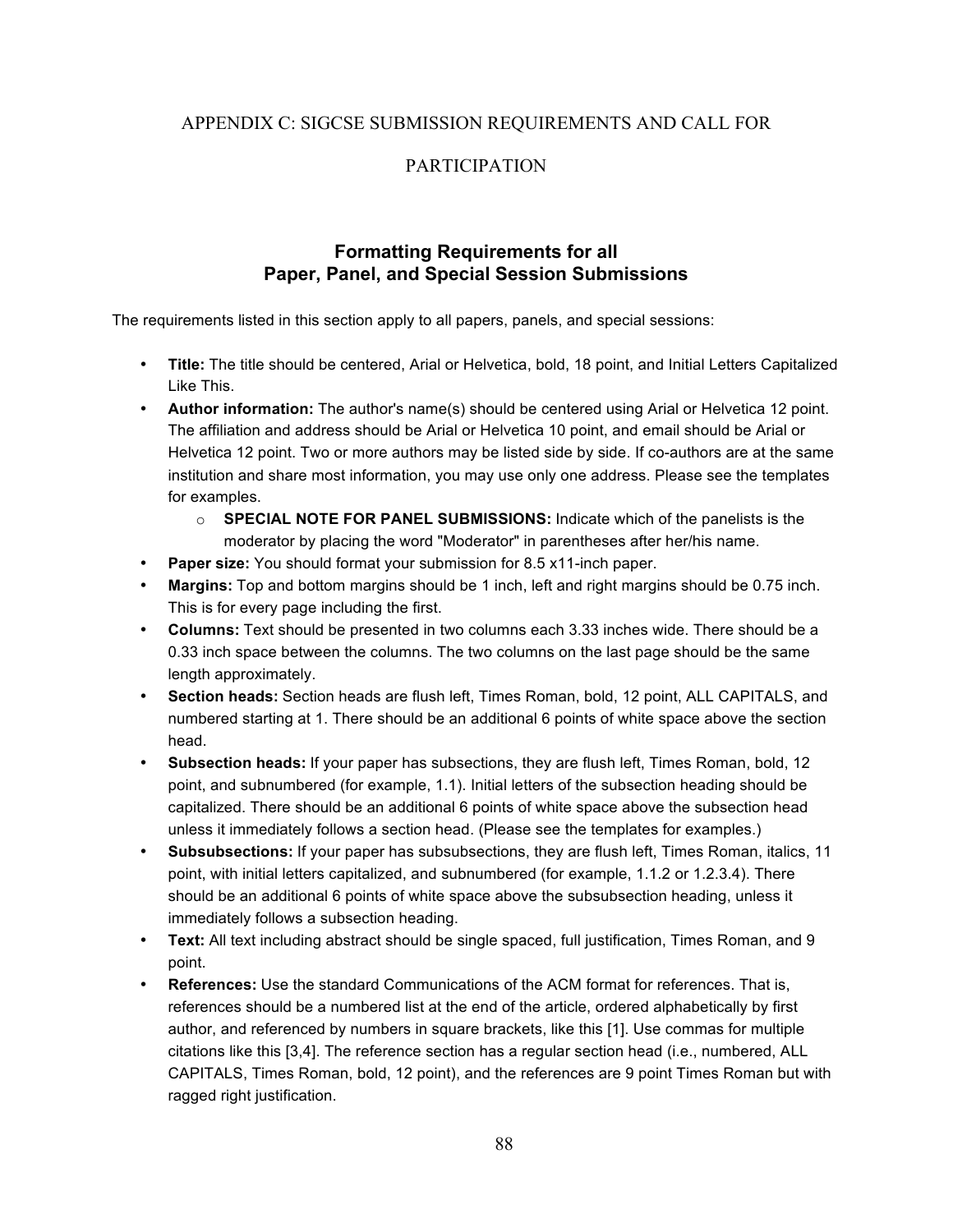## APPENDIX C: SIGCSE SUBMISSION REQUIREMENTS AND CALL FOR

## PARTICIPATION

## **Formatting Requirements for all Paper, Panel, and Special Session Submissions**

The requirements listed in this section apply to all papers, panels, and special sessions:

- **Title:** The title should be centered, Arial or Helvetica, bold, 18 point, and Initial Letters Capitalized Like This.
- **Author information:** The author's name(s) should be centered using Arial or Helvetica 12 point. The affiliation and address should be Arial or Helvetica 10 point, and email should be Arial or Helvetica 12 point. Two or more authors may be listed side by side. If co-authors are at the same institution and share most information, you may use only one address. Please see the templates for examples.
	- o **SPECIAL NOTE FOR PANEL SUBMISSIONS:** Indicate which of the panelists is the moderator by placing the word "Moderator" in parentheses after her/his name.
- **Paper size:** You should format your submission for 8.5 x11-inch paper.
- **Margins:** Top and bottom margins should be 1 inch, left and right margins should be 0.75 inch. This is for every page including the first.
- **Columns:** Text should be presented in two columns each 3.33 inches wide. There should be a 0.33 inch space between the columns. The two columns on the last page should be the same length approximately.
- **Section heads:** Section heads are flush left, Times Roman, bold, 12 point, ALL CAPITALS, and numbered starting at 1. There should be an additional 6 points of white space above the section head.
- **Subsection heads:** If your paper has subsections, they are flush left, Times Roman, bold, 12 point, and subnumbered (for example, 1.1). Initial letters of the subsection heading should be capitalized. There should be an additional 6 points of white space above the subsection head unless it immediately follows a section head. (Please see the templates for examples.)
- **Subsubsections:** If your paper has subsubsections, they are flush left, Times Roman, italics, 11 point, with initial letters capitalized, and subnumbered (for example, 1.1.2 or 1.2.3.4). There should be an additional 6 points of white space above the subsubsection heading, unless it immediately follows a subsection heading.
- **Text:** All text including abstract should be single spaced, full justification, Times Roman, and 9 point.
- **References:** Use the standard Communications of the ACM format for references. That is, references should be a numbered list at the end of the article, ordered alphabetically by first author, and referenced by numbers in square brackets, like this [1]. Use commas for multiple citations like this [3,4]. The reference section has a regular section head (i.e., numbered, ALL CAPITALS, Times Roman, bold, 12 point), and the references are 9 point Times Roman but with ragged right justification.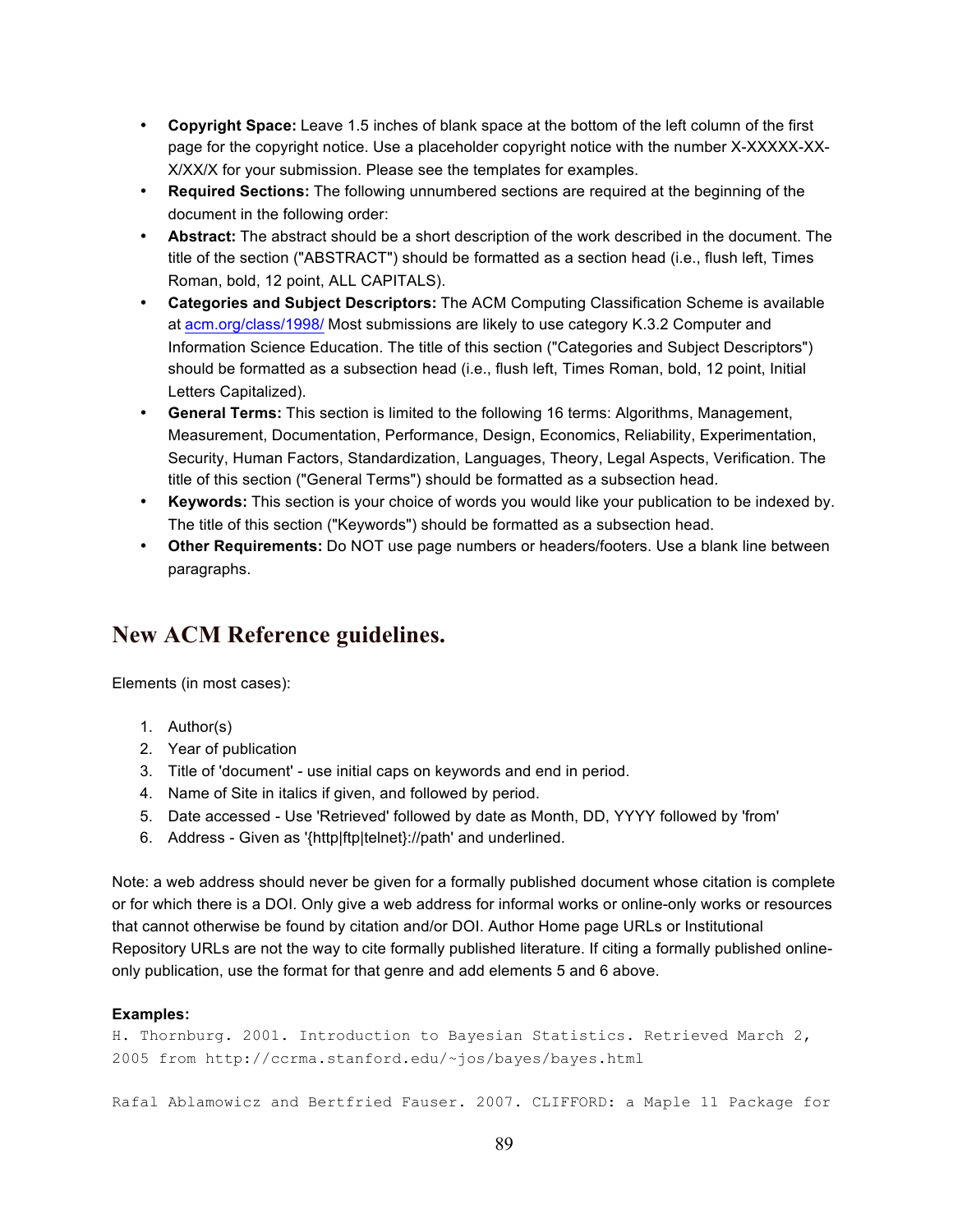- **Copyright Space:** Leave 1.5 inches of blank space at the bottom of the left column of the first page for the copyright notice. Use a placeholder copyright notice with the number X-XXXXX-XX-X/XX/X for your submission. Please see the templates for examples.
- **Required Sections:** The following unnumbered sections are required at the beginning of the document in the following order:
- **Abstract:** The abstract should be a short description of the work described in the document. The title of the section ("ABSTRACT") should be formatted as a section head (i.e., flush left, Times Roman, bold, 12 point, ALL CAPITALS).
- **Categories and Subject Descriptors:** The ACM Computing Classification Scheme is available at acm.org/class/1998/ Most submissions are likely to use category K.3.2 Computer and Information Science Education. The title of this section ("Categories and Subject Descriptors") should be formatted as a subsection head (i.e., flush left, Times Roman, bold, 12 point, Initial Letters Capitalized).
- **General Terms:** This section is limited to the following 16 terms: Algorithms, Management, Measurement, Documentation, Performance, Design, Economics, Reliability, Experimentation, Security, Human Factors, Standardization, Languages, Theory, Legal Aspects, Verification. The title of this section ("General Terms") should be formatted as a subsection head.
- **Keywords:** This section is your choice of words you would like your publication to be indexed by. The title of this section ("Keywords") should be formatted as a subsection head.
- **Other Requirements:** Do NOT use page numbers or headers/footers. Use a blank line between paragraphs.

# **New ACM Reference guidelines.**

Elements (in most cases):

- 1. Author(s)
- 2. Year of publication
- 3. Title of 'document' use initial caps on keywords and end in period.
- 4. Name of Site in italics if given, and followed by period.
- 5. Date accessed Use 'Retrieved' followed by date as Month, DD, YYYY followed by 'from'
- 6. Address Given as '{http|ftp|telnet}://path' and underlined.

Note: a web address should never be given for a formally published document whose citation is complete or for which there is a DOI. Only give a web address for informal works or online-only works or resources that cannot otherwise be found by citation and/or DOI. Author Home page URLs or Institutional Repository URLs are not the way to cite formally published literature. If citing a formally published onlineonly publication, use the format for that genre and add elements 5 and 6 above.

#### **Examples:**

```
H. Thornburg. 2001. Introduction to Bayesian Statistics. Retrieved March 2,
2005 from http://ccrma.stanford.edu/~jos/bayes/bayes.html
```
Rafal Ablamowicz and Bertfried Fauser. 2007. CLIFFORD: a Maple 11 Package for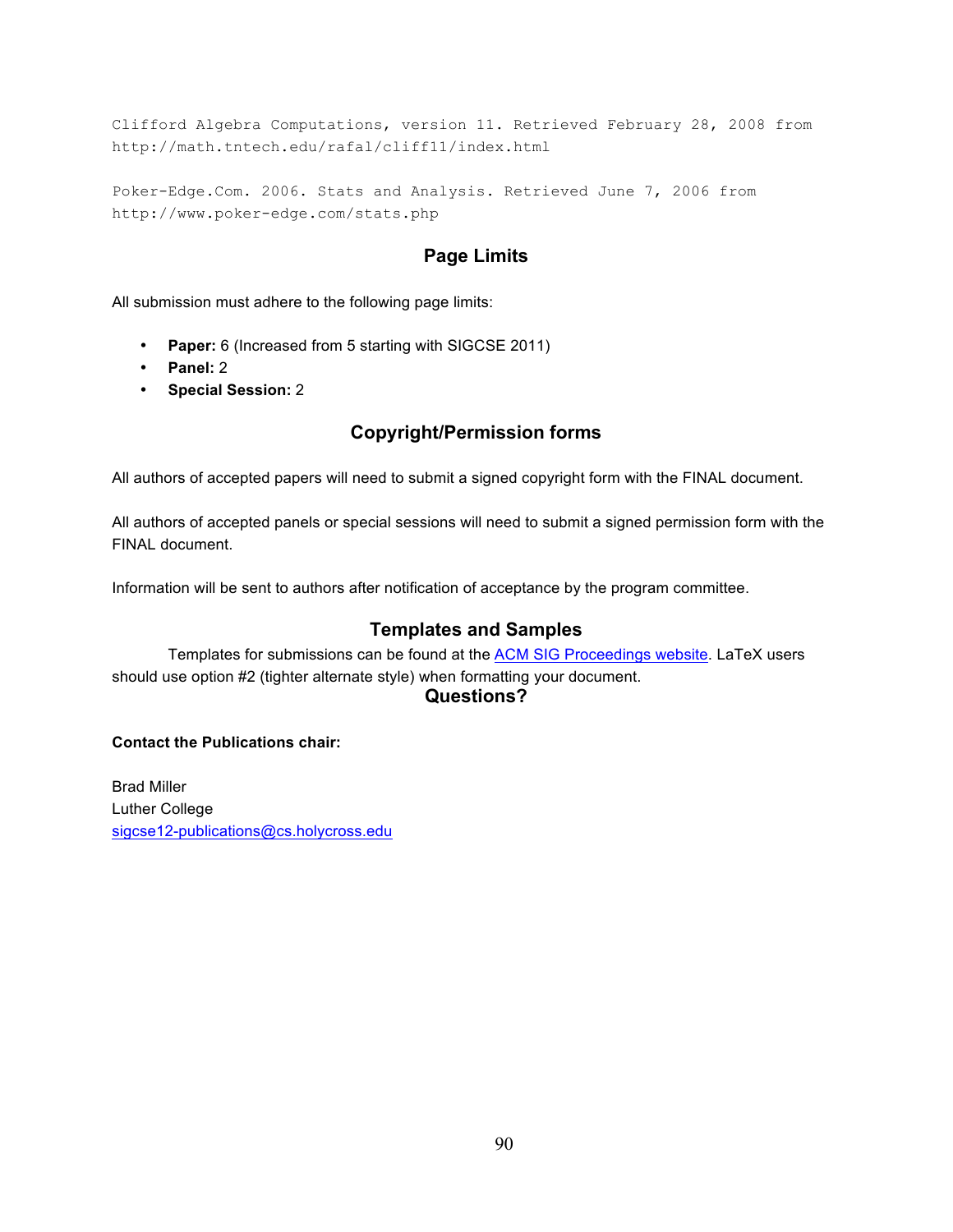Clifford Algebra Computations, version 11. Retrieved February 28, 2008 from http://math.tntech.edu/rafal/cliff11/index.html

Poker-Edge.Com. 2006. Stats and Analysis. Retrieved June 7, 2006 from http://www.poker-edge.com/stats.php

#### **Page Limits**

All submission must adhere to the following page limits:

- **Paper:** 6 (Increased from 5 starting with SIGCSE 2011)
- **Panel:** 2
- **Special Session:** 2

#### **Copyright/Permission forms**

All authors of accepted papers will need to submit a signed copyright form with the FINAL document.

All authors of accepted panels or special sessions will need to submit a signed permission form with the FINAL document.

Information will be sent to authors after notification of acceptance by the program committee.

#### **Templates and Samples**

Templates for submissions can be found at the ACM SIG Proceedings website. LaTeX users should use option #2 (tighter alternate style) when formatting your document.

#### **Questions?**

#### **Contact the Publications chair:**

Brad Miller Luther College sigcse12-publications@cs.holycross.edu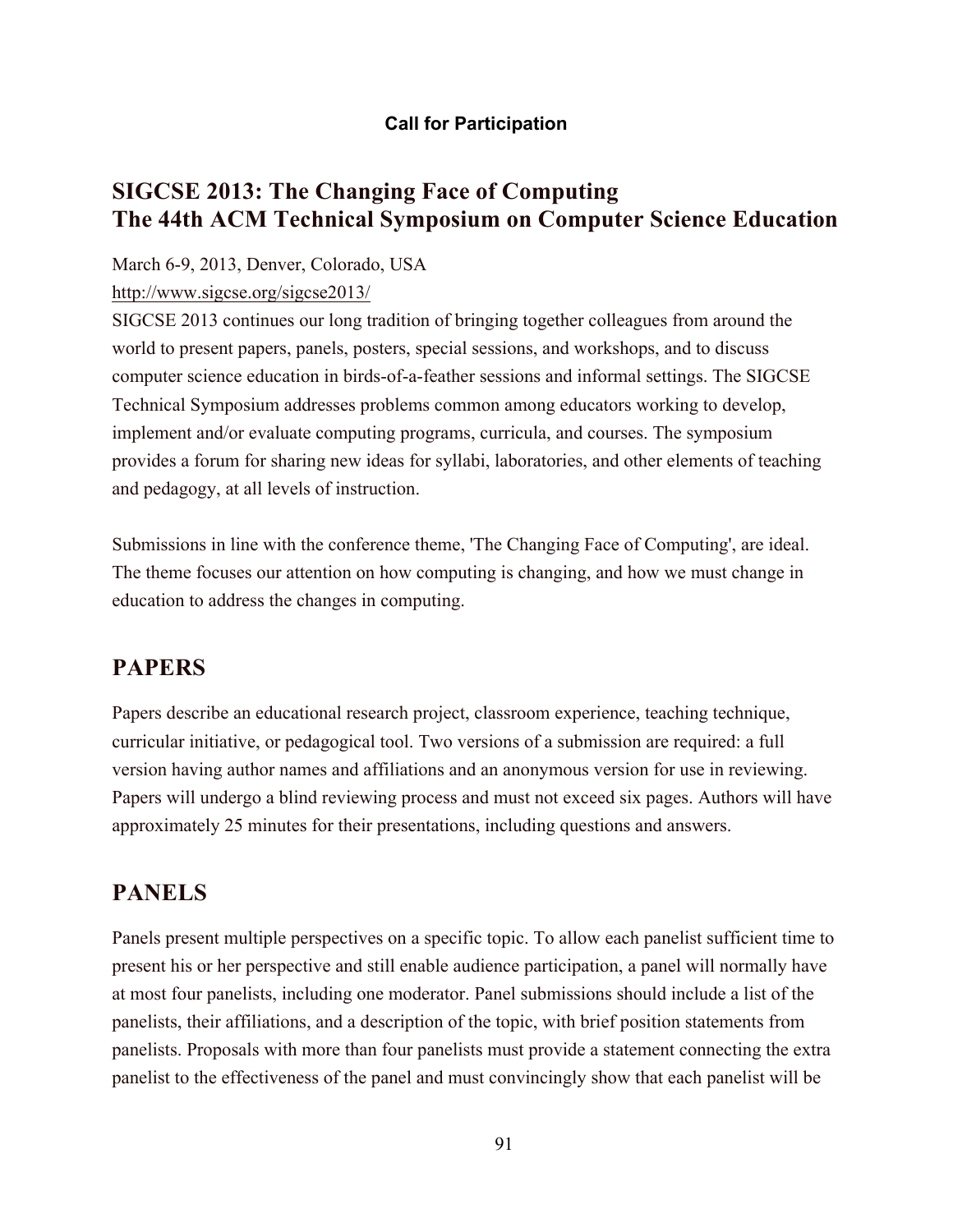## **Call for Participation**

# **SIGCSE 2013: The Changing Face of Computing The 44th ACM Technical Symposium on Computer Science Education**

March 6-9, 2013, Denver, Colorado, USA

#### http://www.sigcse.org/sigcse2013/

SIGCSE 2013 continues our long tradition of bringing together colleagues from around the world to present papers, panels, posters, special sessions, and workshops, and to discuss computer science education in birds-of-a-feather sessions and informal settings. The SIGCSE Technical Symposium addresses problems common among educators working to develop, implement and/or evaluate computing programs, curricula, and courses. The symposium provides a forum for sharing new ideas for syllabi, laboratories, and other elements of teaching and pedagogy, at all levels of instruction.

Submissions in line with the conference theme, 'The Changing Face of Computing', are ideal. The theme focuses our attention on how computing is changing, and how we must change in education to address the changes in computing.

## **PAPERS**

Papers describe an educational research project, classroom experience, teaching technique, curricular initiative, or pedagogical tool. Two versions of a submission are required: a full version having author names and affiliations and an anonymous version for use in reviewing. Papers will undergo a blind reviewing process and must not exceed six pages. Authors will have approximately 25 minutes for their presentations, including questions and answers.

# **PANELS**

Panels present multiple perspectives on a specific topic. To allow each panelist sufficient time to present his or her perspective and still enable audience participation, a panel will normally have at most four panelists, including one moderator. Panel submissions should include a list of the panelists, their affiliations, and a description of the topic, with brief position statements from panelists. Proposals with more than four panelists must provide a statement connecting the extra panelist to the effectiveness of the panel and must convincingly show that each panelist will be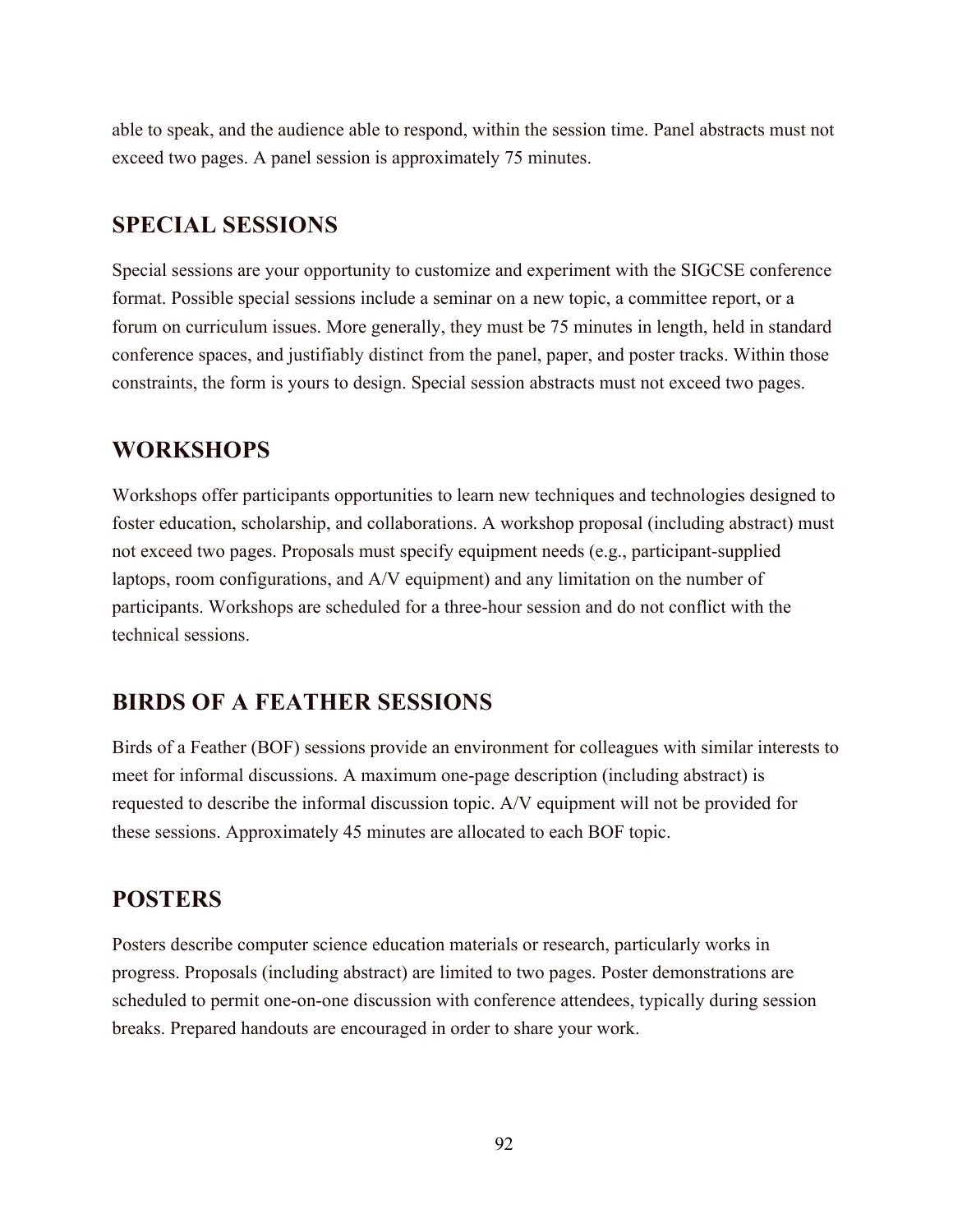able to speak, and the audience able to respond, within the session time. Panel abstracts must not exceed two pages. A panel session is approximately 75 minutes.

## **SPECIAL SESSIONS**

Special sessions are your opportunity to customize and experiment with the SIGCSE conference format. Possible special sessions include a seminar on a new topic, a committee report, or a forum on curriculum issues. More generally, they must be 75 minutes in length, held in standard conference spaces, and justifiably distinct from the panel, paper, and poster tracks. Within those constraints, the form is yours to design. Special session abstracts must not exceed two pages.

## **WORKSHOPS**

Workshops offer participants opportunities to learn new techniques and technologies designed to foster education, scholarship, and collaborations. A workshop proposal (including abstract) must not exceed two pages. Proposals must specify equipment needs (e.g., participant-supplied laptops, room configurations, and A/V equipment) and any limitation on the number of participants. Workshops are scheduled for a three-hour session and do not conflict with the technical sessions.

## **BIRDS OF A FEATHER SESSIONS**

Birds of a Feather (BOF) sessions provide an environment for colleagues with similar interests to meet for informal discussions. A maximum one-page description (including abstract) is requested to describe the informal discussion topic. A/V equipment will not be provided for these sessions. Approximately 45 minutes are allocated to each BOF topic.

## **POSTERS**

Posters describe computer science education materials or research, particularly works in progress. Proposals (including abstract) are limited to two pages. Poster demonstrations are scheduled to permit one-on-one discussion with conference attendees, typically during session breaks. Prepared handouts are encouraged in order to share your work.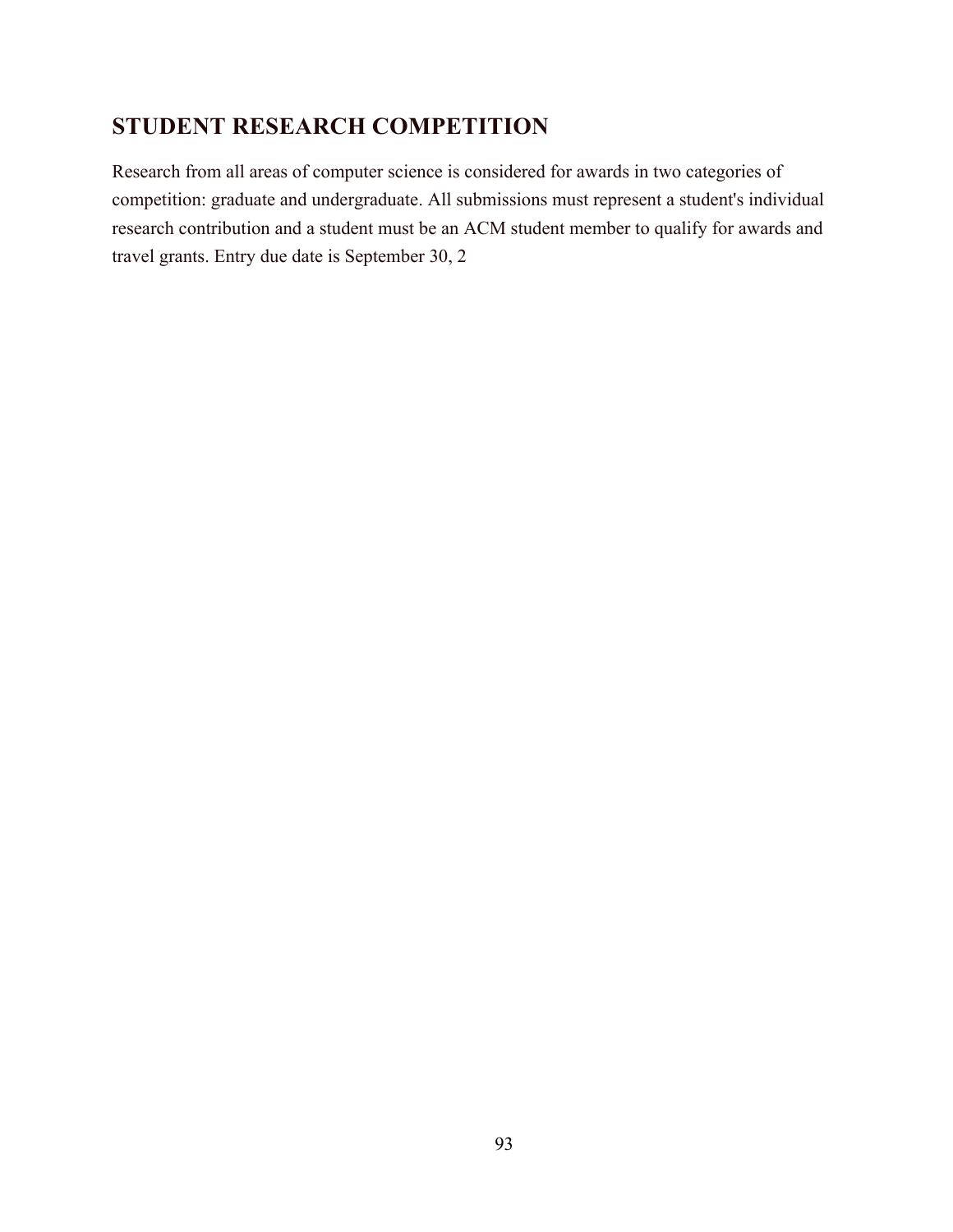# **STUDENT RESEARCH COMPETITION**

Research from all areas of computer science is considered for awards in two categories of competition: graduate and undergraduate. All submissions must represent a student's individual research contribution and a student must be an ACM student member to qualify for awards and travel grants. Entry due date is September 30, 2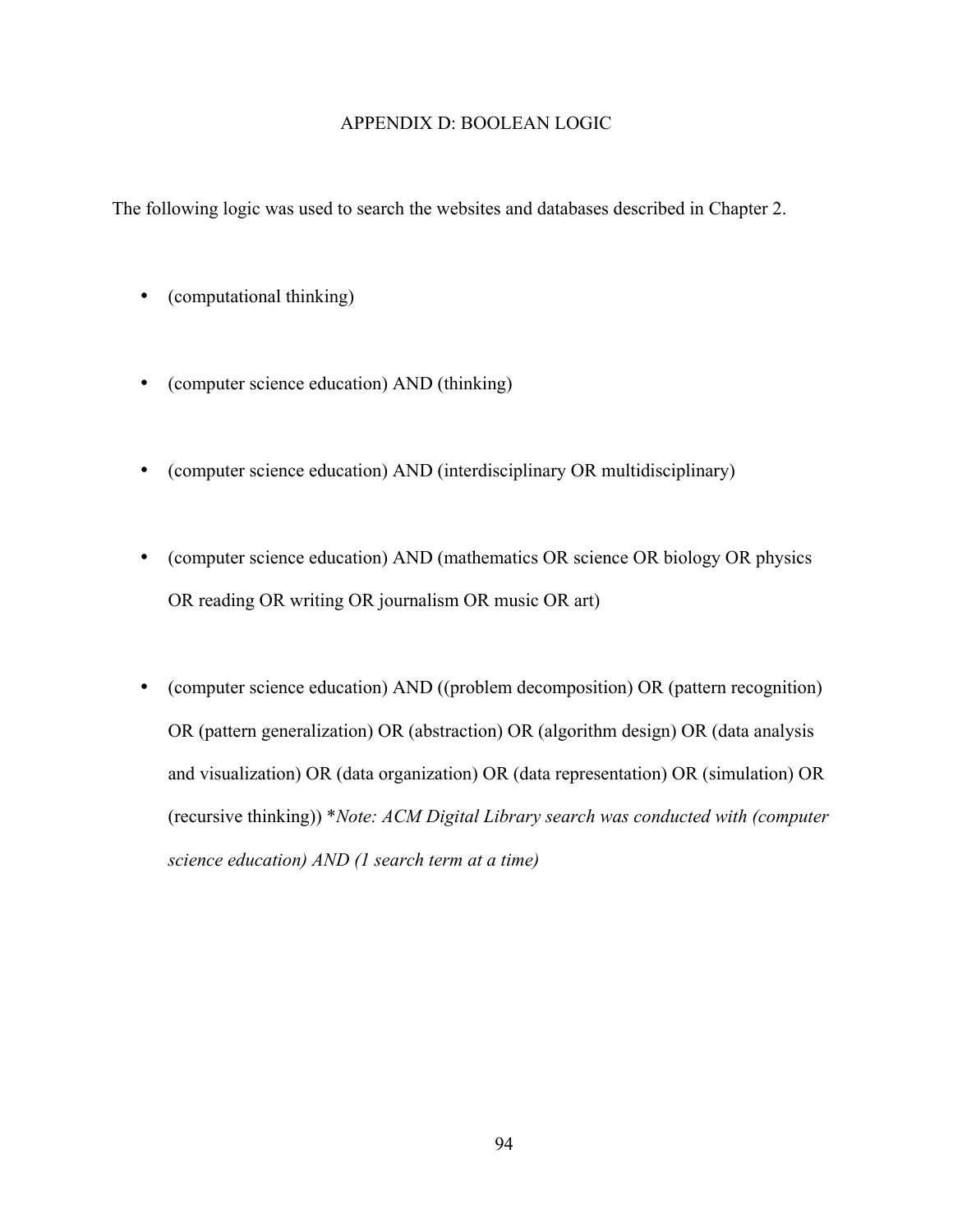#### APPENDIX D: BOOLEAN LOGIC

The following logic was used to search the websites and databases described in Chapter 2.

- (computational thinking)
- (computer science education) AND (thinking)
- (computer science education) AND (interdisciplinary OR multidisciplinary)
- (computer science education) AND (mathematics OR science OR biology OR physics OR reading OR writing OR journalism OR music OR art)
- (computer science education) AND ((problem decomposition) OR (pattern recognition) OR (pattern generalization) OR (abstraction) OR (algorithm design) OR (data analysis and visualization) OR (data organization) OR (data representation) OR (simulation) OR (recursive thinking)) \**Note: ACM Digital Library search was conducted with (computer science education) AND (1 search term at a time)*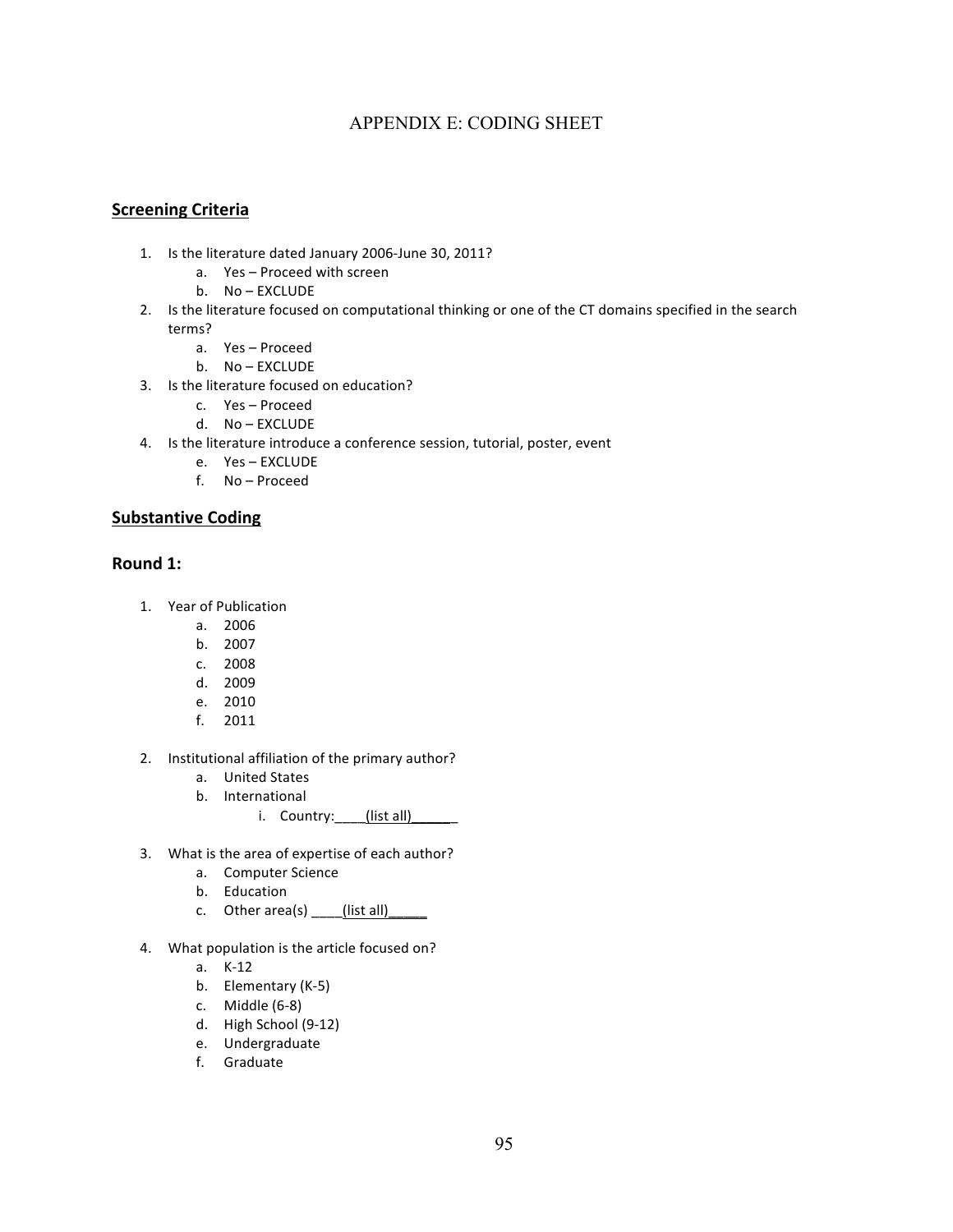#### APPENDIX E: CODING SHEET

#### **Screening Criteria**

- 1. Is the literature dated January 2006-June 30, 2011?
	- a. Yes Proceed with screen
	- b. No EXCLUDE
- 2. Is the literature focused on computational thinking or one of the CT domains specified in the search terms?
	- a. Yes Proceed
	- b. No EXCLUDE
- 3. Is the literature focused on education?
	- c. Yes Proceed
	- d. No EXCLUDE
- 4. Is the literature introduce a conference session, tutorial, poster, event
	- e. Yes EXCLUDE
	- f. No-Proceed

#### **Substantive Coding**

#### Round 1:

- 1. Year of Publication
	- a. 2006
	- b. 2007
	- c. 2008
	- d. 2009
	- e. 2010
	- f. 2011
- 2. Institutional affiliation of the primary author?
	- a. United States
	- b. International
		- i. Country: (list all)
- 3. What is the area of expertise of each author?
	- a. Computer Science
	- b. Education
	- c. Other  $area(s)$  [list all]
- 4. What population is the article focused on?
	- a. K-12
	- b. Elementary (K-5)
	- c. Middle (6-8)
	- d. High School (9-12)
	- e. Undergraduate
	- f. Graduate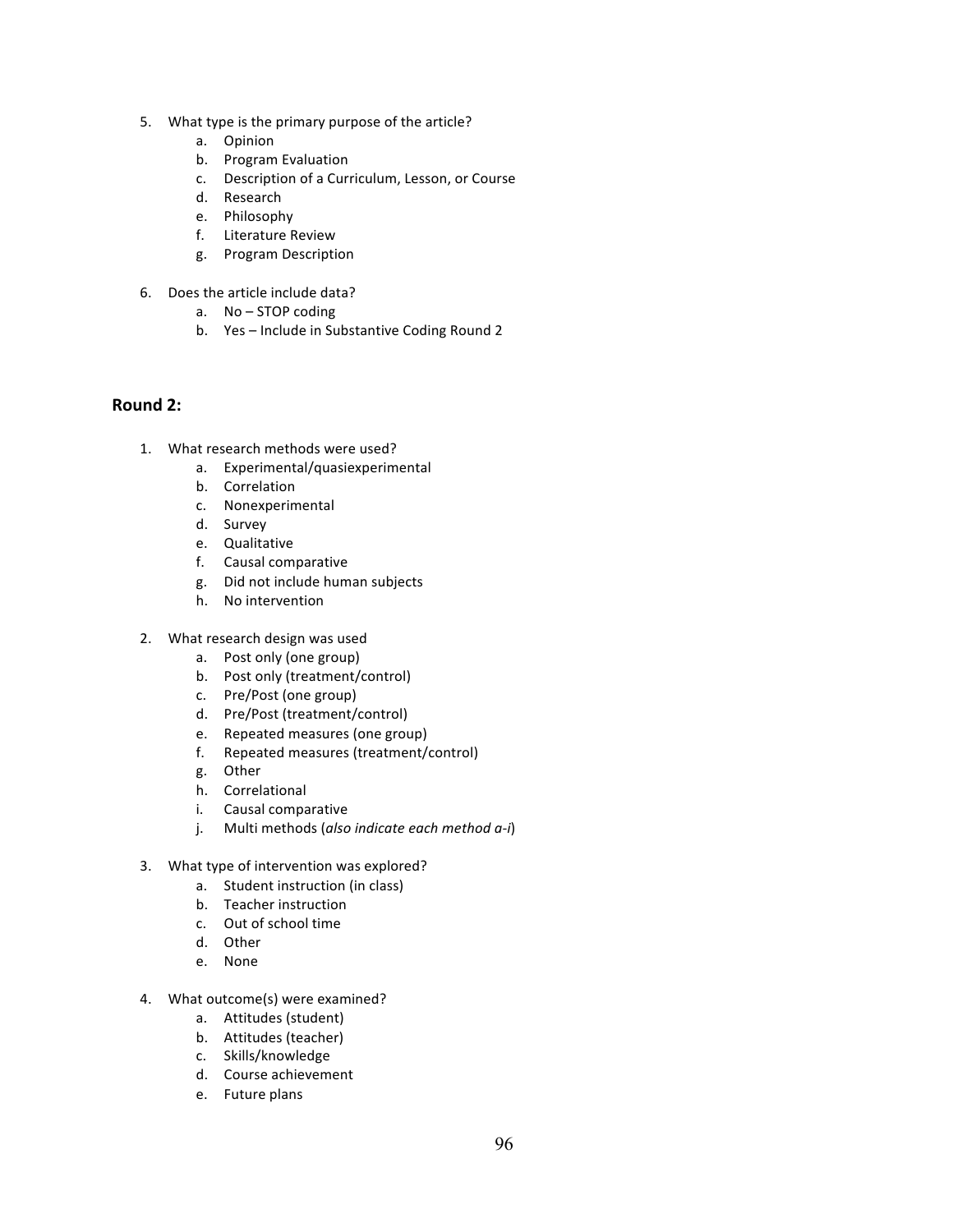- 5. What type is the primary purpose of the article?
	- a. Opinion
	- b. Program Evaluation
	- c. Description of a Curriculum, Lesson, or Course
	- d. Research
	- e. Philosophy
	- f. Literature Review
	- g. Program Description
- 6. Does the article include data?
	- a. No STOP coding
	- b. Yes Include in Substantive Coding Round 2

#### **Round 2:**

- 1. What research methods were used?
	- a. Experimental/quasiexperimental
	- b. Correlation
	- c. Nonexperimental
	- d. Survey
	- e. Qualitative
	- f. Causal comparative
	- g. Did not include human subjects
	- h. No intervention
- 2. What research design was used
	- a. Post only (one group)
	- b. Post only (treatment/control)
	- c. Pre/Post (one group)
	- d. Pre/Post (treatment/control)
	- e. Repeated measures (one group)
	- f. Repeated measures (treatment/control)
	- g. Other
	- h. Correlational
	- i. Causal comparative
	- j. Multi methods (also indicate each method a-i)
- 3. What type of intervention was explored?
	- a. Student instruction (in class)
	- b. Teacher instruction
	- c. Out of school time
	- d. Other
	- e. None
- 4. What outcome(s) were examined?
	- a. Attitudes (student)
	- b. Attitudes (teacher)
	- c. Skills/knowledge
	- d. Course achievement
	- e. Future plans